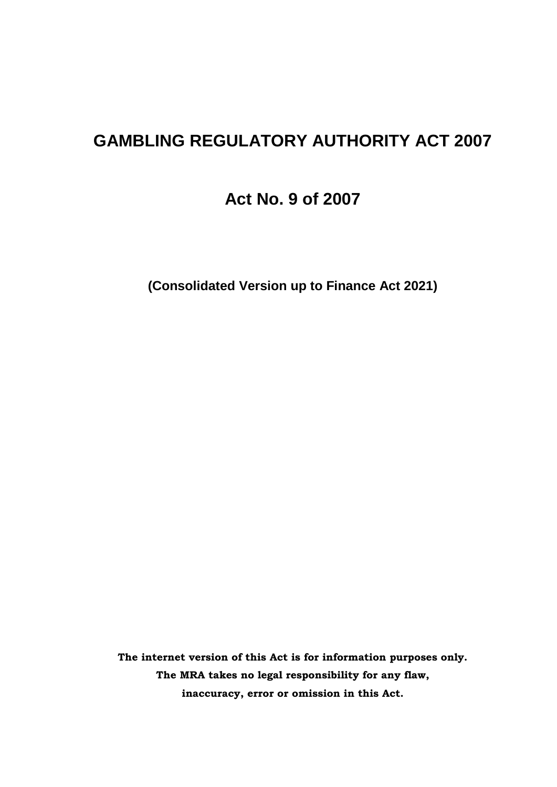# **GAMBLING REGULATORY AUTHORITY ACT 2007**

**Act No. 9 of 2007**

**(Consolidated Version up to Finance Act 2021)**

**The internet version of this Act is for information purposes only. The MRA takes no legal responsibility for any flaw, inaccuracy, error or omission in this Act.**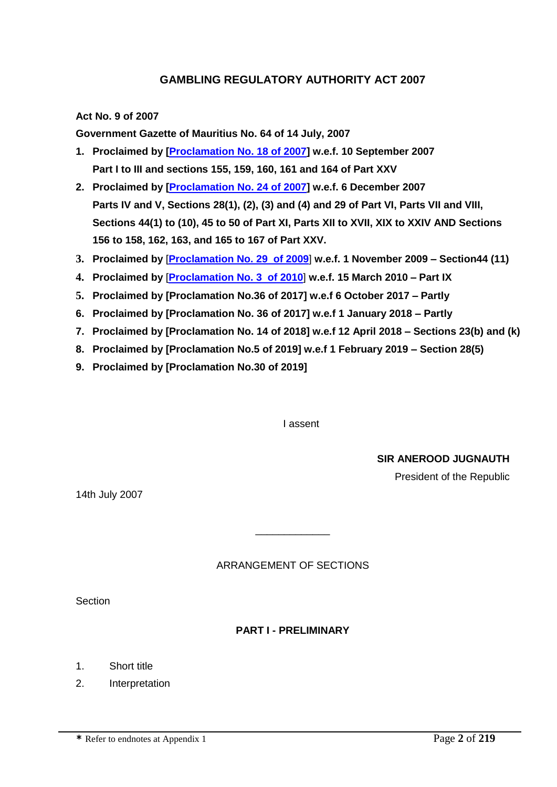# **GAMBLING REGULATORY AUTHORITY ACT 2007**

**Act No. 9 of 2007**

**Government Gazette of Mauritius No. 64 of 14 July, 2007**

- **1. Proclaimed by [\[Proclamation No. 18 of 2007\]](http://supremecourt.intnet.mu/Entry/dyn/GetDoc.asp?Doc_Title=Proclamation+No.+18+of+2007&Mode=Html&Search=No) w.e.f. 10 September 2007 Part I to III and sections 155, 159, 160, 161 and 164 of Part XXV**
- **2. Proclaimed by [\[Proclamation No. 24 of 2007\]](http://supremecourt.intnet.mu/Entry/dyn/GetDoc.asp?Doc_Title=Proclamation+No.+18+of+2007&Mode=Html&Search=No) w.e.f. 6 December 2007 Parts IV and V, Sections 28(1), (2), (3) and (4) and 29 of Part VI, Parts VII and VIII, Sections 44(1) to (10), 45 to 50 of Part XI, Parts XII to XVII, XIX to XXIV AND Sections 156 to 158, 162, 163, and 165 to 167 of Part XXV.**
- **3. Proclaimed by** [**[Proclamation No. 29 of 2009](http://supremecourt.intnet.mu/Entry/dyn/GetDoc.asp?Doc_Title=Proclamation+No.+18+of+2007&Mode=Html&Search=No)**] **w.e.f. 1 November 2009 – Section44 (11)**
- **4. Proclaimed by** [**[Proclamation No. 3 of 2010](http://supremecourt.intnet.mu/Entry/dyn/GetDoc.asp?Doc_Title=Proclamation+No.+18+of+2007&Mode=Html&Search=No)**] **w.e.f. 15 March 2010 – Part IX**
- **5. Proclaimed by [Proclamation No.36 of 2017] w.e.f 6 October 2017 – Partly**
- **6. Proclaimed by [Proclamation No. 36 of 2017] w.e.f 1 January 2018 – Partly**
- **7. Proclaimed by [Proclamation No. 14 of 2018] w.e.f 12 April 2018 – Sections 23(b) and (k)**
- **8. Proclaimed by [Proclamation No.5 of 2019] w.e.f 1 February 2019 – Section 28(5)**
- **9. Proclaimed by [Proclamation No.30 of 2019]**

I assent

**SIR ANEROOD JUGNAUTH**

President of the Republic

14th July 2007

#### ARRANGEMENT OF SECTIONS

\_\_\_\_\_\_\_\_\_\_\_\_\_

**Section** 

#### **PART I - PRELIMINARY**

1. Short title

2. Interpretation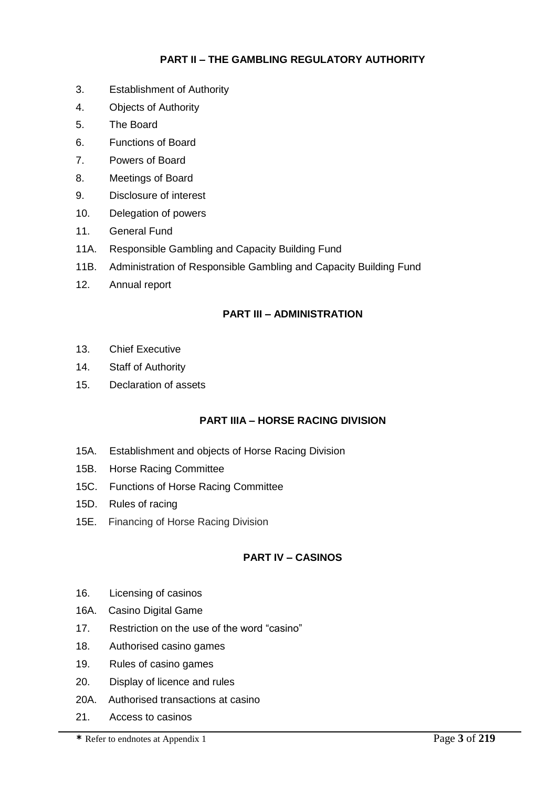# **PART II – THE GAMBLING REGULATORY AUTHORITY**

- 3. Establishment of Authority
- 4. Objects of Authority
- 5. The Board
- 6. Functions of Board
- 7. Powers of Board
- 8. Meetings of Board
- 9. Disclosure of interest
- 10. Delegation of powers
- 11. General Fund
- 11A. Responsible Gambling and Capacity Building Fund
- 11B. Administration of Responsible Gambling and Capacity Building Fund
- 12. Annual report

#### **PART III – ADMINISTRATION**

- 13. Chief Executive
- 14. Staff of Authority
- 15. Declaration of assets

#### **PART IIIA – HORSE RACING DIVISION**

- 15A. Establishment and objects of Horse Racing Division
- 15B. Horse Racing Committee
- 15C. Functions of Horse Racing Committee
- 15D. Rules of racing
- 15E. Financing of Horse Racing Division

### **PART IV – CASINOS**

- 16. Licensing of casinos
- 16A. Casino Digital Game
- 17. Restriction on the use of the word "casino"
- 18. Authorised casino games
- 19. Rules of casino games
- 20. Display of licence and rules
- 20A. Authorised transactions at casino
- 21. Access to casinos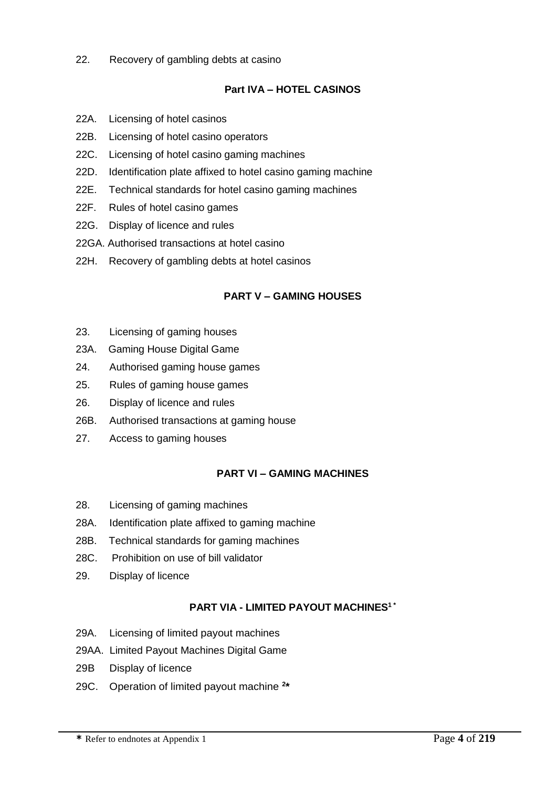22. Recovery of gambling debts at casino

### **Part IVA – HOTEL CASINOS**

- 22A. Licensing of hotel casinos
- 22B. Licensing of hotel casino operators
- 22C. Licensing of hotel casino gaming machines
- 22D. Identification plate affixed to hotel casino gaming machine
- 22E. Technical standards for hotel casino gaming machines
- 22F. Rules of hotel casino games
- 22G. Display of licence and rules
- 22GA. Authorised transactions at hotel casino
- 22H. Recovery of gambling debts at hotel casinos

#### **PART V – GAMING HOUSES**

- 23. Licensing of gaming houses
- 23A. Gaming House Digital Game
- 24. Authorised gaming house games
- 25. Rules of gaming house games
- 26. Display of licence and rules
- 26B. Authorised transactions at gaming house
- 27. Access to gaming houses

#### **PART VI – GAMING MACHINES**

- 28. Licensing of gaming machines
- 28A. Identification plate affixed to gaming machine
- 28B. Technical standards for gaming machines
- 28C. Prohibition on use of bill validator
- 29. Display of licence

#### **PART VIA - LIMITED PAYOUT MACHINES<sup>1</sup> \***

- 29A. Licensing of limited payout machines
- 29AA. Limited Payout Machines Digital Game
- 29B Display of licence
- 29C. Operation of limited payout machine **<sup>2</sup> \***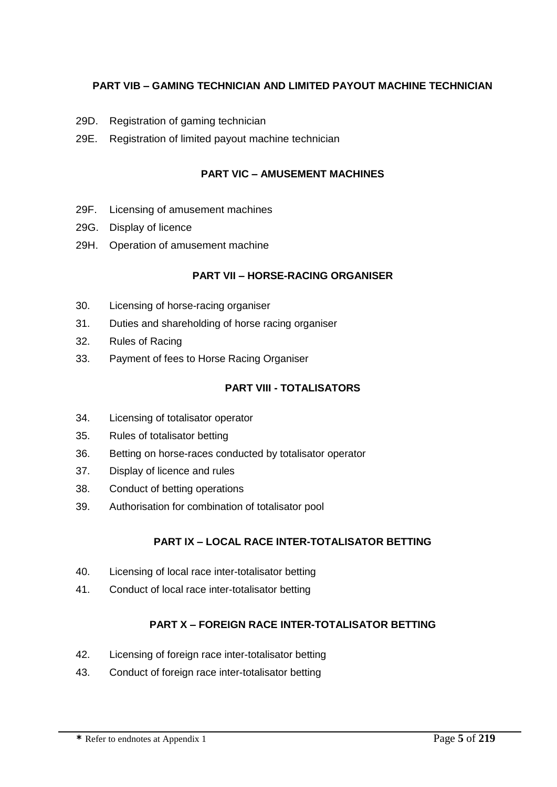# **PART VIB – GAMING TECHNICIAN AND LIMITED PAYOUT MACHINE TECHNICIAN**

- 29D. Registration of gaming technician
- 29E. Registration of limited payout machine technician

#### **PART VIC – AMUSEMENT MACHINES**

- 29F. Licensing of amusement machines
- 29G. Display of licence
- 29H. Operation of amusement machine

#### **PART VII – HORSE-RACING ORGANISER**

- 30. Licensing of horse-racing organiser
- 31. Duties and shareholding of horse racing organiser
- 32. Rules of Racing
- 33. Payment of fees to Horse Racing Organiser

#### **PART VIII - TOTALISATORS**

- 34. Licensing of totalisator operator
- 35. Rules of totalisator betting
- 36. Betting on horse-races conducted by totalisator operator
- 37. Display of licence and rules
- 38. Conduct of betting operations
- 39. Authorisation for combination of totalisator pool

#### **PART IX – LOCAL RACE INTER-TOTALISATOR BETTING**

- 40. Licensing of local race inter-totalisator betting
- 41. Conduct of local race inter-totalisator betting

#### **PART X – FOREIGN RACE INTER-TOTALISATOR BETTING**

- 42. Licensing of foreign race inter-totalisator betting
- 43. Conduct of foreign race inter-totalisator betting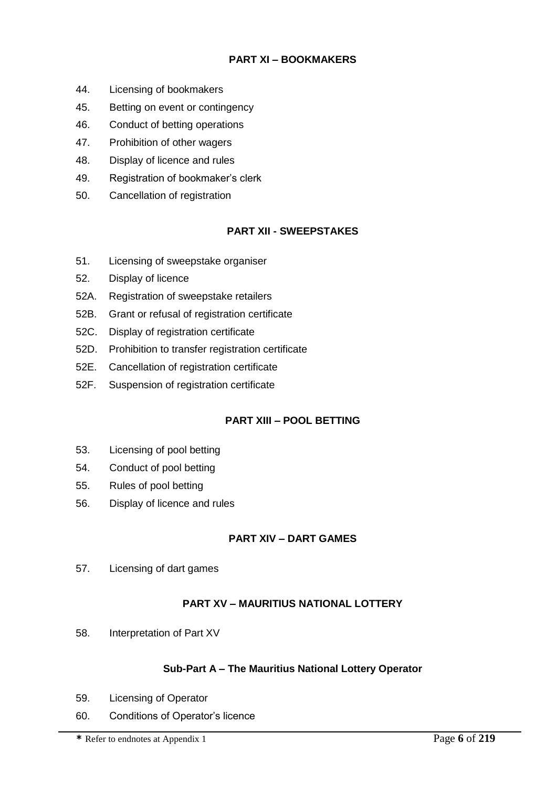# **PART XI – BOOKMAKERS**

- 44. Licensing of bookmakers
- 45. Betting on event or contingency
- 46. Conduct of betting operations
- 47. Prohibition of other wagers
- 48. Display of licence and rules
- 49. Registration of bookmaker's clerk
- 50. Cancellation of registration

#### **PART XII - SWEEPSTAKES**

- 51. Licensing of sweepstake organiser
- 52. Display of licence
- 52A. Registration of sweepstake retailers
- 52B. Grant or refusal of registration certificate
- 52C. Display of registration certificate
- 52D. Prohibition to transfer registration certificate
- 52E. Cancellation of registration certificate
- 52F. Suspension of registration certificate

#### **PART XIII – POOL BETTING**

- 53. Licensing of pool betting
- 54. Conduct of pool betting
- 55. Rules of pool betting
- 56. Display of licence and rules

#### **PART XIV – DART GAMES**

57. Licensing of dart games

# **PART XV – MAURITIUS NATIONAL LOTTERY**

58. Interpretation of Part XV

#### **Sub-Part A – The Mauritius National Lottery Operator**

- 59. Licensing of Operator
- 60. Conditions of Operator's licence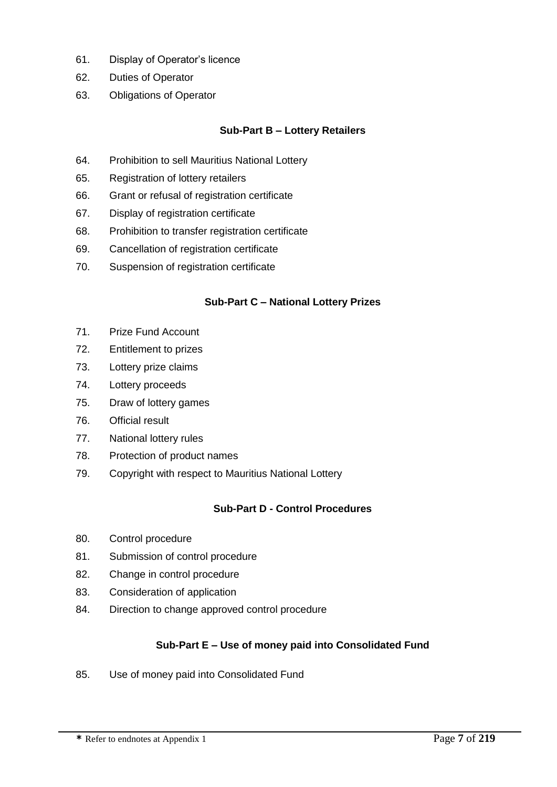- 61. Display of Operator's licence
- 62. Duties of Operator
- 63. Obligations of Operator

# **Sub-Part B – Lottery Retailers**

- 64. Prohibition to sell Mauritius National Lottery
- 65. Registration of lottery retailers
- 66. Grant or refusal of registration certificate
- 67. Display of registration certificate
- 68. Prohibition to transfer registration certificate
- 69. Cancellation of registration certificate
- 70. Suspension of registration certificate

#### **Sub-Part C – National Lottery Prizes**

- 71. Prize Fund Account
- 72. Entitlement to prizes
- 73. Lottery prize claims
- 74. Lottery proceeds
- 75. Draw of lottery games
- 76. Official result
- 77. National lottery rules
- 78. Protection of product names
- 79. Copyright with respect to Mauritius National Lottery

#### **Sub-Part D - Control Procedures**

- 80. Control procedure
- 81. Submission of control procedure
- 82. Change in control procedure
- 83. Consideration of application
- 84. Direction to change approved control procedure

#### **Sub-Part E – Use of money paid into Consolidated Fund**

85. Use of money paid into Consolidated Fund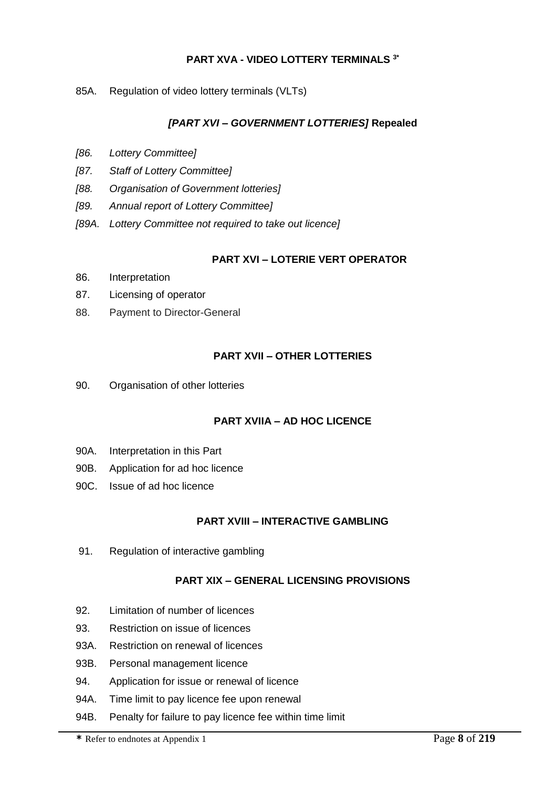# **PART XVA - VIDEO LOTTERY TERMINALS 3\***

85A. Regulation of video lottery terminals (VLTs)

#### *[PART XVI – GOVERNMENT LOTTERIES]* **Repealed**

- *[86. Lottery Committee]*
- *[87. Staff of Lottery Committee]*
- *[88. Organisation of Government lotteries]*
- *[89. Annual report of Lottery Committee]*
- *[89A. Lottery Committee not required to take out licence]*

#### **PART XVI – LOTERIE VERT OPERATOR**

- 86. Interpretation
- 87. Licensing of operator
- 88. Payment to Director-General

#### **PART XVII – OTHER LOTTERIES**

90. Organisation of other lotteries

#### **PART XVIIA – AD HOC LICENCE**

- 90A. Interpretation in this Part
- 90B. Application for ad hoc licence
- 90C. Issue of ad hoc licence

#### **PART XVIII – INTERACTIVE GAMBLING**

91. Regulation of interactive gambling

#### **PART XIX – GENERAL LICENSING PROVISIONS**

- 92. Limitation of number of licences
- 93. Restriction on issue of licences
- 93A. Restriction on renewal of licences
- 93B. Personal management licence
- 94. Application for issue or renewal of licence
- 94A. Time limit to pay licence fee upon renewal
- 94B. Penalty for failure to pay licence fee within time limit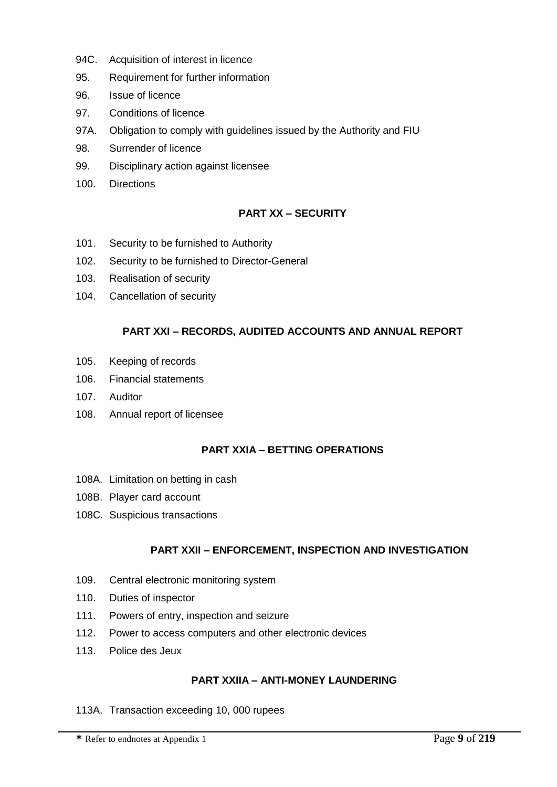- 94C. Acquisition of interest in licence
- 95. Requirement for further information
- 96. Issue of licence
- 97. Conditions of licence
- 97A. Obligation to comply with guidelines issued by the Authority and FIU
- 98. Surrender of licence
- 99. Disciplinary action against licensee
- 100. Directions

#### **PART XX – SECURITY**

- 101. Security to be furnished to Authority
- 102. Security to be furnished to Director-General
- 103. Realisation of security
- 104. Cancellation of security

#### **PART XXI – RECORDS, AUDITED ACCOUNTS AND ANNUAL REPORT**

- 105. Keeping of records
- 106. Financial statements
- 107. Auditor
- 108. Annual report of licensee

#### **PART XXIA – BETTING OPERATIONS**

- 108A. Limitation on betting in cash
- 108B. Player card account
- 108C. Suspicious transactions

#### **PART XXII – ENFORCEMENT, INSPECTION AND INVESTIGATION**

- 109. Central electronic monitoring system
- 110. Duties of inspector
- 111. Powers of entry, inspection and seizure
- 112. Power to access computers and other electronic devices
- 113. Police des Jeux

#### **PART XXIIA – ANTI-MONEY LAUNDERING**

113A. Transaction exceeding 10, 000 rupees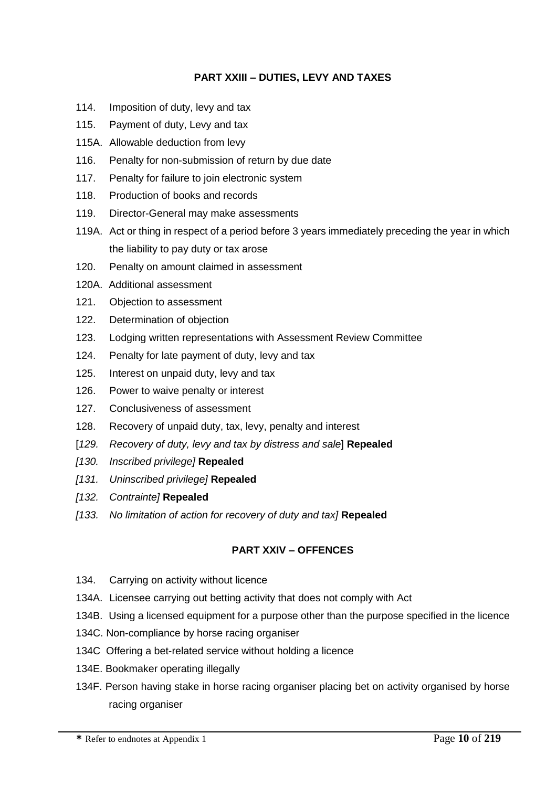#### **PART XXIII – DUTIES, LEVY AND TAXES**

- 114. Imposition of duty, levy and tax
- 115. Payment of duty, Levy and tax
- 115A. Allowable deduction from levy
- 116. Penalty for non-submission of return by due date
- 117. Penalty for failure to join electronic system
- 118. Production of books and records
- 119. Director-General may make assessments
- 119A. Act or thing in respect of a period before 3 years immediately preceding the year in which the liability to pay duty or tax arose
- 120. Penalty on amount claimed in assessment
- 120A. Additional assessment
- 121. Objection to assessment
- 122. Determination of objection
- 123. Lodging written representations with Assessment Review Committee
- 124. Penalty for late payment of duty, levy and tax
- 125. Interest on unpaid duty, levy and tax
- 126. Power to waive penalty or interest
- 127. Conclusiveness of assessment
- 128. Recovery of unpaid duty, tax, levy, penalty and interest
- [*129. Recovery of duty, levy and tax by distress and sale*] **Repealed**
- *[130. Inscribed privilege]* **Repealed**
- *[131. Uninscribed privilege]* **Repealed**
- *[132. Contrainte]* **Repealed**
- *[133. No limitation of action for recovery of duty and tax]* **Repealed**

#### **PART XXIV – OFFENCES**

- 134. Carrying on activity without licence
- 134A. Licensee carrying out betting activity that does not comply with Act
- 134B. Using a licensed equipment for a purpose other than the purpose specified in the licence
- 134C. Non-compliance by horse racing organiser
- 134C Offering a bet-related service without holding a licence
- 134E. Bookmaker operating illegally
- 134F. Person having stake in horse racing organiser placing bet on activity organised by horse racing organiser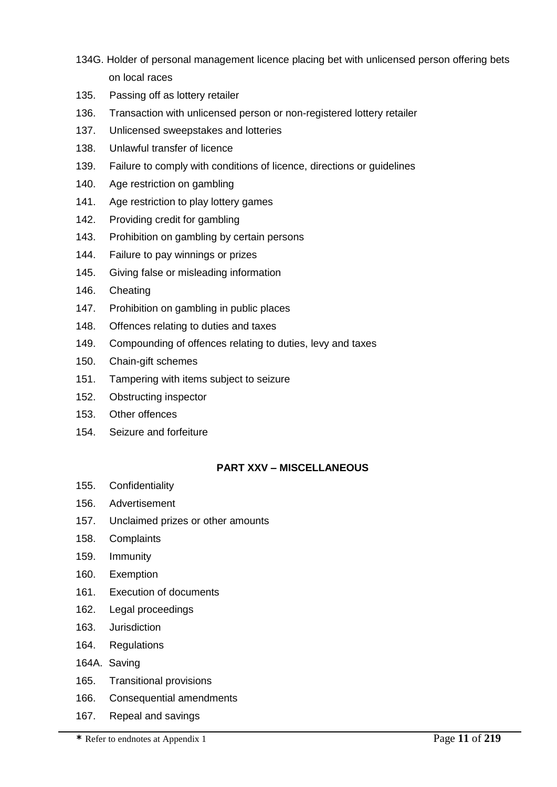- 134G. Holder of personal management licence placing bet with unlicensed person offering bets on local races
- 135. Passing off as lottery retailer
- 136. Transaction with unlicensed person or non-registered lottery retailer
- 137. Unlicensed sweepstakes and lotteries
- 138. Unlawful transfer of licence
- 139. Failure to comply with conditions of licence, directions or guidelines
- 140. Age restriction on gambling
- 141. Age restriction to play lottery games
- 142. Providing credit for gambling
- 143. Prohibition on gambling by certain persons
- 144. Failure to pay winnings or prizes
- 145. Giving false or misleading information
- 146. Cheating
- 147. Prohibition on gambling in public places
- 148. Offences relating to duties and taxes
- 149. Compounding of offences relating to duties, levy and taxes
- 150. Chain-gift schemes
- 151. Tampering with items subject to seizure
- 152. Obstructing inspector
- 153. Other offences
- 154. Seizure and forfeiture

#### **PART XXV – MISCELLANEOUS**

- 155. Confidentiality
- 156. Advertisement
- 157. Unclaimed prizes or other amounts
- 158. Complaints
- 159. Immunity
- 160. Exemption
- 161. Execution of documents
- 162. Legal proceedings
- 163. Jurisdiction
- 164. Regulations
- 164A. Saving
- 165. Transitional provisions
- 166. Consequential amendments
- 167. Repeal and savings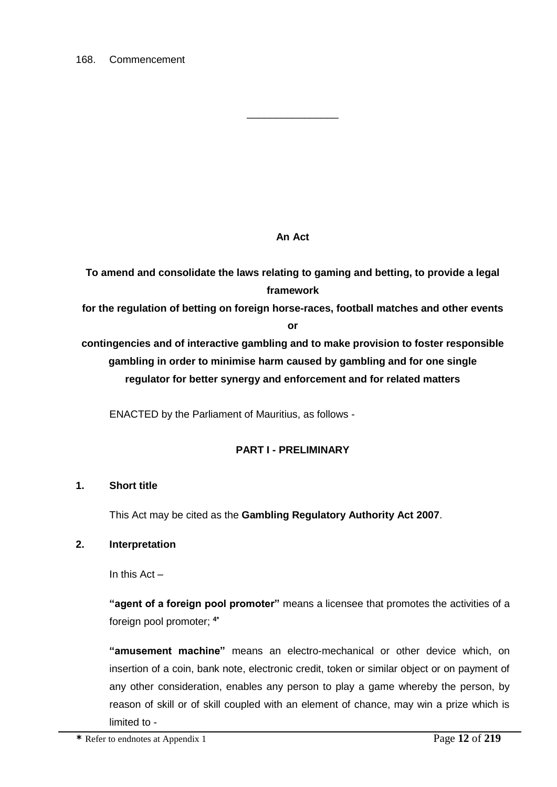# **An Act**

\_\_\_\_\_\_\_\_\_\_\_\_\_\_\_\_

**To amend and consolidate the laws relating to gaming and betting, to provide a legal framework for the regulation of betting on foreign horse-races, football matches and other events or contingencies and of interactive gambling and to make provision to foster responsible gambling in order to minimise harm caused by gambling and for one single regulator for better synergy and enforcement and for related matters**

ENACTED by the Parliament of Mauritius, as follows -

# **PART I - PRELIMINARY**

#### **1. Short title**

This Act may be cited as the **Gambling Regulatory Authority Act 2007**.

#### **2. Interpretation**

In this  $Act -$ 

**"agent of a foreign pool promoter"** means a licensee that promotes the activities of a foreign pool promoter; **4\***

**"amusement machine"** means an electro-mechanical or other device which, on insertion of a coin, bank note, electronic credit, token or similar object or on payment of any other consideration, enables any person to play a game whereby the person, by reason of skill or of skill coupled with an element of chance, may win a prize which is limited to -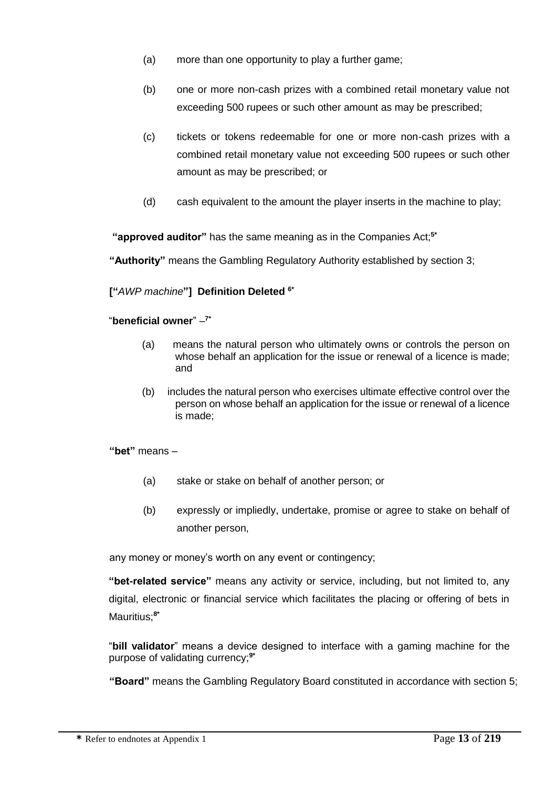- (a) more than one opportunity to play a further game;
- (b) one or more non-cash prizes with a combined retail monetary value not exceeding 500 rupees or such other amount as may be prescribed;
- (c) tickets or tokens redeemable for one or more non-cash prizes with a combined retail monetary value not exceeding 500 rupees or such other amount as may be prescribed; or
- (d) cash equivalent to the amount the player inserts in the machine to play;

**"approved auditor"** has the same meaning as in the Companies Act;**5\***

**"Authority"** means the Gambling Regulatory Authority established by section 3;

**["***AWP machine***"] Definition Deleted 6\***

#### "**beneficial owner**" – **7\***

- (a) means the natural person who ultimately owns or controls the person on whose behalf an application for the issue or renewal of a licence is made; and
- (b) includes the natural person who exercises ultimate effective control over the person on whose behalf an application for the issue or renewal of a licence is made;

**"bet"** means –

- (a) stake or stake on behalf of another person; or
- (b) expressly or impliedly, undertake, promise or agree to stake on behalf of another person,

any money or money's worth on any event or contingency;

**"bet-related service"** means any activity or service, including, but not limited to, any digital, electronic or financial service which facilitates the placing or offering of bets in Mauritius;**8\***

"**bill validator**" means a device designed to interface with a gaming machine for the purpose of validating currency;**9\***

**"Board"** means the Gambling Regulatory Board constituted in accordance with section 5;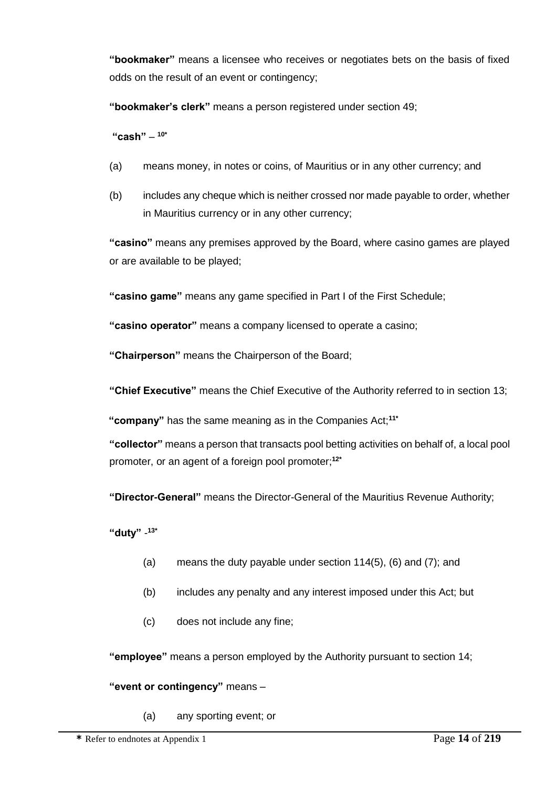**"bookmaker"** means a licensee who receives or negotiates bets on the basis of fixed odds on the result of an event or contingency;

**"bookmaker's clerk"** means a person registered under section 49;

**"cash"** – **10\***

- (a) means money, in notes or coins, of Mauritius or in any other currency; and
- (b) includes any cheque which is neither crossed nor made payable to order, whether in Mauritius currency or in any other currency;

**"casino"** means any premises approved by the Board, where casino games are played or are available to be played;

**"casino game"** means any game specified in Part I of the First Schedule;

**"casino operator"** means a company licensed to operate a casino;

**"Chairperson"** means the Chairperson of the Board;

**"Chief Executive"** means the Chief Executive of the Authority referred to in section 13;

**"company"** has the same meaning as in the Companies Act;**11\***

**"collector"** means a person that transacts pool betting activities on behalf of, a local pool promoter, or an agent of a foreign pool promoter; **12\***

**"Director-General"** means the Director-General of the Mauritius Revenue Authority;

**"duty"** - **13\***

- (a) means the duty payable under section 114(5), (6) and (7); and
- (b) includes any penalty and any interest imposed under this Act; but
- (c) does not include any fine;

**"employee"** means a person employed by the Authority pursuant to section 14;

#### **"event or contingency"** means –

(a) any sporting event; or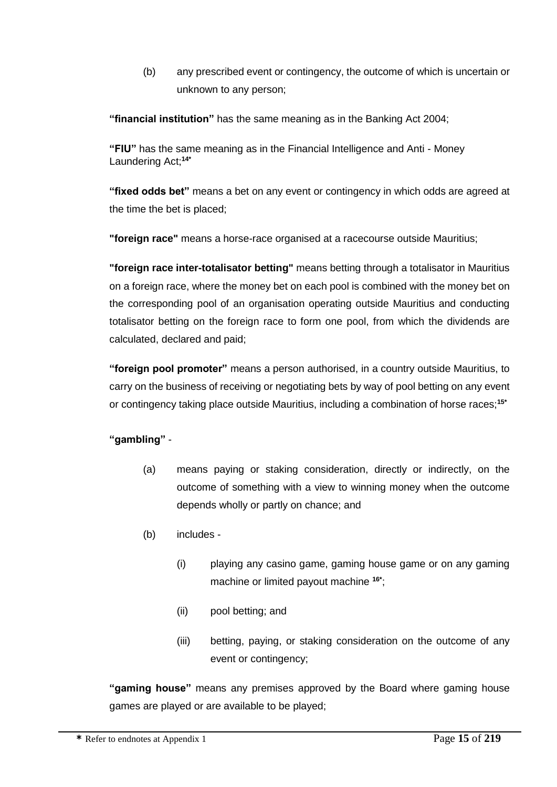(b) any prescribed event or contingency, the outcome of which is uncertain or unknown to any person;

**"financial institution"** has the same meaning as in the Banking Act 2004;

**"FIU"** has the same meaning as in the Financial Intelligence and Anti - Money Laundering Act;**14\***

**"fixed odds bet"** means a bet on any event or contingency in which odds are agreed at the time the bet is placed;

**"foreign race"** means a horse-race organised at a racecourse outside Mauritius;

**"foreign race inter-totalisator betting"** means betting through a totalisator in Mauritius on a foreign race, where the money bet on each pool is combined with the money bet on the corresponding pool of an organisation operating outside Mauritius and conducting totalisator betting on the foreign race to form one pool, from which the dividends are calculated, declared and paid;

**"foreign pool promoter"** means a person authorised, in a country outside Mauritius, to carry on the business of receiving or negotiating bets by way of pool betting on any event or contingency taking place outside Mauritius, including a combination of horse races;**15\***

# **"gambling"** -

- (a) means paying or staking consideration, directly or indirectly, on the outcome of something with a view to winning money when the outcome depends wholly or partly on chance; and
- (b) includes
	- (i) playing any casino game, gaming house game or on any gaming machine or limited payout machine **16\*** ;
	- (ii) pool betting; and
	- (iii) betting, paying, or staking consideration on the outcome of any event or contingency;

**"gaming house"** means any premises approved by the Board where gaming house games are played or are available to be played;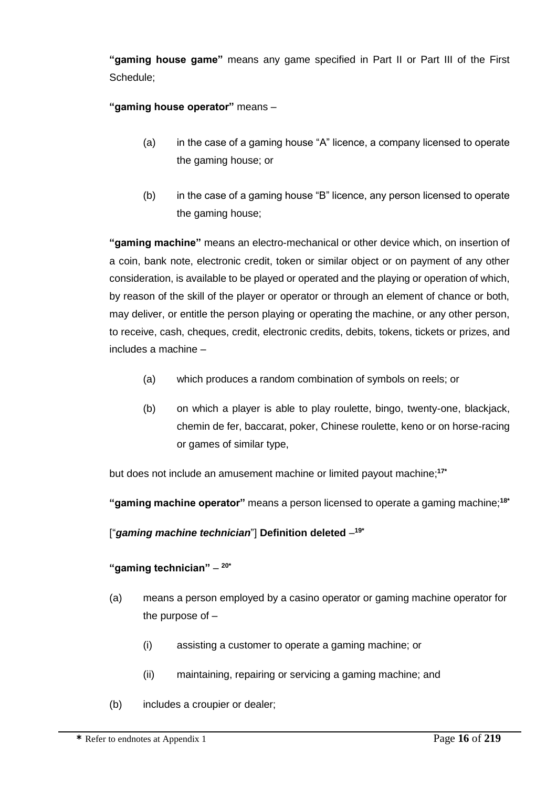**"gaming house game"** means any game specified in Part II or Part III of the First Schedule;

**"gaming house operator"** means –

- (a) in the case of a gaming house "A" licence, a company licensed to operate the gaming house; or
- (b) in the case of a gaming house "B" licence, any person licensed to operate the gaming house;

**"gaming machine"** means an electro-mechanical or other device which, on insertion of a coin, bank note, electronic credit, token or similar object or on payment of any other consideration, is available to be played or operated and the playing or operation of which, by reason of the skill of the player or operator or through an element of chance or both, may deliver, or entitle the person playing or operating the machine, or any other person, to receive, cash, cheques, credit, electronic credits, debits, tokens, tickets or prizes, and includes a machine –

- (a) which produces a random combination of symbols on reels; or
- (b) on which a player is able to play roulette, bingo, twenty-one, blackjack, chemin de fer, baccarat, poker, Chinese roulette, keno or on horse-racing or games of similar type,

but does not include an amusement machine or limited payout machine; **17\***

**"gaming machine operator"** means a person licensed to operate a gaming machine;**18\***

["*gaming machine technician*"] **Definition deleted** – **19\***

# **"gaming technician"** – **20\***

- (a) means a person employed by a casino operator or gaming machine operator for the purpose of –
	- (i) assisting a customer to operate a gaming machine; or
	- (ii) maintaining, repairing or servicing a gaming machine; and
- (b) includes a croupier or dealer;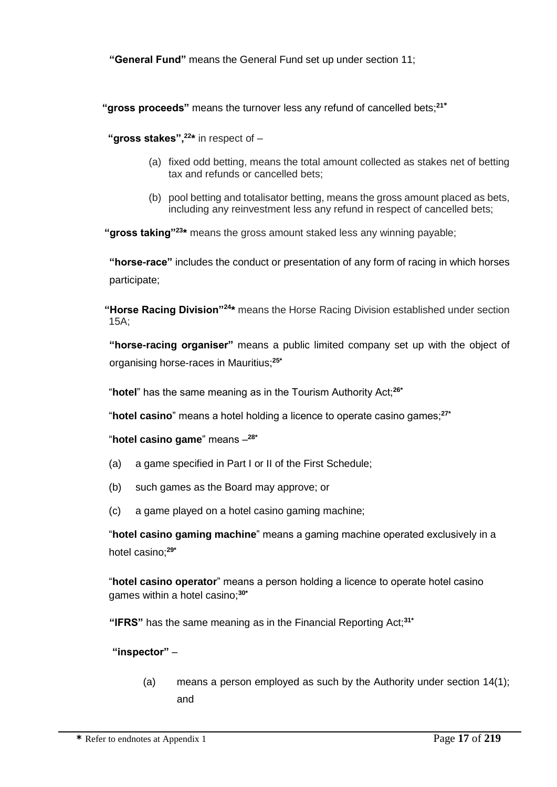**"General Fund"** means the General Fund set up under section 11;

**"gross proceeds"** means the turnover less any refund of cancelled bets;**<sup>21</sup>\***

**"gross stakes",<sup>22</sup> \*** in respect of –

- (a) fixed odd betting, means the total amount collected as stakes net of betting tax and refunds or cancelled bets;
- (b) pool betting and totalisator betting, means the gross amount placed as bets, including any reinvestment less any refund in respect of cancelled bets;

 **"gross taking"<sup>23</sup>\*** means the gross amount staked less any winning payable;

**"horse-race"** includes the conduct or presentation of any form of racing in which horses participate;

 **"Horse Racing Division"<sup>24</sup>\*** means the Horse Racing Division established under section 15A;

**"horse-racing organiser"** means a public limited company set up with the object of organising horse-races in Mauritius;**25\***

"**hotel**" has the same meaning as in the Tourism Authority Act;**26\***

"**hotel casino**" means a hotel holding a licence to operate casino games;**27\***

"**hotel casino game**" means – **28\***

- (a) a game specified in Part I or II of the First Schedule;
- (b) such games as the Board may approve; or
- (c) a game played on a hotel casino gaming machine;

"**hotel casino gaming machine**" means a gaming machine operated exclusively in a hotel casino;**29\***

"**hotel casino operator**" means a person holding a licence to operate hotel casino games within a hotel casino;**30\***

**"IFRS"** has the same meaning as in the Financial Reporting Act;**31\***

**"inspector"** –

(a) means a person employed as such by the Authority under section 14(1); and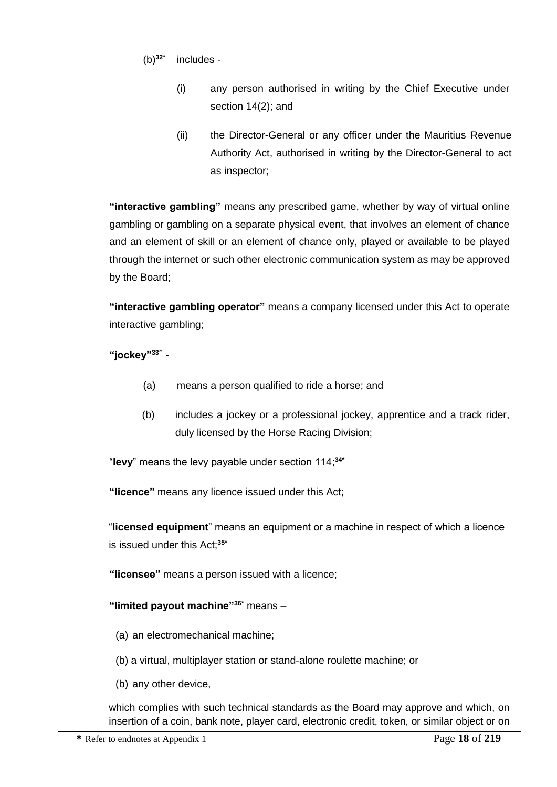- (b)**32\*** includes -
	- (i) any person authorised in writing by the Chief Executive under section 14(2); and
	- (ii) the Director-General or any officer under the Mauritius Revenue Authority Act, authorised in writing by the Director-General to act as inspector;

**"interactive gambling"** means any prescribed game, whether by way of virtual online gambling or gambling on a separate physical event, that involves an element of chance and an element of skill or an element of chance only, played or available to be played through the internet or such other electronic communication system as may be approved by the Board;

**"interactive gambling operator"** means a company licensed under this Act to operate interactive gambling;

**"jockey"<sup>33</sup>**\* -

- (a) means a person qualified to ride a horse; and
- (b) includes a jockey or a professional jockey, apprentice and a track rider, duly licensed by the Horse Racing Division;

"**levy**" means the levy payable under section 114;**34\***

**"licence"** means any licence issued under this Act;

"**licensed equipment**" means an equipment or a machine in respect of which a licence is issued under this Act;**35\***

**"licensee"** means a person issued with a licence;

# **"limited payout machine"36\*** means –

- (a) an electromechanical machine;
- (b) a virtual, multiplayer station or stand-alone roulette machine; or
- (b) any other device,

which complies with such technical standards as the Board may approve and which, on insertion of a coin, bank note, player card, electronic credit, token, or similar object or on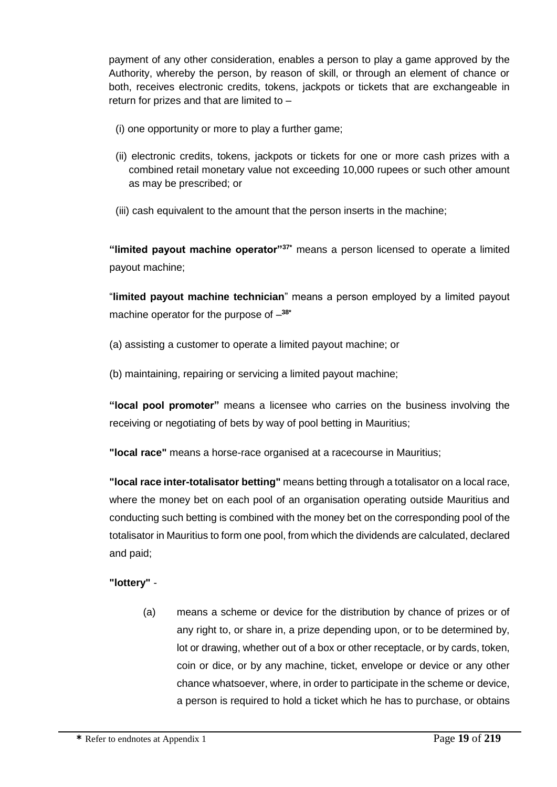payment of any other consideration, enables a person to play a game approved by the Authority, whereby the person, by reason of skill, or through an element of chance or both, receives electronic credits, tokens, jackpots or tickets that are exchangeable in return for prizes and that are limited to –

- (i) one opportunity or more to play a further game;
- (ii) electronic credits, tokens, jackpots or tickets for one or more cash prizes with a combined retail monetary value not exceeding 10,000 rupees or such other amount as may be prescribed; or
- (iii) cash equivalent to the amount that the person inserts in the machine;

**"limited payout machine operator"37\*** means a person licensed to operate a limited payout machine;

"**limited payout machine technician**" means a person employed by a limited payout machine operator for the purpose of – **38\***

- (a) assisting a customer to operate a limited payout machine; or
- (b) maintaining, repairing or servicing a limited payout machine;

**"local pool promoter"** means a licensee who carries on the business involving the receiving or negotiating of bets by way of pool betting in Mauritius;

**"local race"** means a horse-race organised at a racecourse in Mauritius;

**"local race inter-totalisator betting"** means betting through a totalisator on a local race, where the money bet on each pool of an organisation operating outside Mauritius and conducting such betting is combined with the money bet on the corresponding pool of the totalisator in Mauritius to form one pool, from which the dividends are calculated, declared and paid;

#### **"lottery"** -

(a) means a scheme or device for the distribution by chance of prizes or of any right to, or share in, a prize depending upon, or to be determined by, lot or drawing, whether out of a box or other receptacle, or by cards, token, coin or dice, or by any machine, ticket, envelope or device or any other chance whatsoever, where, in order to participate in the scheme or device, a person is required to hold a ticket which he has to purchase, or obtains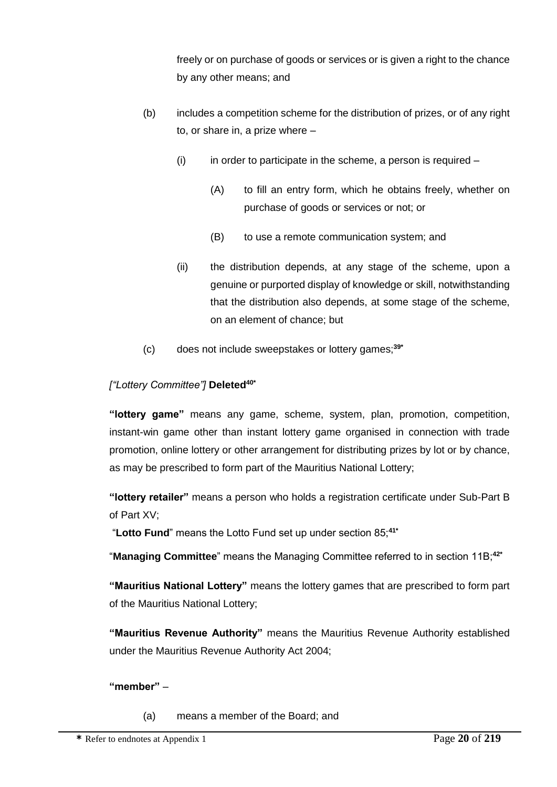freely or on purchase of goods or services or is given a right to the chance by any other means; and

- (b) includes a competition scheme for the distribution of prizes, or of any right to, or share in, a prize where –
	- $(i)$  in order to participate in the scheme, a person is required
		- (A) to fill an entry form, which he obtains freely, whether on purchase of goods or services or not; or
		- (B) to use a remote communication system; and
	- (ii) the distribution depends, at any stage of the scheme, upon a genuine or purported display of knowledge or skill, notwithstanding that the distribution also depends, at some stage of the scheme, on an element of chance; but
- (c) does not include sweepstakes or lottery games;**39\***

# *["Lottery Committee"]* **Deleted40\***

**"lottery game"** means any game, scheme, system, plan, promotion, competition, instant-win game other than instant lottery game organised in connection with trade promotion, online lottery or other arrangement for distributing prizes by lot or by chance, as may be prescribed to form part of the Mauritius National Lottery;

**"lottery retailer"** means a person who holds a registration certificate under Sub-Part B of Part XV;

"**Lotto Fund**" means the Lotto Fund set up under section 85;**41\***

"**Managing Committee**" means the Managing Committee referred to in section 11B;**42\***

**"Mauritius National Lottery"** means the lottery games that are prescribed to form part of the Mauritius National Lottery;

**"Mauritius Revenue Authority"** means the Mauritius Revenue Authority established under the Mauritius Revenue Authority Act 2004;

# **"member"** –

(a) means a member of the Board; and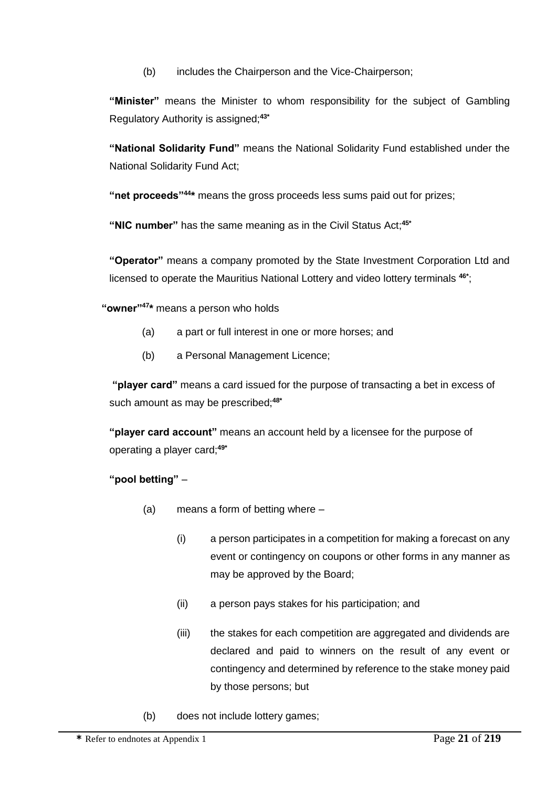(b) includes the Chairperson and the Vice-Chairperson;

**"Minister"** means the Minister to whom responsibility for the subject of Gambling Regulatory Authority is assigned;**43\***

**"National Solidarity Fund"** means the National Solidarity Fund established under the National Solidarity Fund Act;

"net proceeds"<sup>44\*</sup> means the gross proceeds less sums paid out for prizes;

**"NIC number"** has the same meaning as in the Civil Status Act;**45\***

**"Operator"** means a company promoted by the State Investment Corporation Ltd and licensed to operate the Mauritius National Lottery and video lottery terminals **46\*** ;

**"owner"<sup>47</sup> \*** means a person who holds

- (a) a part or full interest in one or more horses; and
- (b) a Personal Management Licence;

**"player card"** means a card issued for the purpose of transacting a bet in excess of such amount as may be prescribed;**48\***

**"player card account"** means an account held by a licensee for the purpose of operating a player card;**49\***

**"pool betting"** –

- (a) means a form of betting where
	- (i) a person participates in a competition for making a forecast on any event or contingency on coupons or other forms in any manner as may be approved by the Board;
	- (ii) a person pays stakes for his participation; and
	- (iii) the stakes for each competition are aggregated and dividends are declared and paid to winners on the result of any event or contingency and determined by reference to the stake money paid by those persons; but
- (b) does not include lottery games;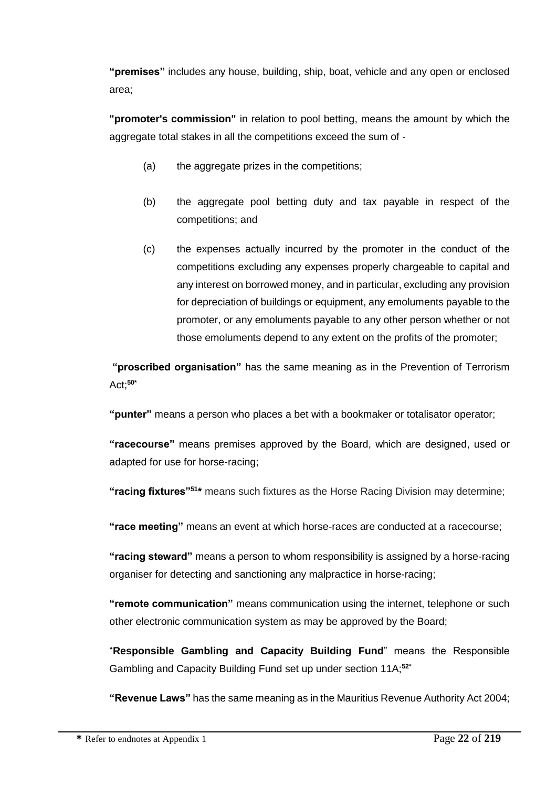**"premises"** includes any house, building, ship, boat, vehicle and any open or enclosed area;

**"promoter's commission"** in relation to pool betting, means the amount by which the aggregate total stakes in all the competitions exceed the sum of -

- (a) the aggregate prizes in the competitions;
- (b) the aggregate pool betting duty and tax payable in respect of the competitions; and
- (c) the expenses actually incurred by the promoter in the conduct of the competitions excluding any expenses properly chargeable to capital and any interest on borrowed money, and in particular, excluding any provision for depreciation of buildings or equipment, any emoluments payable to the promoter, or any emoluments payable to any other person whether or not those emoluments depend to any extent on the profits of the promoter;

**"proscribed organisation"** has the same meaning as in the Prevention of Terrorism Act;**50\***

**"punter"** means a person who places a bet with a bookmaker or totalisator operator;

**"racecourse"** means premises approved by the Board, which are designed, used or adapted for use for horse-racing;

**"racing fixtures"<sup>51</sup>\*** means such fixtures as the Horse Racing Division may determine;

**"race meeting"** means an event at which horse-races are conducted at a racecourse;

**"racing steward"** means a person to whom responsibility is assigned by a horse-racing organiser for detecting and sanctioning any malpractice in horse-racing;

**"remote communication"** means communication using the internet, telephone or such other electronic communication system as may be approved by the Board;

"**Responsible Gambling and Capacity Building Fund**" means the Responsible Gambling and Capacity Building Fund set up under section 11A;**52\***

**"Revenue Laws"** has the same meaning as in the Mauritius Revenue Authority Act 2004;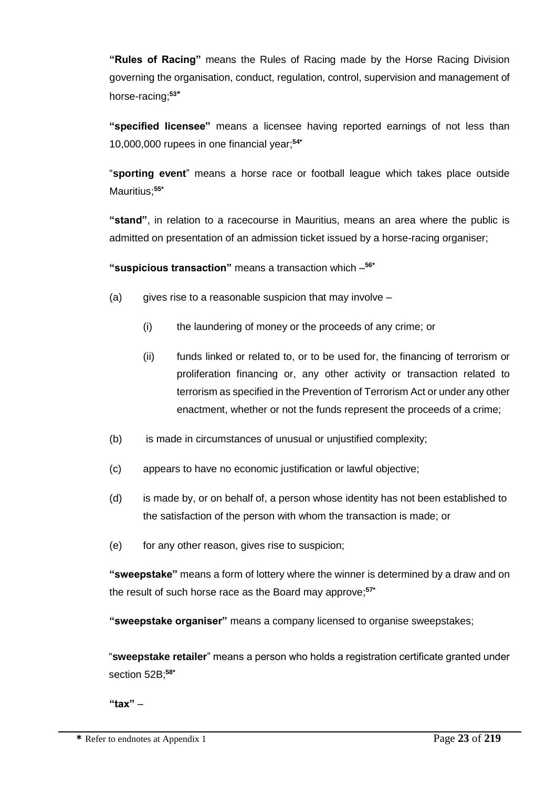**"Rules of Racing"** means the Rules of Racing made by the Horse Racing Division governing the organisation, conduct, regulation, control, supervision and management of horse-racing;**<sup>53</sup>\***

**"specified licensee"** means a licensee having reported earnings of not less than 10,000,000 rupees in one financial year;**54\***

"**sporting event**" means a horse race or football league which takes place outside Mauritius;**55\***

**"stand"**, in relation to a racecourse in Mauritius, means an area where the public is admitted on presentation of an admission ticket issued by a horse-racing organiser;

**"suspicious transaction"** means a transaction which – **56\***

- (a) gives rise to a reasonable suspicion that may involve  $-$ 
	- (i) the laundering of money or the proceeds of any crime; or
	- (ii) funds linked or related to, or to be used for, the financing of terrorism or proliferation financing or, any other activity or transaction related to terrorism as specified in the Prevention of Terrorism Act or under any other enactment, whether or not the funds represent the proceeds of a crime;
- (b) is made in circumstances of unusual or unjustified complexity;
- (c) appears to have no economic justification or lawful objective;
- (d) is made by, or on behalf of, a person whose identity has not been established to the satisfaction of the person with whom the transaction is made; or
- (e) for any other reason, gives rise to suspicion;

**"sweepstake"** means a form of lottery where the winner is determined by a draw and on the result of such horse race as the Board may approve; **57\***

**"sweepstake organiser"** means a company licensed to organise sweepstakes;

"**sweepstake retailer**" means a person who holds a registration certificate granted under section 52B;**58\***

**"tax"** –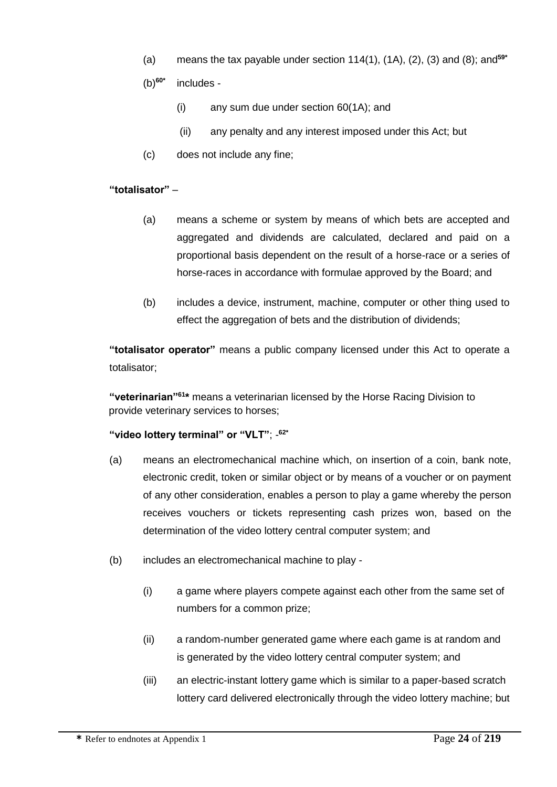- (a) means the tax payable under section 114(1), (1A), (2), (3) and (8); and**59\***
- (b)**60\*** includes -
	- (i) any sum due under section 60(1A); and
	- (ii) any penalty and any interest imposed under this Act; but
- (c) does not include any fine;

#### **"totalisator"** –

- (a) means a scheme or system by means of which bets are accepted and aggregated and dividends are calculated, declared and paid on a proportional basis dependent on the result of a horse-race or a series of horse-races in accordance with formulae approved by the Board; and
- (b) includes a device, instrument, machine, computer or other thing used to effect the aggregation of bets and the distribution of dividends;

**"totalisator operator"** means a public company licensed under this Act to operate a totalisator;

**"veterinarian"<sup>61</sup>\*** means a veterinarian licensed by the Horse Racing Division to provide veterinary services to horses;

#### **"video lottery terminal" or "VLT"**; - **62\***

- (a) means an electromechanical machine which, on insertion of a coin, bank note, electronic credit, token or similar object or by means of a voucher or on payment of any other consideration, enables a person to play a game whereby the person receives vouchers or tickets representing cash prizes won, based on the determination of the video lottery central computer system; and
- (b) includes an electromechanical machine to play
	- (i) a game where players compete against each other from the same set of numbers for a common prize;
	- (ii) a random-number generated game where each game is at random and is generated by the video lottery central computer system; and
	- (iii) an electric-instant lottery game which is similar to a paper-based scratch lottery card delivered electronically through the video lottery machine; but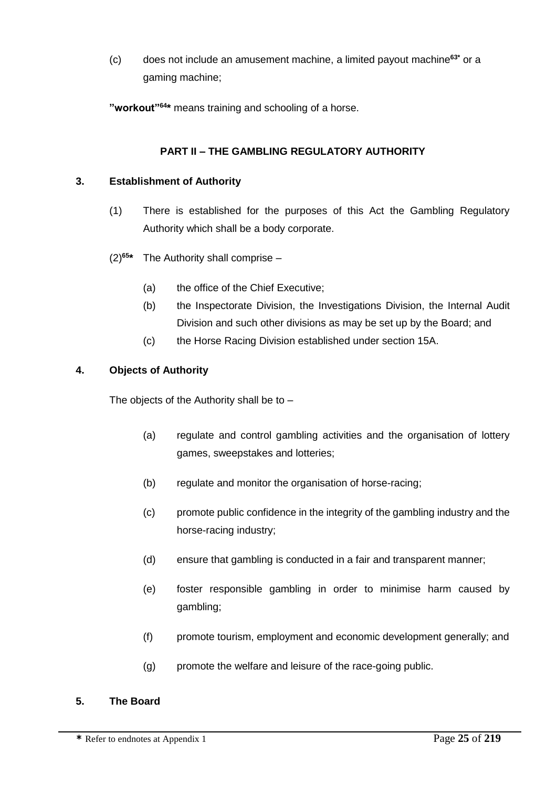(c) does not include an amusement machine, a limited payout machine**63\*** or a gaming machine;

**"workout"<sup>64</sup> \*** means training and schooling of a horse.

# **PART II – THE GAMBLING REGULATORY AUTHORITY**

#### **3. Establishment of Authority**

- (1) There is established for the purposes of this Act the Gambling Regulatory Authority which shall be a body corporate.
- $(2)$ <sup>65\*</sup> **\*** The Authority shall comprise –
	- (a) the office of the Chief Executive;
	- (b) the Inspectorate Division, the Investigations Division, the Internal Audit Division and such other divisions as may be set up by the Board; and
	- (c) the Horse Racing Division established under section 15A.

# **4. Objects of Authority**

The objects of the Authority shall be to –

- (a) regulate and control gambling activities and the organisation of lottery games, sweepstakes and lotteries;
- (b) regulate and monitor the organisation of horse-racing;
- (c) promote public confidence in the integrity of the gambling industry and the horse-racing industry;
- (d) ensure that gambling is conducted in a fair and transparent manner;
- (e) foster responsible gambling in order to minimise harm caused by gambling;
- (f) promote tourism, employment and economic development generally; and
- (g) promote the welfare and leisure of the race-going public.

#### **5. The Board**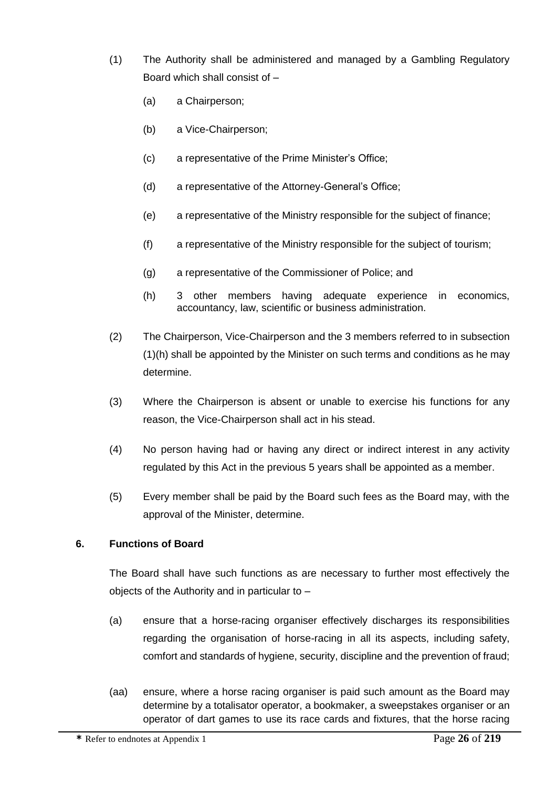- (1) The Authority shall be administered and managed by a Gambling Regulatory Board which shall consist of –
	- (a) a Chairperson;
	- (b) a Vice-Chairperson;
	- (c) a representative of the Prime Minister's Office;
	- (d) a representative of the Attorney-General's Office;
	- (e) a representative of the Ministry responsible for the subject of finance;
	- (f) a representative of the Ministry responsible for the subject of tourism;
	- (g) a representative of the Commissioner of Police; and
	- (h) 3 other members having adequate experience in economics, accountancy, law, scientific or business administration.
- (2) The Chairperson, Vice-Chairperson and the 3 members referred to in subsection (1)(h) shall be appointed by the Minister on such terms and conditions as he may determine.
- (3) Where the Chairperson is absent or unable to exercise his functions for any reason, the Vice-Chairperson shall act in his stead.
- (4) No person having had or having any direct or indirect interest in any activity regulated by this Act in the previous 5 years shall be appointed as a member.
- (5) Every member shall be paid by the Board such fees as the Board may, with the approval of the Minister, determine.

#### **6. Functions of Board**

The Board shall have such functions as are necessary to further most effectively the objects of the Authority and in particular to –

- (a) ensure that a horse-racing organiser effectively discharges its responsibilities regarding the organisation of horse-racing in all its aspects, including safety, comfort and standards of hygiene, security, discipline and the prevention of fraud;
- (aa) ensure, where a horse racing organiser is paid such amount as the Board may determine by a totalisator operator, a bookmaker, a sweepstakes organiser or an operator of dart games to use its race cards and fixtures, that the horse racing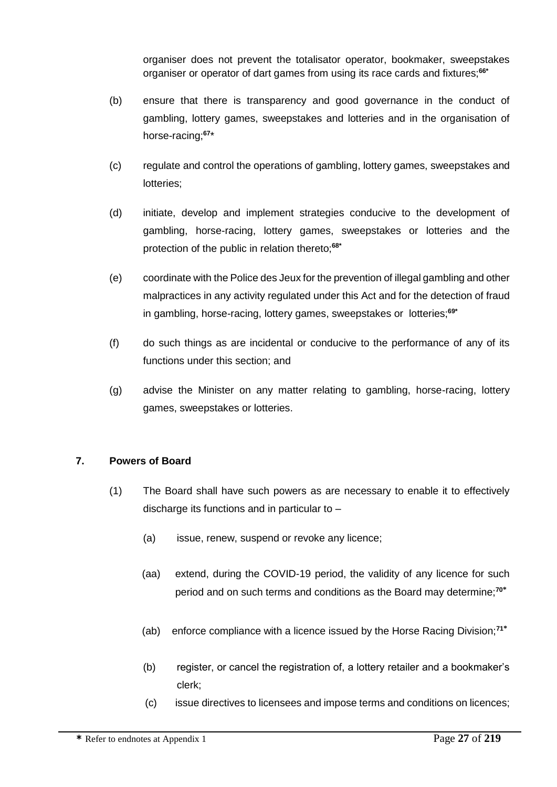organiser does not prevent the totalisator operator, bookmaker, sweepstakes organiser or operator of dart games from using its race cards and fixtures;**66\***

- (b) ensure that there is transparency and good governance in the conduct of gambling, lottery games, sweepstakes and lotteries and in the organisation of horse-racing;**<sup>67</sup>** \*
- (c) regulate and control the operations of gambling, lottery games, sweepstakes and lotteries;
- (d) initiate, develop and implement strategies conducive to the development of gambling, horse-racing, lottery games, sweepstakes or lotteries and the protection of the public in relation thereto;**68\***
- (e) coordinate with the Police des Jeux for the prevention of illegal gambling and other malpractices in any activity regulated under this Act and for the detection of fraud in gambling, horse-racing, lottery games, sweepstakes or lotteries;**69\***
- (f) do such things as are incidental or conducive to the performance of any of its functions under this section; and
- (g) advise the Minister on any matter relating to gambling, horse-racing, lottery games, sweepstakes or lotteries.

#### **7. Powers of Board**

- (1) The Board shall have such powers as are necessary to enable it to effectively discharge its functions and in particular to –
	- (a) issue, renew, suspend or revoke any licence;
	- (aa) extend, during the COVID-19 period, the validity of any licence for such period and on such terms and conditions as the Board may determine;**<sup>70</sup>\***
	- (ab) enforce compliance with a licence issued by the Horse Racing Division;**<sup>71</sup>\***
	- (b) register, or cancel the registration of, a lottery retailer and a bookmaker's clerk;
	- (c) issue directives to licensees and impose terms and conditions on licences;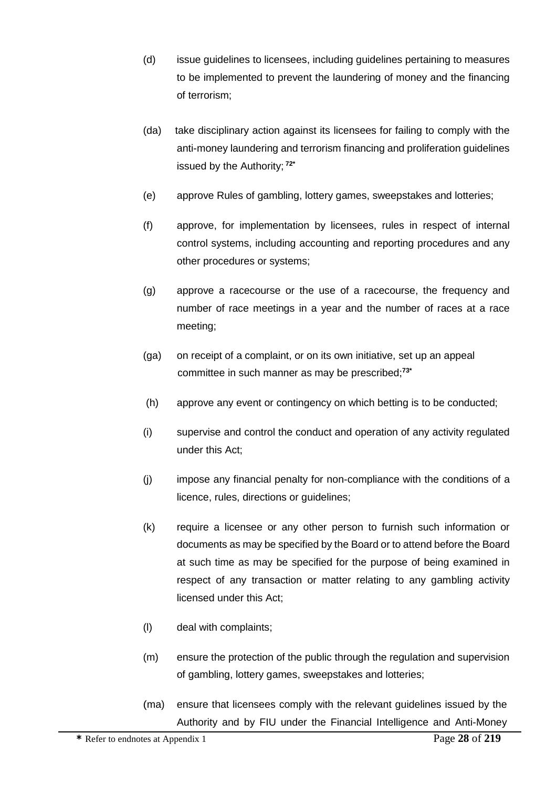- (d) issue guidelines to licensees, including guidelines pertaining to measures to be implemented to prevent the laundering of money and the financing of terrorism;
- (da) take disciplinary action against its licensees for failing to comply with the anti-money laundering and terrorism financing and proliferation guidelines issued by the Authority; **72\***
- (e) approve Rules of gambling, lottery games, sweepstakes and lotteries;
- (f) approve, for implementation by licensees, rules in respect of internal control systems, including accounting and reporting procedures and any other procedures or systems;
- (g) approve a racecourse or the use of a racecourse, the frequency and number of race meetings in a year and the number of races at a race meeting;
- (ga) on receipt of a complaint, or on its own initiative, set up an appeal committee in such manner as may be prescribed;**73\***
- (h) approve any event or contingency on which betting is to be conducted;
- (i) supervise and control the conduct and operation of any activity regulated under this Act;
- (j) impose any financial penalty for non-compliance with the conditions of a licence, rules, directions or guidelines;
- (k) require a licensee or any other person to furnish such information or documents as may be specified by the Board or to attend before the Board at such time as may be specified for the purpose of being examined in respect of any transaction or matter relating to any gambling activity licensed under this Act;
- (l) deal with complaints;
- (m) ensure the protection of the public through the regulation and supervision of gambling, lottery games, sweepstakes and lotteries;
- (ma) ensure that licensees comply with the relevant guidelines issued by the Authority and by FIU under the Financial Intelligence and Anti-Money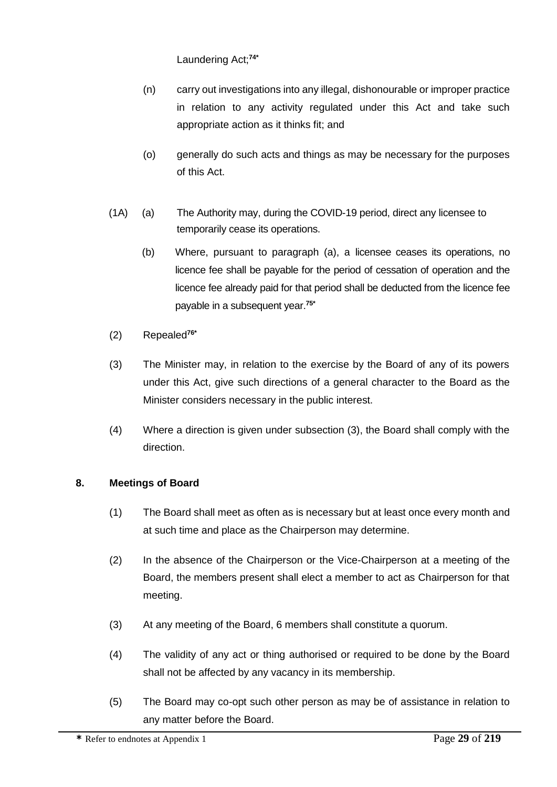Laundering Act;**74\***

- (n) carry out investigations into any illegal, dishonourable or improper practice in relation to any activity regulated under this Act and take such appropriate action as it thinks fit; and
- (o) generally do such acts and things as may be necessary for the purposes of this Act.
- (1A) (a) The Authority may, during the COVID-19 period, direct any licensee to temporarily cease its operations.
	- (b) Where, pursuant to paragraph (a), a licensee ceases its operations, no licence fee shall be payable for the period of cessation of operation and the licence fee already paid for that period shall be deducted from the licence fee payable in a subsequent year.**75\***
- (2) Repealed**76\***
- (3) The Minister may, in relation to the exercise by the Board of any of its powers under this Act, give such directions of a general character to the Board as the Minister considers necessary in the public interest.
- (4) Where a direction is given under subsection (3), the Board shall comply with the direction.

# **8. Meetings of Board**

- (1) The Board shall meet as often as is necessary but at least once every month and at such time and place as the Chairperson may determine.
- (2) In the absence of the Chairperson or the Vice-Chairperson at a meeting of the Board, the members present shall elect a member to act as Chairperson for that meeting.
- (3) At any meeting of the Board, 6 members shall constitute a quorum.
- (4) The validity of any act or thing authorised or required to be done by the Board shall not be affected by any vacancy in its membership.
- (5) The Board may co-opt such other person as may be of assistance in relation to any matter before the Board.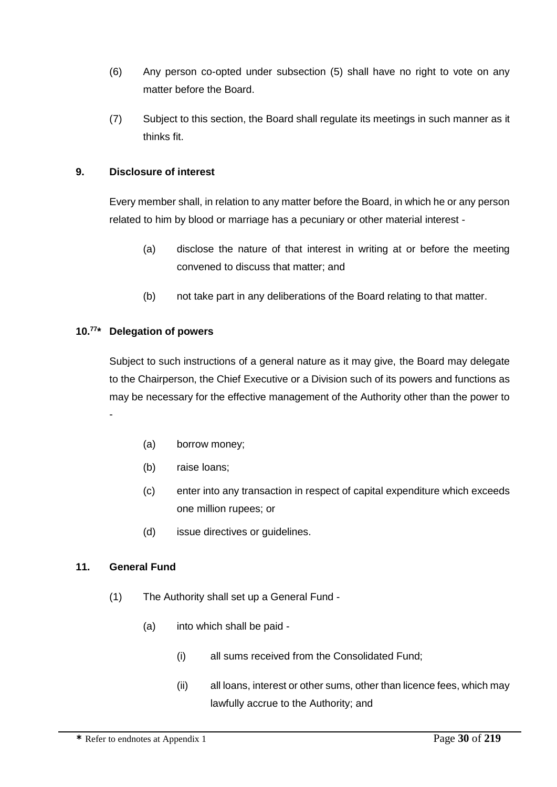- (6) Any person co-opted under subsection (5) shall have no right to vote on any matter before the Board.
- (7) Subject to this section, the Board shall regulate its meetings in such manner as it thinks fit.

### **9. Disclosure of interest**

Every member shall, in relation to any matter before the Board, in which he or any person related to him by blood or marriage has a pecuniary or other material interest -

- (a) disclose the nature of that interest in writing at or before the meeting convened to discuss that matter; and
- (b) not take part in any deliberations of the Board relating to that matter.

#### **10.<sup>77</sup> \* Delegation of powers**

Subject to such instructions of a general nature as it may give, the Board may delegate to the Chairperson, the Chief Executive or a Division such of its powers and functions as may be necessary for the effective management of the Authority other than the power to

- (a) borrow money;
- (b) raise loans;
- (c) enter into any transaction in respect of capital expenditure which exceeds one million rupees; or
- (d) issue directives or guidelines.

#### **11. General Fund**

-

- (1) The Authority shall set up a General Fund
	- (a) into which shall be paid
		- (i) all sums received from the Consolidated Fund;
		- (ii) all loans, interest or other sums, other than licence fees, which may lawfully accrue to the Authority; and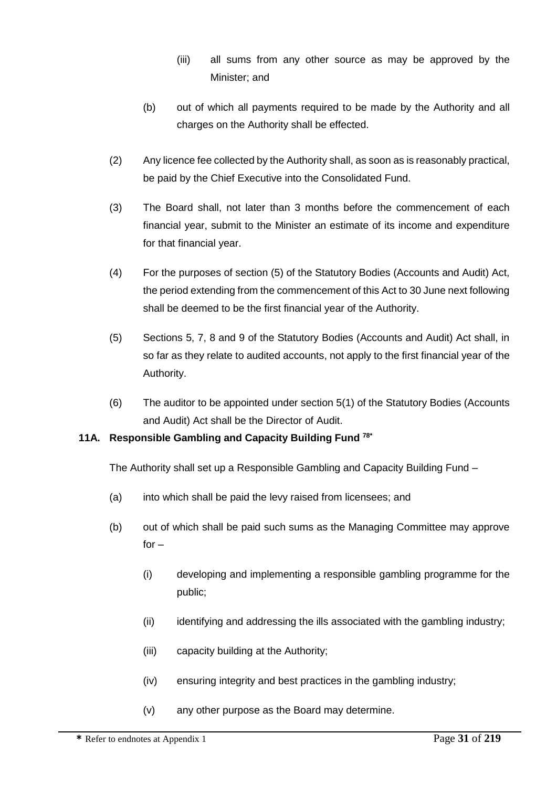- (iii) all sums from any other source as may be approved by the Minister; and
- (b) out of which all payments required to be made by the Authority and all charges on the Authority shall be effected.
- (2) Any licence fee collected by the Authority shall, as soon as is reasonably practical, be paid by the Chief Executive into the Consolidated Fund.
- (3) The Board shall, not later than 3 months before the commencement of each financial year, submit to the Minister an estimate of its income and expenditure for that financial year.
- (4) For the purposes of section (5) of the Statutory Bodies (Accounts and Audit) Act, the period extending from the commencement of this Act to 30 June next following shall be deemed to be the first financial year of the Authority.
- (5) Sections 5, 7, 8 and 9 of the Statutory Bodies (Accounts and Audit) Act shall, in so far as they relate to audited accounts, not apply to the first financial year of the Authority.
- (6) The auditor to be appointed under section 5(1) of the Statutory Bodies (Accounts and Audit) Act shall be the Director of Audit.

# **11A. Responsible Gambling and Capacity Building Fund 78\***

The Authority shall set up a Responsible Gambling and Capacity Building Fund –

- (a) into which shall be paid the levy raised from licensees; and
- (b) out of which shall be paid such sums as the Managing Committee may approve  $for -$ 
	- (i) developing and implementing a responsible gambling programme for the public;
	- (ii) identifying and addressing the ills associated with the gambling industry;
	- (iii) capacity building at the Authority;
	- (iv) ensuring integrity and best practices in the gambling industry;
	- (v) any other purpose as the Board may determine.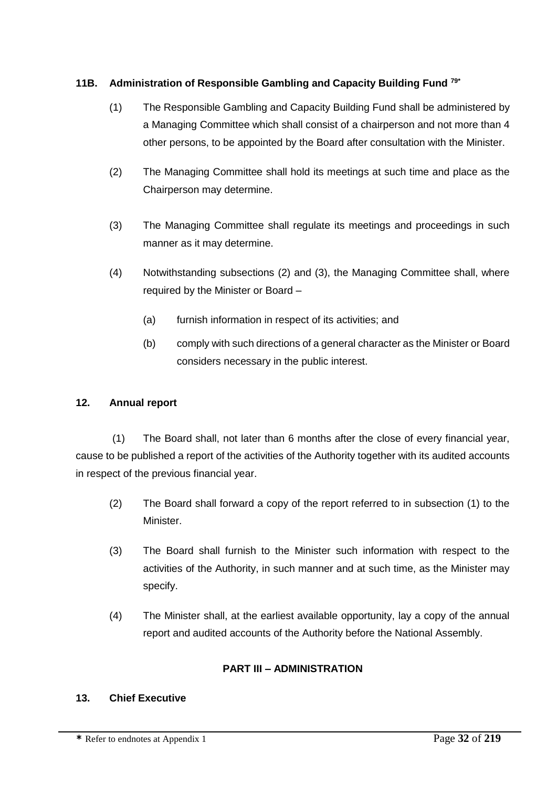# **11B. Administration of Responsible Gambling and Capacity Building Fund 79\***

- (1) The Responsible Gambling and Capacity Building Fund shall be administered by a Managing Committee which shall consist of a chairperson and not more than 4 other persons, to be appointed by the Board after consultation with the Minister.
- (2) The Managing Committee shall hold its meetings at such time and place as the Chairperson may determine.
- (3) The Managing Committee shall regulate its meetings and proceedings in such manner as it may determine.
- (4) Notwithstanding subsections (2) and (3), the Managing Committee shall, where required by the Minister or Board –
	- (a) furnish information in respect of its activities; and
	- (b) comply with such directions of a general character as the Minister or Board considers necessary in the public interest.

# **12. Annual report**

(1) The Board shall, not later than 6 months after the close of every financial year, cause to be published a report of the activities of the Authority together with its audited accounts in respect of the previous financial year.

- (2) The Board shall forward a copy of the report referred to in subsection (1) to the Minister.
- (3) The Board shall furnish to the Minister such information with respect to the activities of the Authority, in such manner and at such time, as the Minister may specify.
- (4) The Minister shall, at the earliest available opportunity, lay a copy of the annual report and audited accounts of the Authority before the National Assembly.

# **PART III – ADMINISTRATION**

# **13. Chief Executive**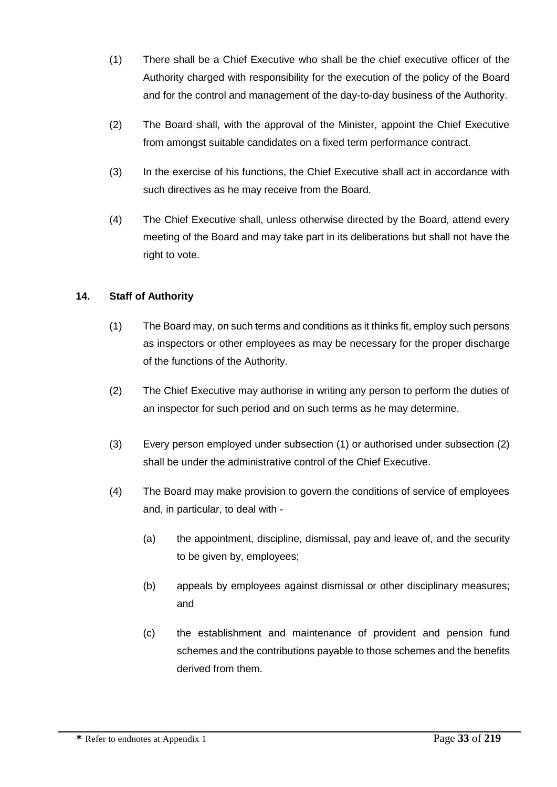- (1) There shall be a Chief Executive who shall be the chief executive officer of the Authority charged with responsibility for the execution of the policy of the Board and for the control and management of the day-to-day business of the Authority.
- (2) The Board shall, with the approval of the Minister, appoint the Chief Executive from amongst suitable candidates on a fixed term performance contract.
- (3) In the exercise of his functions, the Chief Executive shall act in accordance with such directives as he may receive from the Board.
- (4) The Chief Executive shall, unless otherwise directed by the Board, attend every meeting of the Board and may take part in its deliberations but shall not have the right to vote.

#### **14. Staff of Authority**

- (1) The Board may, on such terms and conditions as it thinks fit, employ such persons as inspectors or other employees as may be necessary for the proper discharge of the functions of the Authority.
- (2) The Chief Executive may authorise in writing any person to perform the duties of an inspector for such period and on such terms as he may determine.
- (3) Every person employed under subsection (1) or authorised under subsection (2) shall be under the administrative control of the Chief Executive.
- (4) The Board may make provision to govern the conditions of service of employees and, in particular, to deal with -
	- (a) the appointment, discipline, dismissal, pay and leave of, and the security to be given by, employees;
	- (b) appeals by employees against dismissal or other disciplinary measures; and
	- (c) the establishment and maintenance of provident and pension fund schemes and the contributions payable to those schemes and the benefits derived from them.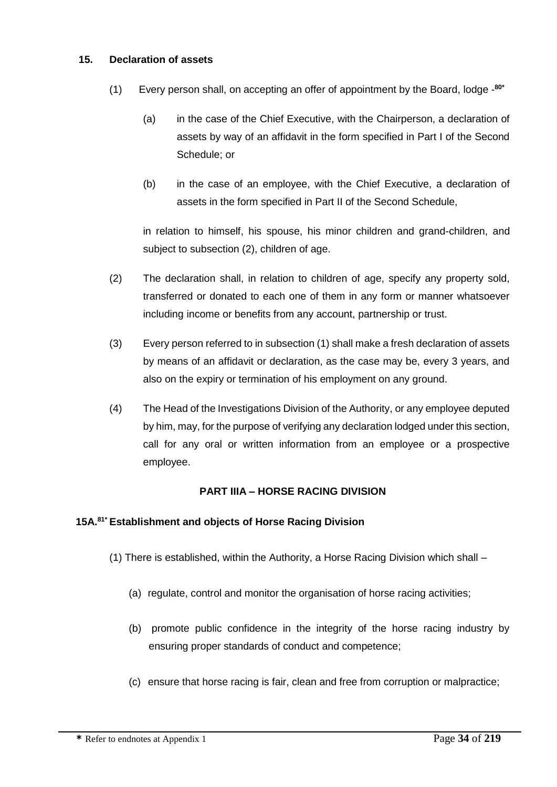#### **15. Declaration of assets**

- (1) Every person shall, on accepting an offer of appointment by the Board, lodge **80\***
	- (a) in the case of the Chief Executive, with the Chairperson, a declaration of assets by way of an affidavit in the form specified in Part I of the Second Schedule; or
	- (b) in the case of an employee, with the Chief Executive, a declaration of assets in the form specified in Part II of the Second Schedule,

in relation to himself, his spouse, his minor children and grand-children, and subject to subsection (2), children of age.

- (2) The declaration shall, in relation to children of age, specify any property sold, transferred or donated to each one of them in any form or manner whatsoever including income or benefits from any account, partnership or trust.
- (3) Every person referred to in subsection (1) shall make a fresh declaration of assets by means of an affidavit or declaration, as the case may be, every 3 years, and also on the expiry or termination of his employment on any ground.
- (4) The Head of the Investigations Division of the Authority, or any employee deputed by him, may, for the purpose of verifying any declaration lodged under this section, call for any oral or written information from an employee or a prospective employee.

#### **PART IIIA – HORSE RACING DIVISION**

#### **15A.81\* Establishment and objects of Horse Racing Division**

- (1) There is established, within the Authority, a Horse Racing Division which shall
	- (a) regulate, control and monitor the organisation of horse racing activities;
	- (b) promote public confidence in the integrity of the horse racing industry by ensuring proper standards of conduct and competence;
	- (c) ensure that horse racing is fair, clean and free from corruption or malpractice;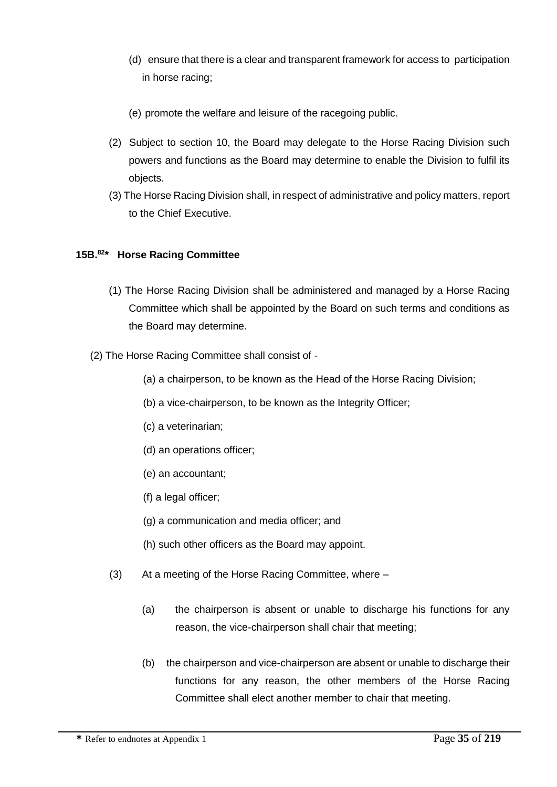- (d) ensure that there is a clear and transparent framework for access to participation in horse racing;
- (e) promote the welfare and leisure of the racegoing public.
- (2) Subject to section 10, the Board may delegate to the Horse Racing Division such powers and functions as the Board may determine to enable the Division to fulfil its objects.
- (3) The Horse Racing Division shall, in respect of administrative and policy matters, report to the Chief Executive.

# **15B.<sup>82</sup> \* Horse Racing Committee**

- (1) The Horse Racing Division shall be administered and managed by a Horse Racing Committee which shall be appointed by the Board on such terms and conditions as the Board may determine.
- (2) The Horse Racing Committee shall consist of
	- (a) a chairperson, to be known as the Head of the Horse Racing Division;
	- (b) a vice-chairperson, to be known as the Integrity Officer;
	- (c) a veterinarian;
	- (d) an operations officer;
	- (e) an accountant;
	- (f) a legal officer;
	- (g) a communication and media officer; and
	- (h) such other officers as the Board may appoint.
	- (3) At a meeting of the Horse Racing Committee, where
		- (a) the chairperson is absent or unable to discharge his functions for any reason, the vice-chairperson shall chair that meeting;
		- (b) the chairperson and vice-chairperson are absent or unable to discharge their functions for any reason, the other members of the Horse Racing Committee shall elect another member to chair that meeting.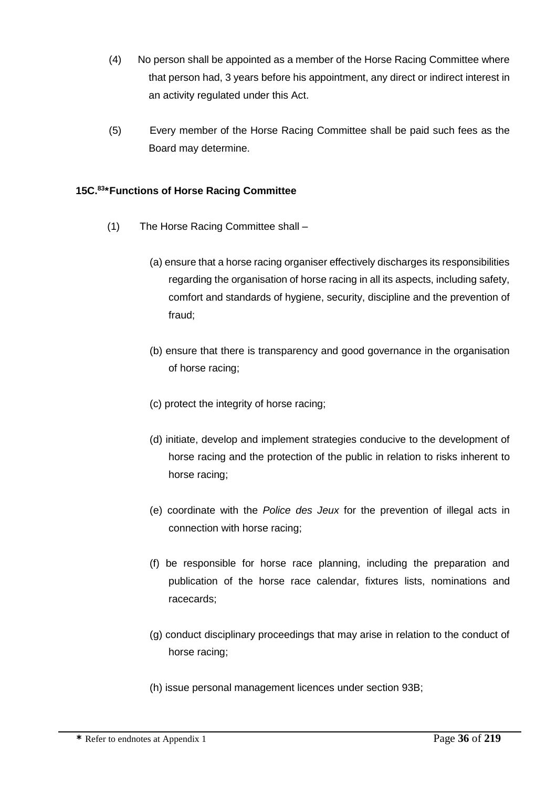- (4) No person shall be appointed as a member of the Horse Racing Committee where that person had, 3 years before his appointment, any direct or indirect interest in an activity regulated under this Act.
- (5) Every member of the Horse Racing Committee shall be paid such fees as the Board may determine.

# **15C.<sup>83</sup> \*Functions of Horse Racing Committee**

- (1) The Horse Racing Committee shall
	- (a) ensure that a horse racing organiser effectively discharges its responsibilities regarding the organisation of horse racing in all its aspects, including safety, comfort and standards of hygiene, security, discipline and the prevention of fraud;
	- (b) ensure that there is transparency and good governance in the organisation of horse racing;
	- (c) protect the integrity of horse racing;
	- (d) initiate, develop and implement strategies conducive to the development of horse racing and the protection of the public in relation to risks inherent to horse racing;
	- (e) coordinate with the *Police des Jeux* for the prevention of illegal acts in connection with horse racing;
	- (f) be responsible for horse race planning, including the preparation and publication of the horse race calendar, fixtures lists, nominations and racecards;
	- (g) conduct disciplinary proceedings that may arise in relation to the conduct of horse racing;
	- (h) issue personal management licences under section 93B;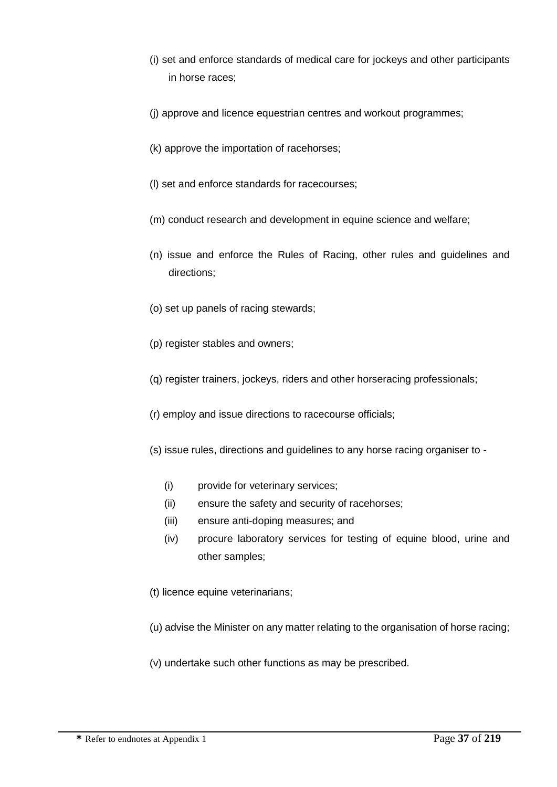- (i) set and enforce standards of medical care for jockeys and other participants in horse races;
- (j) approve and licence equestrian centres and workout programmes;
- (k) approve the importation of racehorses;
- (l) set and enforce standards for racecourses;
- (m) conduct research and development in equine science and welfare;
- (n) issue and enforce the Rules of Racing, other rules and guidelines and directions;
- (o) set up panels of racing stewards;
- (p) register stables and owners;
- (q) register trainers, jockeys, riders and other horseracing professionals;
- (r) employ and issue directions to racecourse officials;
- (s) issue rules, directions and guidelines to any horse racing organiser to
	- (i) provide for veterinary services;
	- (ii) ensure the safety and security of racehorses;
	- (iii) ensure anti-doping measures; and
	- (iv) procure laboratory services for testing of equine blood, urine and other samples;
- (t) licence equine veterinarians;
- (u) advise the Minister on any matter relating to the organisation of horse racing;
- (v) undertake such other functions as may be prescribed.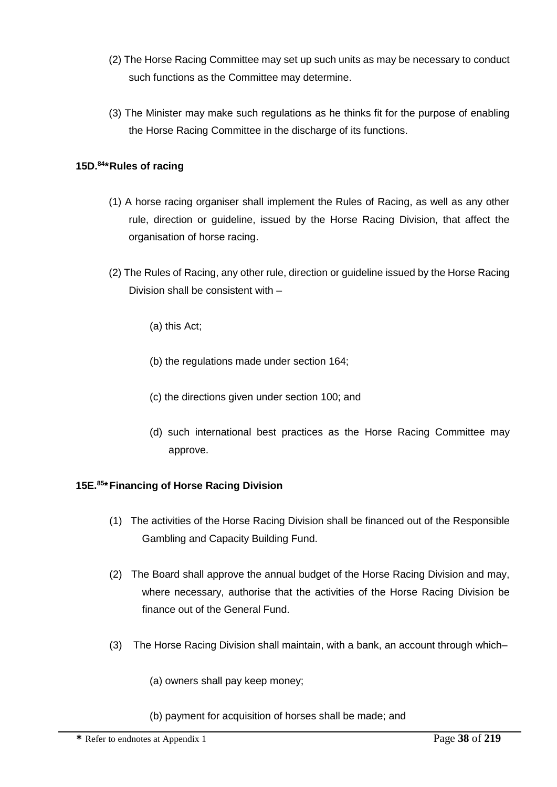- (2) The Horse Racing Committee may set up such units as may be necessary to conduct such functions as the Committee may determine.
- (3) The Minister may make such regulations as he thinks fit for the purpose of enabling the Horse Racing Committee in the discharge of its functions.

### **15D.<sup>84</sup> \*Rules of racing**

- (1) A horse racing organiser shall implement the Rules of Racing, as well as any other rule, direction or guideline, issued by the Horse Racing Division, that affect the organisation of horse racing.
- (2) The Rules of Racing, any other rule, direction or guideline issued by the Horse Racing Division shall be consistent with –
	- (a) this Act;
	- (b) the regulations made under section 164;
	- (c) the directions given under section 100; and
	- (d) such international best practices as the Horse Racing Committee may approve.

#### **15E.<sup>85</sup> \*Financing of Horse Racing Division**

- (1) The activities of the Horse Racing Division shall be financed out of the Responsible Gambling and Capacity Building Fund.
- (2) The Board shall approve the annual budget of the Horse Racing Division and may, where necessary, authorise that the activities of the Horse Racing Division be finance out of the General Fund.
- (3) The Horse Racing Division shall maintain, with a bank, an account through which–
	- (a) owners shall pay keep money;
	- (b) payment for acquisition of horses shall be made; and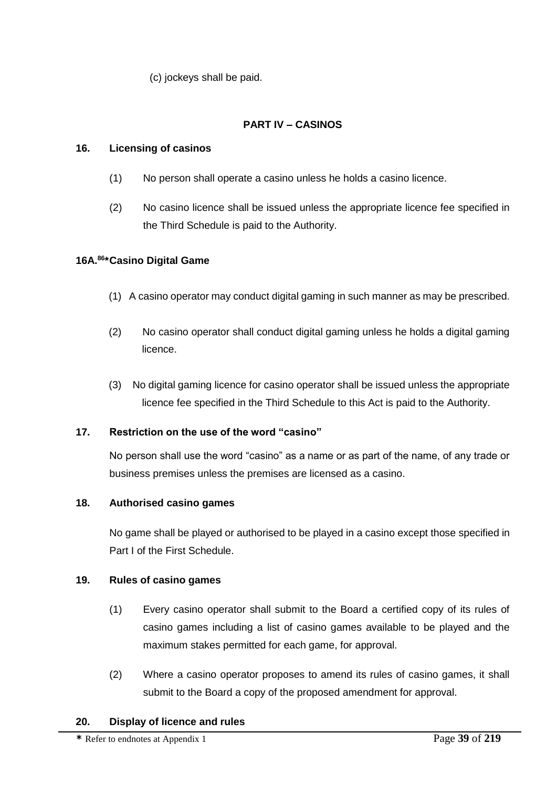(c) jockeys shall be paid.

# **PART IV – CASINOS**

# **16. Licensing of casinos**

- (1) No person shall operate a casino unless he holds a casino licence.
- (2) No casino licence shall be issued unless the appropriate licence fee specified in the Third Schedule is paid to the Authority.

# **16A.<sup>86</sup> \*Casino Digital Game**

- (1) A casino operator may conduct digital gaming in such manner as may be prescribed.
- (2) No casino operator shall conduct digital gaming unless he holds a digital gaming licence.
- (3) No digital gaming licence for casino operator shall be issued unless the appropriate licence fee specified in the Third Schedule to this Act is paid to the Authority.

## **17. Restriction on the use of the word "casino"**

No person shall use the word "casino" as a name or as part of the name, of any trade or business premises unless the premises are licensed as a casino.

## **18. Authorised casino games**

No game shall be played or authorised to be played in a casino except those specified in Part I of the First Schedule.

## **19. Rules of casino games**

- (1) Every casino operator shall submit to the Board a certified copy of its rules of casino games including a list of casino games available to be played and the maximum stakes permitted for each game, for approval.
- (2) Where a casino operator proposes to amend its rules of casino games, it shall submit to the Board a copy of the proposed amendment for approval.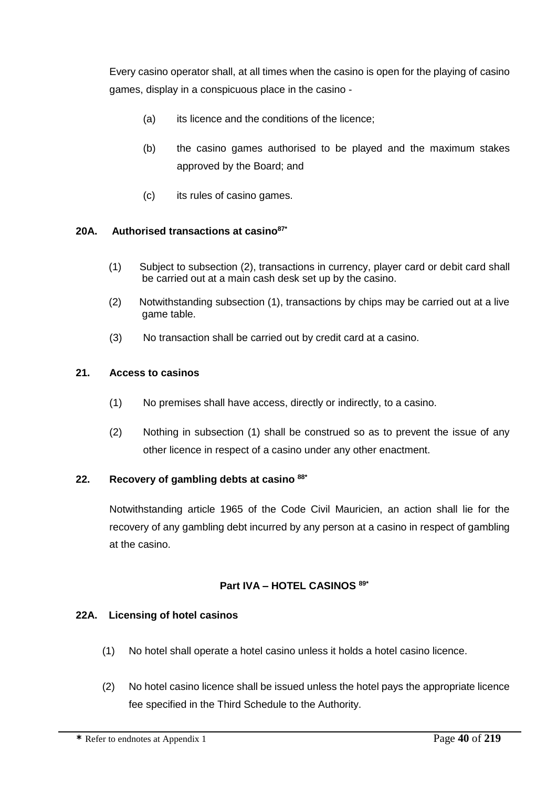Every casino operator shall, at all times when the casino is open for the playing of casino games, display in a conspicuous place in the casino -

- (a) its licence and the conditions of the licence;
- (b) the casino games authorised to be played and the maximum stakes approved by the Board; and
- (c) its rules of casino games.

## **20A. Authorised transactions at casino87\***

- (1) Subject to subsection (2), transactions in currency, player card or debit card shall be carried out at a main cash desk set up by the casino.
- (2) Notwithstanding subsection (1), transactions by chips may be carried out at a live game table.
- (3) No transaction shall be carried out by credit card at a casino.

## **21. Access to casinos**

- (1) No premises shall have access, directly or indirectly, to a casino.
- (2) Nothing in subsection (1) shall be construed so as to prevent the issue of any other licence in respect of a casino under any other enactment.

# **22. Recovery of gambling debts at casino 88\***

Notwithstanding article 1965 of the Code Civil Mauricien, an action shall lie for the recovery of any gambling debt incurred by any person at a casino in respect of gambling at the casino.

## **Part IVA – HOTEL CASINOS 89\***

## **22A. Licensing of hotel casinos**

- (1) No hotel shall operate a hotel casino unless it holds a hotel casino licence.
- (2) No hotel casino licence shall be issued unless the hotel pays the appropriate licence fee specified in the Third Schedule to the Authority.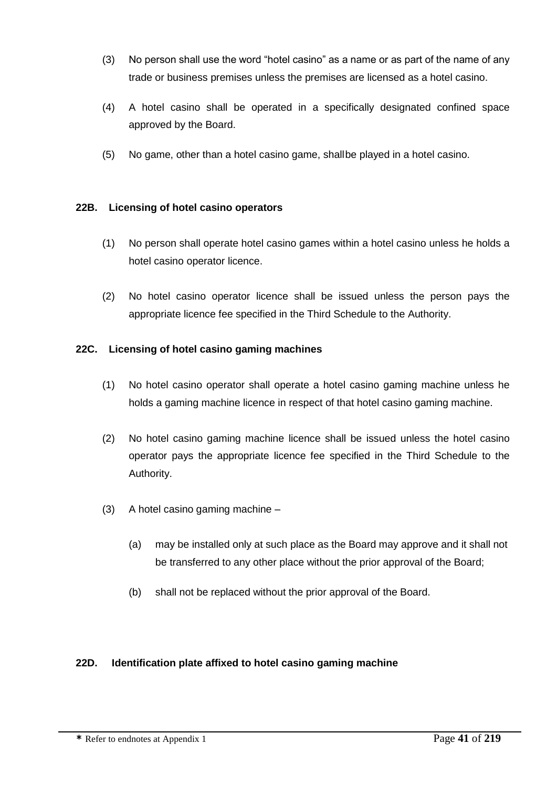- (3) No person shall use the word "hotel casino" as a name or as part of the name of any trade or business premises unless the premises are licensed as a hotel casino.
- (4) A hotel casino shall be operated in a specifically designated confined space approved by the Board.
- (5) No game, other than a hotel casino game, shallbe played in a hotel casino.

# **22B. Licensing of hotel casino operators**

- (1) No person shall operate hotel casino games within a hotel casino unless he holds a hotel casino operator licence.
- (2) No hotel casino operator licence shall be issued unless the person pays the appropriate licence fee specified in the Third Schedule to the Authority.

# **22C. Licensing of hotel casino gaming machines**

- (1) No hotel casino operator shall operate a hotel casino gaming machine unless he holds a gaming machine licence in respect of that hotel casino gaming machine.
- (2) No hotel casino gaming machine licence shall be issued unless the hotel casino operator pays the appropriate licence fee specified in the Third Schedule to the Authority.
- (3) A hotel casino gaming machine
	- (a) may be installed only at such place as the Board may approve and it shall not be transferred to any other place without the prior approval of the Board;
	- (b) shall not be replaced without the prior approval of the Board.

## **22D. Identification plate affixed to hotel casino gaming machine**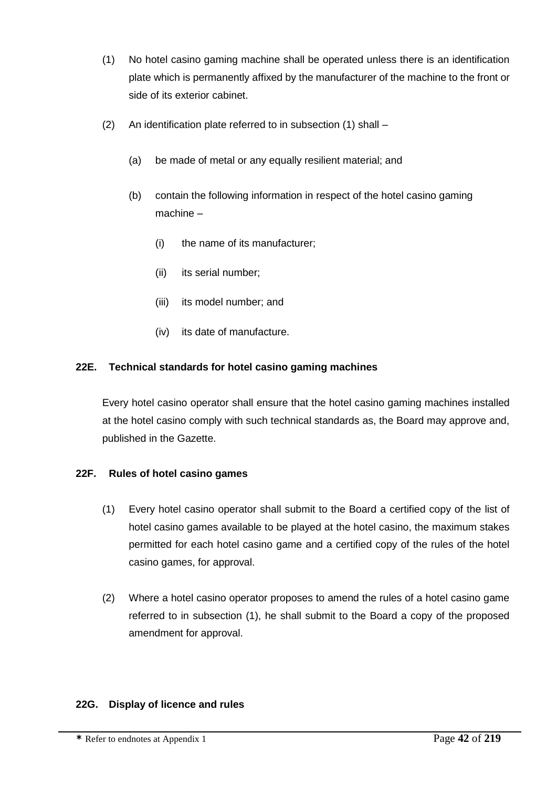- (1) No hotel casino gaming machine shall be operated unless there is an identification plate which is permanently affixed by the manufacturer of the machine to the front or side of its exterior cabinet.
- (2) An identification plate referred to in subsection (1) shall
	- (a) be made of metal or any equally resilient material; and
	- (b) contain the following information in respect of the hotel casino gaming machine –
		- (i) the name of its manufacturer;
		- (ii) its serial number;
		- (iii) its model number; and
		- (iv) its date of manufacture.

## **22E. Technical standards for hotel casino gaming machines**

Every hotel casino operator shall ensure that the hotel casino gaming machines installed at the hotel casino comply with such technical standards as, the Board may approve and, published in the Gazette.

## **22F. Rules of hotel casino games**

- (1) Every hotel casino operator shall submit to the Board a certified copy of the list of hotel casino games available to be played at the hotel casino, the maximum stakes permitted for each hotel casino game and a certified copy of the rules of the hotel casino games, for approval.
- (2) Where a hotel casino operator proposes to amend the rules of a hotel casino game referred to in subsection (1), he shall submit to the Board a copy of the proposed amendment for approval.

#### **22G. Display of licence and rules**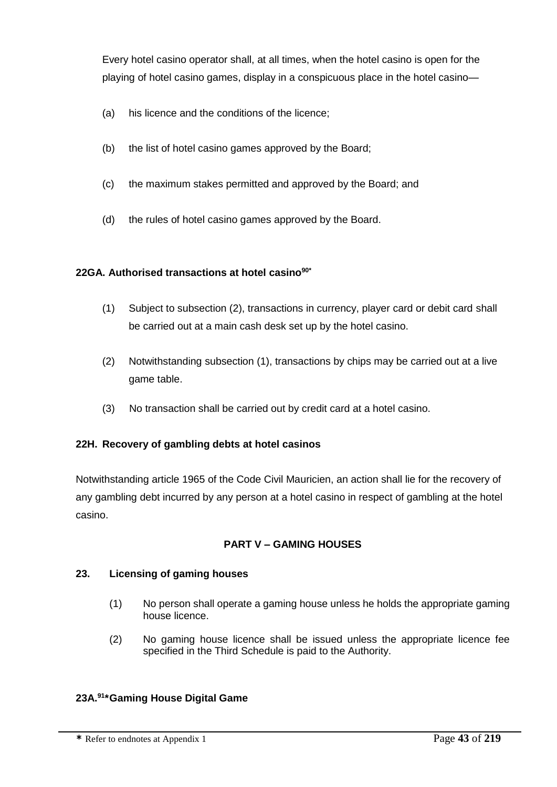Every hotel casino operator shall, at all times, when the hotel casino is open for the playing of hotel casino games, display in a conspicuous place in the hotel casino—

- (a) his licence and the conditions of the licence;
- (b) the list of hotel casino games approved by the Board;
- (c) the maximum stakes permitted and approved by the Board; and
- (d) the rules of hotel casino games approved by the Board.

#### **22GA. Authorised transactions at hotel casino90\***

- (1) Subject to subsection (2), transactions in currency, player card or debit card shall be carried out at a main cash desk set up by the hotel casino.
- (2) Notwithstanding subsection (1), transactions by chips may be carried out at a live game table.
- (3) No transaction shall be carried out by credit card at a hotel casino.

## **22H. Recovery of gambling debts at hotel casinos**

Notwithstanding article 1965 of the Code Civil Mauricien, an action shall lie for the recovery of any gambling debt incurred by any person at a hotel casino in respect of gambling at the hotel casino.

## **PART V – GAMING HOUSES**

## **23. Licensing of gaming houses**

- (1) No person shall operate a gaming house unless he holds the appropriate gaming house licence.
- (2) No gaming house licence shall be issued unless the appropriate licence fee specified in the Third Schedule is paid to the Authority.

## **23A.<sup>91</sup> \*Gaming House Digital Game**

**\*** Refer to endnotes at Appendix 1 Page **43** of **219**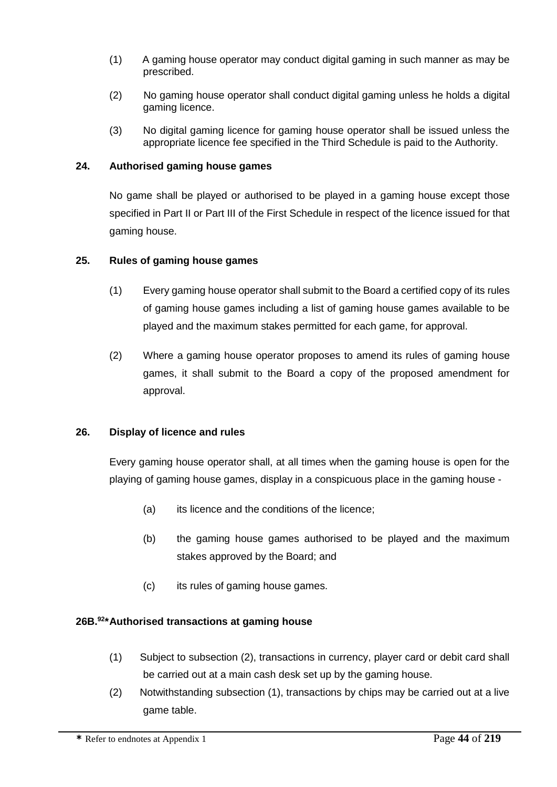- (1) A gaming house operator may conduct digital gaming in such manner as may be prescribed.
- (2) No gaming house operator shall conduct digital gaming unless he holds a digital gaming licence.
- (3) No digital gaming licence for gaming house operator shall be issued unless the appropriate licence fee specified in the Third Schedule is paid to the Authority.

#### **24. Authorised gaming house games**

No game shall be played or authorised to be played in a gaming house except those specified in Part II or Part III of the First Schedule in respect of the licence issued for that gaming house.

#### **25. Rules of gaming house games**

- (1) Every gaming house operator shall submit to the Board a certified copy of its rules of gaming house games including a list of gaming house games available to be played and the maximum stakes permitted for each game, for approval.
- (2) Where a gaming house operator proposes to amend its rules of gaming house games, it shall submit to the Board a copy of the proposed amendment for approval.

#### **26. Display of licence and rules**

Every gaming house operator shall, at all times when the gaming house is open for the playing of gaming house games, display in a conspicuous place in the gaming house -

- (a) its licence and the conditions of the licence;
- (b) the gaming house games authorised to be played and the maximum stakes approved by the Board; and
- (c) its rules of gaming house games.

#### **26B.<sup>92</sup> \*Authorised transactions at gaming house**

- (1) Subject to subsection (2), transactions in currency, player card or debit card shall be carried out at a main cash desk set up by the gaming house.
- (2) Notwithstanding subsection (1), transactions by chips may be carried out at a live game table.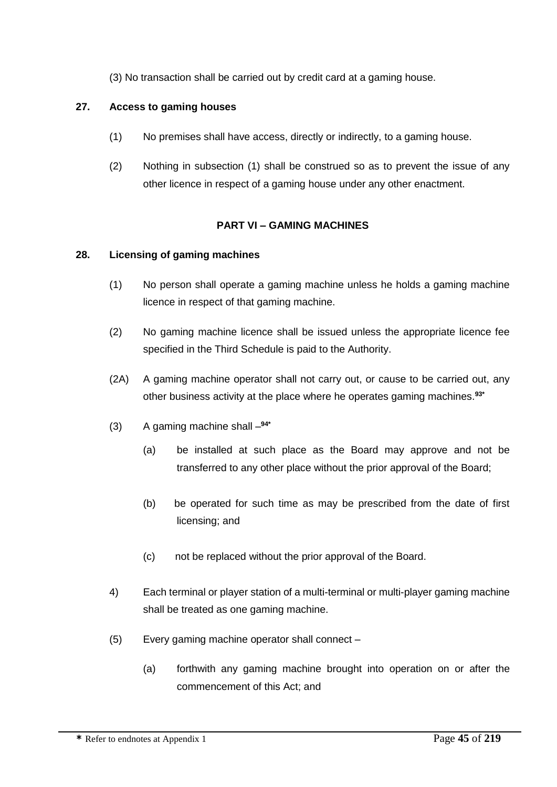(3) No transaction shall be carried out by credit card at a gaming house.

# **27. Access to gaming houses**

- (1) No premises shall have access, directly or indirectly, to a gaming house.
- (2) Nothing in subsection (1) shall be construed so as to prevent the issue of any other licence in respect of a gaming house under any other enactment.

# **PART VI – GAMING MACHINES**

#### **28. Licensing of gaming machines**

- (1) No person shall operate a gaming machine unless he holds a gaming machine licence in respect of that gaming machine.
- (2) No gaming machine licence shall be issued unless the appropriate licence fee specified in the Third Schedule is paid to the Authority.
- (2A) A gaming machine operator shall not carry out, or cause to be carried out, any other business activity at the place where he operates gaming machines.**93\***
- (3) A gaming machine shall **94\***
	- (a) be installed at such place as the Board may approve and not be transferred to any other place without the prior approval of the Board;
	- (b) be operated for such time as may be prescribed from the date of first licensing; and
	- (c) not be replaced without the prior approval of the Board.
- 4) Each terminal or player station of a multi-terminal or multi-player gaming machine shall be treated as one gaming machine.
- (5) Every gaming machine operator shall connect
	- (a) forthwith any gaming machine brought into operation on or after the commencement of this Act; and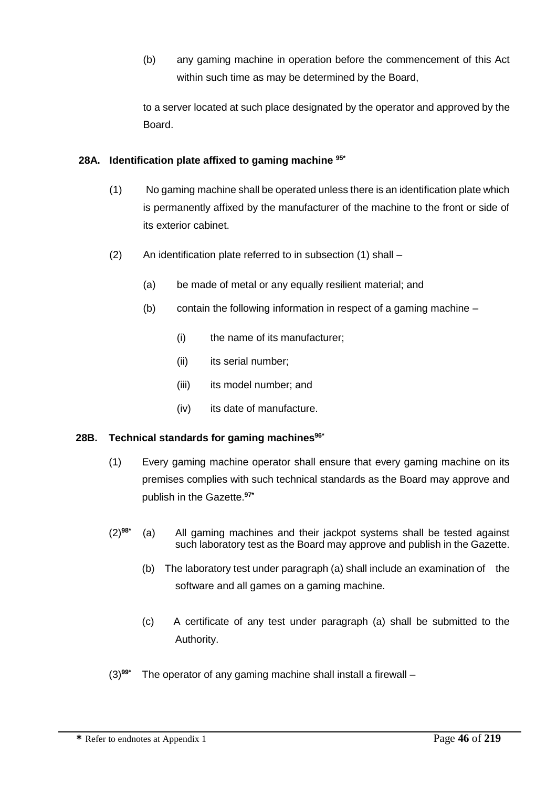(b) any gaming machine in operation before the commencement of this Act within such time as may be determined by the Board,

to a server located at such place designated by the operator and approved by the Board.

# **28A. Identification plate affixed to gaming machine 95\***

- (1) No gaming machine shall be operated unless there is an identification plate which is permanently affixed by the manufacturer of the machine to the front or side of its exterior cabinet.
- (2) An identification plate referred to in subsection (1) shall
	- (a) be made of metal or any equally resilient material; and
	- (b) contain the following information in respect of a gaming machine
		- (i) the name of its manufacturer;
		- (ii) its serial number;
		- (iii) its model number; and
		- (iv) its date of manufacture.

## **28B. Technical standards for gaming machines96\***

- (1) Every gaming machine operator shall ensure that every gaming machine on its premises complies with such technical standards as the Board may approve and publish in the Gazette.**97\***
- (2)**98\*** (a) All gaming machines and their jackpot systems shall be tested against such laboratory test as the Board may approve and publish in the Gazette.
	- (b) The laboratory test under paragraph (a) shall include an examination of the software and all games on a gaming machine.
	- (c) A certificate of any test under paragraph (a) shall be submitted to the Authority.
- (3)**99\*** The operator of any gaming machine shall install a firewall –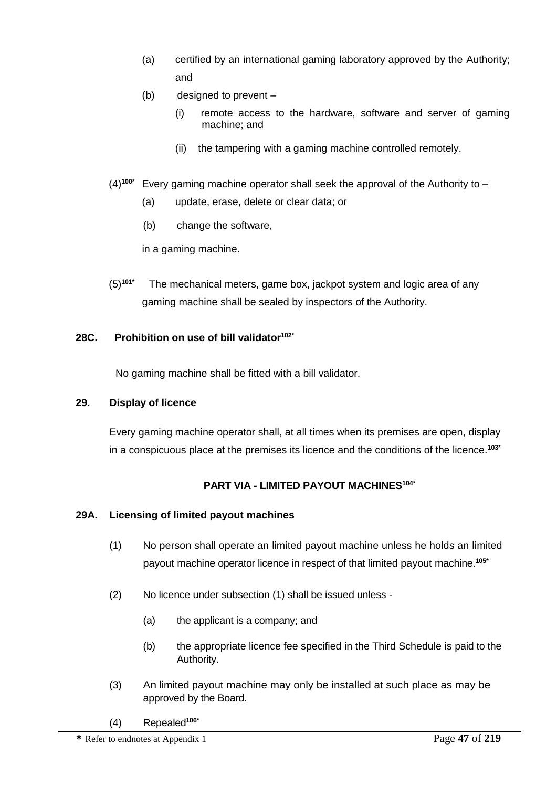- (a) certified by an international gaming laboratory approved by the Authority; and
- (b) designed to prevent
	- (i) remote access to the hardware, software and server of gaming machine; and
	- (ii) the tampering with a gaming machine controlled remotely.
- (4)**100\*** Every gaming machine operator shall seek the approval of the Authority to
	- (a) update, erase, delete or clear data; or
	- (b) change the software,

in a gaming machine.

(5)**101\*** The mechanical meters, game box, jackpot system and logic area of any gaming machine shall be sealed by inspectors of the Authority.

## **28C. Prohibition on use of bill validator102\***

No gaming machine shall be fitted with a bill validator.

## **29. Display of licence**

Every gaming machine operator shall, at all times when its premises are open, display in a conspicuous place at the premises its licence and the conditions of the licence.**103\***

## **PART VIA - LIMITED PAYOUT MACHINES104\***

## **29A. Licensing of limited payout machines**

- (1) No person shall operate an limited payout machine unless he holds an limited payout machine operator licence in respect of that limited payout machine.**105\***
- (2) No licence under subsection (1) shall be issued unless
	- (a) the applicant is a company; and
	- (b) the appropriate licence fee specified in the Third Schedule is paid to the Authority.
- (3) An limited payout machine may only be installed at such place as may be approved by the Board.
- (4) Repealed**106\***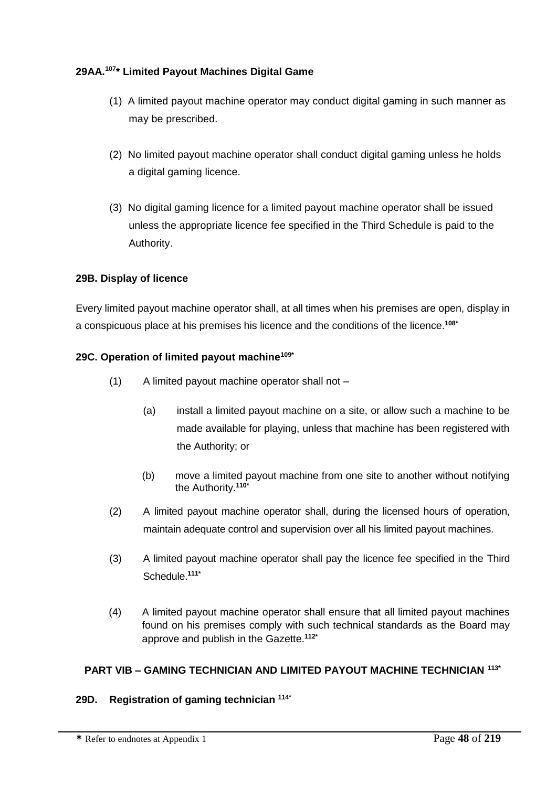## **29AA.<sup>107</sup> \* Limited Payout Machines Digital Game**

- (1) A limited payout machine operator may conduct digital gaming in such manner as may be prescribed.
- (2) No limited payout machine operator shall conduct digital gaming unless he holds a digital gaming licence.
- (3) No digital gaming licence for a limited payout machine operator shall be issued unless the appropriate licence fee specified in the Third Schedule is paid to the Authority.

## **29B. Display of licence**

Every limited payout machine operator shall, at all times when his premises are open, display in a conspicuous place at his premises his licence and the conditions of the licence.**108\***

#### **29C. Operation of limited payout machine109\***

- (1) A limited payout machine operator shall not
	- (a) install a limited payout machine on a site, or allow such a machine to be made available for playing, unless that machine has been registered with the Authority; or
	- (b) move a limited payout machine from one site to another without notifying the Authority.**110\***
- (2) A limited payout machine operator shall, during the licensed hours of operation, maintain adequate control and supervision over all his limited payout machines.
- (3) A limited payout machine operator shall pay the licence fee specified in the Third Schedule.**111\***
- (4) A limited payout machine operator shall ensure that all limited payout machines found on his premises comply with such technical standards as the Board may approve and publish in the Gazette.**112\***

## **PART VIB – GAMING TECHNICIAN AND LIMITED PAYOUT MACHINE TECHNICIAN 113\***

## **29D. Registration of gaming technician 114\***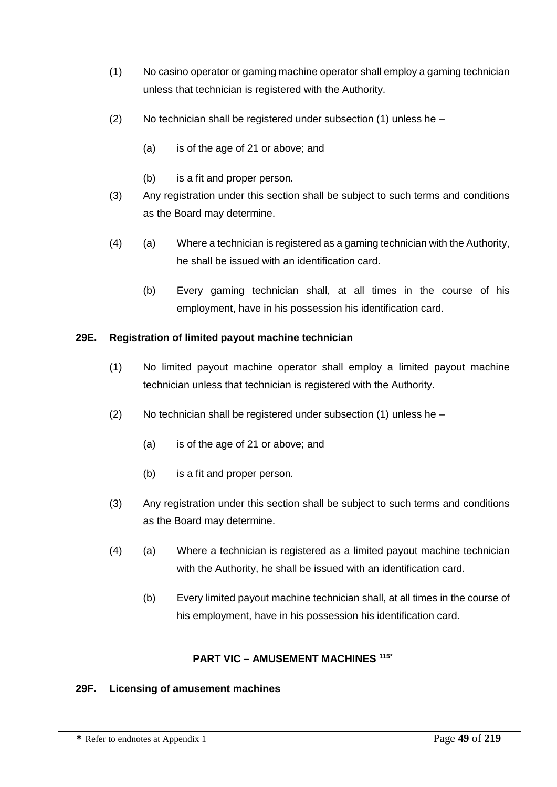- (1) No casino operator or gaming machine operator shall employ a gaming technician unless that technician is registered with the Authority.
- (2) No technician shall be registered under subsection (1) unless he
	- (a) is of the age of 21 or above; and
	- (b) is a fit and proper person.
- (3) Any registration under this section shall be subject to such terms and conditions as the Board may determine.
- (4) (a) Where a technician is registered as a gaming technician with the Authority, he shall be issued with an identification card.
	- (b) Every gaming technician shall, at all times in the course of his employment, have in his possession his identification card.

## **29E. Registration of limited payout machine technician**

- (1) No limited payout machine operator shall employ a limited payout machine technician unless that technician is registered with the Authority.
- (2) No technician shall be registered under subsection (1) unless he
	- (a) is of the age of 21 or above; and
	- (b) is a fit and proper person.
- (3) Any registration under this section shall be subject to such terms and conditions as the Board may determine.
- (4) (a) Where a technician is registered as a limited payout machine technician with the Authority, he shall be issued with an identification card.
	- (b) Every limited payout machine technician shall, at all times in the course of his employment, have in his possession his identification card.

## **PART VIC – AMUSEMENT MACHINES 115\***

## **29F. Licensing of amusement machines**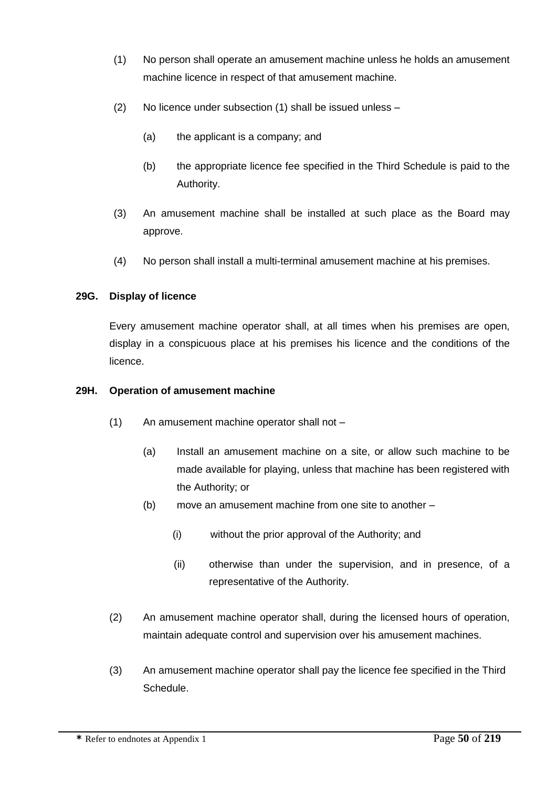- (1) No person shall operate an amusement machine unless he holds an amusement machine licence in respect of that amusement machine.
- (2) No licence under subsection (1) shall be issued unless
	- (a) the applicant is a company; and
	- (b) the appropriate licence fee specified in the Third Schedule is paid to the Authority.
- (3) An amusement machine shall be installed at such place as the Board may approve.
- (4) No person shall install a multi-terminal amusement machine at his premises.

# **29G. Display of licence**

Every amusement machine operator shall, at all times when his premises are open, display in a conspicuous place at his premises his licence and the conditions of the licence.

## **29H. Operation of amusement machine**

- (1) An amusement machine operator shall not
	- (a) Install an amusement machine on a site, or allow such machine to be made available for playing, unless that machine has been registered with the Authority; or
	- (b) move an amusement machine from one site to another
		- (i) without the prior approval of the Authority; and
		- (ii) otherwise than under the supervision, and in presence, of a representative of the Authority.
- (2) An amusement machine operator shall, during the licensed hours of operation, maintain adequate control and supervision over his amusement machines.
- (3) An amusement machine operator shall pay the licence fee specified in the Third Schedule.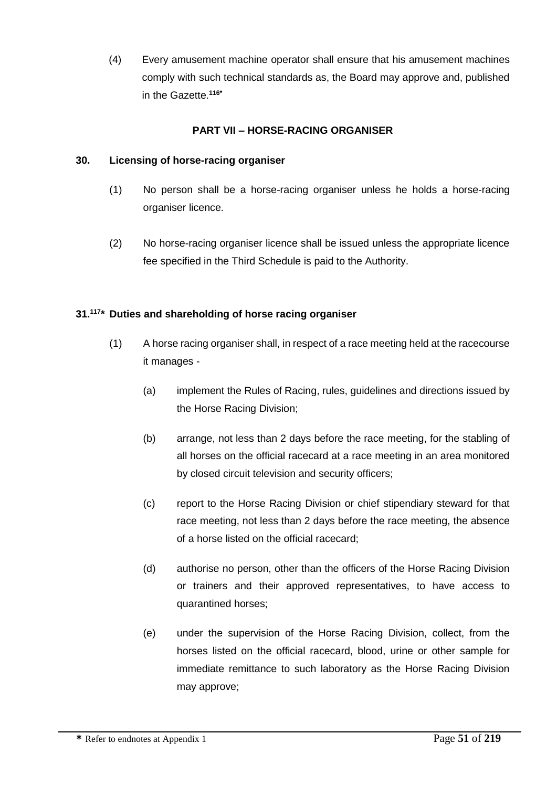(4) Every amusement machine operator shall ensure that his amusement machines comply with such technical standards as, the Board may approve and, published in the Gazette.**116\***

# **PART VII – HORSE-RACING ORGANISER**

### **30. Licensing of horse-racing organiser**

- (1) No person shall be a horse-racing organiser unless he holds a horse-racing organiser licence.
- (2) No horse-racing organiser licence shall be issued unless the appropriate licence fee specified in the Third Schedule is paid to the Authority.

# **31.<sup>117</sup> \* Duties and shareholding of horse racing organiser**

- (1) A horse racing organiser shall, in respect of a race meeting held at the racecourse it manages -
	- (a) implement the Rules of Racing, rules, guidelines and directions issued by the Horse Racing Division;
	- (b) arrange, not less than 2 days before the race meeting, for the stabling of all horses on the official racecard at a race meeting in an area monitored by closed circuit television and security officers;
	- (c) report to the Horse Racing Division or chief stipendiary steward for that race meeting, not less than 2 days before the race meeting, the absence of a horse listed on the official racecard;
	- (d) authorise no person, other than the officers of the Horse Racing Division or trainers and their approved representatives, to have access to quarantined horses;
	- (e) under the supervision of the Horse Racing Division, collect, from the horses listed on the official racecard, blood, urine or other sample for immediate remittance to such laboratory as the Horse Racing Division may approve;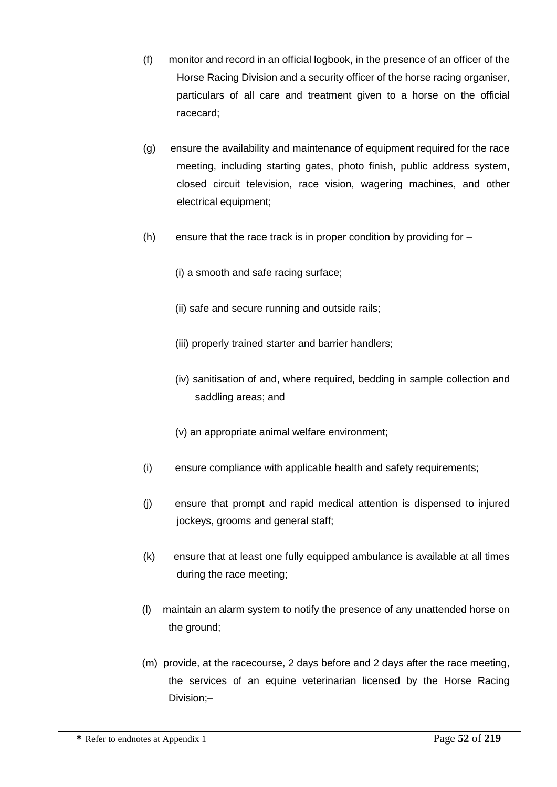- (f) monitor and record in an official logbook, in the presence of an officer of the Horse Racing Division and a security officer of the horse racing organiser, particulars of all care and treatment given to a horse on the official racecard;
- (g) ensure the availability and maintenance of equipment required for the race meeting, including starting gates, photo finish, public address system, closed circuit television, race vision, wagering machines, and other electrical equipment;
- (h) ensure that the race track is in proper condition by providing for
	- (i) a smooth and safe racing surface;
	- (ii) safe and secure running and outside rails;
	- (iii) properly trained starter and barrier handlers;
	- (iv) sanitisation of and, where required, bedding in sample collection and saddling areas; and
	- (v) an appropriate animal welfare environment;
- (i) ensure compliance with applicable health and safety requirements;
- (j) ensure that prompt and rapid medical attention is dispensed to injured jockeys, grooms and general staff;
- (k) ensure that at least one fully equipped ambulance is available at all times during the race meeting;
- (l) maintain an alarm system to notify the presence of any unattended horse on the ground;
- (m) provide, at the racecourse, 2 days before and 2 days after the race meeting, the services of an equine veterinarian licensed by the Horse Racing Division;–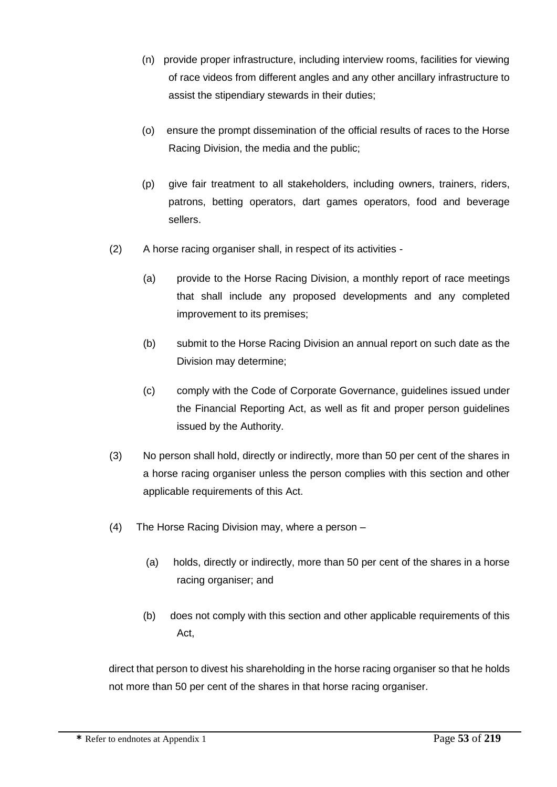- (n) provide proper infrastructure, including interview rooms, facilities for viewing of race videos from different angles and any other ancillary infrastructure to assist the stipendiary stewards in their duties;
- (o) ensure the prompt dissemination of the official results of races to the Horse Racing Division, the media and the public;
- (p) give fair treatment to all stakeholders, including owners, trainers, riders, patrons, betting operators, dart games operators, food and beverage sellers.
- (2) A horse racing organiser shall, in respect of its activities
	- (a) provide to the Horse Racing Division, a monthly report of race meetings that shall include any proposed developments and any completed improvement to its premises;
	- (b) submit to the Horse Racing Division an annual report on such date as the Division may determine;
	- (c) comply with the Code of Corporate Governance, guidelines issued under the Financial Reporting Act, as well as fit and proper person guidelines issued by the Authority.
- (3) No person shall hold, directly or indirectly, more than 50 per cent of the shares in a horse racing organiser unless the person complies with this section and other applicable requirements of this Act.
- (4) The Horse Racing Division may, where a person
	- (a) holds, directly or indirectly, more than 50 per cent of the shares in a horse racing organiser; and
	- (b) does not comply with this section and other applicable requirements of this Act,

direct that person to divest his shareholding in the horse racing organiser so that he holds not more than 50 per cent of the shares in that horse racing organiser.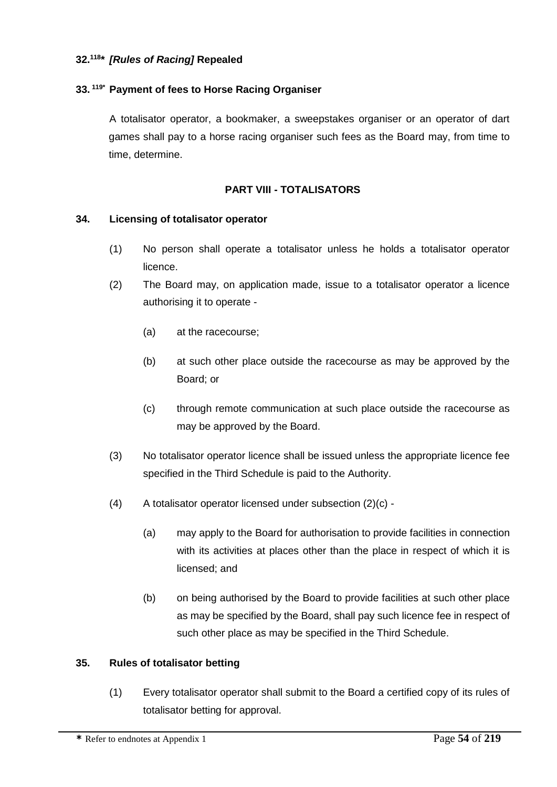### **32.<sup>118</sup> \*** *[Rules of Racing]* **Repealed**

#### **33. 119\* Payment of fees to Horse Racing Organiser**

A totalisator operator, a bookmaker, a sweepstakes organiser or an operator of dart games shall pay to a horse racing organiser such fees as the Board may, from time to time, determine.

#### **PART VIII - TOTALISATORS**

#### **34. Licensing of totalisator operator**

- (1) No person shall operate a totalisator unless he holds a totalisator operator licence.
- (2) The Board may, on application made, issue to a totalisator operator a licence authorising it to operate -
	- (a) at the racecourse;
	- (b) at such other place outside the racecourse as may be approved by the Board; or
	- (c) through remote communication at such place outside the racecourse as may be approved by the Board.
- (3) No totalisator operator licence shall be issued unless the appropriate licence fee specified in the Third Schedule is paid to the Authority.
- (4) A totalisator operator licensed under subsection (2)(c)
	- (a) may apply to the Board for authorisation to provide facilities in connection with its activities at places other than the place in respect of which it is licensed; and
	- (b) on being authorised by the Board to provide facilities at such other place as may be specified by the Board, shall pay such licence fee in respect of such other place as may be specified in the Third Schedule.

#### **35. Rules of totalisator betting**

(1) Every totalisator operator shall submit to the Board a certified copy of its rules of totalisator betting for approval.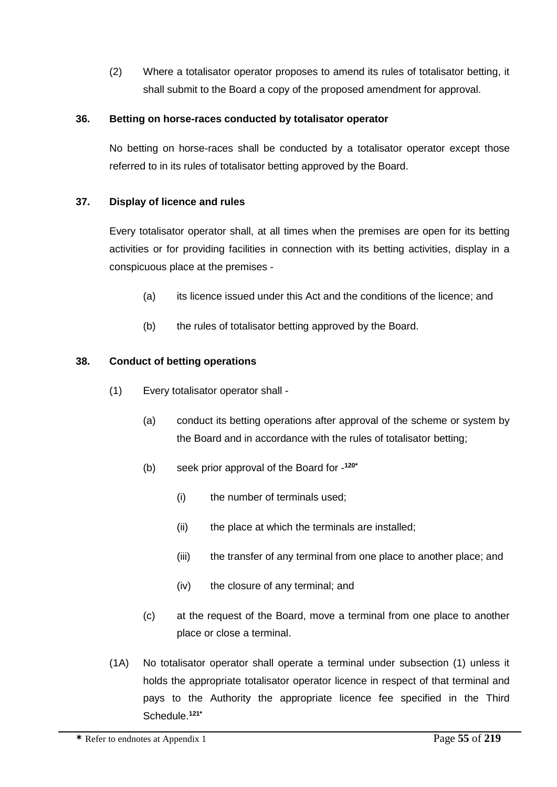(2) Where a totalisator operator proposes to amend its rules of totalisator betting, it shall submit to the Board a copy of the proposed amendment for approval.

## **36. Betting on horse-races conducted by totalisator operator**

No betting on horse-races shall be conducted by a totalisator operator except those referred to in its rules of totalisator betting approved by the Board.

## **37. Display of licence and rules**

Every totalisator operator shall, at all times when the premises are open for its betting activities or for providing facilities in connection with its betting activities, display in a conspicuous place at the premises -

- (a) its licence issued under this Act and the conditions of the licence; and
- (b) the rules of totalisator betting approved by the Board.

#### **38. Conduct of betting operations**

- (1) Every totalisator operator shall
	- (a) conduct its betting operations after approval of the scheme or system by the Board and in accordance with the rules of totalisator betting;
	- (b) seek prior approval of the Board for **120\***
		- (i) the number of terminals used;
		- (ii) the place at which the terminals are installed;
		- (iii) the transfer of any terminal from one place to another place; and
		- (iv) the closure of any terminal; and
	- (c) at the request of the Board, move a terminal from one place to another place or close a terminal.
- (1A) No totalisator operator shall operate a terminal under subsection (1) unless it holds the appropriate totalisator operator licence in respect of that terminal and pays to the Authority the appropriate licence fee specified in the Third Schedule.**121\***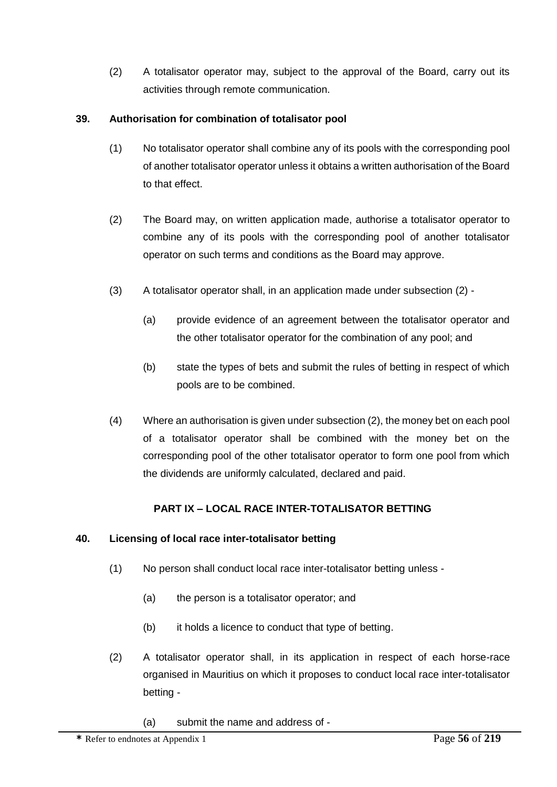(2) A totalisator operator may, subject to the approval of the Board, carry out its activities through remote communication.

# **39. Authorisation for combination of totalisator pool**

- (1) No totalisator operator shall combine any of its pools with the corresponding pool of another totalisator operator unless it obtains a written authorisation of the Board to that effect.
- (2) The Board may, on written application made, authorise a totalisator operator to combine any of its pools with the corresponding pool of another totalisator operator on such terms and conditions as the Board may approve.
- (3) A totalisator operator shall, in an application made under subsection (2)
	- (a) provide evidence of an agreement between the totalisator operator and the other totalisator operator for the combination of any pool; and
	- (b) state the types of bets and submit the rules of betting in respect of which pools are to be combined.
- (4) Where an authorisation is given under subsection (2), the money bet on each pool of a totalisator operator shall be combined with the money bet on the corresponding pool of the other totalisator operator to form one pool from which the dividends are uniformly calculated, declared and paid.

# **PART IX – LOCAL RACE INTER-TOTALISATOR BETTING**

## **40. Licensing of local race inter-totalisator betting**

- (1) No person shall conduct local race inter-totalisator betting unless
	- (a) the person is a totalisator operator; and
	- (b) it holds a licence to conduct that type of betting.
- (2) A totalisator operator shall, in its application in respect of each horse-race organised in Mauritius on which it proposes to conduct local race inter-totalisator betting -
	- (a) submit the name and address of -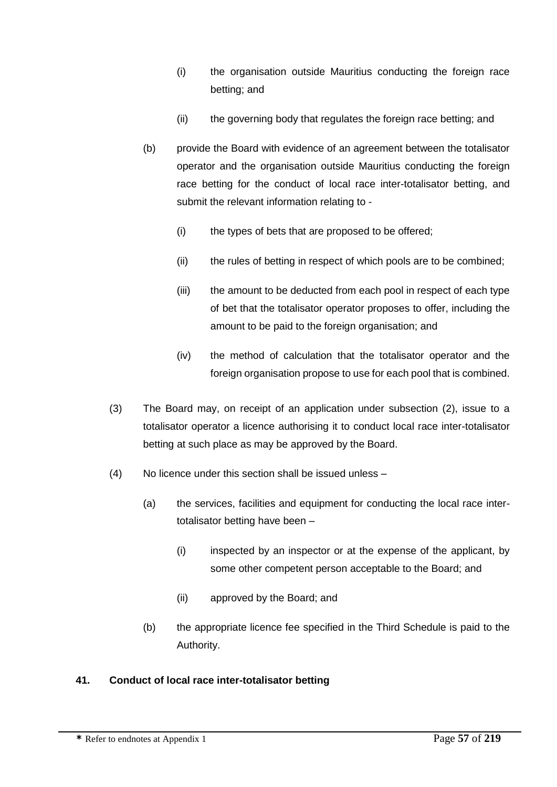- (i) the organisation outside Mauritius conducting the foreign race betting; and
- (ii) the governing body that regulates the foreign race betting; and
- (b) provide the Board with evidence of an agreement between the totalisator operator and the organisation outside Mauritius conducting the foreign race betting for the conduct of local race inter-totalisator betting, and submit the relevant information relating to -
	- (i) the types of bets that are proposed to be offered;
	- (ii) the rules of betting in respect of which pools are to be combined;
	- (iii) the amount to be deducted from each pool in respect of each type of bet that the totalisator operator proposes to offer, including the amount to be paid to the foreign organisation; and
	- (iv) the method of calculation that the totalisator operator and the foreign organisation propose to use for each pool that is combined.
- (3) The Board may, on receipt of an application under subsection (2), issue to a totalisator operator a licence authorising it to conduct local race inter-totalisator betting at such place as may be approved by the Board.
- (4) No licence under this section shall be issued unless
	- (a) the services, facilities and equipment for conducting the local race intertotalisator betting have been –
		- (i) inspected by an inspector or at the expense of the applicant, by some other competent person acceptable to the Board; and
		- (ii) approved by the Board; and
	- (b) the appropriate licence fee specified in the Third Schedule is paid to the Authority.

# **41. Conduct of local race inter-totalisator betting**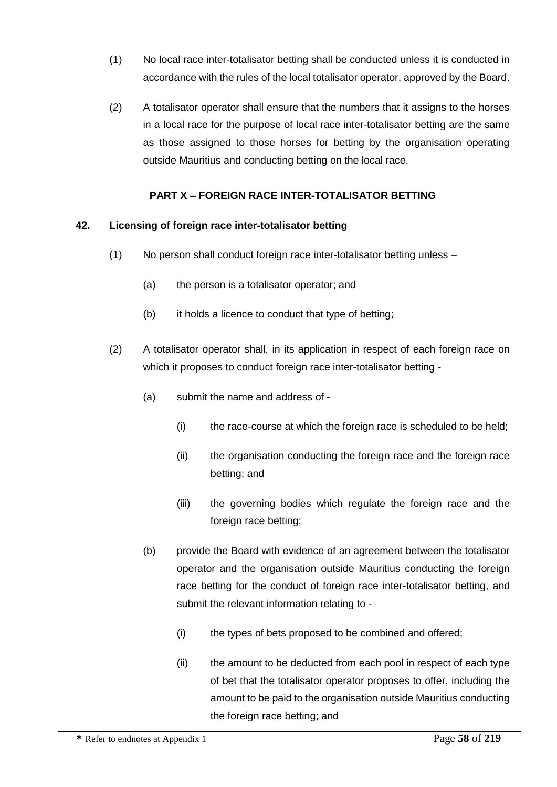- (1) No local race inter-totalisator betting shall be conducted unless it is conducted in accordance with the rules of the local totalisator operator, approved by the Board.
- (2) A totalisator operator shall ensure that the numbers that it assigns to the horses in a local race for the purpose of local race inter-totalisator betting are the same as those assigned to those horses for betting by the organisation operating outside Mauritius and conducting betting on the local race.

# **PART X – FOREIGN RACE INTER-TOTALISATOR BETTING**

## **42. Licensing of foreign race inter-totalisator betting**

- (1) No person shall conduct foreign race inter-totalisator betting unless
	- (a) the person is a totalisator operator; and
	- (b) it holds a licence to conduct that type of betting;
- (2) A totalisator operator shall, in its application in respect of each foreign race on which it proposes to conduct foreign race inter-totalisator betting -
	- (a) submit the name and address of
		- (i) the race-course at which the foreign race is scheduled to be held;
		- (ii) the organisation conducting the foreign race and the foreign race betting; and
		- (iii) the governing bodies which regulate the foreign race and the foreign race betting;
	- (b) provide the Board with evidence of an agreement between the totalisator operator and the organisation outside Mauritius conducting the foreign race betting for the conduct of foreign race inter-totalisator betting, and submit the relevant information relating to -
		- (i) the types of bets proposed to be combined and offered;
		- (ii) the amount to be deducted from each pool in respect of each type of bet that the totalisator operator proposes to offer, including the amount to be paid to the organisation outside Mauritius conducting the foreign race betting; and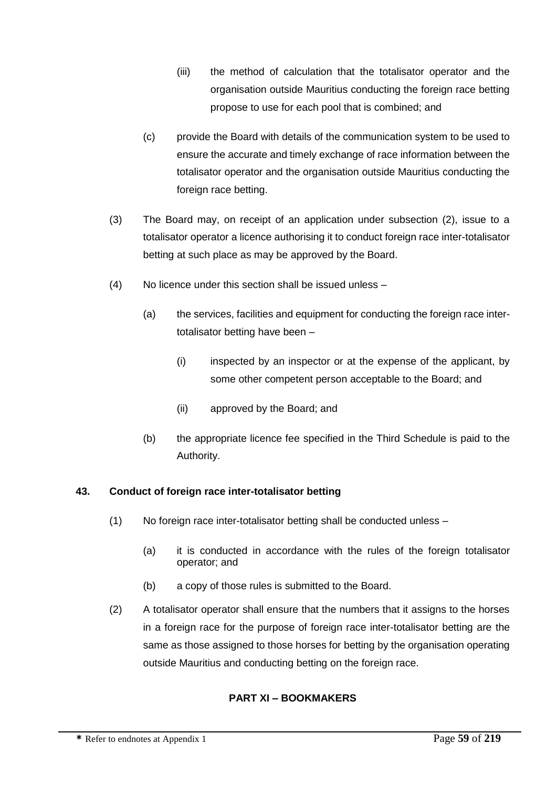- (iii) the method of calculation that the totalisator operator and the organisation outside Mauritius conducting the foreign race betting propose to use for each pool that is combined; and
- (c) provide the Board with details of the communication system to be used to ensure the accurate and timely exchange of race information between the totalisator operator and the organisation outside Mauritius conducting the foreign race betting.
- (3) The Board may, on receipt of an application under subsection (2), issue to a totalisator operator a licence authorising it to conduct foreign race inter-totalisator betting at such place as may be approved by the Board.
- (4) No licence under this section shall be issued unless
	- (a) the services, facilities and equipment for conducting the foreign race intertotalisator betting have been –
		- (i) inspected by an inspector or at the expense of the applicant, by some other competent person acceptable to the Board; and
		- (ii) approved by the Board; and
	- (b) the appropriate licence fee specified in the Third Schedule is paid to the Authority.

# **43. Conduct of foreign race inter-totalisator betting**

- (1) No foreign race inter-totalisator betting shall be conducted unless
	- (a) it is conducted in accordance with the rules of the foreign totalisator operator; and
	- (b) a copy of those rules is submitted to the Board.
- (2) A totalisator operator shall ensure that the numbers that it assigns to the horses in a foreign race for the purpose of foreign race inter-totalisator betting are the same as those assigned to those horses for betting by the organisation operating outside Mauritius and conducting betting on the foreign race.

# **PART XI – BOOKMAKERS**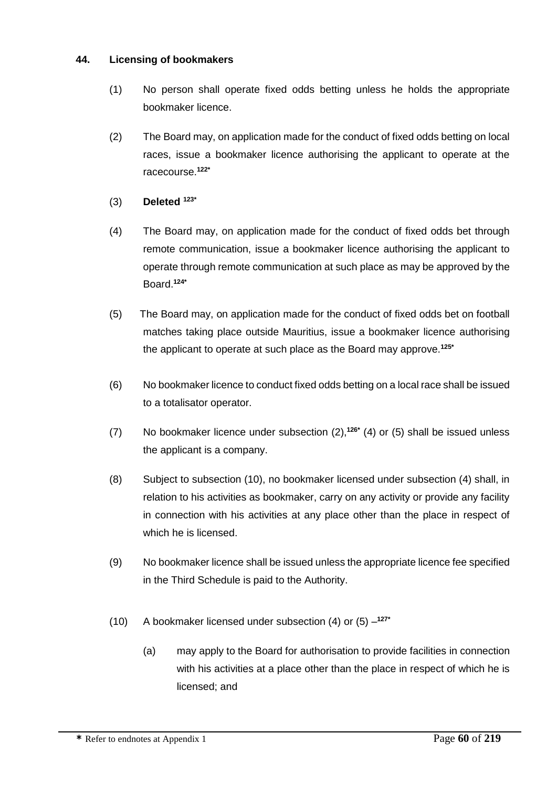### **44. Licensing of bookmakers**

- (1) No person shall operate fixed odds betting unless he holds the appropriate bookmaker licence.
- (2) The Board may, on application made for the conduct of fixed odds betting on local races, issue a bookmaker licence authorising the applicant to operate at the racecourse.**122\***
- (3) **Deleted 123\***
- (4) The Board may, on application made for the conduct of fixed odds bet through remote communication, issue a bookmaker licence authorising the applicant to operate through remote communication at such place as may be approved by the Board.**124\***
- (5) The Board may, on application made for the conduct of fixed odds bet on football matches taking place outside Mauritius, issue a bookmaker licence authorising the applicant to operate at such place as the Board may approve.**125\***
- (6) No bookmaker licence to conduct fixed odds betting on a local race shall be issued to a totalisator operator.
- (7) No bookmaker licence under subsection (2),**126\*** (4) or (5) shall be issued unless the applicant is a company.
- (8) Subject to subsection (10), no bookmaker licensed under subsection (4) shall, in relation to his activities as bookmaker, carry on any activity or provide any facility in connection with his activities at any place other than the place in respect of which he is licensed.
- (9) No bookmaker licence shall be issued unless the appropriate licence fee specified in the Third Schedule is paid to the Authority.
- (10) A bookmaker licensed under subsection (4) or (5) **127\***
	- (a) may apply to the Board for authorisation to provide facilities in connection with his activities at a place other than the place in respect of which he is licensed; and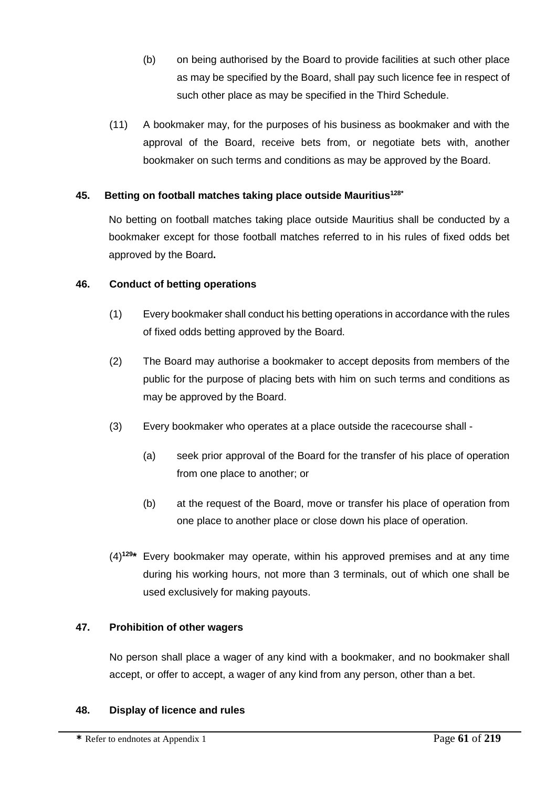- (b) on being authorised by the Board to provide facilities at such other place as may be specified by the Board, shall pay such licence fee in respect of such other place as may be specified in the Third Schedule.
- (11) A bookmaker may, for the purposes of his business as bookmaker and with the approval of the Board, receive bets from, or negotiate bets with, another bookmaker on such terms and conditions as may be approved by the Board.

# **45. Betting on football matches taking place outside Mauritius128\***

No betting on football matches taking place outside Mauritius shall be conducted by a bookmaker except for those football matches referred to in his rules of fixed odds bet approved by the Board**.**

## **46. Conduct of betting operations**

- (1) Every bookmaker shall conduct his betting operations in accordance with the rules of fixed odds betting approved by the Board.
- (2) The Board may authorise a bookmaker to accept deposits from members of the public for the purpose of placing bets with him on such terms and conditions as may be approved by the Board.
- (3) Every bookmaker who operates at a place outside the racecourse shall
	- (a) seek prior approval of the Board for the transfer of his place of operation from one place to another; or
	- (b) at the request of the Board, move or transfer his place of operation from one place to another place or close down his place of operation.
- (4)**<sup>129</sup>\*** Every bookmaker may operate, within his approved premises and at any time during his working hours, not more than 3 terminals, out of which one shall be used exclusively for making payouts.

## **47. Prohibition of other wagers**

No person shall place a wager of any kind with a bookmaker, and no bookmaker shall accept, or offer to accept, a wager of any kind from any person, other than a bet.

## **48. Display of licence and rules**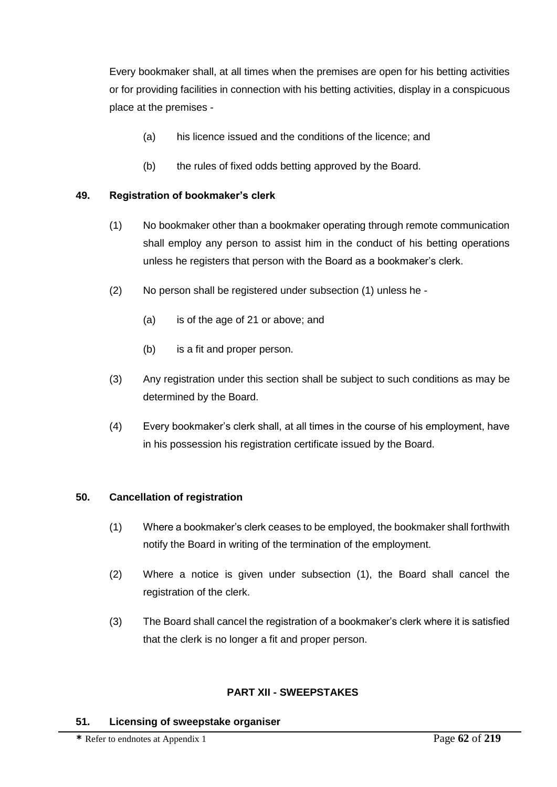Every bookmaker shall, at all times when the premises are open for his betting activities or for providing facilities in connection with his betting activities, display in a conspicuous place at the premises -

- (a) his licence issued and the conditions of the licence; and
- (b) the rules of fixed odds betting approved by the Board.

### **49. Registration of bookmaker's clerk**

- (1) No bookmaker other than a bookmaker operating through remote communication shall employ any person to assist him in the conduct of his betting operations unless he registers that person with the Board as a bookmaker's clerk.
- (2) No person shall be registered under subsection (1) unless he
	- (a) is of the age of 21 or above; and
	- (b) is a fit and proper person.
- (3) Any registration under this section shall be subject to such conditions as may be determined by the Board.
- (4) Every bookmaker's clerk shall, at all times in the course of his employment, have in his possession his registration certificate issued by the Board.

#### **50. Cancellation of registration**

- (1) Where a bookmaker's clerk ceases to be employed, the bookmaker shall forthwith notify the Board in writing of the termination of the employment.
- (2) Where a notice is given under subsection (1), the Board shall cancel the registration of the clerk.
- (3) The Board shall cancel the registration of a bookmaker's clerk where it is satisfied that the clerk is no longer a fit and proper person.

### **PART XII - SWEEPSTAKES**

#### **51. Licensing of sweepstake organiser**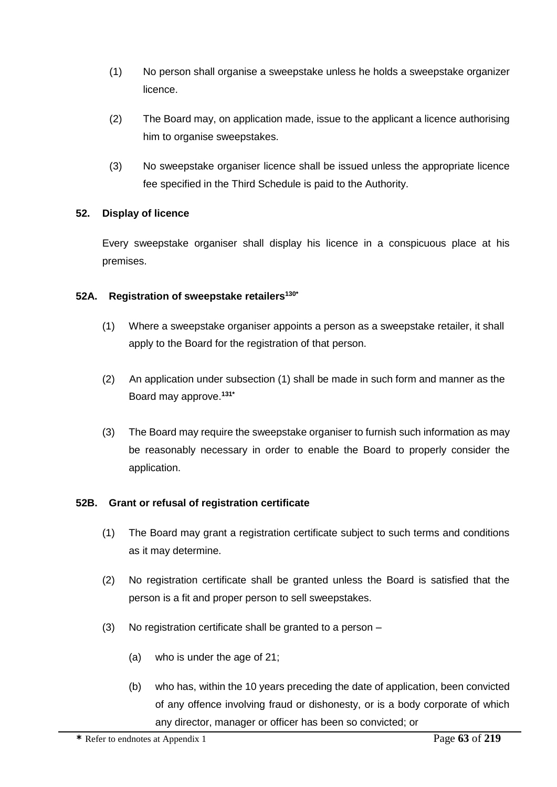- (1) No person shall organise a sweepstake unless he holds a sweepstake organizer licence.
- (2) The Board may, on application made, issue to the applicant a licence authorising him to organise sweepstakes.
- (3) No sweepstake organiser licence shall be issued unless the appropriate licence fee specified in the Third Schedule is paid to the Authority.

## **52. Display of licence**

Every sweepstake organiser shall display his licence in a conspicuous place at his premises.

#### **52A. Registration of sweepstake retailers130\***

- (1) Where a sweepstake organiser appoints a person as a sweepstake retailer, it shall apply to the Board for the registration of that person.
- (2) An application under subsection (1) shall be made in such form and manner as the Board may approve.**131\***
- (3) The Board may require the sweepstake organiser to furnish such information as may be reasonably necessary in order to enable the Board to properly consider the application.

## **52B. Grant or refusal of registration certificate**

- (1) The Board may grant a registration certificate subject to such terms and conditions as it may determine.
- (2) No registration certificate shall be granted unless the Board is satisfied that the person is a fit and proper person to sell sweepstakes.
- (3) No registration certificate shall be granted to a person
	- (a) who is under the age of 21;
	- (b) who has, within the 10 years preceding the date of application, been convicted of any offence involving fraud or dishonesty, or is a body corporate of which any director, manager or officer has been so convicted; or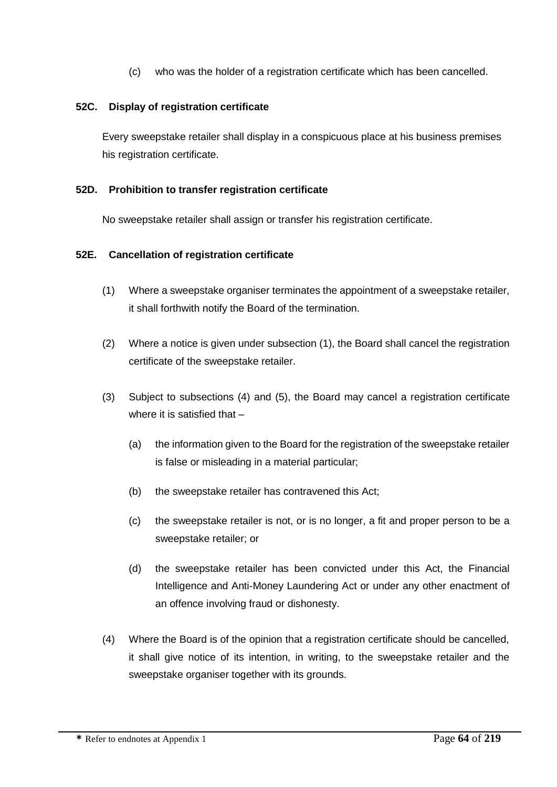(c) who was the holder of a registration certificate which has been cancelled.

## **52C. Display of registration certificate**

Every sweepstake retailer shall display in a conspicuous place at his business premises his registration certificate.

## **52D. Prohibition to transfer registration certificate**

No sweepstake retailer shall assign or transfer his registration certificate.

#### **52E. Cancellation of registration certificate**

- (1) Where a sweepstake organiser terminates the appointment of a sweepstake retailer, it shall forthwith notify the Board of the termination.
- (2) Where a notice is given under subsection (1), the Board shall cancel the registration certificate of the sweepstake retailer.
- (3) Subject to subsections (4) and (5), the Board may cancel a registration certificate where it is satisfied that -
	- (a) the information given to the Board for the registration of the sweepstake retailer is false or misleading in a material particular;
	- (b) the sweepstake retailer has contravened this Act;
	- (c) the sweepstake retailer is not, or is no longer, a fit and proper person to be a sweepstake retailer; or
	- (d) the sweepstake retailer has been convicted under this Act, the Financial Intelligence and Anti-Money Laundering Act or under any other enactment of an offence involving fraud or dishonesty.
- (4) Where the Board is of the opinion that a registration certificate should be cancelled, it shall give notice of its intention, in writing, to the sweepstake retailer and the sweepstake organiser together with its grounds.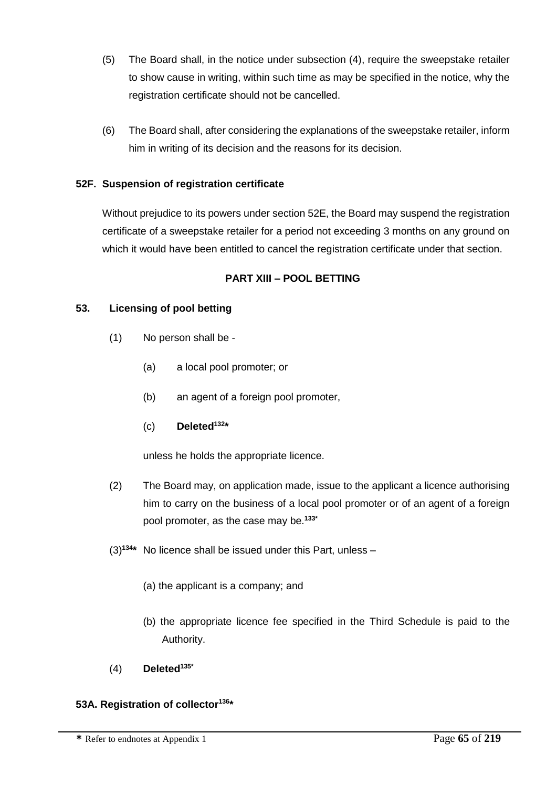- (5) The Board shall, in the notice under subsection (4), require the sweepstake retailer to show cause in writing, within such time as may be specified in the notice, why the registration certificate should not be cancelled.
- (6) The Board shall, after considering the explanations of the sweepstake retailer, inform him in writing of its decision and the reasons for its decision.

## **52F. Suspension of registration certificate**

Without prejudice to its powers under section 52E, the Board may suspend the registration certificate of a sweepstake retailer for a period not exceeding 3 months on any ground on which it would have been entitled to cancel the registration certificate under that section.

## **PART XIII – POOL BETTING**

## **53. Licensing of pool betting**

- (1) No person shall be
	- (a) a local pool promoter; or
	- (b) an agent of a foreign pool promoter,
	- (c) **Deleted<sup>132</sup> \***

unless he holds the appropriate licence.

- (2) The Board may, on application made, issue to the applicant a licence authorising him to carry on the business of a local pool promoter or of an agent of a foreign pool promoter, as the case may be.**133\***
- (3)**<sup>134</sup> \*** No licence shall be issued under this Part, unless
	- (a) the applicant is a company; and
	- (b) the appropriate licence fee specified in the Third Schedule is paid to the Authority.
- (4) **Deleted135\***

## **53A. Registration of collector<sup>136</sup> \***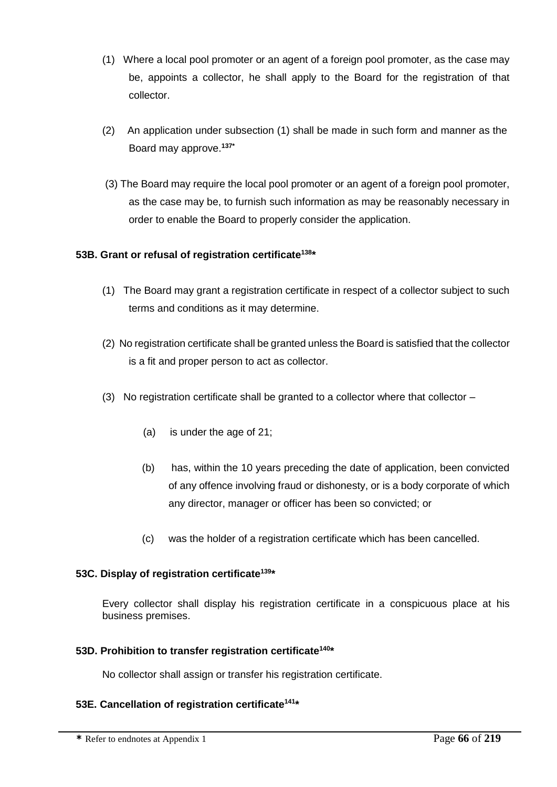- (1) Where a local pool promoter or an agent of a foreign pool promoter, as the case may be, appoints a collector, he shall apply to the Board for the registration of that collector.
- (2) An application under subsection (1) shall be made in such form and manner as the Board may approve.**137\***
- (3) The Board may require the local pool promoter or an agent of a foreign pool promoter, as the case may be, to furnish such information as may be reasonably necessary in order to enable the Board to properly consider the application.

## **53B. Grant or refusal of registration certificate<sup>138</sup>\***

- (1) The Board may grant a registration certificate in respect of a collector subject to such terms and conditions as it may determine.
- (2) No registration certificate shall be granted unless the Board is satisfied that the collector is a fit and proper person to act as collector.
- (3) No registration certificate shall be granted to a collector where that collector
	- (a) is under the age of 21;
	- (b) has, within the 10 years preceding the date of application, been convicted of any offence involving fraud or dishonesty, or is a body corporate of which any director, manager or officer has been so convicted; or
	- (c) was the holder of a registration certificate which has been cancelled.

## **53C. Display of registration certificate<sup>139</sup>\***

Every collector shall display his registration certificate in a conspicuous place at his business premises.

## **53D. Prohibition to transfer registration certificate<sup>140</sup> \***

No collector shall assign or transfer his registration certificate.

## **53E. Cancellation of registration certificate<sup>141</sup> \***

**\*** Refer to endnotes at Appendix 1 Page **66** of **219**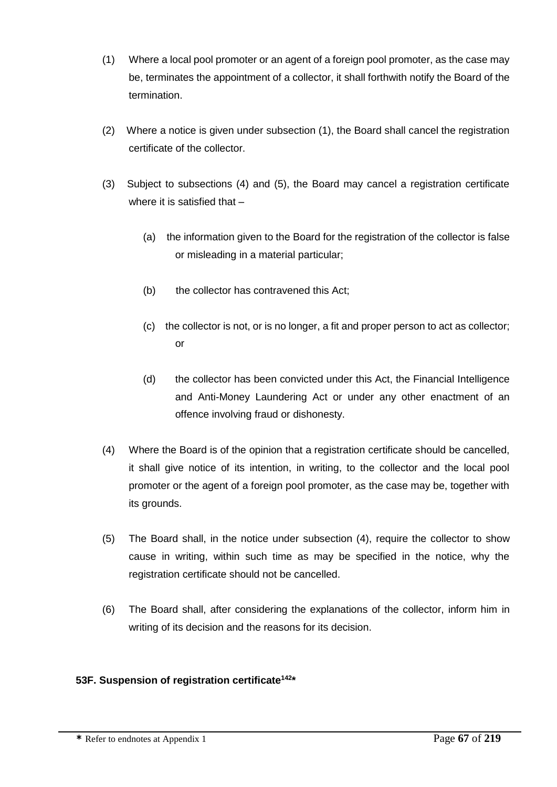- (1) Where a local pool promoter or an agent of a foreign pool promoter, as the case may be, terminates the appointment of a collector, it shall forthwith notify the Board of the termination.
- (2) Where a notice is given under subsection (1), the Board shall cancel the registration certificate of the collector.
- (3) Subject to subsections (4) and (5), the Board may cancel a registration certificate where it is satisfied that -
	- (a) the information given to the Board for the registration of the collector is false or misleading in a material particular;
	- (b) the collector has contravened this Act;
	- (c) the collector is not, or is no longer, a fit and proper person to act as collector; or
	- (d) the collector has been convicted under this Act, the Financial Intelligence and Anti-Money Laundering Act or under any other enactment of an offence involving fraud or dishonesty.
- (4) Where the Board is of the opinion that a registration certificate should be cancelled, it shall give notice of its intention, in writing, to the collector and the local pool promoter or the agent of a foreign pool promoter, as the case may be, together with its grounds.
- (5) The Board shall, in the notice under subsection (4), require the collector to show cause in writing, within such time as may be specified in the notice, why the registration certificate should not be cancelled.
- (6) The Board shall, after considering the explanations of the collector, inform him in writing of its decision and the reasons for its decision.

# **53F. Suspension of registration certificate142\***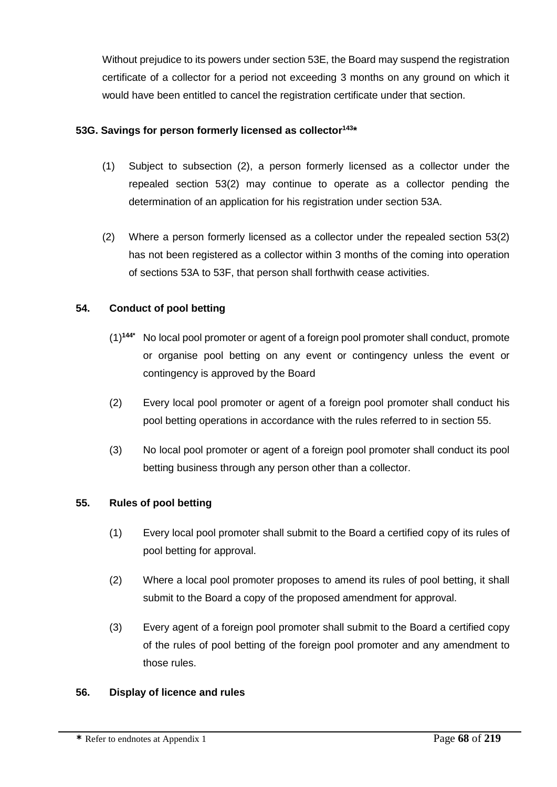Without prejudice to its powers under section 53E, the Board may suspend the registration certificate of a collector for a period not exceeding 3 months on any ground on which it would have been entitled to cancel the registration certificate under that section.

## **53G. Savings for person formerly licensed as collector<sup>143</sup>\***

- (1) Subject to subsection (2), a person formerly licensed as a collector under the repealed section 53(2) may continue to operate as a collector pending the determination of an application for his registration under section 53A.
- (2) Where a person formerly licensed as a collector under the repealed section 53(2) has not been registered as a collector within 3 months of the coming into operation of sections 53A to 53F, that person shall forthwith cease activities.

## **54. Conduct of pool betting**

- (1)**144\*** No local pool promoter or agent of a foreign pool promoter shall conduct, promote or organise pool betting on any event or contingency unless the event or contingency is approved by the Board
- (2) Every local pool promoter or agent of a foreign pool promoter shall conduct his pool betting operations in accordance with the rules referred to in section 55.
- (3) No local pool promoter or agent of a foreign pool promoter shall conduct its pool betting business through any person other than a collector.

## **55. Rules of pool betting**

- (1) Every local pool promoter shall submit to the Board a certified copy of its rules of pool betting for approval.
- (2) Where a local pool promoter proposes to amend its rules of pool betting, it shall submit to the Board a copy of the proposed amendment for approval.
- (3) Every agent of a foreign pool promoter shall submit to the Board a certified copy of the rules of pool betting of the foreign pool promoter and any amendment to those rules.

## **56. Display of licence and rules**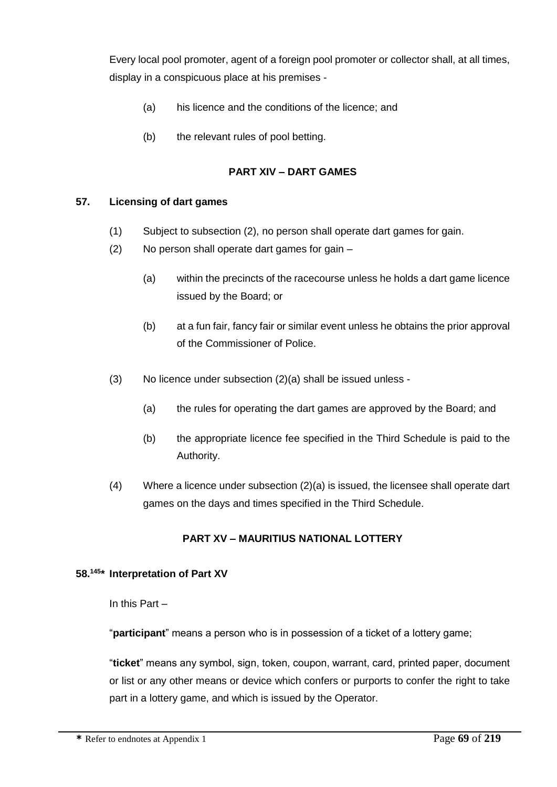Every local pool promoter, agent of a foreign pool promoter or collector shall, at all times, display in a conspicuous place at his premises -

- (a) his licence and the conditions of the licence; and
- (b) the relevant rules of pool betting.

## **PART XIV – DART GAMES**

#### **57. Licensing of dart games**

- (1) Subject to subsection (2), no person shall operate dart games for gain.
- (2) No person shall operate dart games for gain
	- (a) within the precincts of the racecourse unless he holds a dart game licence issued by the Board; or
	- (b) at a fun fair, fancy fair or similar event unless he obtains the prior approval of the Commissioner of Police.
- (3) No licence under subsection (2)(a) shall be issued unless
	- (a) the rules for operating the dart games are approved by the Board; and
	- (b) the appropriate licence fee specified in the Third Schedule is paid to the Authority.
- (4) Where a licence under subsection (2)(a) is issued, the licensee shall operate dart games on the days and times specified in the Third Schedule.

## **PART XV – MAURITIUS NATIONAL LOTTERY**

#### **58.<sup>145</sup> \* Interpretation of Part XV**

In this Part –

"**participant**" means a person who is in possession of a ticket of a lottery game;

"**ticket**" means any symbol, sign, token, coupon, warrant, card, printed paper, document or list or any other means or device which confers or purports to confer the right to take part in a lottery game, and which is issued by the Operator.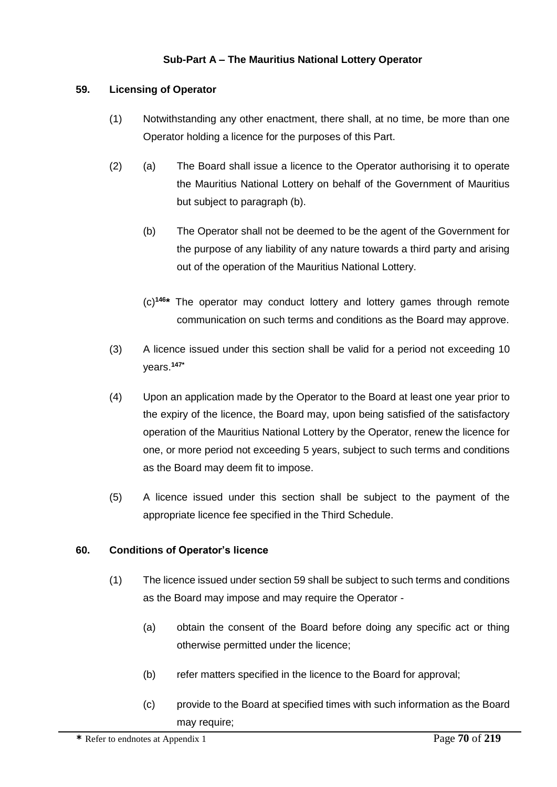# **Sub-Part A – The Mauritius National Lottery Operator**

## **59. Licensing of Operator**

- (1) Notwithstanding any other enactment, there shall, at no time, be more than one Operator holding a licence for the purposes of this Part.
- (2) (a) The Board shall issue a licence to the Operator authorising it to operate the Mauritius National Lottery on behalf of the Government of Mauritius but subject to paragraph (b).
	- (b) The Operator shall not be deemed to be the agent of the Government for the purpose of any liability of any nature towards a third party and arising out of the operation of the Mauritius National Lottery.
	- (c)**<sup>146</sup> \*** The operator may conduct lottery and lottery games through remote communication on such terms and conditions as the Board may approve.
- (3) A licence issued under this section shall be valid for a period not exceeding 10 years.**147\***
- (4) Upon an application made by the Operator to the Board at least one year prior to the expiry of the licence, the Board may, upon being satisfied of the satisfactory operation of the Mauritius National Lottery by the Operator, renew the licence for one, or more period not exceeding 5 years, subject to such terms and conditions as the Board may deem fit to impose.
- (5) A licence issued under this section shall be subject to the payment of the appropriate licence fee specified in the Third Schedule.

#### **60. Conditions of Operator's licence**

- (1) The licence issued under section 59 shall be subject to such terms and conditions as the Board may impose and may require the Operator -
	- (a) obtain the consent of the Board before doing any specific act or thing otherwise permitted under the licence;
	- (b) refer matters specified in the licence to the Board for approval;
	- (c) provide to the Board at specified times with such information as the Board may require;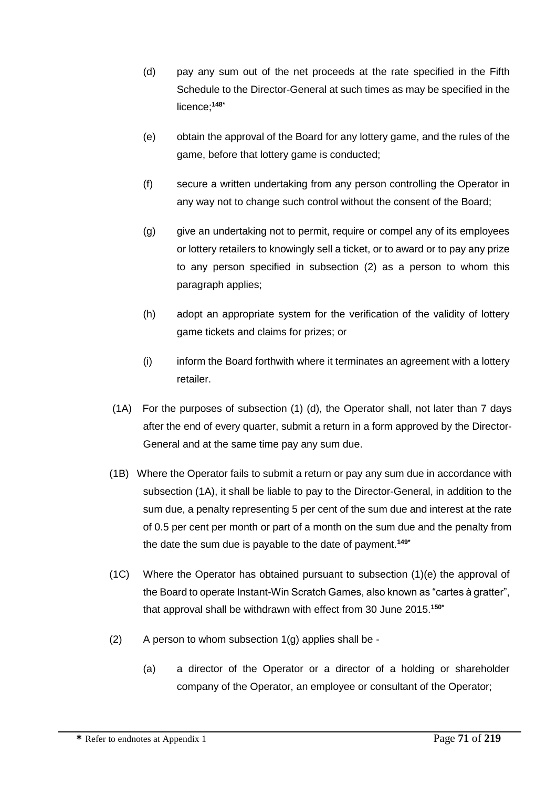- (d) pay any sum out of the net proceeds at the rate specified in the Fifth Schedule to the Director-General at such times as may be specified in the licence;**148\***
- (e) obtain the approval of the Board for any lottery game, and the rules of the game, before that lottery game is conducted;
- (f) secure a written undertaking from any person controlling the Operator in any way not to change such control without the consent of the Board;
- (g) give an undertaking not to permit, require or compel any of its employees or lottery retailers to knowingly sell a ticket, or to award or to pay any prize to any person specified in subsection (2) as a person to whom this paragraph applies;
- (h) adopt an appropriate system for the verification of the validity of lottery game tickets and claims for prizes; or
- (i) inform the Board forthwith where it terminates an agreement with a lottery retailer.
- (1A) For the purposes of subsection (1) (d), the Operator shall, not later than 7 days after the end of every quarter, submit a return in a form approved by the Director-General and at the same time pay any sum due.
- (1B) Where the Operator fails to submit a return or pay any sum due in accordance with subsection (1A), it shall be liable to pay to the Director-General, in addition to the sum due, a penalty representing 5 per cent of the sum due and interest at the rate of 0.5 per cent per month or part of a month on the sum due and the penalty from the date the sum due is payable to the date of payment.**149\***
- (1C) Where the Operator has obtained pursuant to subsection (1)(e) the approval of the Board to operate Instant-Win Scratch Games, also known as "cartes à gratter", that approval shall be withdrawn with effect from 30 June 2015.**150\***
- $(2)$  A person to whom subsection  $1(q)$  applies shall be -
	- (a) a director of the Operator or a director of a holding or shareholder company of the Operator, an employee or consultant of the Operator;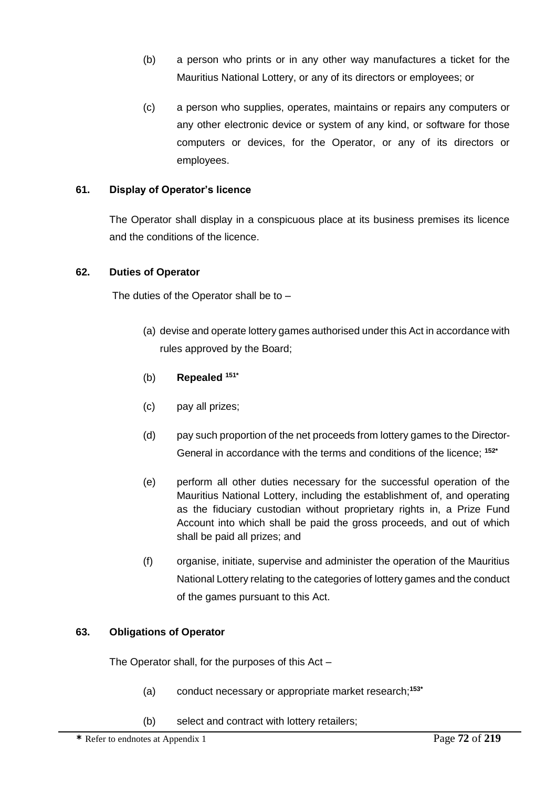- (b) a person who prints or in any other way manufactures a ticket for the Mauritius National Lottery, or any of its directors or employees; or
- (c) a person who supplies, operates, maintains or repairs any computers or any other electronic device or system of any kind, or software for those computers or devices, for the Operator, or any of its directors or employees.

## **61. Display of Operator's licence**

The Operator shall display in a conspicuous place at its business premises its licence and the conditions of the licence.

## **62. Duties of Operator**

The duties of the Operator shall be to –

- (a) devise and operate lottery games authorised under this Act in accordance with rules approved by the Board;
- (b) **Repealed 151\***
- (c) pay all prizes;
- (d) pay such proportion of the net proceeds from lottery games to the Director-General in accordance with the terms and conditions of the licence; **152\***
- (e) perform all other duties necessary for the successful operation of the Mauritius National Lottery, including the establishment of, and operating as the fiduciary custodian without proprietary rights in, a Prize Fund Account into which shall be paid the gross proceeds, and out of which shall be paid all prizes; and
- (f) organise, initiate, supervise and administer the operation of the Mauritius National Lottery relating to the categories of lottery games and the conduct of the games pursuant to this Act.

## **63. Obligations of Operator**

The Operator shall, for the purposes of this Act –

- (a) conduct necessary or appropriate market research; **153\***
- (b) select and contract with lottery retailers;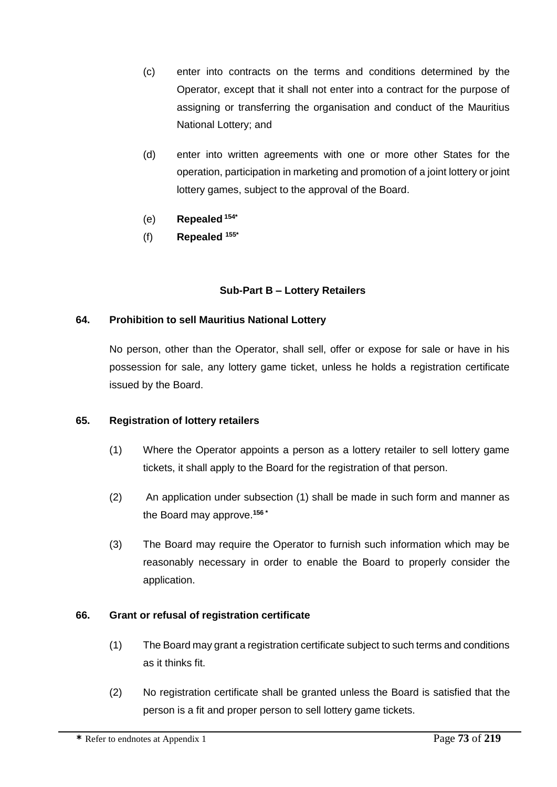- (c) enter into contracts on the terms and conditions determined by the Operator, except that it shall not enter into a contract for the purpose of assigning or transferring the organisation and conduct of the Mauritius National Lottery; and
- (d) enter into written agreements with one or more other States for the operation, participation in marketing and promotion of a joint lottery or joint lottery games, subject to the approval of the Board.
- (e) **Repealed 154\***
- (f) **Repealed 155\***

## **Sub-Part B – Lottery Retailers**

### **64. Prohibition to sell Mauritius National Lottery**

No person, other than the Operator, shall sell, offer or expose for sale or have in his possession for sale, any lottery game ticket, unless he holds a registration certificate issued by the Board.

### **65. Registration of lottery retailers**

- (1) Where the Operator appoints a person as a lottery retailer to sell lottery game tickets, it shall apply to the Board for the registration of that person.
- (2) An application under subsection (1) shall be made in such form and manner as the Board may approve.**<sup>156</sup> \***
- (3) The Board may require the Operator to furnish such information which may be reasonably necessary in order to enable the Board to properly consider the application.

### **66. Grant or refusal of registration certificate**

- (1) The Board may grant a registration certificate subject to such terms and conditions as it thinks fit.
- (2) No registration certificate shall be granted unless the Board is satisfied that the person is a fit and proper person to sell lottery game tickets.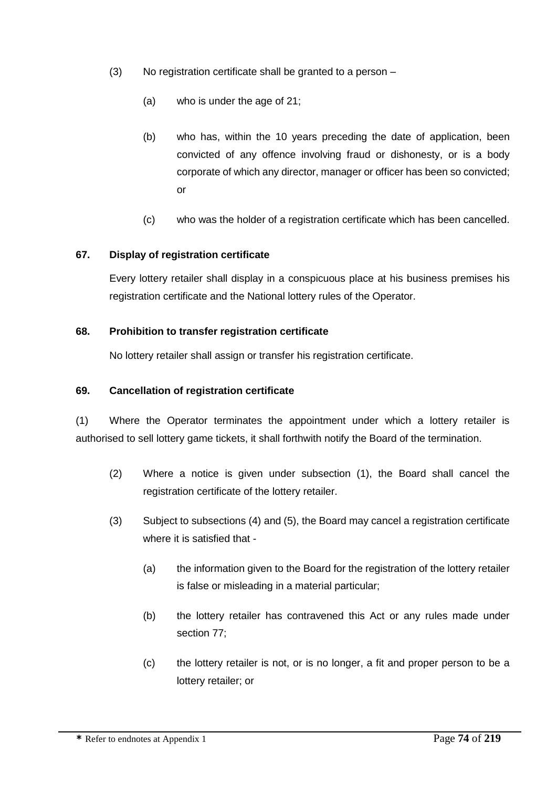- (3) No registration certificate shall be granted to a person
	- (a) who is under the age of 21;
	- (b) who has, within the 10 years preceding the date of application, been convicted of any offence involving fraud or dishonesty, or is a body corporate of which any director, manager or officer has been so convicted; or
	- (c) who was the holder of a registration certificate which has been cancelled.

### **67. Display of registration certificate**

Every lottery retailer shall display in a conspicuous place at his business premises his registration certificate and the National lottery rules of the Operator.

### **68. Prohibition to transfer registration certificate**

No lottery retailer shall assign or transfer his registration certificate.

#### **69. Cancellation of registration certificate**

(1) Where the Operator terminates the appointment under which a lottery retailer is authorised to sell lottery game tickets, it shall forthwith notify the Board of the termination.

- (2) Where a notice is given under subsection (1), the Board shall cancel the registration certificate of the lottery retailer.
- (3) Subject to subsections (4) and (5), the Board may cancel a registration certificate where it is satisfied that -
	- (a) the information given to the Board for the registration of the lottery retailer is false or misleading in a material particular;
	- (b) the lottery retailer has contravened this Act or any rules made under section 77;
	- (c) the lottery retailer is not, or is no longer, a fit and proper person to be a lottery retailer; or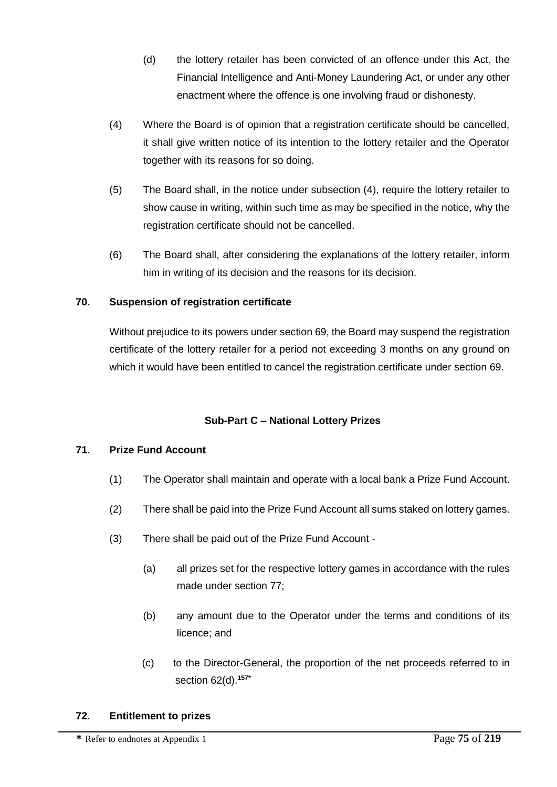- (d) the lottery retailer has been convicted of an offence under this Act, the Financial Intelligence and Anti-Money Laundering Act, or under any other enactment where the offence is one involving fraud or dishonesty.
- (4) Where the Board is of opinion that a registration certificate should be cancelled, it shall give written notice of its intention to the lottery retailer and the Operator together with its reasons for so doing.
- (5) The Board shall, in the notice under subsection (4), require the lottery retailer to show cause in writing, within such time as may be specified in the notice, why the registration certificate should not be cancelled.
- (6) The Board shall, after considering the explanations of the lottery retailer, inform him in writing of its decision and the reasons for its decision.

## **70. Suspension of registration certificate**

Without prejudice to its powers under section 69, the Board may suspend the registration certificate of the lottery retailer for a period not exceeding 3 months on any ground on which it would have been entitled to cancel the registration certificate under section 69.

# **Sub-Part C – National Lottery Prizes**

### **71. Prize Fund Account**

- (1) The Operator shall maintain and operate with a local bank a Prize Fund Account.
- (2) There shall be paid into the Prize Fund Account all sums staked on lottery games.
- (3) There shall be paid out of the Prize Fund Account
	- (a) all prizes set for the respective lottery games in accordance with the rules made under section 77;
	- (b) any amount due to the Operator under the terms and conditions of its licence; and
	- (c) to the Director-General, the proportion of the net proceeds referred to in section 62(d).**157\***

### **72. Entitlement to prizes**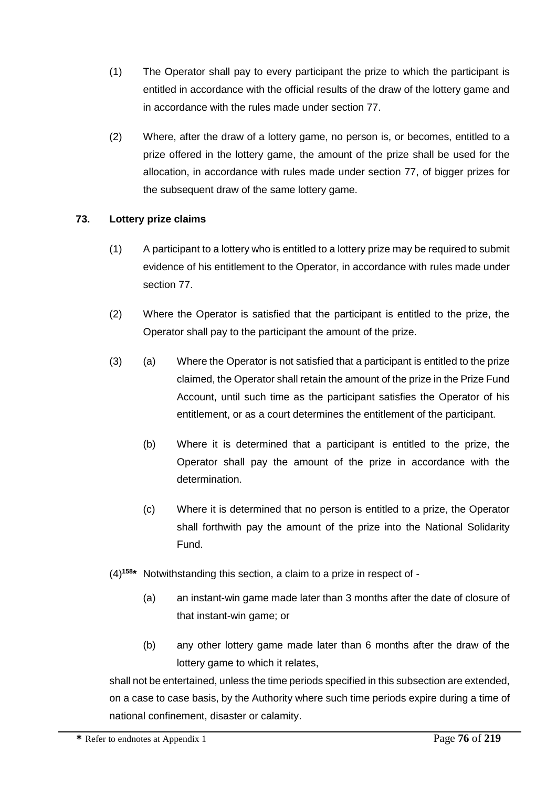- (1) The Operator shall pay to every participant the prize to which the participant is entitled in accordance with the official results of the draw of the lottery game and in accordance with the rules made under section 77.
- (2) Where, after the draw of a lottery game, no person is, or becomes, entitled to a prize offered in the lottery game, the amount of the prize shall be used for the allocation, in accordance with rules made under section 77, of bigger prizes for the subsequent draw of the same lottery game.

## **73. Lottery prize claims**

- (1) A participant to a lottery who is entitled to a lottery prize may be required to submit evidence of his entitlement to the Operator, in accordance with rules made under section 77.
- (2) Where the Operator is satisfied that the participant is entitled to the prize, the Operator shall pay to the participant the amount of the prize.
- (3) (a) Where the Operator is not satisfied that a participant is entitled to the prize claimed, the Operator shall retain the amount of the prize in the Prize Fund Account, until such time as the participant satisfies the Operator of his entitlement, or as a court determines the entitlement of the participant.
	- (b) Where it is determined that a participant is entitled to the prize, the Operator shall pay the amount of the prize in accordance with the determination.
	- (c) Where it is determined that no person is entitled to a prize, the Operator shall forthwith pay the amount of the prize into the National Solidarity Fund.
- (4)**<sup>158</sup> \*** Notwithstanding this section, a claim to a prize in respect of
	- (a) an instant-win game made later than 3 months after the date of closure of that instant-win game; or
	- (b) any other lottery game made later than 6 months after the draw of the lottery game to which it relates,

shall not be entertained, unless the time periods specified in this subsection are extended, on a case to case basis, by the Authority where such time periods expire during a time of national confinement, disaster or calamity.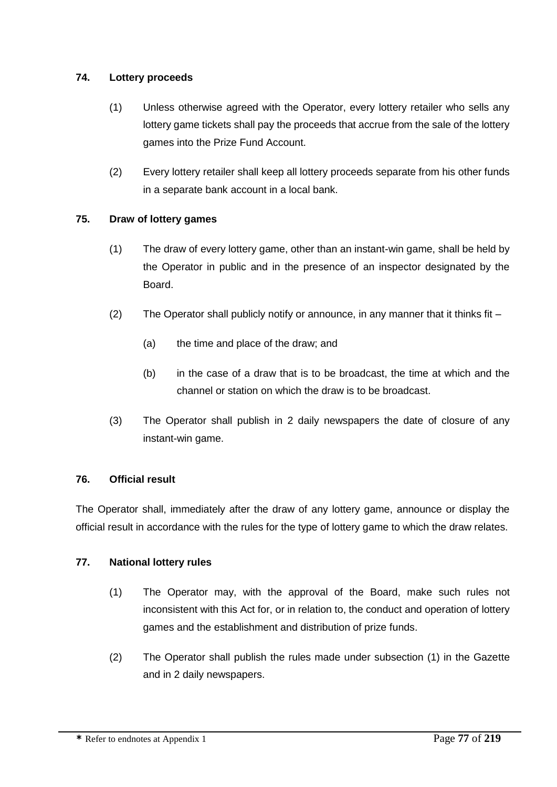## **74. Lottery proceeds**

- (1) Unless otherwise agreed with the Operator, every lottery retailer who sells any lottery game tickets shall pay the proceeds that accrue from the sale of the lottery games into the Prize Fund Account.
- (2) Every lottery retailer shall keep all lottery proceeds separate from his other funds in a separate bank account in a local bank.

# **75. Draw of lottery games**

- (1) The draw of every lottery game, other than an instant-win game, shall be held by the Operator in public and in the presence of an inspector designated by the Board.
- (2) The Operator shall publicly notify or announce, in any manner that it thinks fit  $-$ 
	- (a) the time and place of the draw; and
	- (b) in the case of a draw that is to be broadcast, the time at which and the channel or station on which the draw is to be broadcast.
- (3) The Operator shall publish in 2 daily newspapers the date of closure of any instant-win game.

# **76. Official result**

The Operator shall, immediately after the draw of any lottery game, announce or display the official result in accordance with the rules for the type of lottery game to which the draw relates.

# **77. National lottery rules**

- (1) The Operator may, with the approval of the Board, make such rules not inconsistent with this Act for, or in relation to, the conduct and operation of lottery games and the establishment and distribution of prize funds.
- (2) The Operator shall publish the rules made under subsection (1) in the Gazette and in 2 daily newspapers.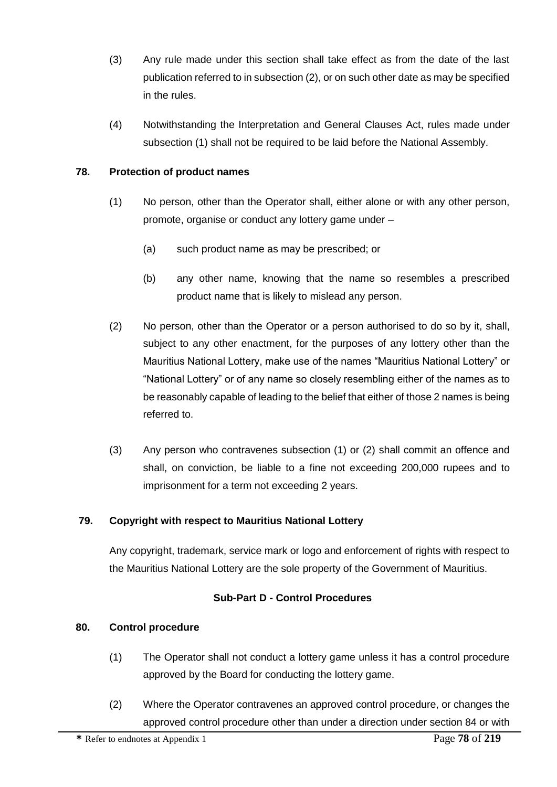- (3) Any rule made under this section shall take effect as from the date of the last publication referred to in subsection (2), or on such other date as may be specified in the rules.
- (4) Notwithstanding the Interpretation and General Clauses Act, rules made under subsection (1) shall not be required to be laid before the National Assembly.

## **78. Protection of product names**

- (1) No person, other than the Operator shall, either alone or with any other person, promote, organise or conduct any lottery game under –
	- (a) such product name as may be prescribed; or
	- (b) any other name, knowing that the name so resembles a prescribed product name that is likely to mislead any person.
- (2) No person, other than the Operator or a person authorised to do so by it, shall, subject to any other enactment, for the purposes of any lottery other than the Mauritius National Lottery, make use of the names "Mauritius National Lottery" or "National Lottery" or of any name so closely resembling either of the names as to be reasonably capable of leading to the belief that either of those 2 names is being referred to.
- (3) Any person who contravenes subsection (1) or (2) shall commit an offence and shall, on conviction, be liable to a fine not exceeding 200,000 rupees and to imprisonment for a term not exceeding 2 years.

# **79. Copyright with respect to Mauritius National Lottery**

Any copyright, trademark, service mark or logo and enforcement of rights with respect to the Mauritius National Lottery are the sole property of the Government of Mauritius.

# **Sub-Part D - Control Procedures**

### **80. Control procedure**

- (1) The Operator shall not conduct a lottery game unless it has a control procedure approved by the Board for conducting the lottery game.
- (2) Where the Operator contravenes an approved control procedure, or changes the approved control procedure other than under a direction under section 84 or with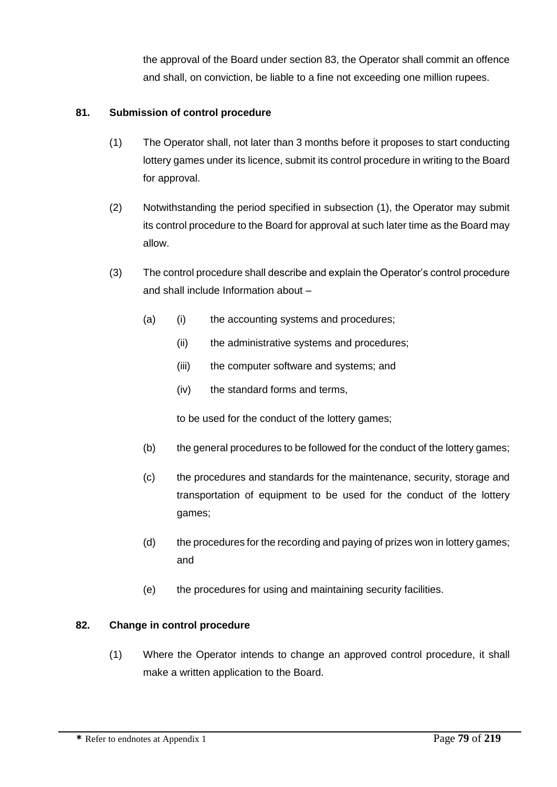the approval of the Board under section 83, the Operator shall commit an offence and shall, on conviction, be liable to a fine not exceeding one million rupees.

## **81. Submission of control procedure**

- (1) The Operator shall, not later than 3 months before it proposes to start conducting lottery games under its licence, submit its control procedure in writing to the Board for approval.
- (2) Notwithstanding the period specified in subsection (1), the Operator may submit its control procedure to the Board for approval at such later time as the Board may allow.
- (3) The control procedure shall describe and explain the Operator's control procedure and shall include Information about –
	- (a) (i) the accounting systems and procedures;
		- (ii) the administrative systems and procedures;
		- (iii) the computer software and systems; and
		- (iv) the standard forms and terms,

to be used for the conduct of the lottery games;

- (b) the general procedures to be followed for the conduct of the lottery games;
- (c) the procedures and standards for the maintenance, security, storage and transportation of equipment to be used for the conduct of the lottery games;
- (d) the procedures for the recording and paying of prizes won in lottery games; and
- (e) the procedures for using and maintaining security facilities.

### **82. Change in control procedure**

(1) Where the Operator intends to change an approved control procedure, it shall make a written application to the Board.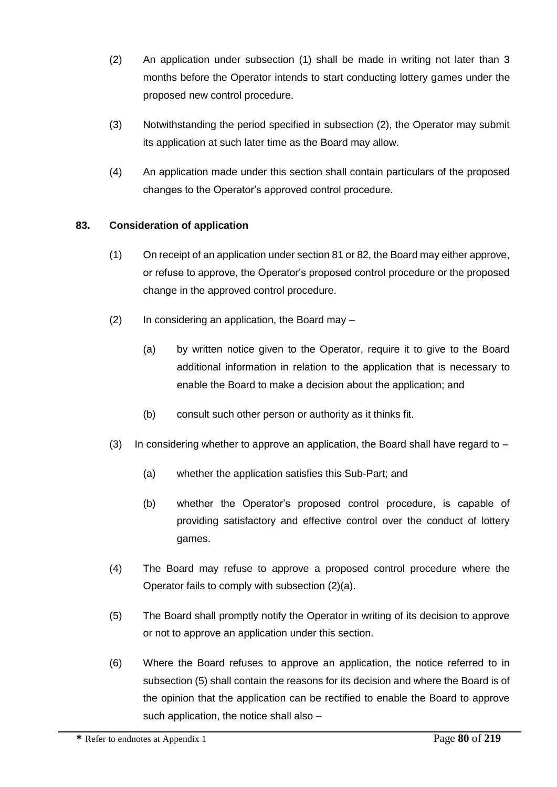- (2) An application under subsection (1) shall be made in writing not later than 3 months before the Operator intends to start conducting lottery games under the proposed new control procedure.
- (3) Notwithstanding the period specified in subsection (2), the Operator may submit its application at such later time as the Board may allow.
- (4) An application made under this section shall contain particulars of the proposed changes to the Operator's approved control procedure.

## **83. Consideration of application**

- (1) On receipt of an application under section 81 or 82, the Board may either approve, or refuse to approve, the Operator's proposed control procedure or the proposed change in the approved control procedure.
- (2) In considering an application, the Board may
	- (a) by written notice given to the Operator, require it to give to the Board additional information in relation to the application that is necessary to enable the Board to make a decision about the application; and
	- (b) consult such other person or authority as it thinks fit.
- (3) In considering whether to approve an application, the Board shall have regard to  $-$ 
	- (a) whether the application satisfies this Sub-Part; and
	- (b) whether the Operator's proposed control procedure, is capable of providing satisfactory and effective control over the conduct of lottery games.
- (4) The Board may refuse to approve a proposed control procedure where the Operator fails to comply with subsection (2)(a).
- (5) The Board shall promptly notify the Operator in writing of its decision to approve or not to approve an application under this section.
- (6) Where the Board refuses to approve an application, the notice referred to in subsection (5) shall contain the reasons for its decision and where the Board is of the opinion that the application can be rectified to enable the Board to approve such application, the notice shall also –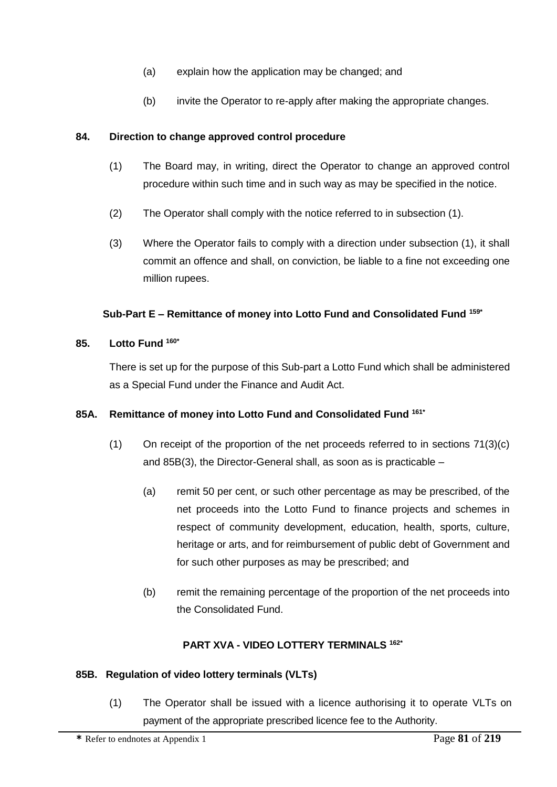- (a) explain how the application may be changed; and
- (b) invite the Operator to re-apply after making the appropriate changes.

### **84. Direction to change approved control procedure**

- (1) The Board may, in writing, direct the Operator to change an approved control procedure within such time and in such way as may be specified in the notice.
- (2) The Operator shall comply with the notice referred to in subsection (1).
- (3) Where the Operator fails to comply with a direction under subsection (1), it shall commit an offence and shall, on conviction, be liable to a fine not exceeding one million rupees.

### **Sub-Part E – Remittance of money into Lotto Fund and Consolidated Fund 159\***

### **85. Lotto Fund 160\***

There is set up for the purpose of this Sub-part a Lotto Fund which shall be administered as a Special Fund under the Finance and Audit Act.

### **85A. Remittance of money into Lotto Fund and Consolidated Fund 161\***

- (1) On receipt of the proportion of the net proceeds referred to in sections 71(3)(c) and 85B(3), the Director-General shall, as soon as is practicable –
	- (a) remit 50 per cent, or such other percentage as may be prescribed, of the net proceeds into the Lotto Fund to finance projects and schemes in respect of community development, education, health, sports, culture, heritage or arts, and for reimbursement of public debt of Government and for such other purposes as may be prescribed; and
	- (b) remit the remaining percentage of the proportion of the net proceeds into the Consolidated Fund.

### **PART XVA - VIDEO LOTTERY TERMINALS 162\***

#### **85B. Regulation of video lottery terminals (VLTs)**

(1) The Operator shall be issued with a licence authorising it to operate VLTs on payment of the appropriate prescribed licence fee to the Authority.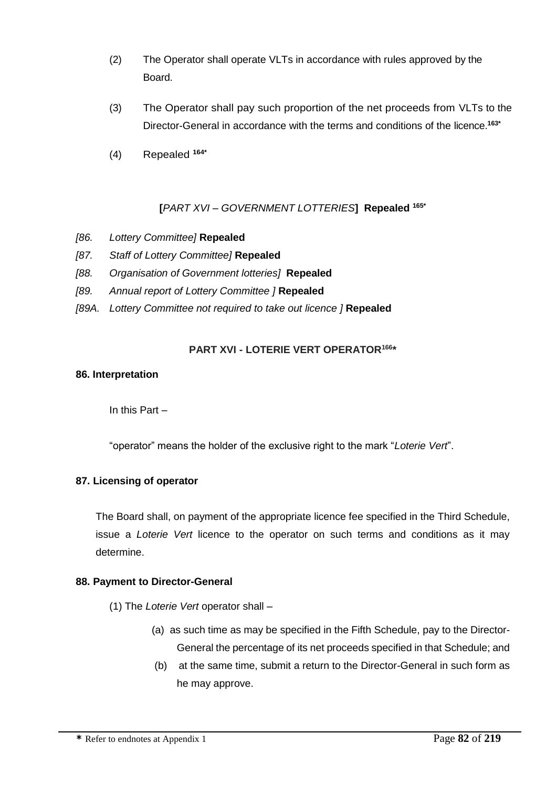- (2) The Operator shall operate VLTs in accordance with rules approved by the Board.
- (3) The Operator shall pay such proportion of the net proceeds from VLTs to the Director-General in accordance with the terms and conditions of the licence.**163\***
- (4) Repealed **164\***

## **[***PART XVI – GOVERNMENT LOTTERIES***] Repealed 165\***

- *[86. Lottery Committee]* **Repealed**
- *[87. Staff of Lottery Committee]* **Repealed**
- *[88. Organisation of Government lotteries]* **Repealed**
- *[89. Annual report of Lottery Committee ]* **Repealed**
- *[89A. Lottery Committee not required to take out licence ]* **Repealed**

#### **PART XVI - LOTERIE VERT OPERATOR<sup>166</sup> \***

#### **86. Interpretation**

In this Part –

"operator" means the holder of the exclusive right to the mark "*Loterie Vert*".

#### **87. Licensing of operator**

The Board shall, on payment of the appropriate licence fee specified in the Third Schedule, issue a *Loterie Vert* licence to the operator on such terms and conditions as it may determine.

#### **88. Payment to Director-General**

(1) The *Loterie Vert* operator shall –

- (a) as such time as may be specified in the Fifth Schedule, pay to the Director-General the percentage of its net proceeds specified in that Schedule; and
- (b) at the same time, submit a return to the Director-General in such form as he may approve.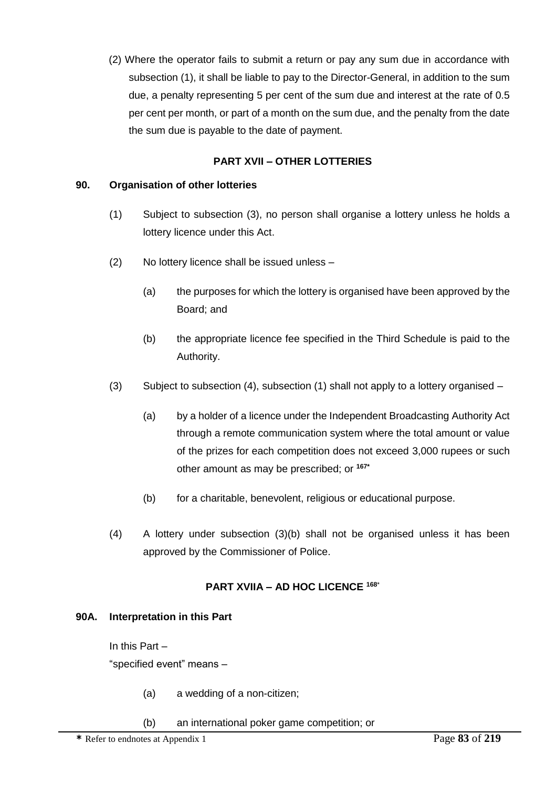(2) Where the operator fails to submit a return or pay any sum due in accordance with subsection (1), it shall be liable to pay to the Director-General, in addition to the sum due, a penalty representing 5 per cent of the sum due and interest at the rate of 0.5 per cent per month, or part of a month on the sum due, and the penalty from the date the sum due is payable to the date of payment.

## **PART XVII – OTHER LOTTERIES**

### **90. Organisation of other lotteries**

- (1) Subject to subsection (3), no person shall organise a lottery unless he holds a lottery licence under this Act.
- (2) No lottery licence shall be issued unless
	- (a) the purposes for which the lottery is organised have been approved by the Board; and
	- (b) the appropriate licence fee specified in the Third Schedule is paid to the Authority.
- (3) Subject to subsection (4), subsection (1) shall not apply to a lottery organised
	- (a) by a holder of a licence under the Independent Broadcasting Authority Act through a remote communication system where the total amount or value of the prizes for each competition does not exceed 3,000 rupees or such other amount as may be prescribed; or **167\***
	- (b) for a charitable, benevolent, religious or educational purpose.
- (4) A lottery under subsection (3)(b) shall not be organised unless it has been approved by the Commissioner of Police.

### **PART XVIIA – AD HOC LICENCE <sup>168</sup>**\*

### **90A. Interpretation in this Part**

In this Part –

"specified event" means –

- (a) a wedding of a non-citizen;
- (b) an international poker game competition; or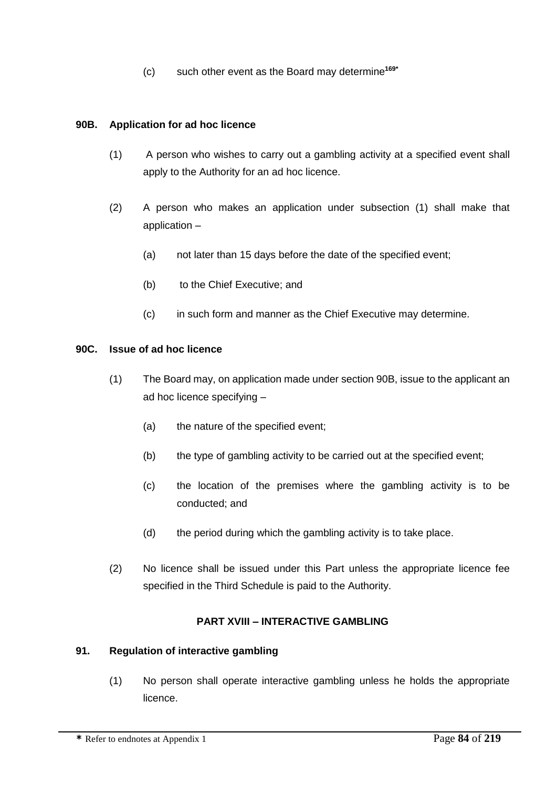(c) such other event as the Board may determine**169\***

### **90B. Application for ad hoc licence**

- (1) A person who wishes to carry out a gambling activity at a specified event shall apply to the Authority for an ad hoc licence.
- (2) A person who makes an application under subsection (1) shall make that application –
	- (a) not later than 15 days before the date of the specified event;
	- (b) to the Chief Executive; and
	- (c) in such form and manner as the Chief Executive may determine.

#### **90C. Issue of ad hoc licence**

- (1) The Board may, on application made under section 90B, issue to the applicant an ad hoc licence specifying –
	- (a) the nature of the specified event;
	- (b) the type of gambling activity to be carried out at the specified event;
	- (c) the location of the premises where the gambling activity is to be conducted; and
	- (d) the period during which the gambling activity is to take place.
- (2) No licence shall be issued under this Part unless the appropriate licence fee specified in the Third Schedule is paid to the Authority.

#### **PART XVIII – INTERACTIVE GAMBLING**

#### **91. Regulation of interactive gambling**

(1) No person shall operate interactive gambling unless he holds the appropriate licence.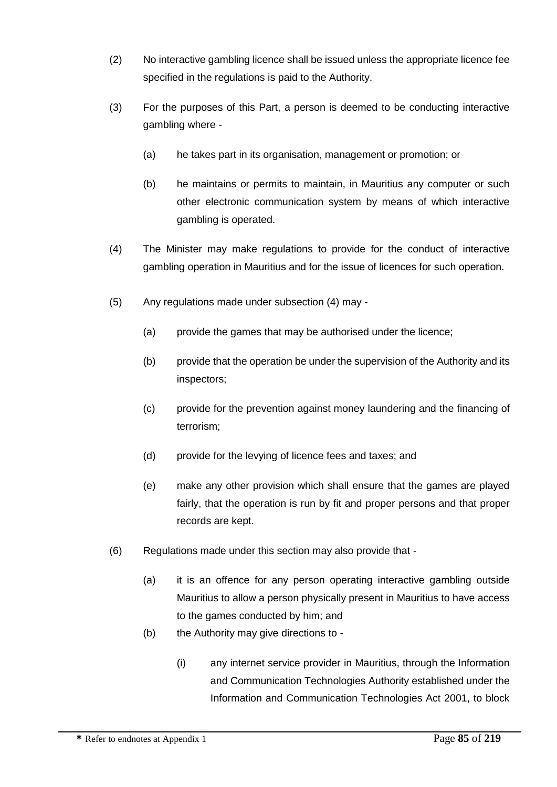- (2) No interactive gambling licence shall be issued unless the appropriate licence fee specified in the regulations is paid to the Authority.
- (3) For the purposes of this Part, a person is deemed to be conducting interactive gambling where -
	- (a) he takes part in its organisation, management or promotion; or
	- (b) he maintains or permits to maintain, in Mauritius any computer or such other electronic communication system by means of which interactive gambling is operated.
- (4) The Minister may make regulations to provide for the conduct of interactive gambling operation in Mauritius and for the issue of licences for such operation.
- (5) Any regulations made under subsection (4) may
	- (a) provide the games that may be authorised under the licence;
	- (b) provide that the operation be under the supervision of the Authority and its inspectors;
	- (c) provide for the prevention against money laundering and the financing of terrorism;
	- (d) provide for the levying of licence fees and taxes; and
	- (e) make any other provision which shall ensure that the games are played fairly, that the operation is run by fit and proper persons and that proper records are kept.
- (6) Regulations made under this section may also provide that
	- (a) it is an offence for any person operating interactive gambling outside Mauritius to allow a person physically present in Mauritius to have access to the games conducted by him; and
	- (b) the Authority may give directions to
		- (i) any internet service provider in Mauritius, through the Information and Communication Technologies Authority established under the Information and Communication Technologies Act 2001, to block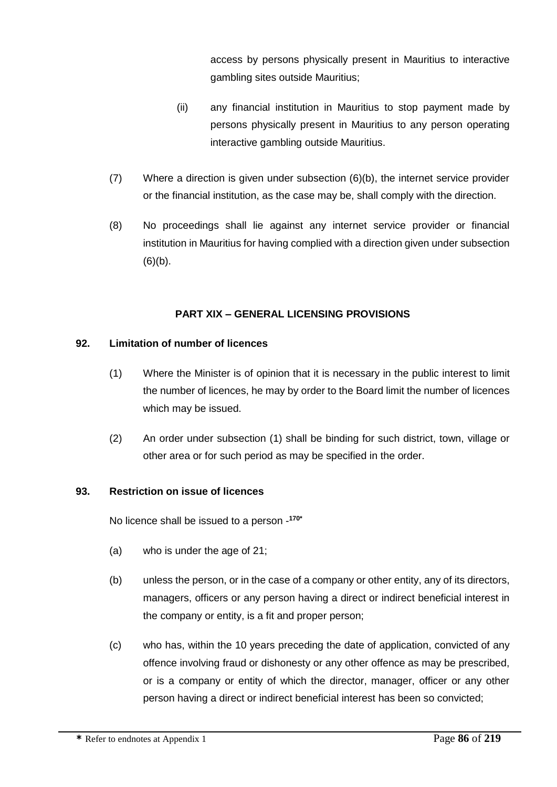access by persons physically present in Mauritius to interactive gambling sites outside Mauritius;

- (ii) any financial institution in Mauritius to stop payment made by persons physically present in Mauritius to any person operating interactive gambling outside Mauritius.
- (7) Where a direction is given under subsection (6)(b), the internet service provider or the financial institution, as the case may be, shall comply with the direction.
- (8) No proceedings shall lie against any internet service provider or financial institution in Mauritius for having complied with a direction given under subsection  $(6)(b)$ .

# **PART XIX – GENERAL LICENSING PROVISIONS**

### **92. Limitation of number of licences**

- (1) Where the Minister is of opinion that it is necessary in the public interest to limit the number of licences, he may by order to the Board limit the number of licences which may be issued.
- (2) An order under subsection (1) shall be binding for such district, town, village or other area or for such period as may be specified in the order.

### **93. Restriction on issue of licences**

No licence shall be issued to a person - **170\***

- (a) who is under the age of 21;
- (b) unless the person, or in the case of a company or other entity, any of its directors, managers, officers or any person having a direct or indirect beneficial interest in the company or entity, is a fit and proper person;
- (c) who has, within the 10 years preceding the date of application, convicted of any offence involving fraud or dishonesty or any other offence as may be prescribed, or is a company or entity of which the director, manager, officer or any other person having a direct or indirect beneficial interest has been so convicted;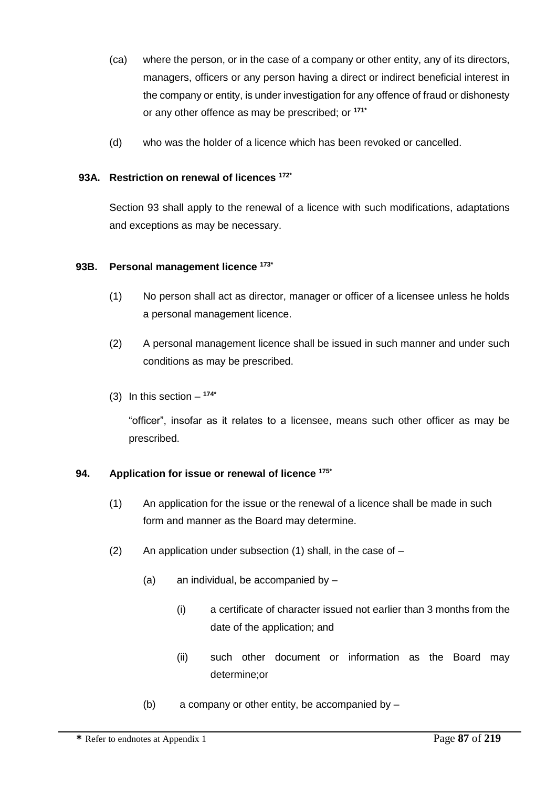- (ca) where the person, or in the case of a company or other entity, any of its directors, managers, officers or any person having a direct or indirect beneficial interest in the company or entity, is under investigation for any offence of fraud or dishonesty or any other offence as may be prescribed; or **171\***
- (d) who was the holder of a licence which has been revoked or cancelled.

## **93A. Restriction on renewal of licences 172\***

Section 93 shall apply to the renewal of a licence with such modifications, adaptations and exceptions as may be necessary.

## **93B. Personal management licence 173\***

- (1) No person shall act as director, manager or officer of a licensee unless he holds a personal management licence.
- (2) A personal management licence shall be issued in such manner and under such conditions as may be prescribed.
- (3) In this section **174\***

"officer", insofar as it relates to a licensee, means such other officer as may be prescribed.

# **94. Application for issue or renewal of licence 175\***

- (1) An application for the issue or the renewal of a licence shall be made in such form and manner as the Board may determine.
- (2) An application under subsection  $(1)$  shall, in the case of  $-$ 
	- (a) an individual, be accompanied by
		- (i) a certificate of character issued not earlier than 3 months from the date of the application; and
		- (ii) such other document or information as the Board may determine;or
	- (b) a company or other entity, be accompanied by –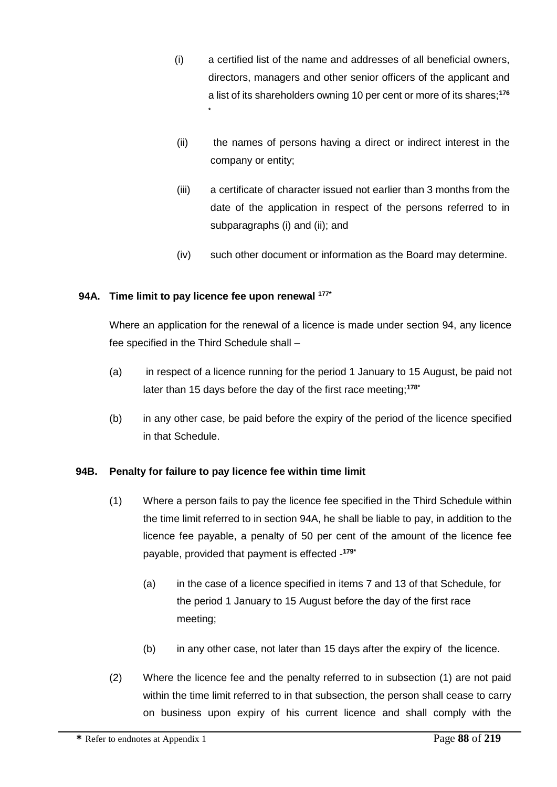- (i) a certified list of the name and addresses of all beneficial owners, directors, managers and other senior officers of the applicant and a list of its shareholders owning 10 per cent or more of its shares;**<sup>176</sup>**
- (ii) the names of persons having a direct or indirect interest in the company or entity;
- (iii) a certificate of character issued not earlier than 3 months from the date of the application in respect of the persons referred to in subparagraphs (i) and (ii); and
- (iv) such other document or information as the Board may determine.

## **94A. Time limit to pay licence fee upon renewal 177\***

**\***

Where an application for the renewal of a licence is made under section 94, any licence fee specified in the Third Schedule shall –

- (a) in respect of a licence running for the period 1 January to 15 August, be paid not later than 15 days before the day of the first race meeting;**178\***
- (b) in any other case, be paid before the expiry of the period of the licence specified in that Schedule.

# **94B. Penalty for failure to pay licence fee within time limit**

- (1) Where a person fails to pay the licence fee specified in the Third Schedule within the time limit referred to in section 94A, he shall be liable to pay, in addition to the licence fee payable, a penalty of 50 per cent of the amount of the licence fee payable, provided that payment is effected - **179\***
	- (a) in the case of a licence specified in items 7 and 13 of that Schedule, for the period 1 January to 15 August before the day of the first race meeting;
	- (b) in any other case, not later than 15 days after the expiry of the licence.
- (2) Where the licence fee and the penalty referred to in subsection (1) are not paid within the time limit referred to in that subsection, the person shall cease to carry on business upon expiry of his current licence and shall comply with the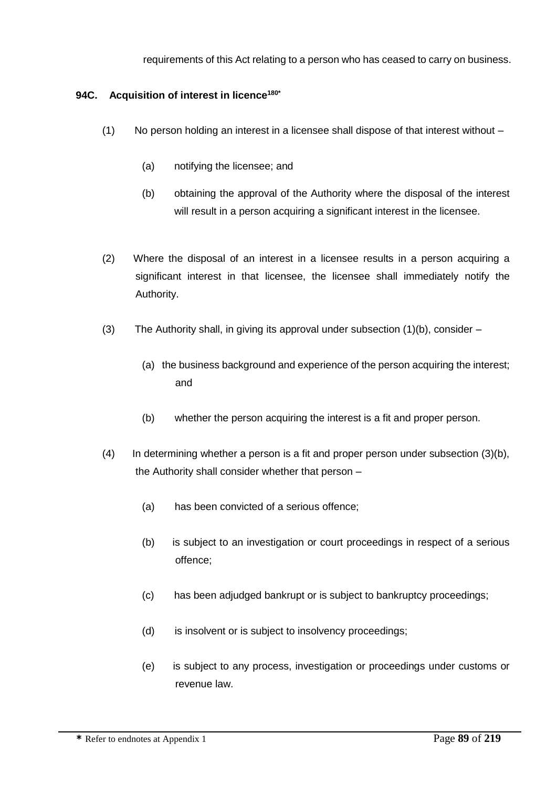requirements of this Act relating to a person who has ceased to carry on business.

## **94C. Acquisition of interest in licence180\***

- (1) No person holding an interest in a licensee shall dispose of that interest without
	- (a) notifying the licensee; and
	- (b) obtaining the approval of the Authority where the disposal of the interest will result in a person acquiring a significant interest in the licensee.
- (2) Where the disposal of an interest in a licensee results in a person acquiring a significant interest in that licensee, the licensee shall immediately notify the Authority.
- (3) The Authority shall, in giving its approval under subsection (1)(b), consider
	- (a) the business background and experience of the person acquiring the interest; and
	- (b) whether the person acquiring the interest is a fit and proper person.
- (4) In determining whether a person is a fit and proper person under subsection (3)(b), the Authority shall consider whether that person –
	- (a) has been convicted of a serious offence;
	- (b) is subject to an investigation or court proceedings in respect of a serious offence;
	- (c) has been adjudged bankrupt or is subject to bankruptcy proceedings;
	- (d) is insolvent or is subject to insolvency proceedings;
	- (e) is subject to any process, investigation or proceedings under customs or revenue law.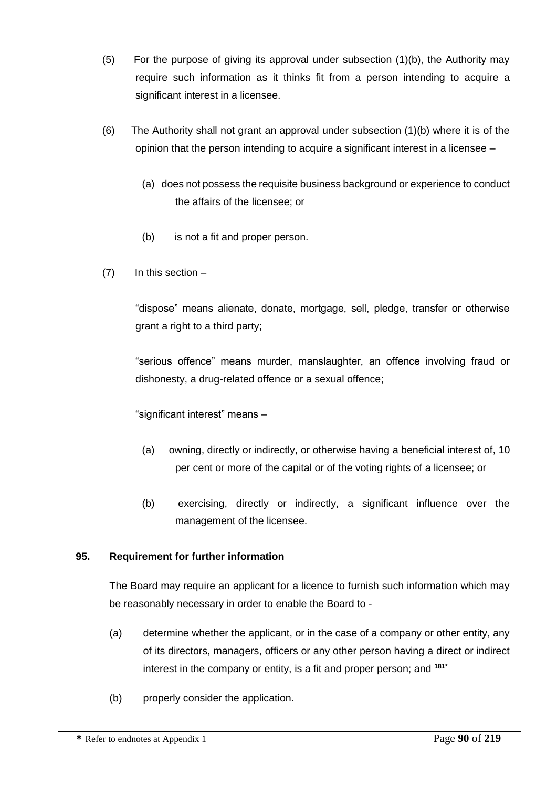- (5) For the purpose of giving its approval under subsection (1)(b), the Authority may require such information as it thinks fit from a person intending to acquire a significant interest in a licensee.
- (6) The Authority shall not grant an approval under subsection (1)(b) where it is of the opinion that the person intending to acquire a significant interest in a licensee –
	- (a) does not possess the requisite business background or experience to conduct the affairs of the licensee; or
	- (b) is not a fit and proper person.
- $(7)$  In this section –

"dispose" means alienate, donate, mortgage, sell, pledge, transfer or otherwise grant a right to a third party;

"serious offence" means murder, manslaughter, an offence involving fraud or dishonesty, a drug-related offence or a sexual offence;

"significant interest" means –

- (a) owning, directly or indirectly, or otherwise having a beneficial interest of, 10 per cent or more of the capital or of the voting rights of a licensee; or
- (b) exercising, directly or indirectly, a significant influence over the management of the licensee.

# **95. Requirement for further information**

The Board may require an applicant for a licence to furnish such information which may be reasonably necessary in order to enable the Board to -

- (a) determine whether the applicant, or in the case of a company or other entity, any of its directors, managers, officers or any other person having a direct or indirect interest in the company or entity, is a fit and proper person; and **181\***
- (b) properly consider the application.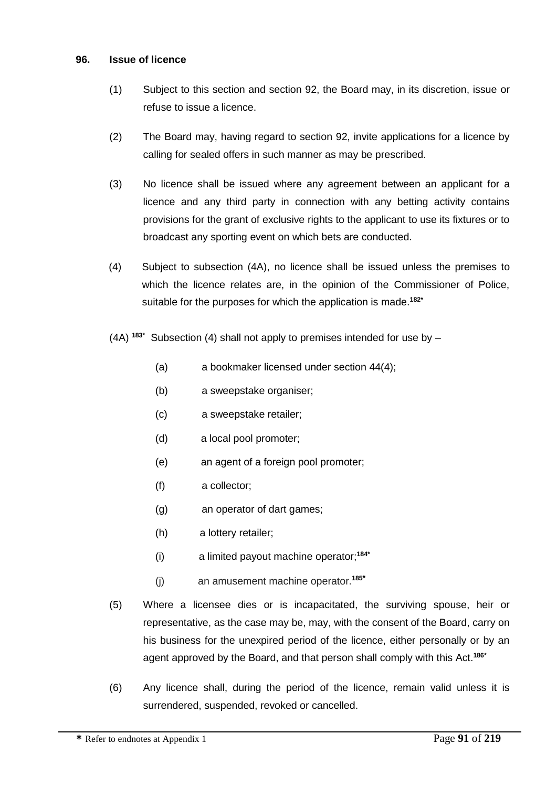#### **96. Issue of licence**

- (1) Subject to this section and section 92, the Board may, in its discretion, issue or refuse to issue a licence.
- (2) The Board may, having regard to section 92, invite applications for a licence by calling for sealed offers in such manner as may be prescribed.
- (3) No licence shall be issued where any agreement between an applicant for a licence and any third party in connection with any betting activity contains provisions for the grant of exclusive rights to the applicant to use its fixtures or to broadcast any sporting event on which bets are conducted.
- (4) Subject to subsection (4A), no licence shall be issued unless the premises to which the licence relates are, in the opinion of the Commissioner of Police, suitable for the purposes for which the application is made.**182\***
- (4A) **183\*** Subsection (4) shall not apply to premises intended for use by
	- (a) a bookmaker licensed under section 44(4);
	- (b) a sweepstake organiser;
	- (c) a sweepstake retailer;
	- (d) a local pool promoter;
	- (e) an agent of a foreign pool promoter;
	- (f) a collector;
	- (g) an operator of dart games;
	- (h) a lottery retailer;
	- (i) a limited payout machine operator; **184\***
	- (j) an amusement machine operator.**<sup>185</sup>\***
- (5) Where a licensee dies or is incapacitated, the surviving spouse, heir or representative, as the case may be, may, with the consent of the Board, carry on his business for the unexpired period of the licence, either personally or by an agent approved by the Board, and that person shall comply with this Act.**186\***
- (6) Any licence shall, during the period of the licence, remain valid unless it is surrendered, suspended, revoked or cancelled.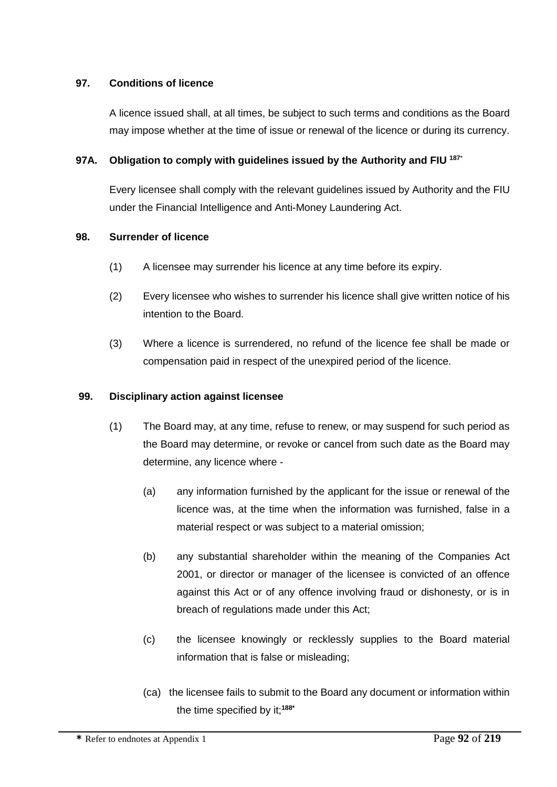### **97. Conditions of licence**

A licence issued shall, at all times, be subject to such terms and conditions as the Board may impose whether at the time of issue or renewal of the licence or during its currency.

### **97A. Obligation to comply with guidelines issued by the Authority and FIU <sup>187</sup>**\*

Every licensee shall comply with the relevant guidelines issued by Authority and the FIU under the Financial Intelligence and Anti-Money Laundering Act.

### **98. Surrender of licence**

- (1) A licensee may surrender his licence at any time before its expiry.
- (2) Every licensee who wishes to surrender his licence shall give written notice of his intention to the Board.
- (3) Where a licence is surrendered, no refund of the licence fee shall be made or compensation paid in respect of the unexpired period of the licence.

### **99. Disciplinary action against licensee**

- (1) The Board may, at any time, refuse to renew, or may suspend for such period as the Board may determine, or revoke or cancel from such date as the Board may determine, any licence where -
	- (a) any information furnished by the applicant for the issue or renewal of the licence was, at the time when the information was furnished, false in a material respect or was subject to a material omission;
	- (b) any substantial shareholder within the meaning of the Companies Act 2001, or director or manager of the licensee is convicted of an offence against this Act or of any offence involving fraud or dishonesty, or is in breach of regulations made under this Act;
	- (c) the licensee knowingly or recklessly supplies to the Board material information that is false or misleading;
	- (ca) the licensee fails to submit to the Board any document or information within the time specified by it;**188\***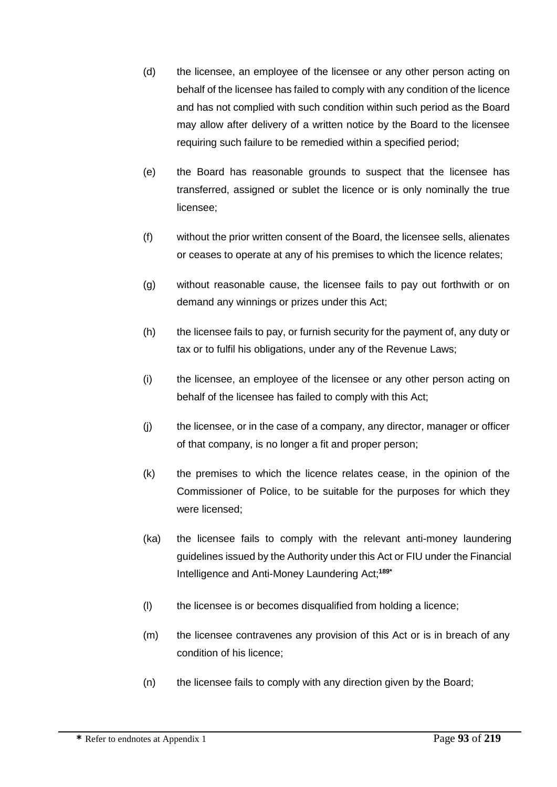- (d) the licensee, an employee of the licensee or any other person acting on behalf of the licensee has failed to comply with any condition of the licence and has not complied with such condition within such period as the Board may allow after delivery of a written notice by the Board to the licensee requiring such failure to be remedied within a specified period;
- (e) the Board has reasonable grounds to suspect that the licensee has transferred, assigned or sublet the licence or is only nominally the true licensee;
- (f) without the prior written consent of the Board, the licensee sells, alienates or ceases to operate at any of his premises to which the licence relates;
- (g) without reasonable cause, the licensee fails to pay out forthwith or on demand any winnings or prizes under this Act;
- (h) the licensee fails to pay, or furnish security for the payment of, any duty or tax or to fulfil his obligations, under any of the Revenue Laws;
- (i) the licensee, an employee of the licensee or any other person acting on behalf of the licensee has failed to comply with this Act;
- (j) the licensee, or in the case of a company, any director, manager or officer of that company, is no longer a fit and proper person;
- (k) the premises to which the licence relates cease, in the opinion of the Commissioner of Police, to be suitable for the purposes for which they were licensed;
- (ka) the licensee fails to comply with the relevant anti-money laundering guidelines issued by the Authority under this Act or FIU under the Financial Intelligence and Anti-Money Laundering Act;**189\***
- (l) the licensee is or becomes disqualified from holding a licence;
- (m) the licensee contravenes any provision of this Act or is in breach of any condition of his licence;
- (n) the licensee fails to comply with any direction given by the Board;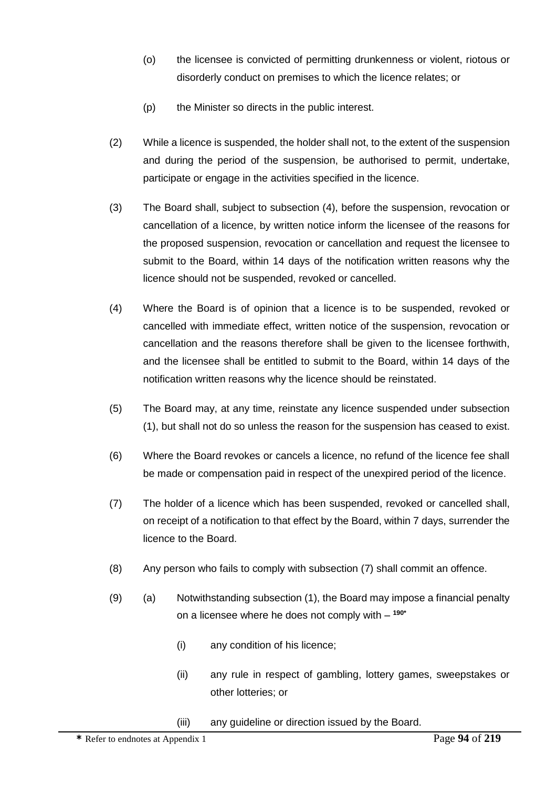- (o) the licensee is convicted of permitting drunkenness or violent, riotous or disorderly conduct on premises to which the licence relates; or
- (p) the Minister so directs in the public interest.
- (2) While a licence is suspended, the holder shall not, to the extent of the suspension and during the period of the suspension, be authorised to permit, undertake, participate or engage in the activities specified in the licence.
- (3) The Board shall, subject to subsection (4), before the suspension, revocation or cancellation of a licence, by written notice inform the licensee of the reasons for the proposed suspension, revocation or cancellation and request the licensee to submit to the Board, within 14 days of the notification written reasons why the licence should not be suspended, revoked or cancelled.
- (4) Where the Board is of opinion that a licence is to be suspended, revoked or cancelled with immediate effect, written notice of the suspension, revocation or cancellation and the reasons therefore shall be given to the licensee forthwith, and the licensee shall be entitled to submit to the Board, within 14 days of the notification written reasons why the licence should be reinstated.
- (5) The Board may, at any time, reinstate any licence suspended under subsection (1), but shall not do so unless the reason for the suspension has ceased to exist.
- (6) Where the Board revokes or cancels a licence, no refund of the licence fee shall be made or compensation paid in respect of the unexpired period of the licence.
- (7) The holder of a licence which has been suspended, revoked or cancelled shall, on receipt of a notification to that effect by the Board, within 7 days, surrender the licence to the Board.
- (8) Any person who fails to comply with subsection (7) shall commit an offence.
- (9) (a) Notwithstanding subsection (1), the Board may impose a financial penalty on a licensee where he does not comply with – **190\***
	- (i) any condition of his licence;
	- (ii) any rule in respect of gambling, lottery games, sweepstakes or other lotteries; or
	- (iii) any guideline or direction issued by the Board.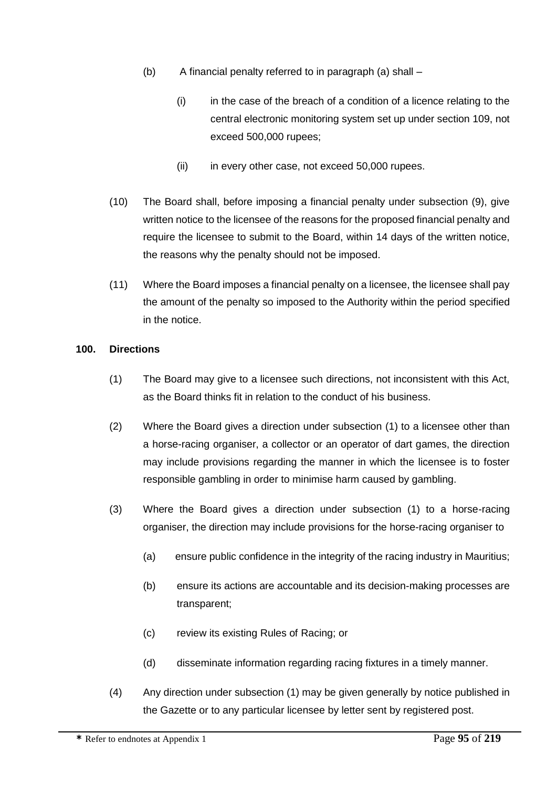- (b) A financial penalty referred to in paragraph (a) shall
	- $(i)$  in the case of the breach of a condition of a licence relating to the central electronic monitoring system set up under section 109, not exceed 500,000 rupees;
	- (ii) in every other case, not exceed 50,000 rupees.
- (10) The Board shall, before imposing a financial penalty under subsection (9), give written notice to the licensee of the reasons for the proposed financial penalty and require the licensee to submit to the Board, within 14 days of the written notice, the reasons why the penalty should not be imposed.
- (11) Where the Board imposes a financial penalty on a licensee, the licensee shall pay the amount of the penalty so imposed to the Authority within the period specified in the notice.

### **100. Directions**

- (1) The Board may give to a licensee such directions, not inconsistent with this Act, as the Board thinks fit in relation to the conduct of his business.
- (2) Where the Board gives a direction under subsection (1) to a licensee other than a horse-racing organiser, a collector or an operator of dart games, the direction may include provisions regarding the manner in which the licensee is to foster responsible gambling in order to minimise harm caused by gambling.
- (3) Where the Board gives a direction under subsection (1) to a horse-racing organiser, the direction may include provisions for the horse-racing organiser to
	- (a) ensure public confidence in the integrity of the racing industry in Mauritius;
	- (b) ensure its actions are accountable and its decision-making processes are transparent;
	- (c) review its existing Rules of Racing; or
	- (d) disseminate information regarding racing fixtures in a timely manner.
- (4) Any direction under subsection (1) may be given generally by notice published in the Gazette or to any particular licensee by letter sent by registered post.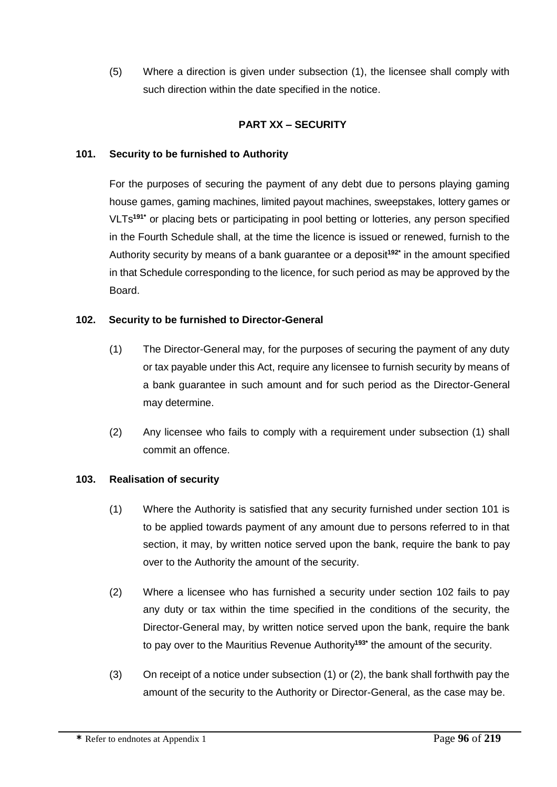(5) Where a direction is given under subsection (1), the licensee shall comply with such direction within the date specified in the notice.

## **PART XX – SECURITY**

### **101. Security to be furnished to Authority**

For the purposes of securing the payment of any debt due to persons playing gaming house games, gaming machines, limited payout machines, sweepstakes, lottery games or VLTs**191\*** or placing bets or participating in pool betting or lotteries, any person specified in the Fourth Schedule shall, at the time the licence is issued or renewed, furnish to the Authority security by means of a bank guarantee or a deposit**192\*** in the amount specified in that Schedule corresponding to the licence, for such period as may be approved by the Board.

### **102. Security to be furnished to Director-General**

- (1) The Director-General may, for the purposes of securing the payment of any duty or tax payable under this Act, require any licensee to furnish security by means of a bank guarantee in such amount and for such period as the Director-General may determine.
- (2) Any licensee who fails to comply with a requirement under subsection (1) shall commit an offence.

### **103. Realisation of security**

- (1) Where the Authority is satisfied that any security furnished under section 101 is to be applied towards payment of any amount due to persons referred to in that section, it may, by written notice served upon the bank, require the bank to pay over to the Authority the amount of the security.
- (2) Where a licensee who has furnished a security under section 102 fails to pay any duty or tax within the time specified in the conditions of the security, the Director-General may, by written notice served upon the bank, require the bank to pay over to the Mauritius Revenue Authority**193\*** the amount of the security.
- (3) On receipt of a notice under subsection (1) or (2), the bank shall forthwith pay the amount of the security to the Authority or Director-General, as the case may be.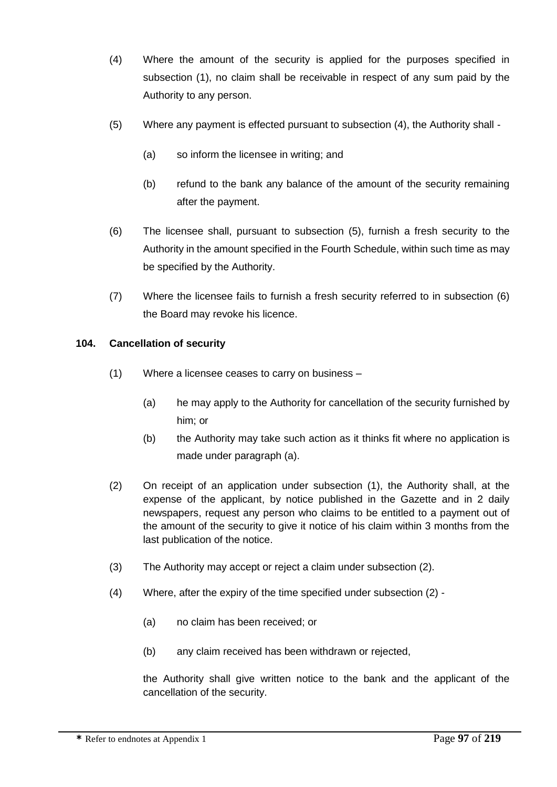- (4) Where the amount of the security is applied for the purposes specified in subsection (1), no claim shall be receivable in respect of any sum paid by the Authority to any person.
- (5) Where any payment is effected pursuant to subsection (4), the Authority shall
	- (a) so inform the licensee in writing; and
	- (b) refund to the bank any balance of the amount of the security remaining after the payment.
- (6) The licensee shall, pursuant to subsection (5), furnish a fresh security to the Authority in the amount specified in the Fourth Schedule, within such time as may be specified by the Authority.
- (7) Where the licensee fails to furnish a fresh security referred to in subsection (6) the Board may revoke his licence.

### **104. Cancellation of security**

- (1) Where a licensee ceases to carry on business
	- (a) he may apply to the Authority for cancellation of the security furnished by him; or
	- (b) the Authority may take such action as it thinks fit where no application is made under paragraph (a).
- (2) On receipt of an application under subsection (1), the Authority shall, at the expense of the applicant, by notice published in the Gazette and in 2 daily newspapers, request any person who claims to be entitled to a payment out of the amount of the security to give it notice of his claim within 3 months from the last publication of the notice.
- (3) The Authority may accept or reject a claim under subsection (2).
- (4) Where, after the expiry of the time specified under subsection (2)
	- (a) no claim has been received; or
	- (b) any claim received has been withdrawn or rejected,

the Authority shall give written notice to the bank and the applicant of the cancellation of the security.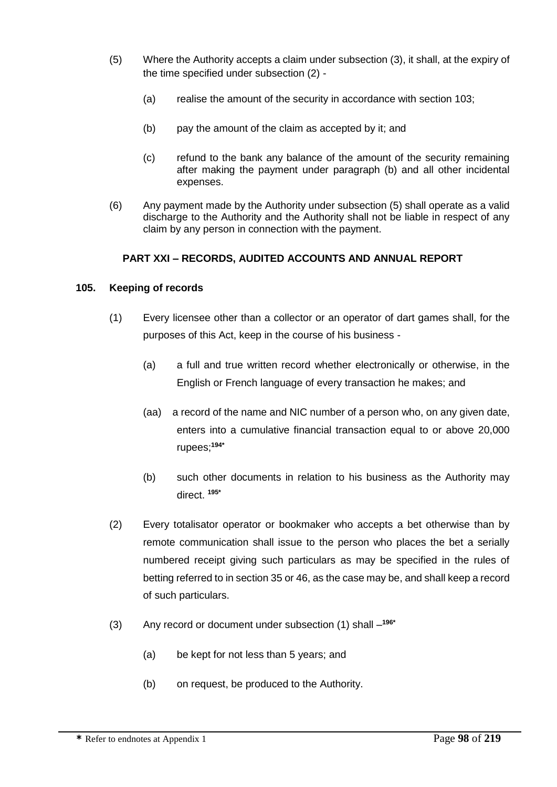- (5) Where the Authority accepts a claim under subsection (3), it shall, at the expiry of the time specified under subsection (2) -
	- (a) realise the amount of the security in accordance with section 103;
	- (b) pay the amount of the claim as accepted by it; and
	- (c) refund to the bank any balance of the amount of the security remaining after making the payment under paragraph (b) and all other incidental expenses.
- (6) Any payment made by the Authority under subsection (5) shall operate as a valid discharge to the Authority and the Authority shall not be liable in respect of any claim by any person in connection with the payment.

## **PART XXI – RECORDS, AUDITED ACCOUNTS AND ANNUAL REPORT**

### **105. Keeping of records**

- (1) Every licensee other than a collector or an operator of dart games shall, for the purposes of this Act, keep in the course of his business -
	- (a) a full and true written record whether electronically or otherwise, in the English or French language of every transaction he makes; and
	- (aa) a record of the name and NIC number of a person who, on any given date, enters into a cumulative financial transaction equal to or above 20,000 rupees; **194\***
	- (b) such other documents in relation to his business as the Authority may direct. **195\***
- (2) Every totalisator operator or bookmaker who accepts a bet otherwise than by remote communication shall issue to the person who places the bet a serially numbered receipt giving such particulars as may be specified in the rules of betting referred to in section 35 or 46, as the case may be, and shall keep a record of such particulars.
- (3) Any record or document under subsection (1) shall **196\***
	- (a) be kept for not less than 5 years; and
	- (b) on request, be produced to the Authority.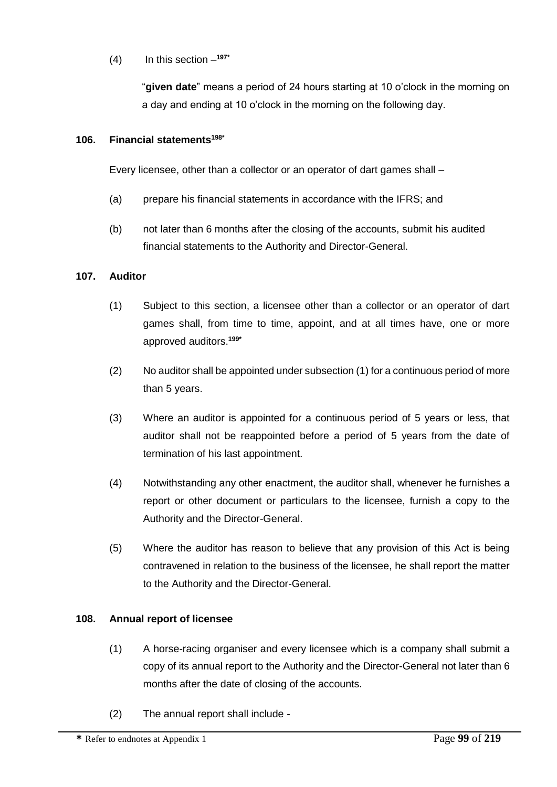# (4) In this section – **197\***

"**given date**" means a period of 24 hours starting at 10 o'clock in the morning on a day and ending at 10 o'clock in the morning on the following day.

### **106. Financial statements198\***

Every licensee, other than a collector or an operator of dart games shall –

- (a) prepare his financial statements in accordance with the IFRS; and
- (b) not later than 6 months after the closing of the accounts, submit his audited financial statements to the Authority and Director-General.

### **107. Auditor**

- (1) Subject to this section, a licensee other than a collector or an operator of dart games shall, from time to time, appoint, and at all times have, one or more approved auditors.**199\***
- (2) No auditor shall be appointed under subsection (1) for a continuous period of more than 5 years.
- (3) Where an auditor is appointed for a continuous period of 5 years or less, that auditor shall not be reappointed before a period of 5 years from the date of termination of his last appointment.
- (4) Notwithstanding any other enactment, the auditor shall, whenever he furnishes a report or other document or particulars to the licensee, furnish a copy to the Authority and the Director-General.
- (5) Where the auditor has reason to believe that any provision of this Act is being contravened in relation to the business of the licensee, he shall report the matter to the Authority and the Director-General.

### **108. Annual report of licensee**

- (1) A horse-racing organiser and every licensee which is a company shall submit a copy of its annual report to the Authority and the Director-General not later than 6 months after the date of closing of the accounts.
- (2) The annual report shall include -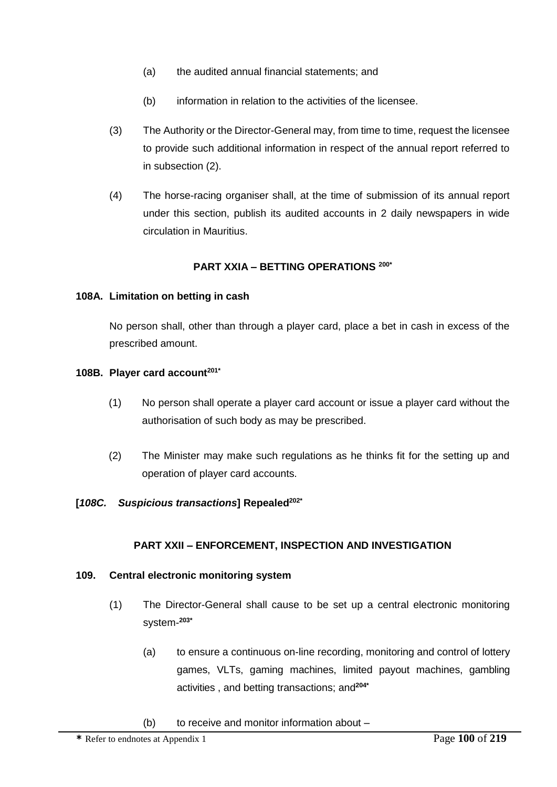- (a) the audited annual financial statements; and
- (b) information in relation to the activities of the licensee.
- (3) The Authority or the Director-General may, from time to time, request the licensee to provide such additional information in respect of the annual report referred to in subsection (2).
- (4) The horse-racing organiser shall, at the time of submission of its annual report under this section, publish its audited accounts in 2 daily newspapers in wide circulation in Mauritius.

### **PART XXIA – BETTING OPERATIONS 200\***

#### **108A. Limitation on betting in cash**

No person shall, other than through a player card, place a bet in cash in excess of the prescribed amount.

#### **108B. Player card account201\***

- (1) No person shall operate a player card account or issue a player card without the authorisation of such body as may be prescribed.
- (2) The Minister may make such regulations as he thinks fit for the setting up and operation of player card accounts.

#### **[***108C. Suspicious transactions***] Repealed202\***

#### **PART XXII – ENFORCEMENT, INSPECTION AND INVESTIGATION**

#### **109. Central electronic monitoring system**

- (1) The Director-General shall cause to be set up a central electronic monitoring system-**203\***
	- (a) to ensure a continuous on-line recording, monitoring and control of lottery games, VLTs, gaming machines, limited payout machines, gambling activities , and betting transactions; and**204\***
	- (b) to receive and monitor information about –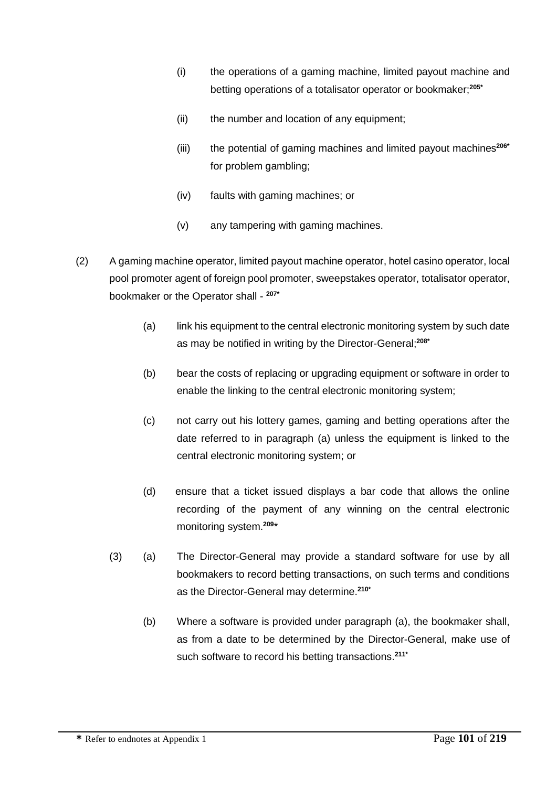- (i) the operations of a gaming machine, limited payout machine and betting operations of a totalisator operator or bookmaker;**205\***
- (ii) the number and location of any equipment;
- (iii) the potential of gaming machines and limited payout machines**206\*** for problem gambling;
- (iv) faults with gaming machines; or
- (v) any tampering with gaming machines.
- (2) A gaming machine operator, limited payout machine operator, hotel casino operator, local pool promoter agent of foreign pool promoter, sweepstakes operator, totalisator operator, bookmaker or the Operator shall - **207\***
	- (a) link his equipment to the central electronic monitoring system by such date as may be notified in writing by the Director-General; **208\***
	- (b) bear the costs of replacing or upgrading equipment or software in order to enable the linking to the central electronic monitoring system;
	- (c) not carry out his lottery games, gaming and betting operations after the date referred to in paragraph (a) unless the equipment is linked to the central electronic monitoring system; or
	- (d) ensure that a ticket issued displays a bar code that allows the online recording of the payment of any winning on the central electronic monitoring system.**<sup>209</sup>** \*
	- (3) (a) The Director-General may provide a standard software for use by all bookmakers to record betting transactions, on such terms and conditions as the Director-General may determine.**210\***
		- (b) Where a software is provided under paragraph (a), the bookmaker shall, as from a date to be determined by the Director-General, make use of such software to record his betting transactions.**211\***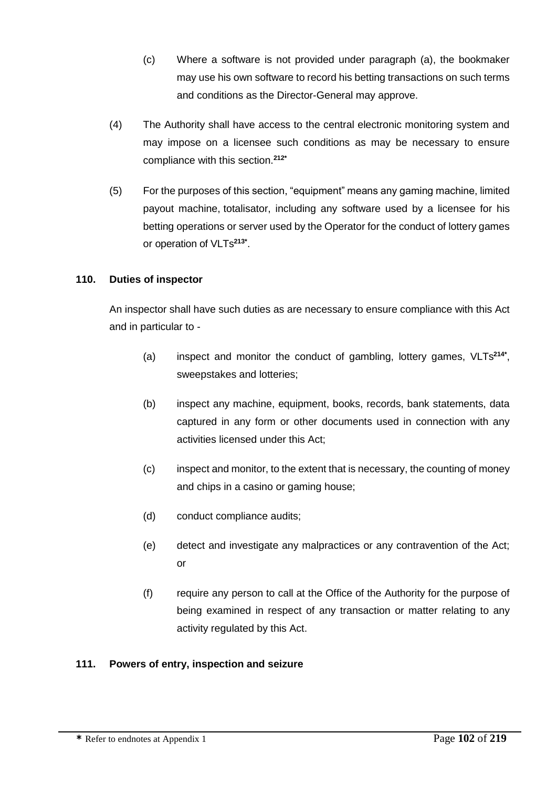- (c) Where a software is not provided under paragraph (a), the bookmaker may use his own software to record his betting transactions on such terms and conditions as the Director-General may approve.
- (4) The Authority shall have access to the central electronic monitoring system and may impose on a licensee such conditions as may be necessary to ensure compliance with this section.**212\***
- (5) For the purposes of this section, "equipment" means any gaming machine, limited payout machine, totalisator, including any software used by a licensee for his betting operations or server used by the Operator for the conduct of lottery games or operation of VLTs**213\*** .

## **110. Duties of inspector**

An inspector shall have such duties as are necessary to ensure compliance with this Act and in particular to -

- (a) inspect and monitor the conduct of gambling, lottery games, VLTs**214\*** , sweepstakes and lotteries;
- (b) inspect any machine, equipment, books, records, bank statements, data captured in any form or other documents used in connection with any activities licensed under this Act;
- (c) inspect and monitor, to the extent that is necessary, the counting of money and chips in a casino or gaming house;
- (d) conduct compliance audits;
- (e) detect and investigate any malpractices or any contravention of the Act; or
- (f) require any person to call at the Office of the Authority for the purpose of being examined in respect of any transaction or matter relating to any activity regulated by this Act.

### **111. Powers of entry, inspection and seizure**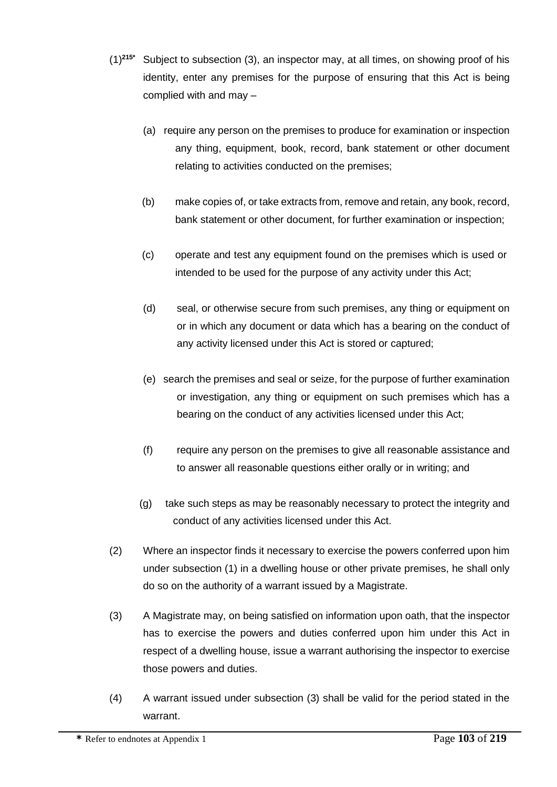- (1)**215\*** Subject to subsection (3), an inspector may, at all times, on showing proof of his identity, enter any premises for the purpose of ensuring that this Act is being complied with and may –
	- (a) require any person on the premises to produce for examination or inspection any thing, equipment, book, record, bank statement or other document relating to activities conducted on the premises;
	- (b) make copies of, or take extracts from, remove and retain, any book, record, bank statement or other document, for further examination or inspection;
	- (c) operate and test any equipment found on the premises which is used or intended to be used for the purpose of any activity under this Act;
	- (d) seal, or otherwise secure from such premises, any thing or equipment on or in which any document or data which has a bearing on the conduct of any activity licensed under this Act is stored or captured;
	- (e) search the premises and seal or seize, for the purpose of further examination or investigation, any thing or equipment on such premises which has a bearing on the conduct of any activities licensed under this Act;
	- (f) require any person on the premises to give all reasonable assistance and to answer all reasonable questions either orally or in writing; and
	- (g) take such steps as may be reasonably necessary to protect the integrity and conduct of any activities licensed under this Act.
- (2) Where an inspector finds it necessary to exercise the powers conferred upon him under subsection (1) in a dwelling house or other private premises, he shall only do so on the authority of a warrant issued by a Magistrate.
- (3) A Magistrate may, on being satisfied on information upon oath, that the inspector has to exercise the powers and duties conferred upon him under this Act in respect of a dwelling house, issue a warrant authorising the inspector to exercise those powers and duties.
- (4) A warrant issued under subsection (3) shall be valid for the period stated in the warrant.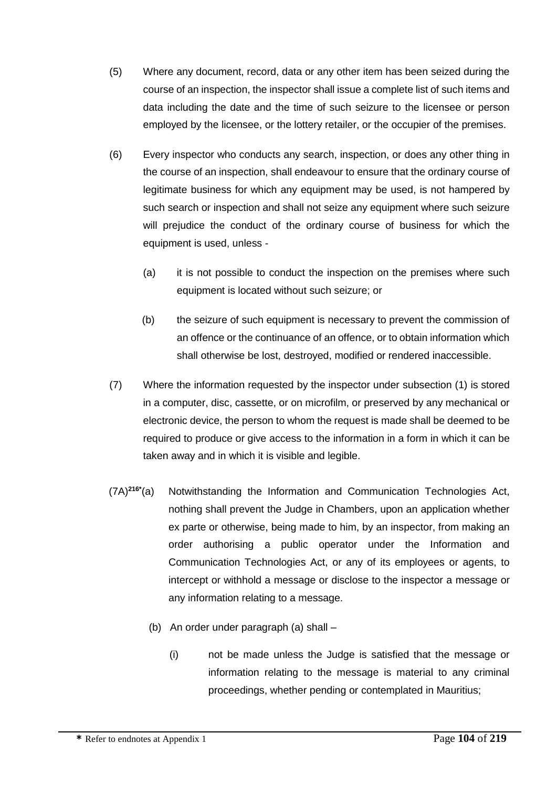- (5) Where any document, record, data or any other item has been seized during the course of an inspection, the inspector shall issue a complete list of such items and data including the date and the time of such seizure to the licensee or person employed by the licensee, or the lottery retailer, or the occupier of the premises.
- (6) Every inspector who conducts any search, inspection, or does any other thing in the course of an inspection, shall endeavour to ensure that the ordinary course of legitimate business for which any equipment may be used, is not hampered by such search or inspection and shall not seize any equipment where such seizure will prejudice the conduct of the ordinary course of business for which the equipment is used, unless -
	- (a) it is not possible to conduct the inspection on the premises where such equipment is located without such seizure; or
	- (b) the seizure of such equipment is necessary to prevent the commission of an offence or the continuance of an offence, or to obtain information which shall otherwise be lost, destroyed, modified or rendered inaccessible.
- (7) Where the information requested by the inspector under subsection (1) is stored in a computer, disc, cassette, or on microfilm, or preserved by any mechanical or electronic device, the person to whom the request is made shall be deemed to be required to produce or give access to the information in a form in which it can be taken away and in which it is visible and legible.
- (7A) **216\*** Notwithstanding the Information and Communication Technologies Act, nothing shall prevent the Judge in Chambers, upon an application whether ex parte or otherwise, being made to him, by an inspector, from making an order authorising a public operator under the Information and Communication Technologies Act, or any of its employees or agents, to intercept or withhold a message or disclose to the inspector a message or any information relating to a message.
	- (b) An order under paragraph (a) shall
		- (i) not be made unless the Judge is satisfied that the message or information relating to the message is material to any criminal proceedings, whether pending or contemplated in Mauritius;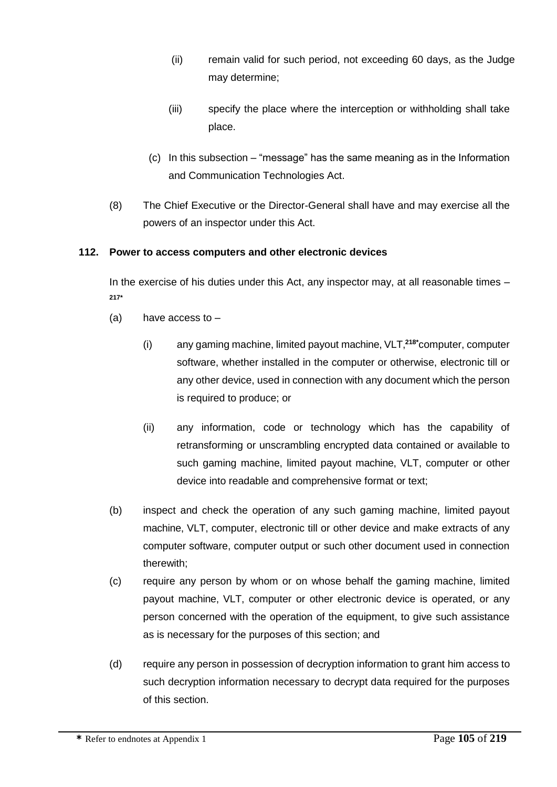- (ii) remain valid for such period, not exceeding 60 days, as the Judge may determine;
- (iii) specify the place where the interception or withholding shall take place.
- (c) In this subsection "message" has the same meaning as in the Information and Communication Technologies Act.
- (8) The Chief Executive or the Director-General shall have and may exercise all the powers of an inspector under this Act.

## **112. Power to access computers and other electronic devices**

In the exercise of his duties under this Act, any inspector may, at all reasonable times – **217\***

- (a) have access to  $-$ 
	- (i) any gaming machine, limited payout machine, VLT,**218\***computer, computer software, whether installed in the computer or otherwise, electronic till or any other device, used in connection with any document which the person is required to produce; or
	- (ii) any information, code or technology which has the capability of retransforming or unscrambling encrypted data contained or available to such gaming machine, limited payout machine, VLT, computer or other device into readable and comprehensive format or text;
- (b) inspect and check the operation of any such gaming machine, limited payout machine, VLT, computer, electronic till or other device and make extracts of any computer software, computer output or such other document used in connection therewith;
- (c) require any person by whom or on whose behalf the gaming machine, limited payout machine, VLT, computer or other electronic device is operated, or any person concerned with the operation of the equipment, to give such assistance as is necessary for the purposes of this section; and
- (d) require any person in possession of decryption information to grant him access to such decryption information necessary to decrypt data required for the purposes of this section.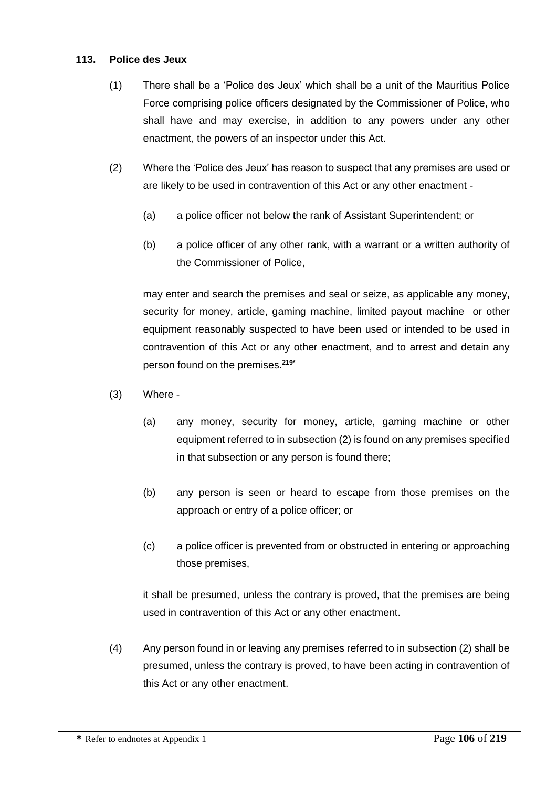### **113. Police des Jeux**

- (1) There shall be a 'Police des Jeux' which shall be a unit of the Mauritius Police Force comprising police officers designated by the Commissioner of Police, who shall have and may exercise, in addition to any powers under any other enactment, the powers of an inspector under this Act.
- (2) Where the 'Police des Jeux' has reason to suspect that any premises are used or are likely to be used in contravention of this Act or any other enactment -
	- (a) a police officer not below the rank of Assistant Superintendent; or
	- (b) a police officer of any other rank, with a warrant or a written authority of the Commissioner of Police,

may enter and search the premises and seal or seize, as applicable any money, security for money, article, gaming machine, limited payout machine or other equipment reasonably suspected to have been used or intended to be used in contravention of this Act or any other enactment, and to arrest and detain any person found on the premises.**219\***

- (3) Where
	- (a) any money, security for money, article, gaming machine or other equipment referred to in subsection (2) is found on any premises specified in that subsection or any person is found there;
	- (b) any person is seen or heard to escape from those premises on the approach or entry of a police officer; or
	- (c) a police officer is prevented from or obstructed in entering or approaching those premises,

it shall be presumed, unless the contrary is proved, that the premises are being used in contravention of this Act or any other enactment.

(4) Any person found in or leaving any premises referred to in subsection (2) shall be presumed, unless the contrary is proved, to have been acting in contravention of this Act or any other enactment.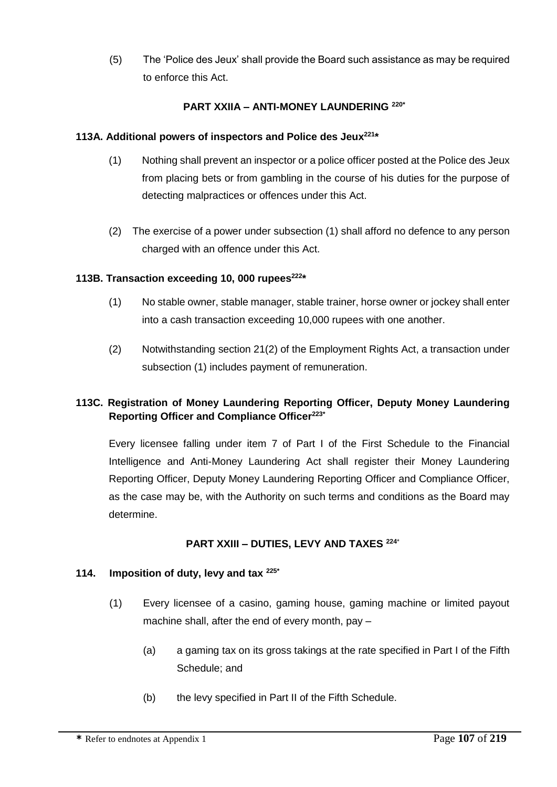(5) The 'Police des Jeux' shall provide the Board such assistance as may be required to enforce this Act.

# **PART XXIIA – ANTI-MONEY LAUNDERING 220\***

### **113A. Additional powers of inspectors and Police des Jeux<sup>221</sup>\***

- (1) Nothing shall prevent an inspector or a police officer posted at the Police des Jeux from placing bets or from gambling in the course of his duties for the purpose of detecting malpractices or offences under this Act.
- (2) The exercise of a power under subsection (1) shall afford no defence to any person charged with an offence under this Act.

### **113B. Transaction exceeding 10, 000 rupees<sup>222</sup> \***

- (1) No stable owner, stable manager, stable trainer, horse owner or jockey shall enter into a cash transaction exceeding 10,000 rupees with one another.
- (2) Notwithstanding section 21(2) of the Employment Rights Act, a transaction under subsection (1) includes payment of remuneration.

## **113C. Registration of Money Laundering Reporting Officer, Deputy Money Laundering Reporting Officer and Compliance Officer223\***

Every licensee falling under item 7 of Part I of the First Schedule to the Financial Intelligence and Anti-Money Laundering Act shall register their Money Laundering Reporting Officer, Deputy Money Laundering Reporting Officer and Compliance Officer, as the case may be, with the Authority on such terms and conditions as the Board may determine.

### **PART XXIII – DUTIES, LEVY AND TAXES <sup>224</sup>**\*

#### **114. Imposition of duty, levy and tax 225\***

- (1) Every licensee of a casino, gaming house, gaming machine or limited payout machine shall, after the end of every month, pay –
	- (a) a gaming tax on its gross takings at the rate specified in Part I of the Fifth Schedule; and
	- (b) the levy specified in Part II of the Fifth Schedule.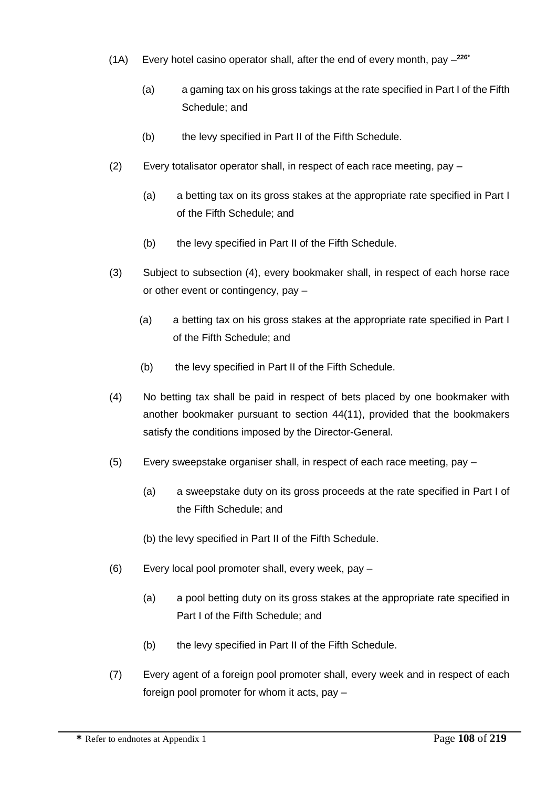- (1A) Every hotel casino operator shall, after the end of every month, pay **226\***
	- (a) a gaming tax on his gross takings at the rate specified in Part I of the Fifth Schedule; and
	- (b) the levy specified in Part II of the Fifth Schedule.
- (2) Every totalisator operator shall, in respect of each race meeting, pay
	- (a) a betting tax on its gross stakes at the appropriate rate specified in Part I of the Fifth Schedule; and
	- (b) the levy specified in Part II of the Fifth Schedule.
- (3) Subject to subsection (4), every bookmaker shall, in respect of each horse race or other event or contingency, pay –
	- (a) a betting tax on his gross stakes at the appropriate rate specified in Part I of the Fifth Schedule; and
	- (b) the levy specified in Part II of the Fifth Schedule.
- (4) No betting tax shall be paid in respect of bets placed by one bookmaker with another bookmaker pursuant to section 44(11), provided that the bookmakers satisfy the conditions imposed by the Director-General.
- (5) Every sweepstake organiser shall, in respect of each race meeting, pay
	- (a) a sweepstake duty on its gross proceeds at the rate specified in Part I of the Fifth Schedule; and
	- (b) the levy specified in Part II of the Fifth Schedule.
- (6) Every local pool promoter shall, every week, pay
	- (a) a pool betting duty on its gross stakes at the appropriate rate specified in Part I of the Fifth Schedule; and
	- (b) the levy specified in Part II of the Fifth Schedule.
- (7) Every agent of a foreign pool promoter shall, every week and in respect of each foreign pool promoter for whom it acts, pay –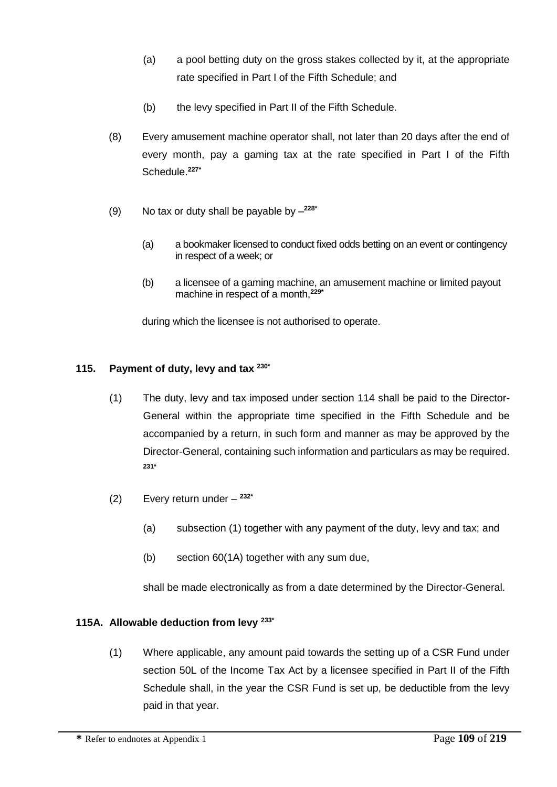- (a) a pool betting duty on the gross stakes collected by it, at the appropriate rate specified in Part I of the Fifth Schedule; and
- (b) the levy specified in Part II of the Fifth Schedule.
- (8) Every amusement machine operator shall, not later than 20 days after the end of every month, pay a gaming tax at the rate specified in Part I of the Fifth Schedule.**227\***
- (9) No tax or duty shall be payable by **228\***
	- (a) a bookmaker licensed to conduct fixed odds betting on an event or contingency in respect of a week; or
	- (b) a licensee of a gaming machine, an amusement machine or limited payout machine in respect of a month,**229\***

during which the licensee is not authorised to operate.

# **115. Payment of duty, levy and tax 230\***

- (1) The duty, levy and tax imposed under section 114 shall be paid to the Director-General within the appropriate time specified in the Fifth Schedule and be accompanied by a return, in such form and manner as may be approved by the Director-General, containing such information and particulars as may be required. **231\***
- (2) Every return under **232\***
	- (a) subsection (1) together with any payment of the duty, levy and tax; and
	- (b) section 60(1A) together with any sum due,

shall be made electronically as from a date determined by the Director-General.

# **115A. Allowable deduction from levy 233\***

(1) Where applicable, any amount paid towards the setting up of a CSR Fund under section 50L of the Income Tax Act by a licensee specified in Part II of the Fifth Schedule shall, in the year the CSR Fund is set up, be deductible from the levy paid in that year.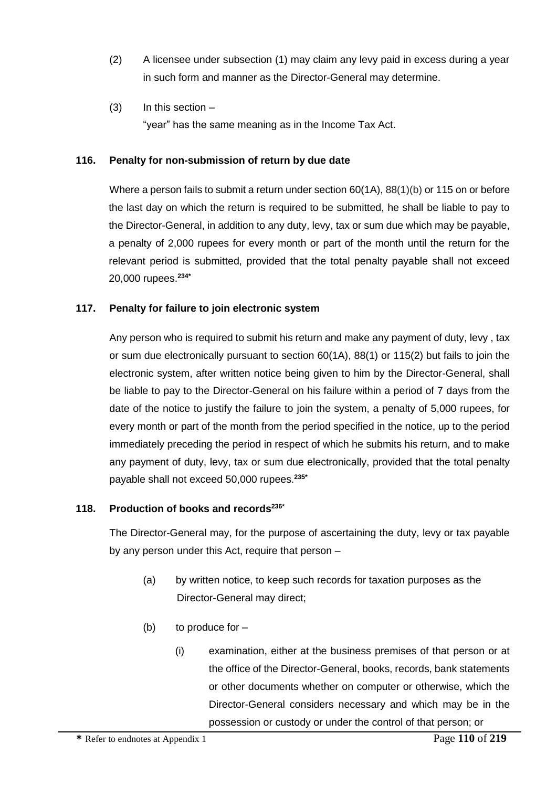- (2) A licensee under subsection (1) may claim any levy paid in excess during a year in such form and manner as the Director-General may determine.
- $(3)$  In this section "year" has the same meaning as in the Income Tax Act.

### **116. Penalty for non-submission of return by due date**

Where a person fails to submit a return under section 60(1A), 88(1)(b) or 115 on or before the last day on which the return is required to be submitted, he shall be liable to pay to the Director-General, in addition to any duty, levy, tax or sum due which may be payable, a penalty of 2,000 rupees for every month or part of the month until the return for the relevant period is submitted, provided that the total penalty payable shall not exceed 20,000 rupees.**234\***

### **117. Penalty for failure to join electronic system**

Any person who is required to submit his return and make any payment of duty, levy , tax or sum due electronically pursuant to section 60(1A), 88(1) or 115(2) but fails to join the electronic system, after written notice being given to him by the Director-General, shall be liable to pay to the Director-General on his failure within a period of 7 days from the date of the notice to justify the failure to join the system, a penalty of 5,000 rupees, for every month or part of the month from the period specified in the notice, up to the period immediately preceding the period in respect of which he submits his return, and to make any payment of duty, levy, tax or sum due electronically, provided that the total penalty payable shall not exceed 50,000 rupees.**235\***

### **118. Production of books and records236\***

The Director-General may, for the purpose of ascertaining the duty, levy or tax payable by any person under this Act, require that person –

- (a) by written notice, to keep such records for taxation purposes as the Director-General may direct;
- (b) to produce for  $-$ 
	- (i) examination, either at the business premises of that person or at the office of the Director-General, books, records, bank statements or other documents whether on computer or otherwise, which the Director-General considers necessary and which may be in the possession or custody or under the control of that person; or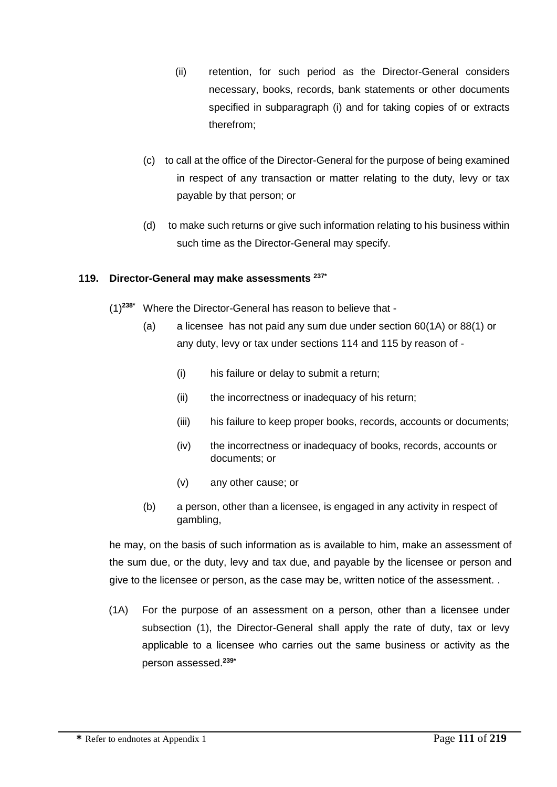- (ii) retention, for such period as the Director-General considers necessary, books, records, bank statements or other documents specified in subparagraph (i) and for taking copies of or extracts therefrom;
- (c) to call at the office of the Director-General for the purpose of being examined in respect of any transaction or matter relating to the duty, levy or tax payable by that person; or
- (d) to make such returns or give such information relating to his business within such time as the Director-General may specify.

### **119. Director-General may make assessments 237\***

- (1)**238\*** Where the Director-General has reason to believe that
	- (a) a licensee has not paid any sum due under section 60(1A) or 88(1) or any duty, levy or tax under sections 114 and 115 by reason of -
		- (i) his failure or delay to submit a return;
		- (ii) the incorrectness or inadequacy of his return:
		- (iii) his failure to keep proper books, records, accounts or documents;
		- (iv) the incorrectness or inadequacy of books, records, accounts or documents; or
		- (v) any other cause; or
	- (b) a person, other than a licensee, is engaged in any activity in respect of gambling,

he may, on the basis of such information as is available to him, make an assessment of the sum due, or the duty, levy and tax due, and payable by the licensee or person and give to the licensee or person, as the case may be, written notice of the assessment. .

(1A) For the purpose of an assessment on a person, other than a licensee under subsection (1), the Director-General shall apply the rate of duty, tax or levy applicable to a licensee who carries out the same business or activity as the person assessed.**239\***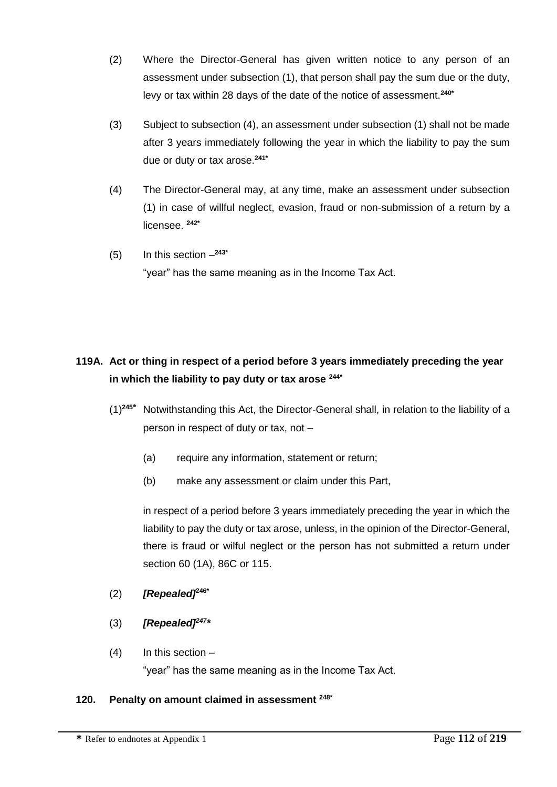- (2) Where the Director-General has given written notice to any person of an assessment under subsection (1), that person shall pay the sum due or the duty, levy or tax within 28 days of the date of the notice of assessment.**240\***
- (3) Subject to subsection (4), an assessment under subsection (1) shall not be made after 3 years immediately following the year in which the liability to pay the sum due or duty or tax arose.**241\***
- (4) The Director-General may, at any time, make an assessment under subsection (1) in case of willful neglect, evasion, fraud or non-submission of a return by a licensee. **242\***
- (5) In this section **243\*** "year" has the same meaning as in the Income Tax Act.

# **119A. Act or thing in respect of a period before 3 years immediately preceding the year in which the liability to pay duty or tax arose 244\***

- (1)**<sup>245</sup>\*** Notwithstanding this Act, the Director-General shall, in relation to the liability of a person in respect of duty or tax, not –
	- (a) require any information, statement or return;
	- (b) make any assessment or claim under this Part,

in respect of a period before 3 years immediately preceding the year in which the liability to pay the duty or tax arose, unless, in the opinion of the Director-General, there is fraud or wilful neglect or the person has not submitted a return under section 60 (1A), 86C or 115.

- (2) *[Repealed]***246\***
- (3) *[Repealed]<sup>247</sup> \**
- $(4)$  In this section –

"year" has the same meaning as in the Income Tax Act.

# **120. Penalty on amount claimed in assessment 248\***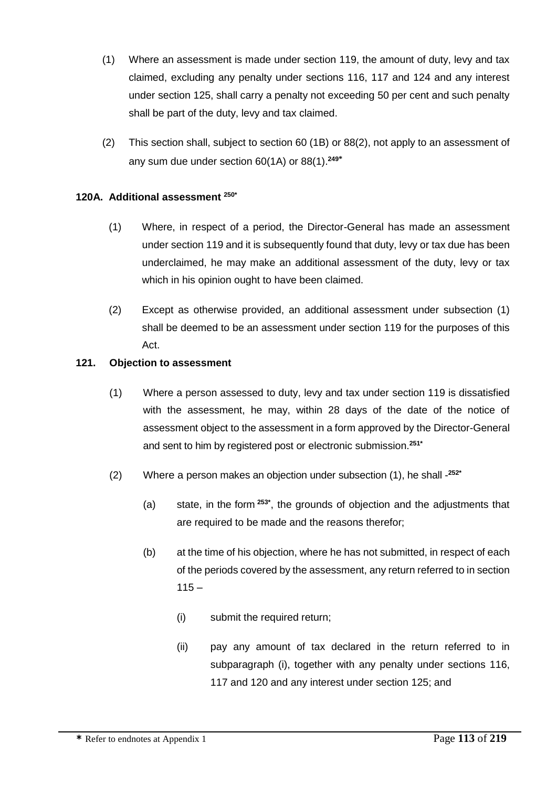- (1) Where an assessment is made under section 119, the amount of duty, levy and tax claimed, excluding any penalty under sections 116, 117 and 124 and any interest under section 125, shall carry a penalty not exceeding 50 per cent and such penalty shall be part of the duty, levy and tax claimed.
- (2) This section shall, subject to section 60 (1B) or 88(2), not apply to an assessment of any sum due under section 60(1A) or 88(1). **249\***

### **120A. Additional assessment 250\***

- (1) Where, in respect of a period, the Director-General has made an assessment under section 119 and it is subsequently found that duty, levy or tax due has been underclaimed, he may make an additional assessment of the duty, levy or tax which in his opinion ought to have been claimed.
- (2) Except as otherwise provided, an additional assessment under subsection (1) shall be deemed to be an assessment under section 119 for the purposes of this Act.

#### **121. Objection to assessment**

- (1) Where a person assessed to duty, levy and tax under section 119 is dissatisfied with the assessment, he may, within 28 days of the date of the notice of assessment object to the assessment in a form approved by the Director-General and sent to him by registered post or electronic submission. **251\***
- (2) Where a person makes an objection under subsection (1), he shall **252\***
	- (a) state, in the form **253\*** , the grounds of objection and the adjustments that are required to be made and the reasons therefor;
	- (b) at the time of his objection, where he has not submitted, in respect of each of the periods covered by the assessment, any return referred to in section  $115 -$ 
		- (i) submit the required return;
		- (ii) pay any amount of tax declared in the return referred to in subparagraph (i), together with any penalty under sections 116, 117 and 120 and any interest under section 125; and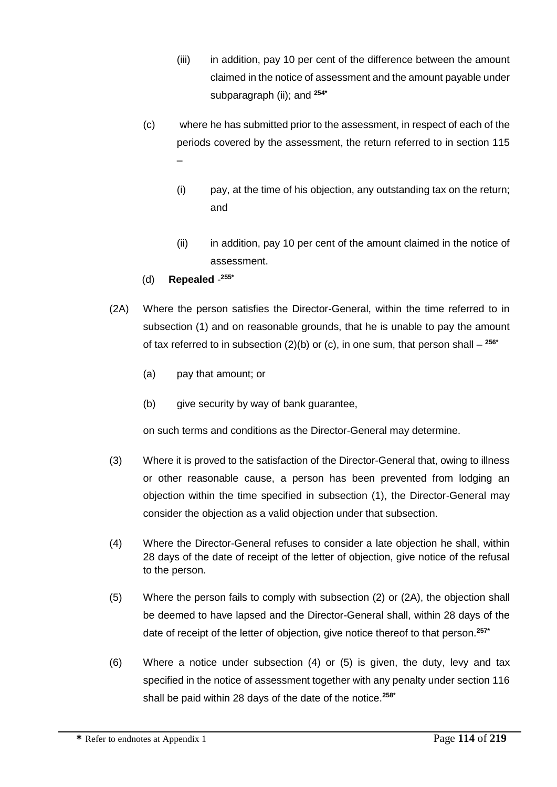- (iii) in addition, pay 10 per cent of the difference between the amount claimed in the notice of assessment and the amount payable under subparagraph (ii); and **254\***
- (c) where he has submitted prior to the assessment, in respect of each of the periods covered by the assessment, the return referred to in section 115 –
	- (i) pay, at the time of his objection, any outstanding tax on the return; and
	- (ii) in addition, pay 10 per cent of the amount claimed in the notice of assessment.
- (d) **Repealed 255\***
- (2A) Where the person satisfies the Director-General, within the time referred to in subsection (1) and on reasonable grounds, that he is unable to pay the amount of tax referred to in subsection (2)(b) or (c), in one sum, that person shall – **256\***
	- (a) pay that amount; or
	- (b) give security by way of bank guarantee,

on such terms and conditions as the Director-General may determine.

- (3) Where it is proved to the satisfaction of the Director-General that, owing to illness or other reasonable cause, a person has been prevented from lodging an objection within the time specified in subsection (1), the Director-General may consider the objection as a valid objection under that subsection.
- (4) Where the Director-General refuses to consider a late objection he shall, within 28 days of the date of receipt of the letter of objection, give notice of the refusal to the person.
- (5) Where the person fails to comply with subsection (2) or (2A), the objection shall be deemed to have lapsed and the Director-General shall, within 28 days of the date of receipt of the letter of objection, give notice thereof to that person.**257\***
- (6) Where a notice under subsection (4) or (5) is given, the duty, levy and tax specified in the notice of assessment together with any penalty under section 116 shall be paid within 28 days of the date of the notice.**258\***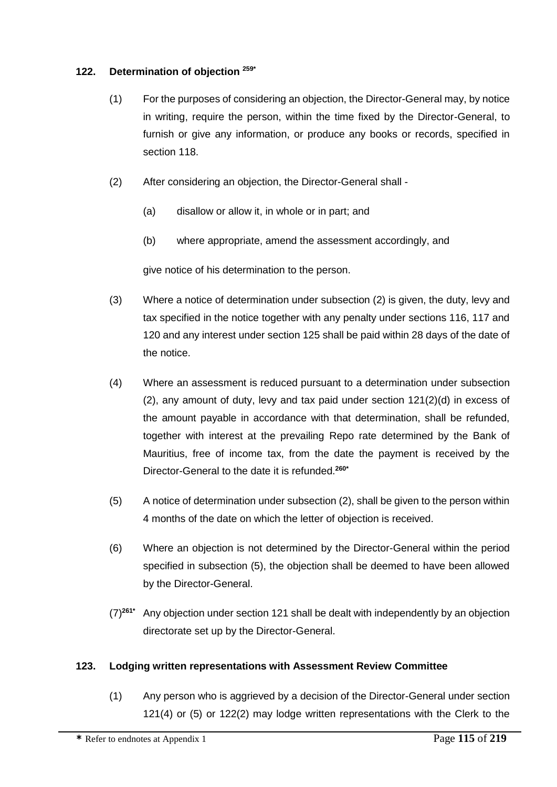#### **122. Determination of objection 259\***

- (1) For the purposes of considering an objection, the Director-General may, by notice in writing, require the person, within the time fixed by the Director-General, to furnish or give any information, or produce any books or records, specified in section 118.
- (2) After considering an objection, the Director-General shall
	- (a) disallow or allow it, in whole or in part; and
	- (b) where appropriate, amend the assessment accordingly, and

give notice of his determination to the person.

- (3) Where a notice of determination under subsection (2) is given, the duty, levy and tax specified in the notice together with any penalty under sections 116, 117 and 120 and any interest under section 125 shall be paid within 28 days of the date of the notice.
- (4) Where an assessment is reduced pursuant to a determination under subsection (2), any amount of duty, levy and tax paid under section 121(2)(d) in excess of the amount payable in accordance with that determination, shall be refunded, together with interest at the prevailing Repo rate determined by the Bank of Mauritius, free of income tax, from the date the payment is received by the Director-General to the date it is refunded.**260\***
- (5) A notice of determination under subsection (2), shall be given to the person within 4 months of the date on which the letter of objection is received.
- (6) Where an objection is not determined by the Director-General within the period specified in subsection (5), the objection shall be deemed to have been allowed by the Director-General.
- (7)**261\*** Any objection under section 121 shall be dealt with independently by an objection directorate set up by the Director-General.

# **123. Lodging written representations with Assessment Review Committee**

(1) Any person who is aggrieved by a decision of the Director-General under section 121(4) or (5) or 122(2) may lodge written representations with the Clerk to the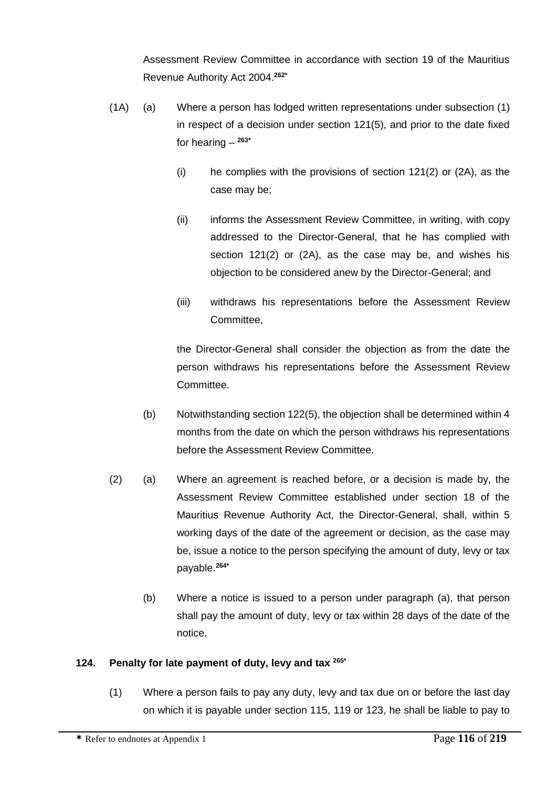Assessment Review Committee in accordance with section 19 of the Mauritius Revenue Authority Act 2004.**262\***

- (1A) (a) Where a person has lodged written representations under subsection (1) in respect of a decision under section 121(5), and prior to the date fixed for hearing – **263\***
	- (i) he complies with the provisions of section 121(2) or (2A), as the case may be;
	- (ii) informs the Assessment Review Committee, in writing, with copy addressed to the Director-General, that he has complied with section 121(2) or (2A), as the case may be, and wishes his objection to be considered anew by the Director-General; and
	- (iii) withdraws his representations before the Assessment Review Committee,

the Director-General shall consider the objection as from the date the person withdraws his representations before the Assessment Review Committee.

- (b) Notwithstanding section 122(5), the objection shall be determined within 4 months from the date on which the person withdraws his representations before the Assessment Review Committee.
- (2) (a) Where an agreement is reached before, or a decision is made by, the Assessment Review Committee established under section 18 of the Mauritius Revenue Authority Act, the Director-General, shall, within 5 working days of the date of the agreement or decision, as the case may be, issue a notice to the person specifying the amount of duty, levy or tax payable.**264\***
	- (b) Where a notice is issued to a person under paragraph (a), that person shall pay the amount of duty, levy or tax within 28 days of the date of the notice.

# **124. Penalty for late payment of duty, levy and tax 265\***

(1) Where a person fails to pay any duty, levy and tax due on or before the last day on which it is payable under section 115, 119 or 123, he shall be liable to pay to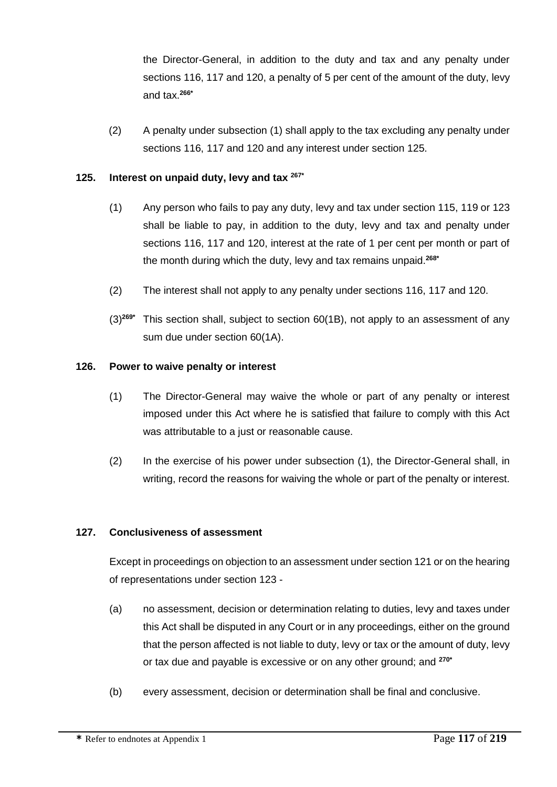the Director-General, in addition to the duty and tax and any penalty under sections 116, 117 and 120, a penalty of 5 per cent of the amount of the duty, levy and tax.**266\***

(2) A penalty under subsection (1) shall apply to the tax excluding any penalty under sections 116, 117 and 120 and any interest under section 125.

### **125. Interest on unpaid duty, levy and tax 267\***

- (1) Any person who fails to pay any duty, levy and tax under section 115, 119 or 123 shall be liable to pay, in addition to the duty, levy and tax and penalty under sections 116, 117 and 120, interest at the rate of 1 per cent per month or part of the month during which the duty, levy and tax remains unpaid.**268\***
- (2) The interest shall not apply to any penalty under sections 116, 117 and 120.
- (3)**269\*** This section shall, subject to section 60(1B), not apply to an assessment of any sum due under section 60(1A).

### **126. Power to waive penalty or interest**

- (1) The Director-General may waive the whole or part of any penalty or interest imposed under this Act where he is satisfied that failure to comply with this Act was attributable to a just or reasonable cause.
- (2) In the exercise of his power under subsection (1), the Director-General shall, in writing, record the reasons for waiving the whole or part of the penalty or interest.

### **127. Conclusiveness of assessment**

Except in proceedings on objection to an assessment under section 121 or on the hearing of representations under section 123 -

- (a) no assessment, decision or determination relating to duties, levy and taxes under this Act shall be disputed in any Court or in any proceedings, either on the ground that the person affected is not liable to duty, levy or tax or the amount of duty, levy or tax due and payable is excessive or on any other ground; and **270\***
- (b) every assessment, decision or determination shall be final and conclusive.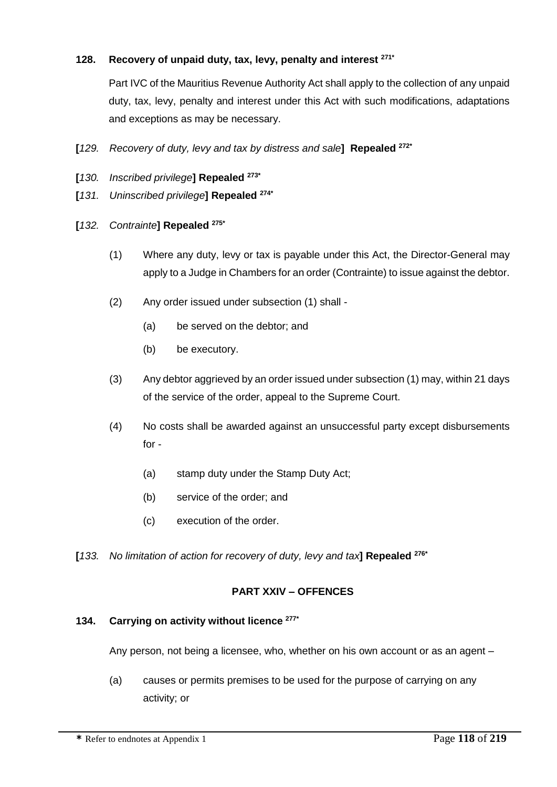### **128. Recovery of unpaid duty, tax, levy, penalty and interest 271\***

Part IVC of the Mauritius Revenue Authority Act shall apply to the collection of any unpaid duty, tax, levy, penalty and interest under this Act with such modifications, adaptations and exceptions as may be necessary.

- **[***129. Recovery of duty, levy and tax by distress and sale***] Repealed 272\***
- **[***130. Inscribed privilege***] Repealed 273\***
- **[***131. Uninscribed privilege***] Repealed 274\***
- **[***132. Contrainte***] Repealed 275\***
	- (1) Where any duty, levy or tax is payable under this Act, the Director-General may apply to a Judge in Chambers for an order (Contrainte) to issue against the debtor.
	- (2) Any order issued under subsection (1) shall
		- (a) be served on the debtor; and
		- (b) be executory.
	- (3) Any debtor aggrieved by an order issued under subsection (1) may, within 21 days of the service of the order, appeal to the Supreme Court.
	- (4) No costs shall be awarded against an unsuccessful party except disbursements for -
		- (a) stamp duty under the Stamp Duty Act;
		- (b) service of the order; and
		- (c) execution of the order.
- **[***133. No limitation of action for recovery of duty, levy and tax***] Repealed 276\***

### **PART XXIV – OFFENCES**

#### **134. Carrying on activity without licence 277\***

Any person, not being a licensee, who, whether on his own account or as an agent –

(a) causes or permits premises to be used for the purpose of carrying on any activity; or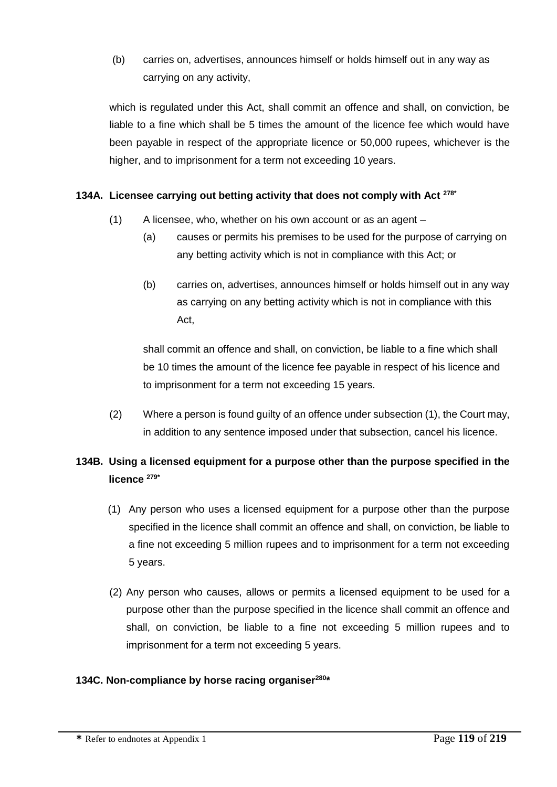(b) carries on, advertises, announces himself or holds himself out in any way as carrying on any activity,

which is regulated under this Act, shall commit an offence and shall, on conviction, be liable to a fine which shall be 5 times the amount of the licence fee which would have been payable in respect of the appropriate licence or 50,000 rupees, whichever is the higher, and to imprisonment for a term not exceeding 10 years.

### **134A. Licensee carrying out betting activity that does not comply with Act 278\***

- (1) A licensee, who, whether on his own account or as an agent
	- (a) causes or permits his premises to be used for the purpose of carrying on any betting activity which is not in compliance with this Act; or
	- (b) carries on, advertises, announces himself or holds himself out in any way as carrying on any betting activity which is not in compliance with this Act,

shall commit an offence and shall, on conviction, be liable to a fine which shall be 10 times the amount of the licence fee payable in respect of his licence and to imprisonment for a term not exceeding 15 years.

(2) Where a person is found guilty of an offence under subsection (1), the Court may, in addition to any sentence imposed under that subsection, cancel his licence.

# **134B. Using a licensed equipment for a purpose other than the purpose specified in the licence 279\***

- (1) Any person who uses a licensed equipment for a purpose other than the purpose specified in the licence shall commit an offence and shall, on conviction, be liable to a fine not exceeding 5 million rupees and to imprisonment for a term not exceeding 5 years.
- (2) Any person who causes, allows or permits a licensed equipment to be used for a purpose other than the purpose specified in the licence shall commit an offence and shall, on conviction, be liable to a fine not exceeding 5 million rupees and to imprisonment for a term not exceeding 5 years.

### **134C. Non-compliance by horse racing organiser<sup>280</sup> \***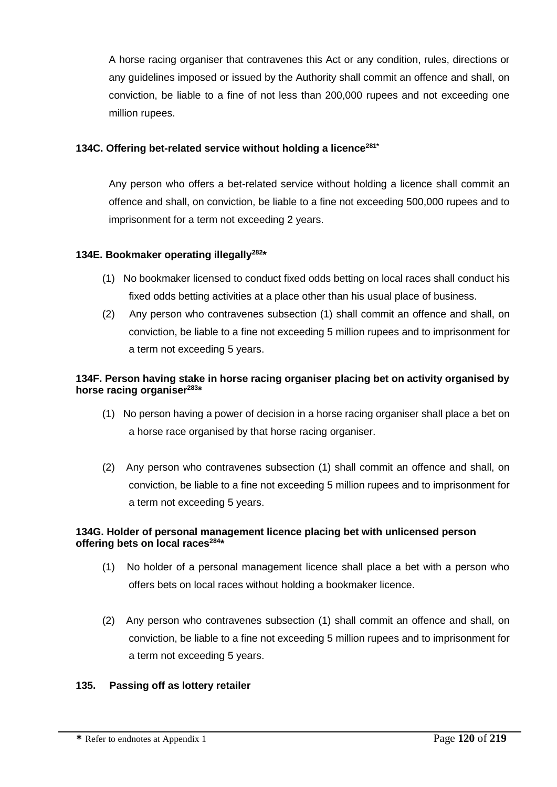A horse racing organiser that contravenes this Act or any condition, rules, directions or any guidelines imposed or issued by the Authority shall commit an offence and shall, on conviction, be liable to a fine of not less than 200,000 rupees and not exceeding one million rupees.

### **134C. Offering bet-related service without holding a licence281\***

Any person who offers a bet-related service without holding a licence shall commit an offence and shall, on conviction, be liable to a fine not exceeding 500,000 rupees and to imprisonment for a term not exceeding 2 years.

### **134E. Bookmaker operating illegally<sup>282</sup> \***

- (1) No bookmaker licensed to conduct fixed odds betting on local races shall conduct his fixed odds betting activities at a place other than his usual place of business.
- (2) Any person who contravenes subsection (1) shall commit an offence and shall, on conviction, be liable to a fine not exceeding 5 million rupees and to imprisonment for a term not exceeding 5 years.

### **134F. Person having stake in horse racing organiser placing bet on activity organised by horse racing organiser<sup>283</sup> \***

- (1) No person having a power of decision in a horse racing organiser shall place a bet on a horse race organised by that horse racing organiser.
- (2) Any person who contravenes subsection (1) shall commit an offence and shall, on conviction, be liable to a fine not exceeding 5 million rupees and to imprisonment for a term not exceeding 5 years.

### **134G. Holder of personal management licence placing bet with unlicensed person offering bets on local races<sup>284</sup> \***

- (1) No holder of a personal management licence shall place a bet with a person who offers bets on local races without holding a bookmaker licence.
- (2) Any person who contravenes subsection (1) shall commit an offence and shall, on conviction, be liable to a fine not exceeding 5 million rupees and to imprisonment for a term not exceeding 5 years.

### **135. Passing off as lottery retailer**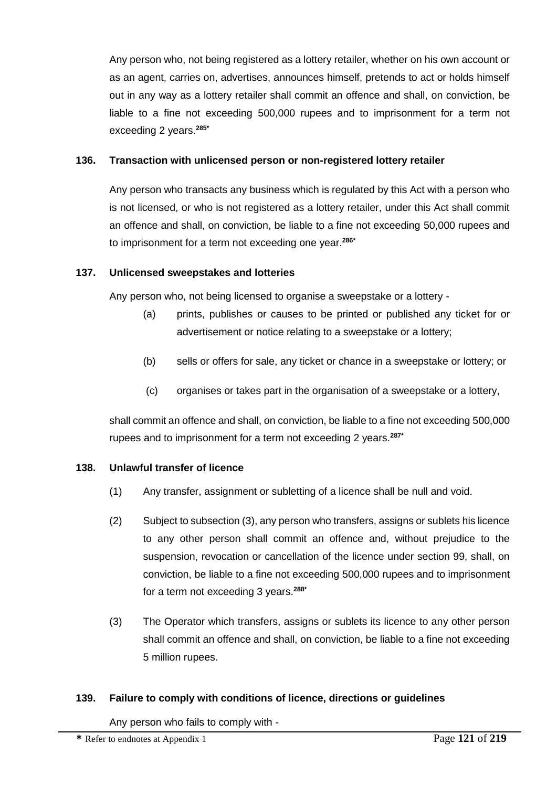Any person who, not being registered as a lottery retailer, whether on his own account or as an agent, carries on, advertises, announces himself, pretends to act or holds himself out in any way as a lottery retailer shall commit an offence and shall, on conviction, be liable to a fine not exceeding 500,000 rupees and to imprisonment for a term not exceeding 2 years.**285\***

### **136. Transaction with unlicensed person or non-registered lottery retailer**

Any person who transacts any business which is regulated by this Act with a person who is not licensed, or who is not registered as a lottery retailer, under this Act shall commit an offence and shall, on conviction, be liable to a fine not exceeding 50,000 rupees and to imprisonment for a term not exceeding one year.**286\***

### **137. Unlicensed sweepstakes and lotteries**

Any person who, not being licensed to organise a sweepstake or a lottery -

- (a) prints, publishes or causes to be printed or published any ticket for or advertisement or notice relating to a sweepstake or a lottery;
- (b) sells or offers for sale, any ticket or chance in a sweepstake or lottery; or
- (c) organises or takes part in the organisation of a sweepstake or a lottery,

shall commit an offence and shall, on conviction, be liable to a fine not exceeding 500,000 rupees and to imprisonment for a term not exceeding 2 years.**287\***

### **138. Unlawful transfer of licence**

- (1) Any transfer, assignment or subletting of a licence shall be null and void.
- (2) Subject to subsection (3), any person who transfers, assigns or sublets his licence to any other person shall commit an offence and, without prejudice to the suspension, revocation or cancellation of the licence under section 99, shall, on conviction, be liable to a fine not exceeding 500,000 rupees and to imprisonment for a term not exceeding 3 years.**288\***
- (3) The Operator which transfers, assigns or sublets its licence to any other person shall commit an offence and shall, on conviction, be liable to a fine not exceeding 5 million rupees.

### **139. Failure to comply with conditions of licence, directions or guidelines**

Any person who fails to comply with -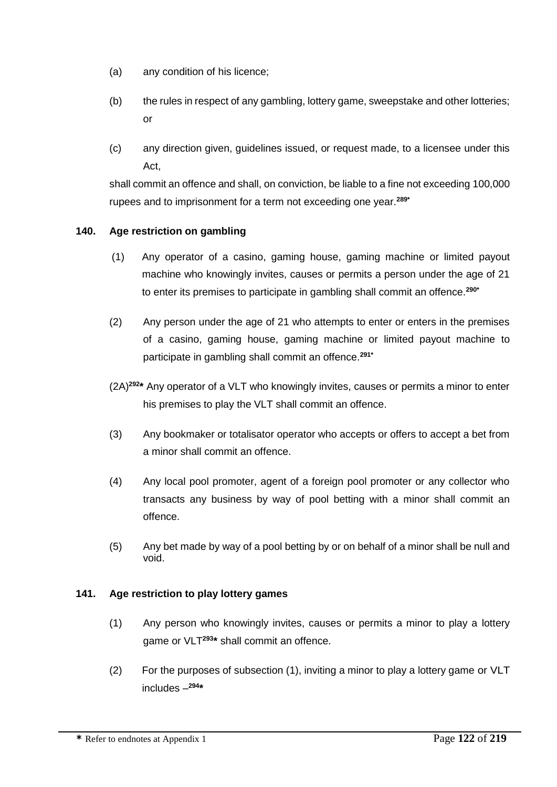- (a) any condition of his licence;
- (b) the rules in respect of any gambling, lottery game, sweepstake and other lotteries; or
- (c) any direction given, guidelines issued, or request made, to a licensee under this Act,

shall commit an offence and shall, on conviction, be liable to a fine not exceeding 100,000 rupees and to imprisonment for a term not exceeding one year.**289\***

### **140. Age restriction on gambling**

- (1) Any operator of a casino, gaming house, gaming machine or limited payout machine who knowingly invites, causes or permits a person under the age of 21 to enter its premises to participate in gambling shall commit an offence.**290\***
- (2) Any person under the age of 21 who attempts to enter or enters in the premises of a casino, gaming house, gaming machine or limited payout machine to participate in gambling shall commit an offence.**291\***
- (2A)**<sup>292</sup> \*** Any operator of a VLT who knowingly invites, causes or permits a minor to enter his premises to play the VLT shall commit an offence.
- (3) Any bookmaker or totalisator operator who accepts or offers to accept a bet from a minor shall commit an offence.
- (4) Any local pool promoter, agent of a foreign pool promoter or any collector who transacts any business by way of pool betting with a minor shall commit an offence.
- (5) Any bet made by way of a pool betting by or on behalf of a minor shall be null and void.

### **141. Age restriction to play lottery games**

- (1) Any person who knowingly invites, causes or permits a minor to play a lottery game or VLT**<sup>293</sup> \*** shall commit an offence.
- (2) For the purposes of subsection (1), inviting a minor to play a lottery game or VLT includes – **294 \***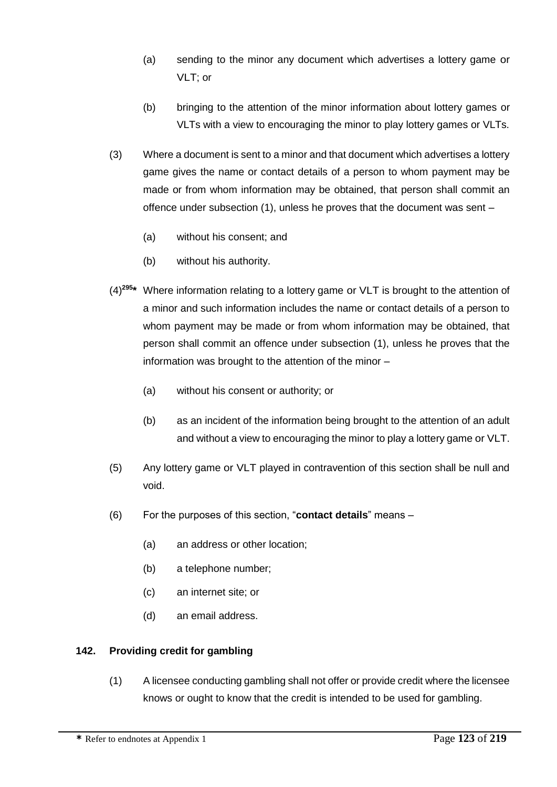- (a) sending to the minor any document which advertises a lottery game or VLT; or
- (b) bringing to the attention of the minor information about lottery games or VLTs with a view to encouraging the minor to play lottery games or VLTs.
- (3) Where a document is sent to a minor and that document which advertises a lottery game gives the name or contact details of a person to whom payment may be made or from whom information may be obtained, that person shall commit an offence under subsection (1), unless he proves that the document was sent –
	- (a) without his consent; and
	- (b) without his authority.
- (4)**<sup>295</sup> \*** Where information relating to a lottery game or VLT is brought to the attention of a minor and such information includes the name or contact details of a person to whom payment may be made or from whom information may be obtained, that person shall commit an offence under subsection (1), unless he proves that the information was brought to the attention of the minor –
	- (a) without his consent or authority; or
	- (b) as an incident of the information being brought to the attention of an adult and without a view to encouraging the minor to play a lottery game or VLT.
- (5) Any lottery game or VLT played in contravention of this section shall be null and void.
- (6) For the purposes of this section, "**contact details**" means
	- (a) an address or other location;
	- (b) a telephone number;
	- (c) an internet site; or
	- (d) an email address.

### **142. Providing credit for gambling**

(1) A licensee conducting gambling shall not offer or provide credit where the licensee knows or ought to know that the credit is intended to be used for gambling.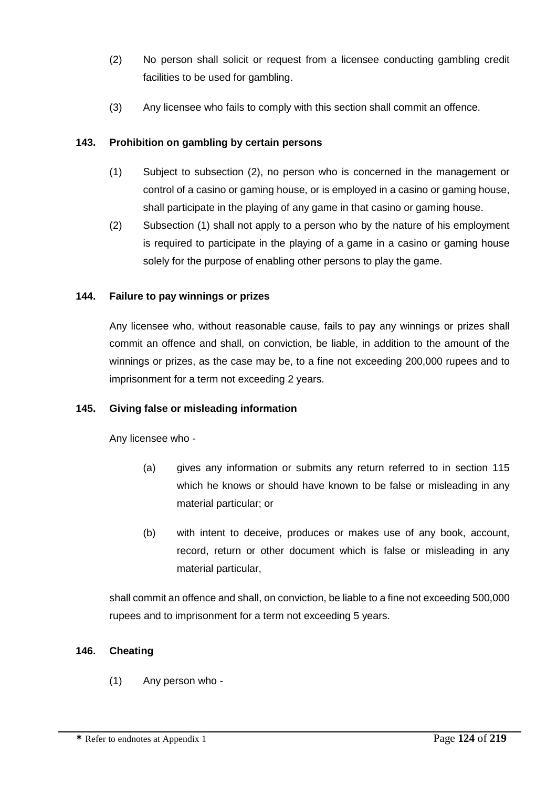- (2) No person shall solicit or request from a licensee conducting gambling credit facilities to be used for gambling.
- (3) Any licensee who fails to comply with this section shall commit an offence.

## **143. Prohibition on gambling by certain persons**

- (1) Subject to subsection (2), no person who is concerned in the management or control of a casino or gaming house, or is employed in a casino or gaming house, shall participate in the playing of any game in that casino or gaming house.
- (2) Subsection (1) shall not apply to a person who by the nature of his employment is required to participate in the playing of a game in a casino or gaming house solely for the purpose of enabling other persons to play the game.

### **144. Failure to pay winnings or prizes**

Any licensee who, without reasonable cause, fails to pay any winnings or prizes shall commit an offence and shall, on conviction, be liable, in addition to the amount of the winnings or prizes, as the case may be, to a fine not exceeding 200,000 rupees and to imprisonment for a term not exceeding 2 years.

### **145. Giving false or misleading information**

Any licensee who -

- (a) gives any information or submits any return referred to in section 115 which he knows or should have known to be false or misleading in any material particular; or
- (b) with intent to deceive, produces or makes use of any book, account, record, return or other document which is false or misleading in any material particular,

shall commit an offence and shall, on conviction, be liable to a fine not exceeding 500,000 rupees and to imprisonment for a term not exceeding 5 years.

# **146. Cheating**

(1) Any person who -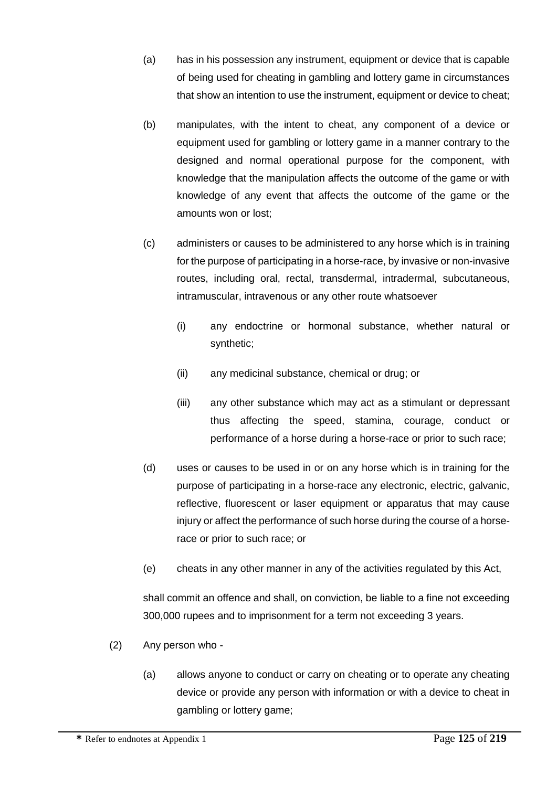- (a) has in his possession any instrument, equipment or device that is capable of being used for cheating in gambling and lottery game in circumstances that show an intention to use the instrument, equipment or device to cheat;
- (b) manipulates, with the intent to cheat, any component of a device or equipment used for gambling or lottery game in a manner contrary to the designed and normal operational purpose for the component, with knowledge that the manipulation affects the outcome of the game or with knowledge of any event that affects the outcome of the game or the amounts won or lost;
- (c) administers or causes to be administered to any horse which is in training for the purpose of participating in a horse-race, by invasive or non-invasive routes, including oral, rectal, transdermal, intradermal, subcutaneous, intramuscular, intravenous or any other route whatsoever
	- (i) any endoctrine or hormonal substance, whether natural or synthetic;
	- (ii) any medicinal substance, chemical or drug; or
	- (iii) any other substance which may act as a stimulant or depressant thus affecting the speed, stamina, courage, conduct or performance of a horse during a horse-race or prior to such race;
- (d) uses or causes to be used in or on any horse which is in training for the purpose of participating in a horse-race any electronic, electric, galvanic, reflective, fluorescent or laser equipment or apparatus that may cause injury or affect the performance of such horse during the course of a horserace or prior to such race; or
- (e) cheats in any other manner in any of the activities regulated by this Act,

shall commit an offence and shall, on conviction, be liable to a fine not exceeding 300,000 rupees and to imprisonment for a term not exceeding 3 years.

- (2) Any person who
	- (a) allows anyone to conduct or carry on cheating or to operate any cheating device or provide any person with information or with a device to cheat in gambling or lottery game;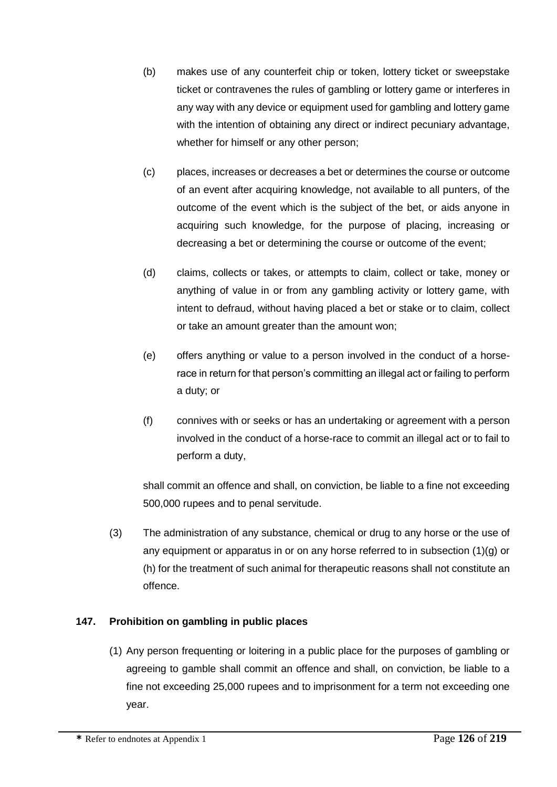- (b) makes use of any counterfeit chip or token, lottery ticket or sweepstake ticket or contravenes the rules of gambling or lottery game or interferes in any way with any device or equipment used for gambling and lottery game with the intention of obtaining any direct or indirect pecuniary advantage, whether for himself or any other person;
- (c) places, increases or decreases a bet or determines the course or outcome of an event after acquiring knowledge, not available to all punters, of the outcome of the event which is the subject of the bet, or aids anyone in acquiring such knowledge, for the purpose of placing, increasing or decreasing a bet or determining the course or outcome of the event;
- (d) claims, collects or takes, or attempts to claim, collect or take, money or anything of value in or from any gambling activity or lottery game, with intent to defraud, without having placed a bet or stake or to claim, collect or take an amount greater than the amount won;
- (e) offers anything or value to a person involved in the conduct of a horserace in return for that person's committing an illegal act or failing to perform a duty; or
- (f) connives with or seeks or has an undertaking or agreement with a person involved in the conduct of a horse-race to commit an illegal act or to fail to perform a duty,

shall commit an offence and shall, on conviction, be liable to a fine not exceeding 500,000 rupees and to penal servitude.

(3) The administration of any substance, chemical or drug to any horse or the use of any equipment or apparatus in or on any horse referred to in subsection  $(1)(q)$  or (h) for the treatment of such animal for therapeutic reasons shall not constitute an offence.

# **147. Prohibition on gambling in public places**

(1) Any person frequenting or loitering in a public place for the purposes of gambling or agreeing to gamble shall commit an offence and shall, on conviction, be liable to a fine not exceeding 25,000 rupees and to imprisonment for a term not exceeding one year.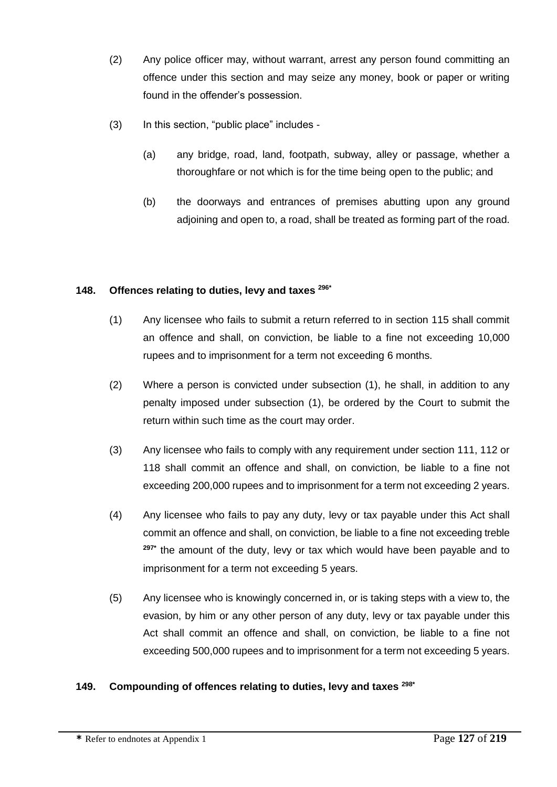- (2) Any police officer may, without warrant, arrest any person found committing an offence under this section and may seize any money, book or paper or writing found in the offender's possession.
- (3) In this section, "public place" includes
	- (a) any bridge, road, land, footpath, subway, alley or passage, whether a thoroughfare or not which is for the time being open to the public; and
	- (b) the doorways and entrances of premises abutting upon any ground adjoining and open to, a road, shall be treated as forming part of the road.

### **148. Offences relating to duties, levy and taxes 296\***

- (1) Any licensee who fails to submit a return referred to in section 115 shall commit an offence and shall, on conviction, be liable to a fine not exceeding 10,000 rupees and to imprisonment for a term not exceeding 6 months.
- (2) Where a person is convicted under subsection (1), he shall, in addition to any penalty imposed under subsection (1), be ordered by the Court to submit the return within such time as the court may order.
- (3) Any licensee who fails to comply with any requirement under section 111, 112 or 118 shall commit an offence and shall, on conviction, be liable to a fine not exceeding 200,000 rupees and to imprisonment for a term not exceeding 2 years.
- (4) Any licensee who fails to pay any duty, levy or tax payable under this Act shall commit an offence and shall, on conviction, be liable to a fine not exceeding treble **297\*** the amount of the duty, levy or tax which would have been payable and to imprisonment for a term not exceeding 5 years.
- (5) Any licensee who is knowingly concerned in, or is taking steps with a view to, the evasion, by him or any other person of any duty, levy or tax payable under this Act shall commit an offence and shall, on conviction, be liable to a fine not exceeding 500,000 rupees and to imprisonment for a term not exceeding 5 years.

### **149. Compounding of offences relating to duties, levy and taxes 298\***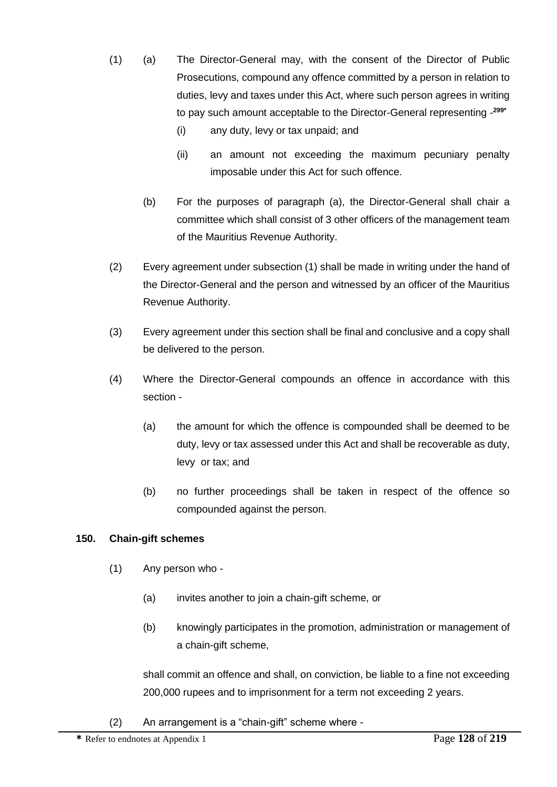- (1) (a) The Director-General may, with the consent of the Director of Public Prosecutions, compound any offence committed by a person in relation to duties, levy and taxes under this Act, where such person agrees in writing to pay such amount acceptable to the Director-General representing - **299\***
	- (i) any duty, levy or tax unpaid; and
	- (ii) an amount not exceeding the maximum pecuniary penalty imposable under this Act for such offence.
	- (b) For the purposes of paragraph (a), the Director-General shall chair a committee which shall consist of 3 other officers of the management team of the Mauritius Revenue Authority.
- (2) Every agreement under subsection (1) shall be made in writing under the hand of the Director-General and the person and witnessed by an officer of the Mauritius Revenue Authority.
- (3) Every agreement under this section shall be final and conclusive and a copy shall be delivered to the person.
- (4) Where the Director-General compounds an offence in accordance with this section -
	- (a) the amount for which the offence is compounded shall be deemed to be duty, levy or tax assessed under this Act and shall be recoverable as duty, levy or tax; and
	- (b) no further proceedings shall be taken in respect of the offence so compounded against the person.

# **150. Chain-gift schemes**

- (1) Any person who
	- (a) invites another to join a chain-gift scheme, or
	- (b) knowingly participates in the promotion, administration or management of a chain-gift scheme,

shall commit an offence and shall, on conviction, be liable to a fine not exceeding 200,000 rupees and to imprisonment for a term not exceeding 2 years.

(2) An arrangement is a "chain-gift" scheme where -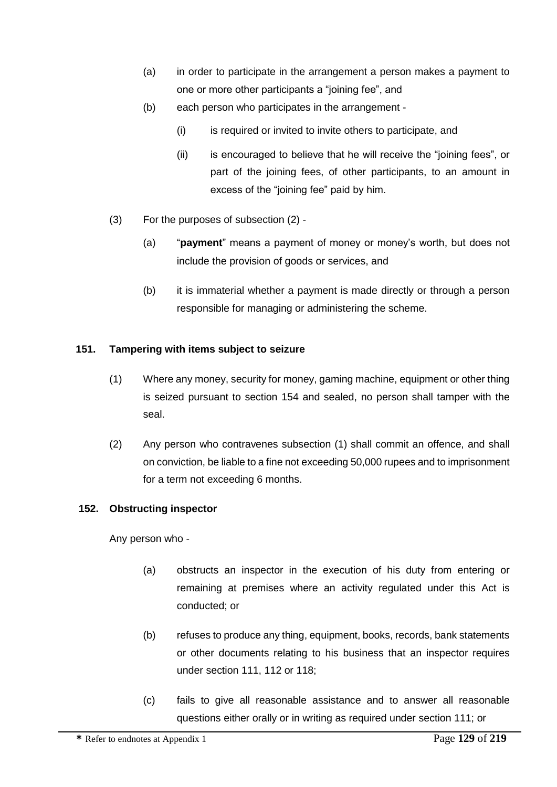- (a) in order to participate in the arrangement a person makes a payment to one or more other participants a "joining fee", and
- (b) each person who participates in the arrangement
	- (i) is required or invited to invite others to participate, and
	- (ii) is encouraged to believe that he will receive the "joining fees", or part of the joining fees, of other participants, to an amount in excess of the "joining fee" paid by him.
- (3) For the purposes of subsection (2)
	- (a) "**payment**" means a payment of money or money's worth, but does not include the provision of goods or services, and
	- (b) it is immaterial whether a payment is made directly or through a person responsible for managing or administering the scheme.

### **151. Tampering with items subject to seizure**

- (1) Where any money, security for money, gaming machine, equipment or other thing is seized pursuant to section 154 and sealed, no person shall tamper with the seal.
- (2) Any person who contravenes subsection (1) shall commit an offence, and shall on conviction, be liable to a fine not exceeding 50,000 rupees and to imprisonment for a term not exceeding 6 months.

### **152. Obstructing inspector**

Any person who -

- (a) obstructs an inspector in the execution of his duty from entering or remaining at premises where an activity regulated under this Act is conducted; or
- (b) refuses to produce any thing, equipment, books, records, bank statements or other documents relating to his business that an inspector requires under section 111, 112 or 118;
- (c) fails to give all reasonable assistance and to answer all reasonable questions either orally or in writing as required under section 111; or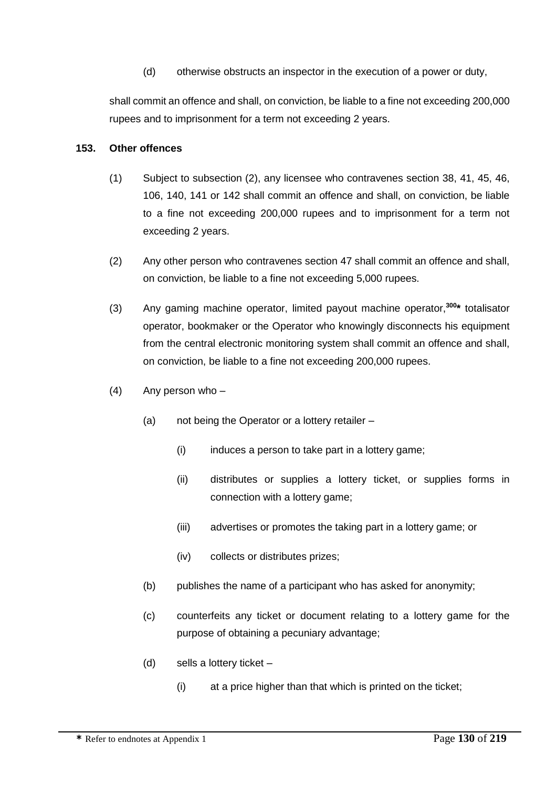(d) otherwise obstructs an inspector in the execution of a power or duty,

shall commit an offence and shall, on conviction, be liable to a fine not exceeding 200,000 rupees and to imprisonment for a term not exceeding 2 years.

#### **153. Other offences**

- (1) Subject to subsection (2), any licensee who contravenes section 38, 41, 45, 46, 106, 140, 141 or 142 shall commit an offence and shall, on conviction, be liable to a fine not exceeding 200,000 rupees and to imprisonment for a term not exceeding 2 years.
- (2) Any other person who contravenes section 47 shall commit an offence and shall, on conviction, be liable to a fine not exceeding 5,000 rupees.
- (3) Any gaming machine operator, limited payout machine operator,**<sup>300</sup> \*** totalisator operator, bookmaker or the Operator who knowingly disconnects his equipment from the central electronic monitoring system shall commit an offence and shall, on conviction, be liable to a fine not exceeding 200,000 rupees.
- $(4)$  Any person who
	- (a) not being the Operator or a lottery retailer
		- (i) induces a person to take part in a lottery game;
		- (ii) distributes or supplies a lottery ticket, or supplies forms in connection with a lottery game;
		- (iii) advertises or promotes the taking part in a lottery game; or
		- (iv) collects or distributes prizes;
	- (b) publishes the name of a participant who has asked for anonymity;
	- (c) counterfeits any ticket or document relating to a lottery game for the purpose of obtaining a pecuniary advantage;
	- (d) sells a lottery ticket
		- (i) at a price higher than that which is printed on the ticket;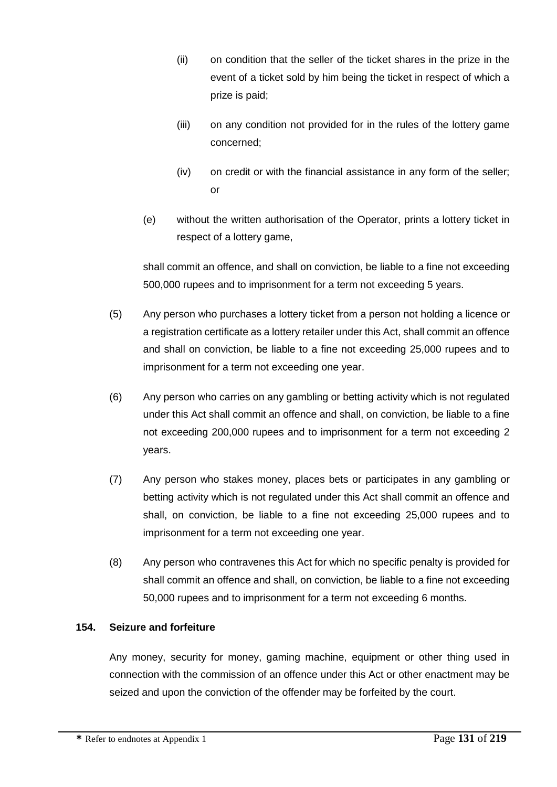- (ii) on condition that the seller of the ticket shares in the prize in the event of a ticket sold by him being the ticket in respect of which a prize is paid;
- (iii) on any condition not provided for in the rules of the lottery game concerned;
- (iv) on credit or with the financial assistance in any form of the seller; or
- (e) without the written authorisation of the Operator, prints a lottery ticket in respect of a lottery game,

shall commit an offence, and shall on conviction, be liable to a fine not exceeding 500,000 rupees and to imprisonment for a term not exceeding 5 years.

- (5) Any person who purchases a lottery ticket from a person not holding a licence or a registration certificate as a lottery retailer under this Act, shall commit an offence and shall on conviction, be liable to a fine not exceeding 25,000 rupees and to imprisonment for a term not exceeding one year.
- (6) Any person who carries on any gambling or betting activity which is not regulated under this Act shall commit an offence and shall, on conviction, be liable to a fine not exceeding 200,000 rupees and to imprisonment for a term not exceeding 2 years.
- (7) Any person who stakes money, places bets or participates in any gambling or betting activity which is not regulated under this Act shall commit an offence and shall, on conviction, be liable to a fine not exceeding 25,000 rupees and to imprisonment for a term not exceeding one year.
- (8) Any person who contravenes this Act for which no specific penalty is provided for shall commit an offence and shall, on conviction, be liable to a fine not exceeding 50,000 rupees and to imprisonment for a term not exceeding 6 months.

# **154. Seizure and forfeiture**

Any money, security for money, gaming machine, equipment or other thing used in connection with the commission of an offence under this Act or other enactment may be seized and upon the conviction of the offender may be forfeited by the court.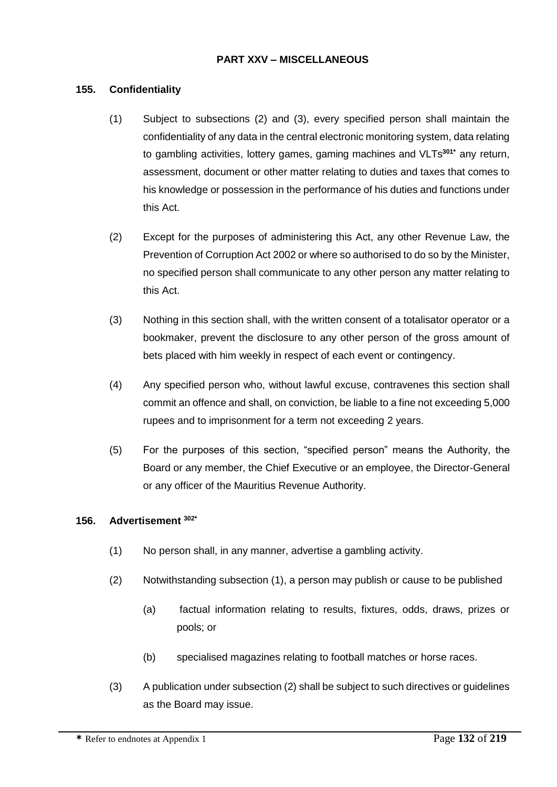### **PART XXV – MISCELLANEOUS**

#### **155. Confidentiality**

- (1) Subject to subsections (2) and (3), every specified person shall maintain the confidentiality of any data in the central electronic monitoring system, data relating to gambling activities, lottery games, gaming machines and VLTs**301\*** any return, assessment, document or other matter relating to duties and taxes that comes to his knowledge or possession in the performance of his duties and functions under this Act.
- (2) Except for the purposes of administering this Act, any other Revenue Law, the Prevention of Corruption Act 2002 or where so authorised to do so by the Minister, no specified person shall communicate to any other person any matter relating to this Act.
- (3) Nothing in this section shall, with the written consent of a totalisator operator or a bookmaker, prevent the disclosure to any other person of the gross amount of bets placed with him weekly in respect of each event or contingency.
- (4) Any specified person who, without lawful excuse, contravenes this section shall commit an offence and shall, on conviction, be liable to a fine not exceeding 5,000 rupees and to imprisonment for a term not exceeding 2 years.
- (5) For the purposes of this section, "specified person" means the Authority, the Board or any member, the Chief Executive or an employee, the Director-General or any officer of the Mauritius Revenue Authority.

#### **156. Advertisement 302\***

- (1) No person shall, in any manner, advertise a gambling activity.
- (2) Notwithstanding subsection (1), a person may publish or cause to be published
	- (a) factual information relating to results, fixtures, odds, draws, prizes or pools; or
	- (b) specialised magazines relating to football matches or horse races.
- (3) A publication under subsection (2) shall be subject to such directives or guidelines as the Board may issue.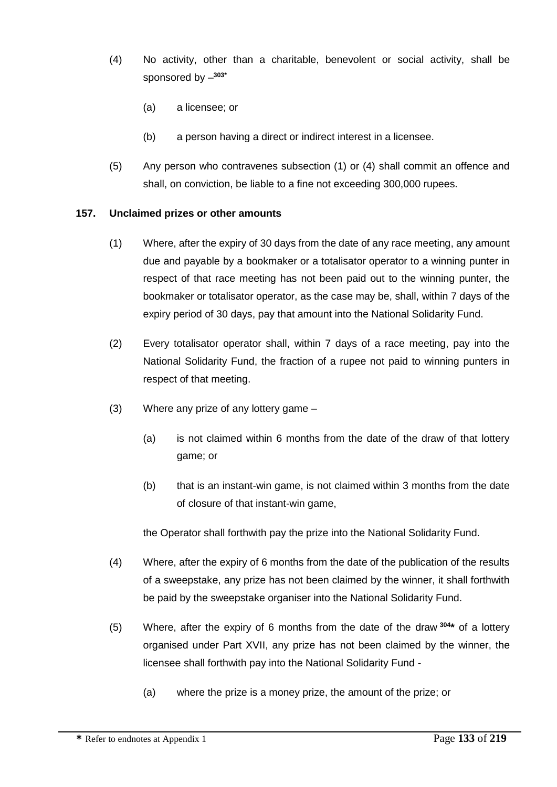- (4) No activity, other than a charitable, benevolent or social activity, shall be sponsored by – **303\***
	- (a) a licensee; or
	- (b) a person having a direct or indirect interest in a licensee.
- (5) Any person who contravenes subsection (1) or (4) shall commit an offence and shall, on conviction, be liable to a fine not exceeding 300,000 rupees.

### **157. Unclaimed prizes or other amounts**

- (1) Where, after the expiry of 30 days from the date of any race meeting, any amount due and payable by a bookmaker or a totalisator operator to a winning punter in respect of that race meeting has not been paid out to the winning punter, the bookmaker or totalisator operator, as the case may be, shall, within 7 days of the expiry period of 30 days, pay that amount into the National Solidarity Fund.
- (2) Every totalisator operator shall, within 7 days of a race meeting, pay into the National Solidarity Fund, the fraction of a rupee not paid to winning punters in respect of that meeting.
- (3) Where any prize of any lottery game
	- (a) is not claimed within 6 months from the date of the draw of that lottery game; or
	- (b) that is an instant-win game, is not claimed within 3 months from the date of closure of that instant-win game,

the Operator shall forthwith pay the prize into the National Solidarity Fund.

- (4) Where, after the expiry of 6 months from the date of the publication of the results of a sweepstake, any prize has not been claimed by the winner, it shall forthwith be paid by the sweepstake organiser into the National Solidarity Fund.
- (5) Where, after the expiry of 6 months from the date of the draw **<sup>304</sup> \*** of a lottery organised under Part XVII, any prize has not been claimed by the winner, the licensee shall forthwith pay into the National Solidarity Fund -
	- (a) where the prize is a money prize, the amount of the prize; or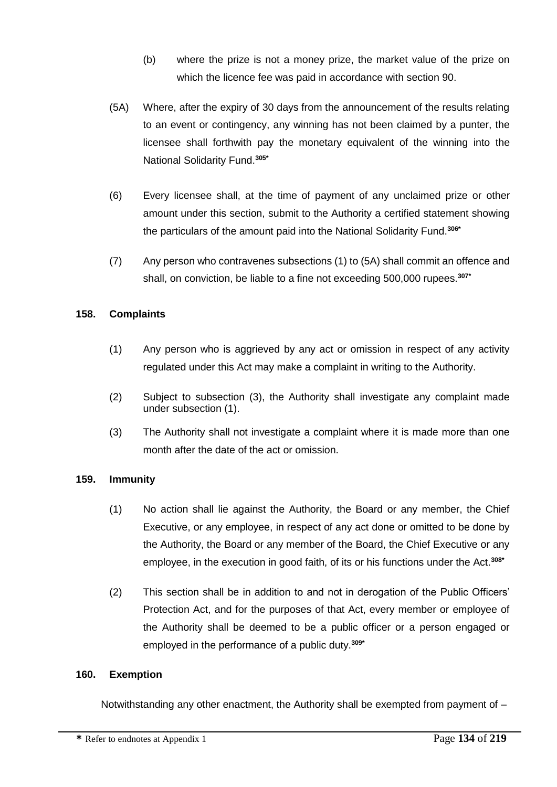- (b) where the prize is not a money prize, the market value of the prize on which the licence fee was paid in accordance with section 90.
- (5A) Where, after the expiry of 30 days from the announcement of the results relating to an event or contingency, any winning has not been claimed by a punter, the licensee shall forthwith pay the monetary equivalent of the winning into the National Solidarity Fund.**305\***
- (6) Every licensee shall, at the time of payment of any unclaimed prize or other amount under this section, submit to the Authority a certified statement showing the particulars of the amount paid into the National Solidarity Fund.**306\***
- (7) Any person who contravenes subsections (1) to (5A) shall commit an offence and shall, on conviction, be liable to a fine not exceeding 500,000 rupees.**307\***

### **158. Complaints**

- (1) Any person who is aggrieved by any act or omission in respect of any activity regulated under this Act may make a complaint in writing to the Authority.
- (2) Subject to subsection (3), the Authority shall investigate any complaint made under subsection (1).
- (3) The Authority shall not investigate a complaint where it is made more than one month after the date of the act or omission.

### **159. Immunity**

- (1) No action shall lie against the Authority, the Board or any member, the Chief Executive, or any employee, in respect of any act done or omitted to be done by the Authority, the Board or any member of the Board, the Chief Executive or any employee, in the execution in good faith, of its or his functions under the Act.**308\***
- (2) This section shall be in addition to and not in derogation of the Public Officers' Protection Act, and for the purposes of that Act, every member or employee of the Authority shall be deemed to be a public officer or a person engaged or employed in the performance of a public duty.**309\***

### **160. Exemption**

Notwithstanding any other enactment, the Authority shall be exempted from payment of –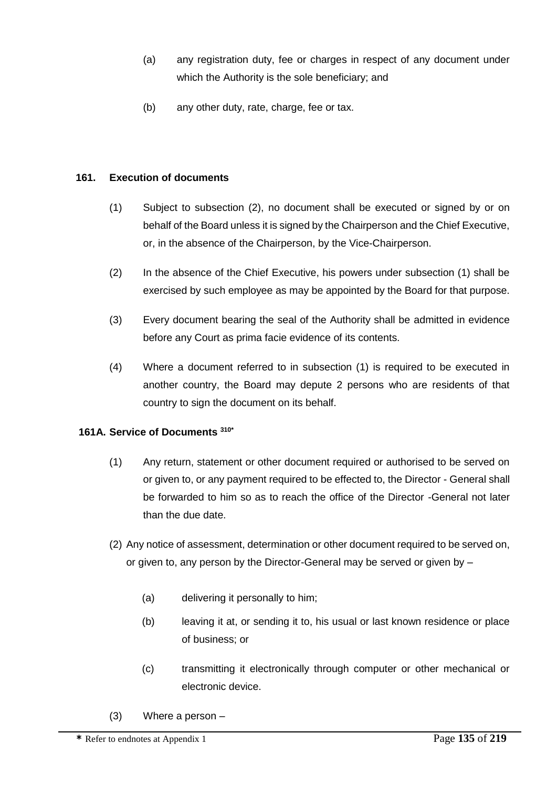- (a) any registration duty, fee or charges in respect of any document under which the Authority is the sole beneficiary; and
- (b) any other duty, rate, charge, fee or tax.

### **161. Execution of documents**

- (1) Subject to subsection (2), no document shall be executed or signed by or on behalf of the Board unless it is signed by the Chairperson and the Chief Executive, or, in the absence of the Chairperson, by the Vice-Chairperson.
- (2) In the absence of the Chief Executive, his powers under subsection (1) shall be exercised by such employee as may be appointed by the Board for that purpose.
- (3) Every document bearing the seal of the Authority shall be admitted in evidence before any Court as prima facie evidence of its contents.
- (4) Where a document referred to in subsection (1) is required to be executed in another country, the Board may depute 2 persons who are residents of that country to sign the document on its behalf.

### **161A. Service of Documents 310\***

- (1) Any return, statement or other document required or authorised to be served on or given to, or any payment required to be effected to, the Director - General shall be forwarded to him so as to reach the office of the Director -General not later than the due date.
- (2) Any notice of assessment, determination or other document required to be served on, or given to, any person by the Director-General may be served or given by –
	- (a) delivering it personally to him;
	- (b) leaving it at, or sending it to, his usual or last known residence or place of business; or
	- (c) transmitting it electronically through computer or other mechanical or electronic device.
- (3) Where a person –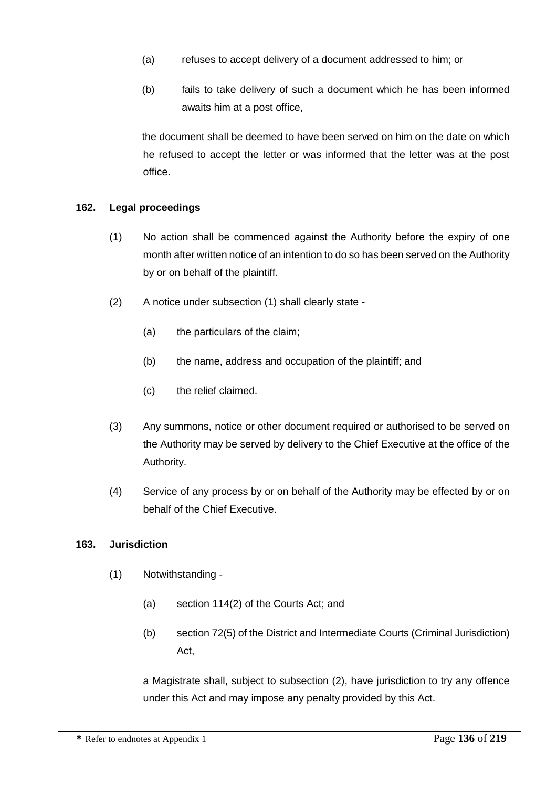- (a) refuses to accept delivery of a document addressed to him; or
- (b) fails to take delivery of such a document which he has been informed awaits him at a post office,

the document shall be deemed to have been served on him on the date on which he refused to accept the letter or was informed that the letter was at the post office.

### **162. Legal proceedings**

- (1) No action shall be commenced against the Authority before the expiry of one month after written notice of an intention to do so has been served on the Authority by or on behalf of the plaintiff.
- (2) A notice under subsection (1) shall clearly state
	- (a) the particulars of the claim;
	- (b) the name, address and occupation of the plaintiff; and
	- (c) the relief claimed.
- (3) Any summons, notice or other document required or authorised to be served on the Authority may be served by delivery to the Chief Executive at the office of the Authority.
- (4) Service of any process by or on behalf of the Authority may be effected by or on behalf of the Chief Executive.

### **163. Jurisdiction**

- (1) Notwithstanding
	- (a) section 114(2) of the Courts Act; and
	- (b) section 72(5) of the District and Intermediate Courts (Criminal Jurisdiction) Act,

a Magistrate shall, subject to subsection (2), have jurisdiction to try any offence under this Act and may impose any penalty provided by this Act.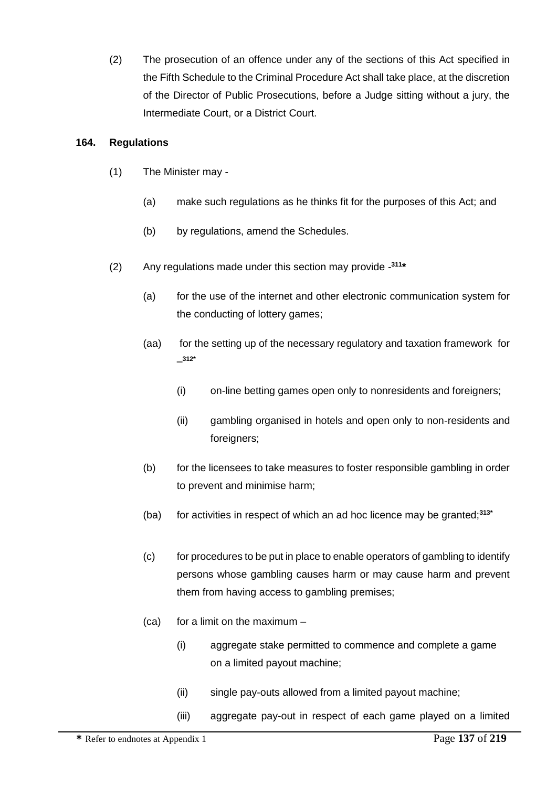(2) The prosecution of an offence under any of the sections of this Act specified in the Fifth Schedule to the Criminal Procedure Act shall take place, at the discretion of the Director of Public Prosecutions, before a Judge sitting without a jury, the Intermediate Court, or a District Court.

### **164. Regulations**

- (1) The Minister may
	- (a) make such regulations as he thinks fit for the purposes of this Act; and
	- (b) by regulations, amend the Schedules.
- (2) Any regulations made under this section may provide **311 \***
	- (a) for the use of the internet and other electronic communication system for the conducting of lottery games;
	- (aa) for the setting up of the necessary regulatory and taxation framework for – **312\***
		- (i) on-line betting games open only to nonresidents and foreigners;
		- (ii) gambling organised in hotels and open only to non-residents and foreigners:
	- (b) for the licensees to take measures to foster responsible gambling in order to prevent and minimise harm;
	- (ba) for activities in respect of which an ad hoc licence may be granted;**313\***
	- (c) for procedures to be put in place to enable operators of gambling to identify persons whose gambling causes harm or may cause harm and prevent them from having access to gambling premises;
	- $(ca)$  for a limit on the maximum  $-$ 
		- (i) aggregate stake permitted to commence and complete a game on a limited payout machine;
		- (ii) single pay-outs allowed from a limited payout machine;
		- (iii) aggregate pay-out in respect of each game played on a limited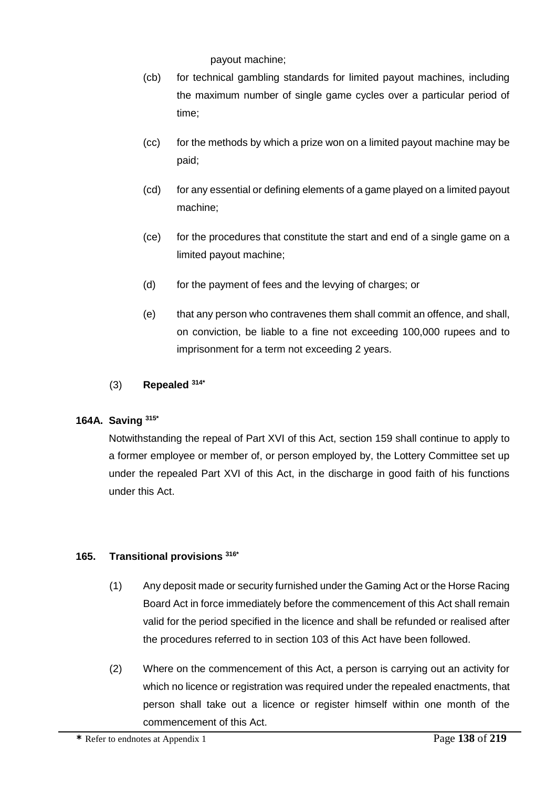payout machine;

- (cb) for technical gambling standards for limited payout machines, including the maximum number of single game cycles over a particular period of time;
- (cc) for the methods by which a prize won on a limited payout machine may be paid;
- (cd) for any essential or defining elements of a game played on a limited payout machine;
- (ce) for the procedures that constitute the start and end of a single game on a limited payout machine;
- (d) for the payment of fees and the levying of charges; or
- (e) that any person who contravenes them shall commit an offence, and shall, on conviction, be liable to a fine not exceeding 100,000 rupees and to imprisonment for a term not exceeding 2 years.

### (3) **Repealed 314\***

# **164A. Saving 315\***

Notwithstanding the repeal of Part XVI of this Act, section 159 shall continue to apply to a former employee or member of, or person employed by, the Lottery Committee set up under the repealed Part XVI of this Act, in the discharge in good faith of his functions under this Act.

### **165. Transitional provisions 316\***

- (1) Any deposit made or security furnished under the Gaming Act or the Horse Racing Board Act in force immediately before the commencement of this Act shall remain valid for the period specified in the licence and shall be refunded or realised after the procedures referred to in section 103 of this Act have been followed.
- (2) Where on the commencement of this Act, a person is carrying out an activity for which no licence or registration was required under the repealed enactments, that person shall take out a licence or register himself within one month of the commencement of this Act.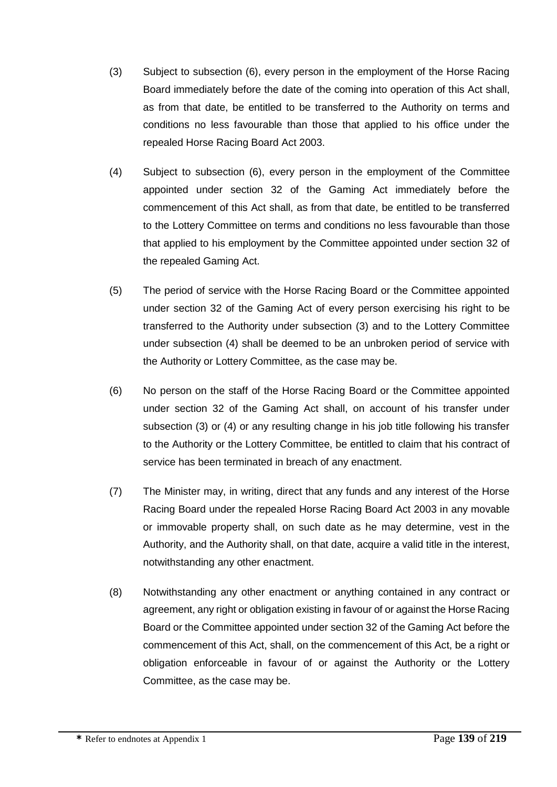- (3) Subject to subsection (6), every person in the employment of the Horse Racing Board immediately before the date of the coming into operation of this Act shall, as from that date, be entitled to be transferred to the Authority on terms and conditions no less favourable than those that applied to his office under the repealed Horse Racing Board Act 2003.
- (4) Subject to subsection (6), every person in the employment of the Committee appointed under section 32 of the Gaming Act immediately before the commencement of this Act shall, as from that date, be entitled to be transferred to the Lottery Committee on terms and conditions no less favourable than those that applied to his employment by the Committee appointed under section 32 of the repealed Gaming Act.
- (5) The period of service with the Horse Racing Board or the Committee appointed under section 32 of the Gaming Act of every person exercising his right to be transferred to the Authority under subsection (3) and to the Lottery Committee under subsection (4) shall be deemed to be an unbroken period of service with the Authority or Lottery Committee, as the case may be.
- (6) No person on the staff of the Horse Racing Board or the Committee appointed under section 32 of the Gaming Act shall, on account of his transfer under subsection (3) or (4) or any resulting change in his job title following his transfer to the Authority or the Lottery Committee, be entitled to claim that his contract of service has been terminated in breach of any enactment.
- (7) The Minister may, in writing, direct that any funds and any interest of the Horse Racing Board under the repealed Horse Racing Board Act 2003 in any movable or immovable property shall, on such date as he may determine, vest in the Authority, and the Authority shall, on that date, acquire a valid title in the interest, notwithstanding any other enactment.
- (8) Notwithstanding any other enactment or anything contained in any contract or agreement, any right or obligation existing in favour of or against the Horse Racing Board or the Committee appointed under section 32 of the Gaming Act before the commencement of this Act, shall, on the commencement of this Act, be a right or obligation enforceable in favour of or against the Authority or the Lottery Committee, as the case may be.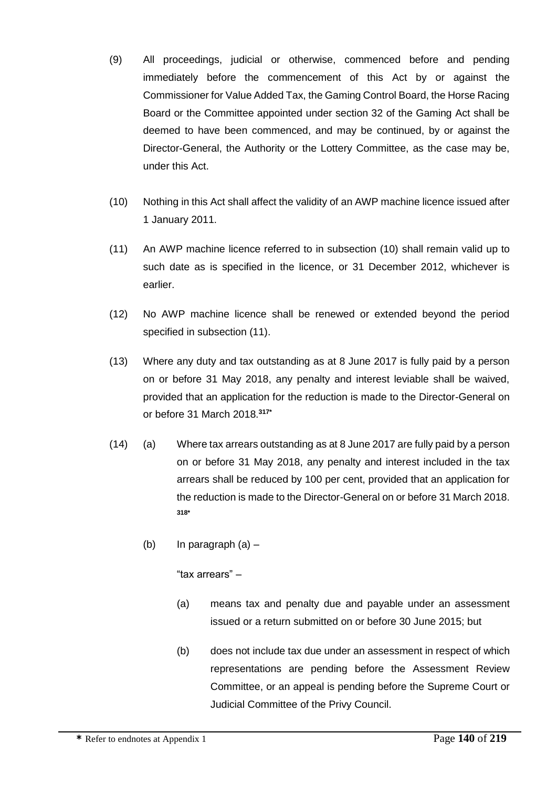- (9) All proceedings, judicial or otherwise, commenced before and pending immediately before the commencement of this Act by or against the Commissioner for Value Added Tax, the Gaming Control Board, the Horse Racing Board or the Committee appointed under section 32 of the Gaming Act shall be deemed to have been commenced, and may be continued, by or against the Director-General, the Authority or the Lottery Committee, as the case may be, under this Act.
- (10) Nothing in this Act shall affect the validity of an AWP machine licence issued after 1 January 2011.
- (11) An AWP machine licence referred to in subsection (10) shall remain valid up to such date as is specified in the licence, or 31 December 2012, whichever is earlier.
- (12) No AWP machine licence shall be renewed or extended beyond the period specified in subsection (11).
- (13) Where any duty and tax outstanding as at 8 June 2017 is fully paid by a person on or before 31 May 2018, any penalty and interest leviable shall be waived, provided that an application for the reduction is made to the Director-General on or before 31 March 2018.**317\***
- (14) (a) Where tax arrears outstanding as at 8 June 2017 are fully paid by a person on or before 31 May 2018, any penalty and interest included in the tax arrears shall be reduced by 100 per cent, provided that an application for the reduction is made to the Director-General on or before 31 March 2018. **318\***
	- (b) In paragraph (a) –

"tax arrears" –

- (a) means tax and penalty due and payable under an assessment issued or a return submitted on or before 30 June 2015; but
- (b) does not include tax due under an assessment in respect of which representations are pending before the Assessment Review Committee, or an appeal is pending before the Supreme Court or Judicial Committee of the Privy Council.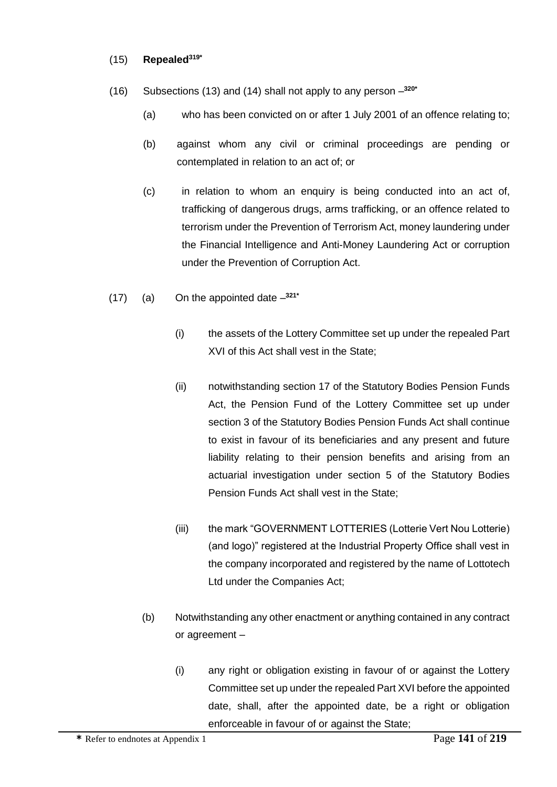#### (15) **Repealed319\***

- (16) Subsections (13) and (14) shall not apply to any person **320\***
	- (a) who has been convicted on or after 1 July 2001 of an offence relating to;
	- (b) against whom any civil or criminal proceedings are pending or contemplated in relation to an act of; or
	- (c) in relation to whom an enquiry is being conducted into an act of, trafficking of dangerous drugs, arms trafficking, or an offence related to terrorism under the Prevention of Terrorism Act, money laundering under the Financial Intelligence and Anti-Money Laundering Act or corruption under the Prevention of Corruption Act.
- (17) (a) On the appointed date **321\***
	- (i) the assets of the Lottery Committee set up under the repealed Part XVI of this Act shall vest in the State;
	- (ii) notwithstanding section 17 of the Statutory Bodies Pension Funds Act, the Pension Fund of the Lottery Committee set up under section 3 of the Statutory Bodies Pension Funds Act shall continue to exist in favour of its beneficiaries and any present and future liability relating to their pension benefits and arising from an actuarial investigation under section 5 of the Statutory Bodies Pension Funds Act shall vest in the State;
	- (iii) the mark "GOVERNMENT LOTTERIES (Lotterie Vert Nou Lotterie) (and logo)" registered at the Industrial Property Office shall vest in the company incorporated and registered by the name of Lottotech Ltd under the Companies Act;
	- (b) Notwithstanding any other enactment or anything contained in any contract or agreement –
		- (i) any right or obligation existing in favour of or against the Lottery Committee set up under the repealed Part XVI before the appointed date, shall, after the appointed date, be a right or obligation enforceable in favour of or against the State;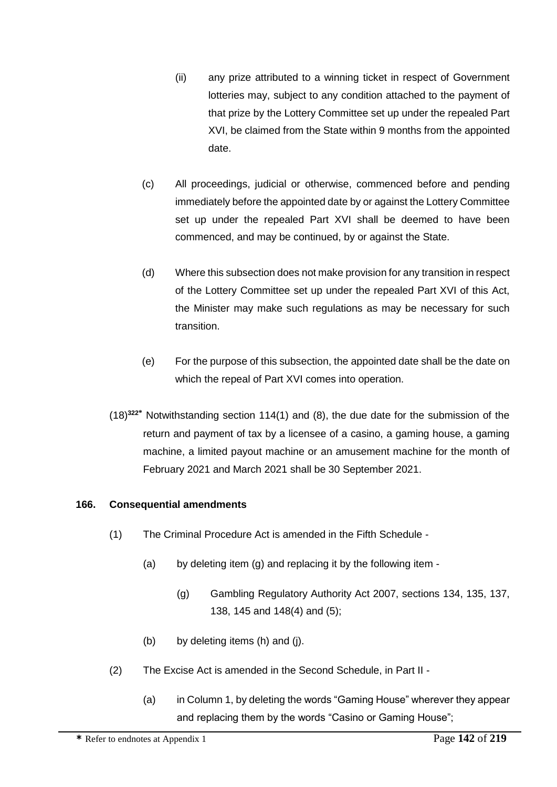- (ii) any prize attributed to a winning ticket in respect of Government lotteries may, subject to any condition attached to the payment of that prize by the Lottery Committee set up under the repealed Part XVI, be claimed from the State within 9 months from the appointed date.
- (c) All proceedings, judicial or otherwise, commenced before and pending immediately before the appointed date by or against the Lottery Committee set up under the repealed Part XVI shall be deemed to have been commenced, and may be continued, by or against the State.
- (d) Where this subsection does not make provision for any transition in respect of the Lottery Committee set up under the repealed Part XVI of this Act, the Minister may make such regulations as may be necessary for such transition.
- (e) For the purpose of this subsection, the appointed date shall be the date on which the repeal of Part XVI comes into operation.
- (18)**<sup>322</sup>\*** Notwithstanding section 114(1) and (8), the due date for the submission of the return and payment of tax by a licensee of a casino, a gaming house, a gaming machine, a limited payout machine or an amusement machine for the month of February 2021 and March 2021 shall be 30 September 2021.

# **166. Consequential amendments**

- (1) The Criminal Procedure Act is amended in the Fifth Schedule
	- (a) by deleting item  $(g)$  and replacing it by the following item -
		- (g) Gambling Regulatory Authority Act 2007, sections 134, 135, 137, 138, 145 and 148(4) and (5);
	- (b) by deleting items (h) and (j).
- (2) The Excise Act is amended in the Second Schedule, in Part II
	- (a) in Column 1, by deleting the words "Gaming House" wherever they appear and replacing them by the words "Casino or Gaming House";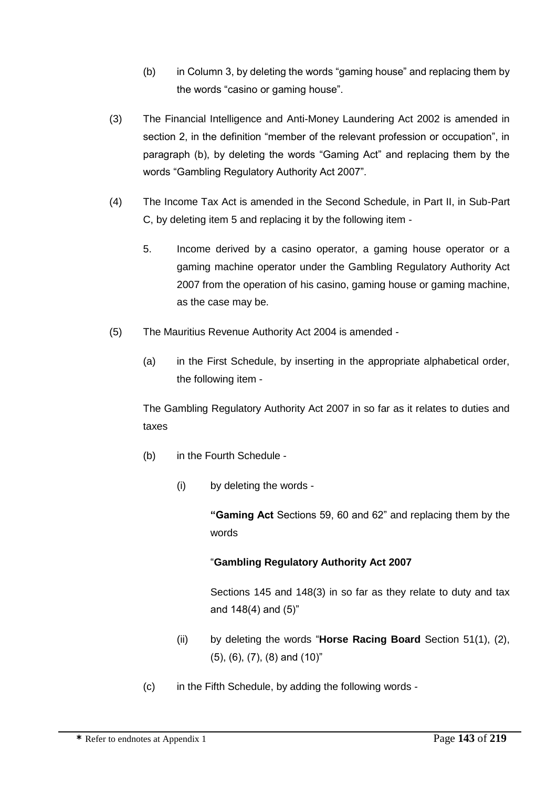- (b) in Column 3, by deleting the words "gaming house" and replacing them by the words "casino or gaming house".
- (3) The Financial Intelligence and Anti-Money Laundering Act 2002 is amended in section 2, in the definition "member of the relevant profession or occupation", in paragraph (b), by deleting the words "Gaming Act" and replacing them by the words "Gambling Regulatory Authority Act 2007".
- (4) The Income Tax Act is amended in the Second Schedule, in Part II, in Sub-Part C, by deleting item 5 and replacing it by the following item -
	- 5. Income derived by a casino operator, a gaming house operator or a gaming machine operator under the Gambling Regulatory Authority Act 2007 from the operation of his casino, gaming house or gaming machine, as the case may be.
- (5) The Mauritius Revenue Authority Act 2004 is amended
	- (a) in the First Schedule, by inserting in the appropriate alphabetical order, the following item -

The Gambling Regulatory Authority Act 2007 in so far as it relates to duties and taxes

- (b) in the Fourth Schedule
	- (i) by deleting the words -

**"Gaming Act** Sections 59, 60 and 62" and replacing them by the words

# "**Gambling Regulatory Authority Act 2007**

Sections 145 and 148(3) in so far as they relate to duty and tax and 148(4) and (5)"

- (ii) by deleting the words "**Horse Racing Board** Section 51(1), (2), (5), (6), (7), (8) and (10)"
- (c) in the Fifth Schedule, by adding the following words -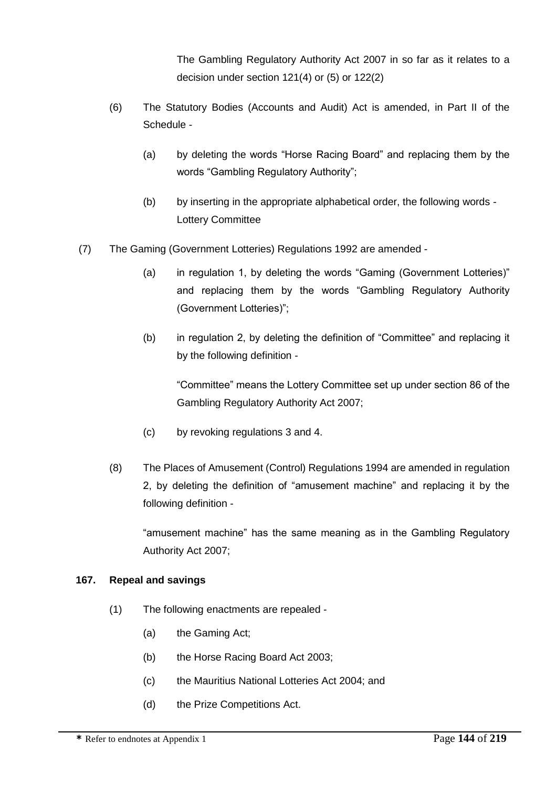The Gambling Regulatory Authority Act 2007 in so far as it relates to a decision under section 121(4) or (5) or 122(2)

- (6) The Statutory Bodies (Accounts and Audit) Act is amended, in Part II of the Schedule -
	- (a) by deleting the words "Horse Racing Board" and replacing them by the words "Gambling Regulatory Authority";
	- (b) by inserting in the appropriate alphabetical order, the following words Lottery Committee
- (7) The Gaming (Government Lotteries) Regulations 1992 are amended
	- (a) in regulation 1, by deleting the words "Gaming (Government Lotteries)" and replacing them by the words "Gambling Regulatory Authority (Government Lotteries)";
	- (b) in regulation 2, by deleting the definition of "Committee" and replacing it by the following definition -

"Committee" means the Lottery Committee set up under section 86 of the Gambling Regulatory Authority Act 2007;

- (c) by revoking regulations 3 and 4.
- (8) The Places of Amusement (Control) Regulations 1994 are amended in regulation 2, by deleting the definition of "amusement machine" and replacing it by the following definition -

"amusement machine" has the same meaning as in the Gambling Regulatory Authority Act 2007;

# **167. Repeal and savings**

- (1) The following enactments are repealed
	- (a) the Gaming Act;
	- (b) the Horse Racing Board Act 2003;
	- (c) the Mauritius National Lotteries Act 2004; and
	- (d) the Prize Competitions Act.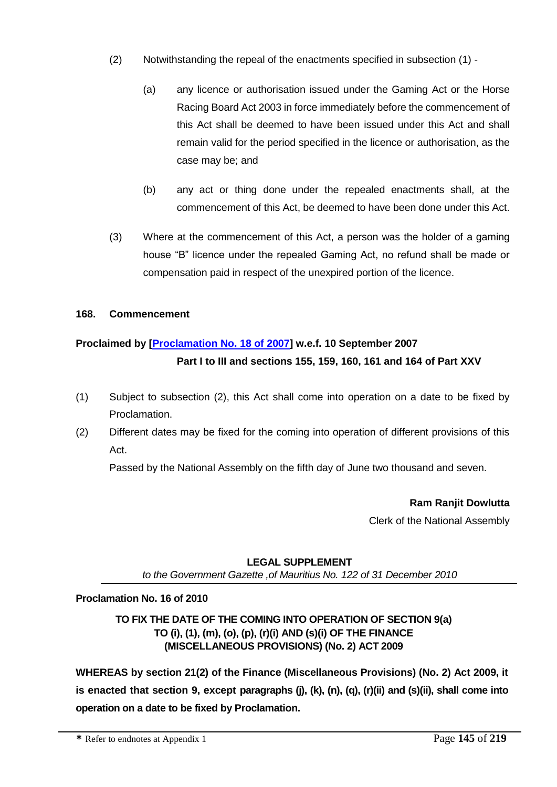- (2) Notwithstanding the repeal of the enactments specified in subsection (1)
	- (a) any licence or authorisation issued under the Gaming Act or the Horse Racing Board Act 2003 in force immediately before the commencement of this Act shall be deemed to have been issued under this Act and shall remain valid for the period specified in the licence or authorisation, as the case may be; and
	- (b) any act or thing done under the repealed enactments shall, at the commencement of this Act, be deemed to have been done under this Act.
- (3) Where at the commencement of this Act, a person was the holder of a gaming house "B" licence under the repealed Gaming Act, no refund shall be made or compensation paid in respect of the unexpired portion of the licence.

# **168. Commencement**

# **Proclaimed by [\[Proclamation No. 18 of 2007\]](http://supremecourt.intnet.mu/Entry/dyn/GetDoc.asp?Doc_Title=Proclamation+No.+18+of+2007&Mode=Html&Search=No) w.e.f. 10 September 2007 Part I to III and sections 155, 159, 160, 161 and 164 of Part XXV**

- (1) Subject to subsection (2), this Act shall come into operation on a date to be fixed by Proclamation.
- (2) Different dates may be fixed for the coming into operation of different provisions of this Act.

Passed by the National Assembly on the fifth day of June two thousand and seven.

**Ram Ranjit Dowlutta**

Clerk of the National Assembly

## **LEGAL SUPPLEMENT**

*to the Government Gazette ,of Mauritius No. 122 of 31 December 2010*

## **Proclamation No. 16 of 2010**

# **TO FIX THE DATE OF THE COMING INTO OPERATION OF SECTION 9(a) TO (i), (1), (m), (o), (p), (r)(i) AND (s)(i) OF THE FINANCE (MISCELLANEOUS PROVISIONS) (No. 2) ACT 2009**

**WHEREAS by section 21(2) of the Finance (Miscellaneous Provisions) (No. 2) Act 2009, it is enacted that section 9, except paragraphs (j), (k), (n), (q), (r)(ii) and (s)(ii), shall come into operation on a date to be fixed by Proclamation.**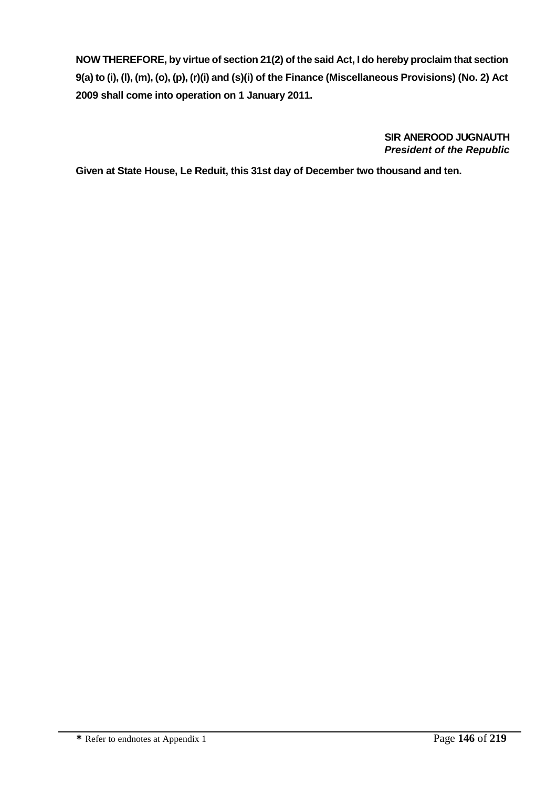**NOW THEREFORE, by virtue of section 21(2) of the said Act, I do hereby proclaim that section 9(a) to (i), (l), (m), (o), (p), (r)(i) and (s)(i) of the Finance (Miscellaneous Provisions) (No. 2) Act 2009 shall come into operation on 1 January 2011.**

> **SIR ANEROOD JUGNAUTH** *President of the Republic*

**Given at State House, Le Reduit, this 31st day of December two thousand and ten.**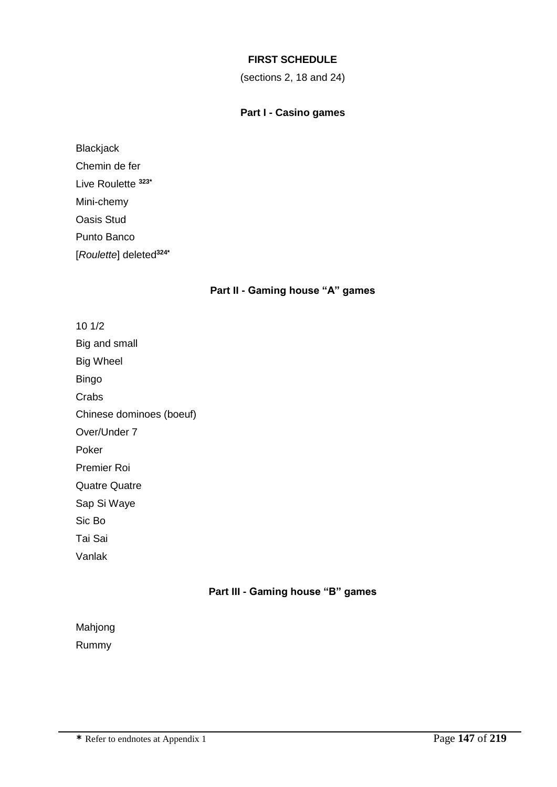## **FIRST SCHEDULE**

(sections 2, 18 and 24)

## **Part I - Casino games**

**Blackjack** Chemin de fer Live Roulette **323\*** Mini-chemy Oasis Stud Punto Banco [*Roulette*] deleted**324\***

## **Part II - Gaming house "A" games**

10 1/2 Big and small Big Wheel Bingo Crabs Chinese dominoes (boeuf) Over/Under 7 Poker Premier Roi Quatre Quatre Sap Si Waye Sic Bo Tai Sai Vanlak

# **Part III - Gaming house "B" games**

| Mahjong |  |
|---------|--|
| Rummy   |  |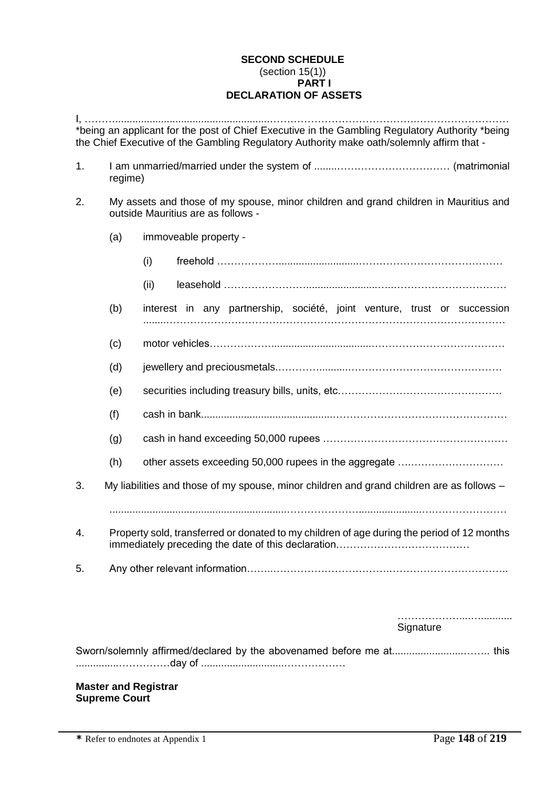## **SECOND SCHEDULE** (section 15(1)) **PART I DECLARATION OF ASSETS**

|    |                                                                                                                            | *being an applicant for the post of Chief Executive in the Gambling Regulatory Authority *being<br>the Chief Executive of the Gambling Regulatory Authority make oath/solemnly affirm that - |  |  |
|----|----------------------------------------------------------------------------------------------------------------------------|----------------------------------------------------------------------------------------------------------------------------------------------------------------------------------------------|--|--|
| 1. | regime)                                                                                                                    |                                                                                                                                                                                              |  |  |
| 2. | My assets and those of my spouse, minor children and grand children in Mauritius and<br>outside Mauritius are as follows - |                                                                                                                                                                                              |  |  |
|    | (a)                                                                                                                        | immoveable property -                                                                                                                                                                        |  |  |
|    |                                                                                                                            | (i)                                                                                                                                                                                          |  |  |
|    |                                                                                                                            | (ii)                                                                                                                                                                                         |  |  |
|    | (b)                                                                                                                        | interest in any partnership, société, joint venture, trust or succession                                                                                                                     |  |  |
|    | (c)                                                                                                                        |                                                                                                                                                                                              |  |  |
|    | (d)                                                                                                                        |                                                                                                                                                                                              |  |  |
|    | (e)                                                                                                                        |                                                                                                                                                                                              |  |  |
|    | (f)                                                                                                                        |                                                                                                                                                                                              |  |  |
|    | (g)                                                                                                                        |                                                                                                                                                                                              |  |  |
|    | (h)                                                                                                                        | other assets exceeding 50,000 rupees in the aggregate                                                                                                                                        |  |  |
| 3. |                                                                                                                            | My liabilities and those of my spouse, minor children and grand children are as follows -                                                                                                    |  |  |
| 4. |                                                                                                                            | Property sold, transferred or donated to my children of age during the period of 12 months                                                                                                   |  |  |
| 5. |                                                                                                                            |                                                                                                                                                                                              |  |  |
|    |                                                                                                                            |                                                                                                                                                                                              |  |  |
|    |                                                                                                                            | Signature                                                                                                                                                                                    |  |  |
|    |                                                                                                                            | Sworn/solemnly affirmed/declared by the abovenamed before me at this                                                                                                                         |  |  |
|    | <b>Supreme Court</b>                                                                                                       | <b>Master and Registrar</b>                                                                                                                                                                  |  |  |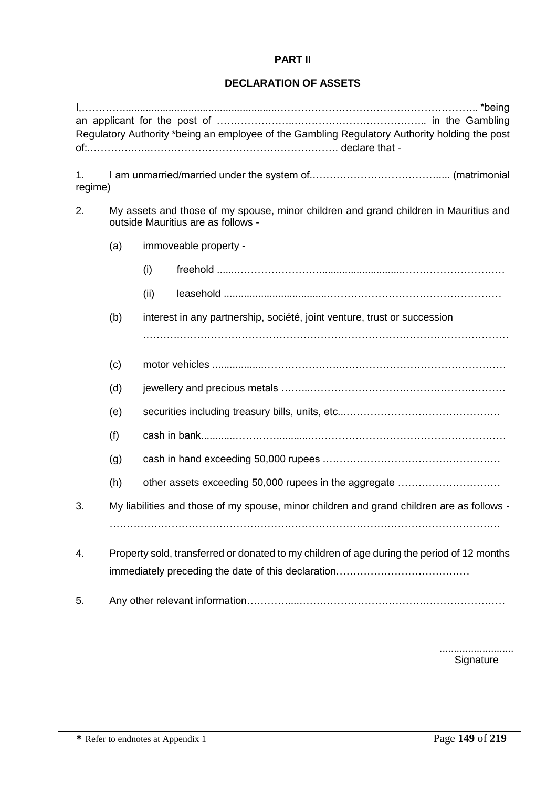# **PART II**

# **DECLARATION OF ASSETS**

|               |                                                                                                                            | Regulatory Authority *being an employee of the Gambling Regulatory Authority holding the post |  |
|---------------|----------------------------------------------------------------------------------------------------------------------------|-----------------------------------------------------------------------------------------------|--|
| 1.<br>regime) |                                                                                                                            |                                                                                               |  |
| 2.            | My assets and those of my spouse, minor children and grand children in Mauritius and<br>outside Mauritius are as follows - |                                                                                               |  |
|               | (a)                                                                                                                        | immoveable property -                                                                         |  |
|               |                                                                                                                            | (i)                                                                                           |  |
|               |                                                                                                                            | (ii)                                                                                          |  |
|               | (b)                                                                                                                        | interest in any partnership, société, joint venture, trust or succession                      |  |
|               |                                                                                                                            |                                                                                               |  |
|               | (c)                                                                                                                        |                                                                                               |  |
|               | (d)                                                                                                                        |                                                                                               |  |
|               | (e)                                                                                                                        |                                                                                               |  |
|               | (f)                                                                                                                        |                                                                                               |  |
|               | (g)                                                                                                                        |                                                                                               |  |
|               | (h)                                                                                                                        | other assets exceeding 50,000 rupees in the aggregate                                         |  |
| 3.            |                                                                                                                            | My liabilities and those of my spouse, minor children and grand children are as follows -     |  |
|               |                                                                                                                            |                                                                                               |  |
| 4.            |                                                                                                                            | Property sold, transferred or donated to my children of age during the period of 12 months    |  |
| 5.            |                                                                                                                            |                                                                                               |  |

.......................... **Signature**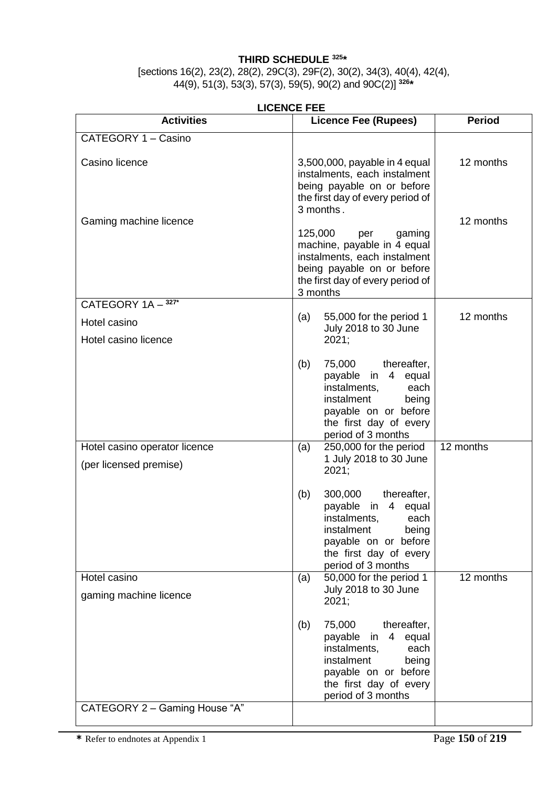## **THIRD SCHEDULE <sup>325</sup> \***

[sections 16(2), 23(2), 28(2), 29C(3), 29F(2), 30(2), 34(3), 40(4), 42(4), 44(9), 51(3), 53(3), 57(3), 59(5), 90(2) and 90C(2)] **326 \***

| <b>LICENCE FEE</b>                                         |                                                                                                                                                                                                  |               |  |
|------------------------------------------------------------|--------------------------------------------------------------------------------------------------------------------------------------------------------------------------------------------------|---------------|--|
| <b>Activities</b>                                          | <b>Licence Fee (Rupees)</b>                                                                                                                                                                      | <b>Period</b> |  |
| CATEGORY 1 - Casino                                        |                                                                                                                                                                                                  |               |  |
| Casino licence                                             | 3,500,000, payable in 4 equal<br>instalments, each instalment<br>being payable on or before<br>the first day of every period of<br>3 months.                                                     | 12 months     |  |
| Gaming machine licence                                     | 125,000<br>gaming<br>per<br>machine, payable in 4 equal<br>instalments, each instalment<br>being payable on or before<br>the first day of every period of<br>3 months                            | 12 months     |  |
| CATEGORY 1A - 327*<br>Hotel casino<br>Hotel casino licence | 55,000 for the period 1<br>(a)<br>July 2018 to 30 June<br>2021;                                                                                                                                  | 12 months     |  |
|                                                            | thereafter,<br>(b)<br>75,000<br>payable in 4 equal<br>instalments,<br>each<br>instalment<br>being<br>payable on or before<br>the first day of every<br>period of 3 months                        |               |  |
| Hotel casino operator licence<br>(per licensed premise)    | 250,000 for the period<br>(a)<br>1 July 2018 to 30 June<br>2021;                                                                                                                                 | 12 months     |  |
|                                                            | (b)<br>300,000<br>thereafter,<br>$\overline{4}$<br>payable<br>equal<br>in<br>instalments,<br>each<br>instalment<br>being<br>payable on or before<br>the first day of every<br>period of 3 months |               |  |
| Hotel casino<br>gaming machine licence                     | 50,000 for the period 1<br>(a)<br>July 2018 to 30 June<br>2021;                                                                                                                                  | 12 months     |  |
|                                                            | (b)<br>75,000<br>thereafter,<br>$\overline{4}$<br>equal<br>payable<br>in<br>instalments,<br>each<br>instalment<br>being<br>payable on or before<br>the first day of every<br>period of 3 months  |               |  |
| CATEGORY 2 - Gaming House "A"                              |                                                                                                                                                                                                  |               |  |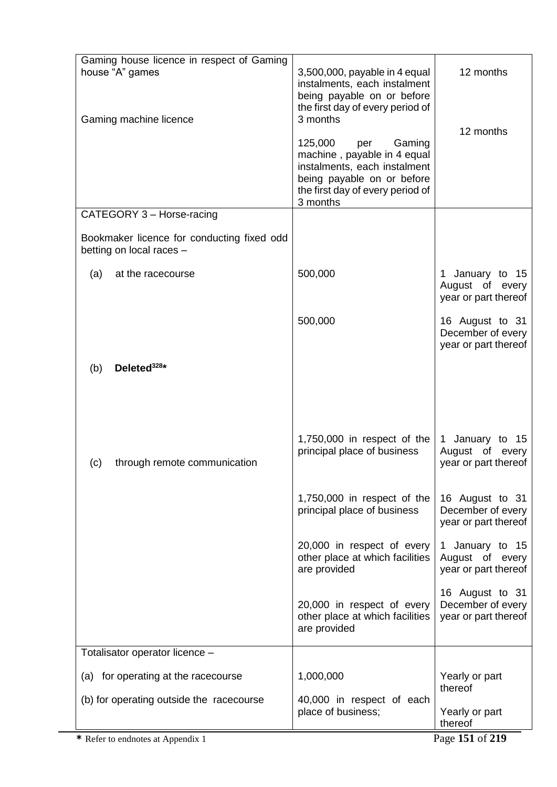| Gaming house licence in respect of Gaming<br>house "A" games<br>Gaming machine licence | 3,500,000, payable in 4 equal<br>instalments, each instalment<br>being payable on or before<br>the first day of every period of<br>3 months<br>125,000<br>Gaming<br>per<br>machine, payable in 4 equal<br>instalments, each instalment<br>being payable on or before<br>the first day of every period of | 12 months<br>12 months                                                   |
|----------------------------------------------------------------------------------------|----------------------------------------------------------------------------------------------------------------------------------------------------------------------------------------------------------------------------------------------------------------------------------------------------------|--------------------------------------------------------------------------|
| CATEGORY 3 - Horse-racing                                                              | 3 months                                                                                                                                                                                                                                                                                                 |                                                                          |
| Bookmaker licence for conducting fixed odd<br>betting on local races -                 |                                                                                                                                                                                                                                                                                                          |                                                                          |
| at the racecourse<br>(a)                                                               | 500,000                                                                                                                                                                                                                                                                                                  | January to 15<br>1.<br>August of every<br>year or part thereof           |
|                                                                                        | 500,000                                                                                                                                                                                                                                                                                                  | 16 August to 31<br>December of every<br>year or part thereof             |
| Deleted <sup>328*</sup><br>(b)                                                         |                                                                                                                                                                                                                                                                                                          |                                                                          |
| (c)<br>through remote communication                                                    | $1,750,000$ in respect of the<br>principal place of business                                                                                                                                                                                                                                             | January to 15<br>$\mathbf{1}$<br>August of every<br>year or part thereof |
|                                                                                        | 1,750,000 in respect of the<br>principal place of business                                                                                                                                                                                                                                               | 16 August to 31<br>December of every<br>year or part thereof             |
|                                                                                        | 20,000 in respect of every<br>other place at which facilities<br>are provided                                                                                                                                                                                                                            | 1 January to 15<br>August of every<br>year or part thereof               |
|                                                                                        | 20,000 in respect of every<br>other place at which facilities<br>are provided                                                                                                                                                                                                                            | 16 August to 31<br>December of every<br>year or part thereof             |
| Totalisator operator licence -                                                         |                                                                                                                                                                                                                                                                                                          |                                                                          |
| (a) for operating at the racecourse<br>(b) for operating outside the racecourse        | 1,000,000<br>40,000 in respect of each                                                                                                                                                                                                                                                                   | Yearly or part<br>thereof                                                |
|                                                                                        | place of business;                                                                                                                                                                                                                                                                                       | Yearly or part<br>thereof                                                |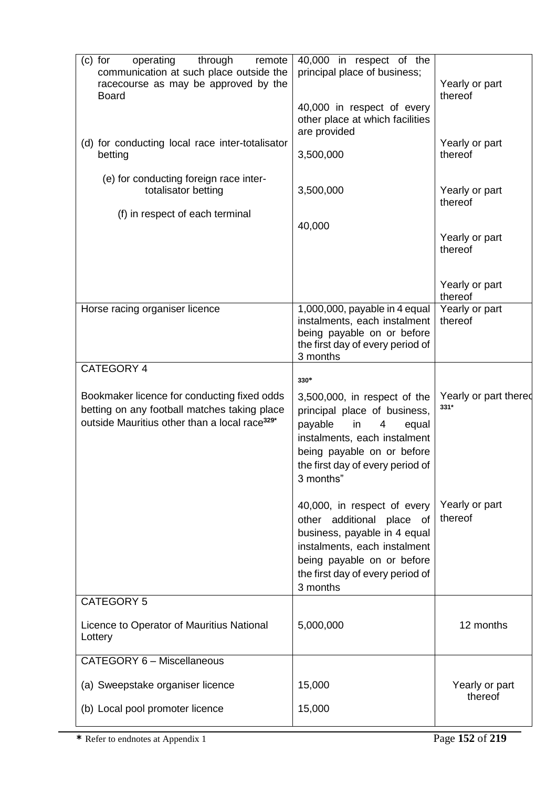| $(c)$ for<br>operating<br>through<br>remote<br>communication at such place outside the<br>racecourse as may be approved by the<br><b>Board</b><br>(d) for conducting local race inter-totalisator<br>betting<br>(e) for conducting foreign race inter-<br>totalisator betting<br>(f) in respect of each terminal | 40,000 in respect of the<br>principal place of business;<br>40,000 in respect of every<br>other place at which facilities<br>are provided<br>3,500,000<br>3,500,000                                        | Yearly or part<br>thereof<br>Yearly or part<br>thereof<br>Yearly or part<br>thereof |
|------------------------------------------------------------------------------------------------------------------------------------------------------------------------------------------------------------------------------------------------------------------------------------------------------------------|------------------------------------------------------------------------------------------------------------------------------------------------------------------------------------------------------------|-------------------------------------------------------------------------------------|
|                                                                                                                                                                                                                                                                                                                  | 40,000                                                                                                                                                                                                     | Yearly or part<br>thereof<br>Yearly or part<br>thereof                              |
| Horse racing organiser licence                                                                                                                                                                                                                                                                                   | 1,000,000, payable in 4 equal<br>instalments, each instalment<br>being payable on or before<br>the first day of every period of<br>3 months                                                                | Yearly or part<br>thereof                                                           |
| <b>CATEGORY 4</b>                                                                                                                                                                                                                                                                                                | $330*$                                                                                                                                                                                                     |                                                                                     |
| Bookmaker licence for conducting fixed odds<br>betting on any football matches taking place<br>outside Mauritius other than a local race <sup>329*</sup>                                                                                                                                                         | 3,500,000, in respect of the<br>principal place of business,<br>payable<br>in<br>4<br>equal<br>instalments, each instalment<br>being payable on or before<br>the first day of every period of<br>3 months" | Yearly or part thered<br>$331*$                                                     |
|                                                                                                                                                                                                                                                                                                                  | 40,000, in respect of every<br>other additional place of<br>business, payable in 4 equal<br>instalments, each instalment<br>being payable on or before<br>the first day of every period of<br>3 months     | Yearly or part<br>thereof                                                           |
| <b>CATEGORY 5</b>                                                                                                                                                                                                                                                                                                |                                                                                                                                                                                                            |                                                                                     |
| Licence to Operator of Mauritius National<br>Lottery                                                                                                                                                                                                                                                             | 5,000,000                                                                                                                                                                                                  | 12 months                                                                           |
| CATEGORY 6 - Miscellaneous                                                                                                                                                                                                                                                                                       |                                                                                                                                                                                                            |                                                                                     |
| (a) Sweepstake organiser licence                                                                                                                                                                                                                                                                                 | 15,000                                                                                                                                                                                                     | Yearly or part                                                                      |
| (b) Local pool promoter licence                                                                                                                                                                                                                                                                                  | 15,000                                                                                                                                                                                                     | thereof                                                                             |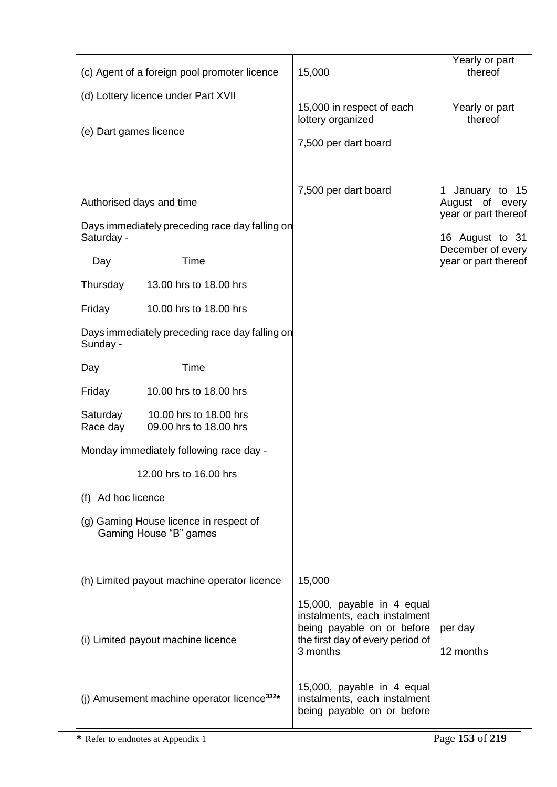|                                     | (c) Agent of a foreign pool promoter licence                     | 15,000                                                                                                                                   | Yearly or part<br>thereof                 |
|-------------------------------------|------------------------------------------------------------------|------------------------------------------------------------------------------------------------------------------------------------------|-------------------------------------------|
| (d) Lottery licence under Part XVII |                                                                  |                                                                                                                                          |                                           |
|                                     |                                                                  | 15,000 in respect of each<br>lottery organized                                                                                           | Yearly or part<br>thereof                 |
| (e) Dart games licence              |                                                                  | 7,500 per dart board                                                                                                                     |                                           |
|                                     |                                                                  |                                                                                                                                          |                                           |
|                                     |                                                                  | 7,500 per dart board                                                                                                                     | January to 15<br>1                        |
| Authorised days and time            |                                                                  |                                                                                                                                          | August of every<br>year or part thereof   |
| Saturday -                          | Days immediately preceding race day falling on                   |                                                                                                                                          | 16 August to 31                           |
| Day                                 | Time                                                             |                                                                                                                                          | December of every<br>year or part thereof |
| Thursday                            | 13.00 hrs to 18.00 hrs                                           |                                                                                                                                          |                                           |
| Friday                              | 10.00 hrs to 18.00 hrs                                           |                                                                                                                                          |                                           |
| Sunday -                            | Days immediately preceding race day falling on                   |                                                                                                                                          |                                           |
| Day                                 | Time                                                             |                                                                                                                                          |                                           |
| Friday                              | 10.00 hrs to 18.00 hrs                                           |                                                                                                                                          |                                           |
| Saturday<br>Race day                | 10.00 hrs to 18.00 hrs<br>09.00 hrs to 18.00 hrs                 |                                                                                                                                          |                                           |
|                                     | Monday immediately following race day -                          |                                                                                                                                          |                                           |
|                                     | 12.00 hrs to 16.00 hrs                                           |                                                                                                                                          |                                           |
| (f) Ad hoc licence                  |                                                                  |                                                                                                                                          |                                           |
|                                     | (g) Gaming House licence in respect of<br>Gaming House "B" games |                                                                                                                                          |                                           |
|                                     |                                                                  |                                                                                                                                          |                                           |
|                                     | (h) Limited payout machine operator licence                      | 15,000                                                                                                                                   |                                           |
|                                     | (i) Limited payout machine licence                               | 15,000, payable in 4 equal<br>instalments, each instalment<br>being payable on or before<br>the first day of every period of<br>3 months | per day<br>12 months                      |
|                                     | (j) Amusement machine operator licence <sup>332*</sup>           | 15,000, payable in 4 equal<br>instalments, each instalment<br>being payable on or before                                                 |                                           |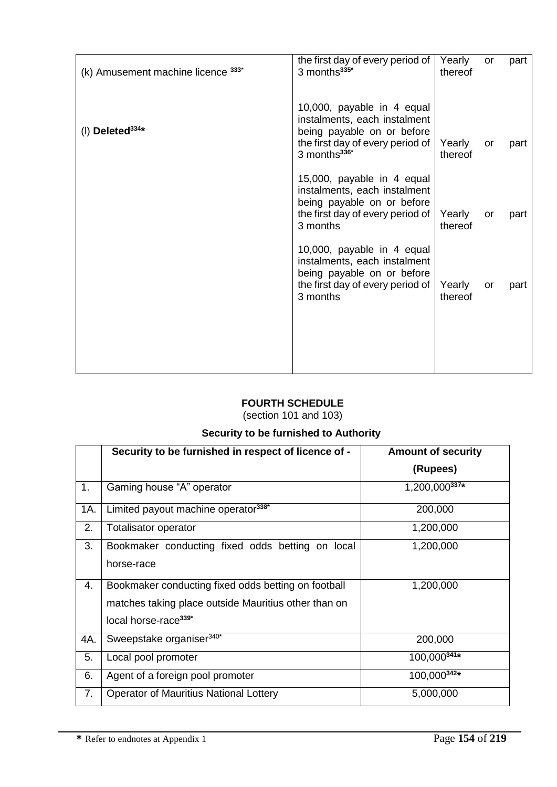| (k) Amusement machine licence 333* | the first day of every period of<br>3 months <sup>335*</sup>                                                                                             | Yearly<br>thereof | <b>or</b> | part |
|------------------------------------|----------------------------------------------------------------------------------------------------------------------------------------------------------|-------------------|-----------|------|
| (I) Deleted $334*$                 | 10,000, payable in 4 equal<br>instalments, each instalment<br>being payable on or before<br>the first day of every period of<br>3 months <sup>336*</sup> | Yearly<br>thereof | <b>or</b> | part |
|                                    | 15,000, payable in 4 equal<br>instalments, each instalment<br>being payable on or before<br>the first day of every period of<br>3 months                 | Yearly<br>thereof | or        | part |
|                                    | 10,000, payable in 4 equal<br>instalments, each instalment<br>being payable on or before<br>the first day of every period of<br>3 months                 | Yearly<br>thereof | or        | part |
|                                    |                                                                                                                                                          |                   |           |      |

# **FOURTH SCHEDULE**

(section 101 and 103)

# **Security to be furnished to Authority**

|     | Security to be furnished in respect of licence of -  | <b>Amount of security</b> |
|-----|------------------------------------------------------|---------------------------|
|     |                                                      | (Rupees)                  |
| 1.  | Gaming house "A" operator                            | 1,200,000337*             |
| 1A. | Limited payout machine operator <sup>338*</sup>      | 200,000                   |
| 2.  | Totalisator operator                                 | 1,200,000                 |
| 3.  | Bookmaker conducting fixed odds betting on local     | 1,200,000                 |
|     | horse-race                                           |                           |
| 4.  | Bookmaker conducting fixed odds betting on football  | 1,200,000                 |
|     | matches taking place outside Mauritius other than on |                           |
|     | local horse-race <sup>339*</sup>                     |                           |
| 4A. | Sweepstake organiser <sup>340*</sup>                 | 200,000                   |
| 5.  | Local pool promoter                                  | 100,000341*               |
| 6.  | Agent of a foreign pool promoter                     | 100,000342*               |
| 7.  | <b>Operator of Mauritius National Lottery</b>        | 5,000,000                 |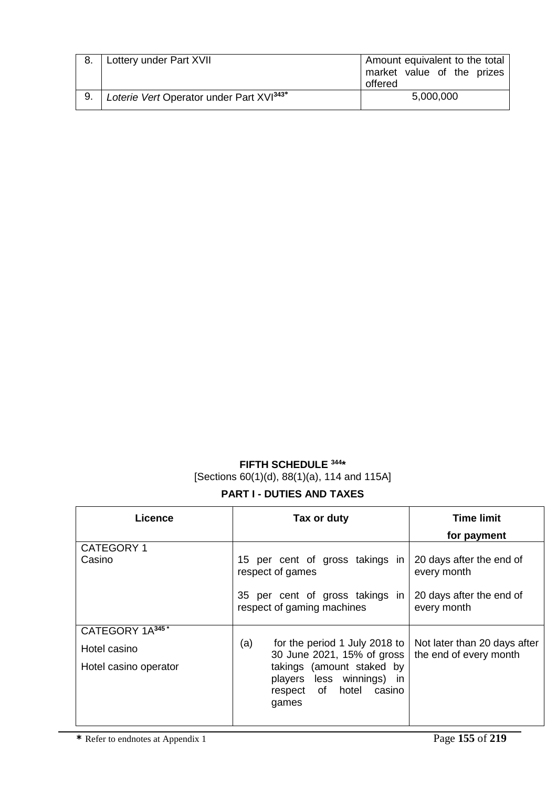|    | Lottery under Part XVII                              | Amount equivalent to the total<br>market value of the prizes<br>offered |
|----|------------------------------------------------------|-------------------------------------------------------------------------|
| 9. | Loterie Vert Operator under Part XVI <sup>343*</sup> | 5,000,000                                                               |

# **FIFTH SCHEDULE <sup>344</sup> \*** [Sections 60(1)(d), 88(1)(a), 114 and 115A]

# **PART I - DUTIES AND TAXES**

| <b>Licence</b>        | Tax or duty                                                                                      | <b>Time limit</b>                                      |
|-----------------------|--------------------------------------------------------------------------------------------------|--------------------------------------------------------|
|                       |                                                                                                  | for payment                                            |
| <b>CATEGORY 1</b>     |                                                                                                  |                                                        |
| Casino                | 15 per cent of gross takings in<br>respect of games                                              | 20 days after the end of<br>every month                |
|                       | 35 per cent of gross takings in<br>respect of gaming machines                                    | 20 days after the end of<br>every month                |
| CATEGORY 1A345*       |                                                                                                  |                                                        |
| Hotel casino          | (a)<br>for the period 1 July 2018 to<br>30 June 2021, 15% of gross                               | Not later than 20 days after<br>the end of every month |
| Hotel casino operator | takings (amount staked by<br>less winnings) in<br>players<br>hotel casino<br>respect of<br>games |                                                        |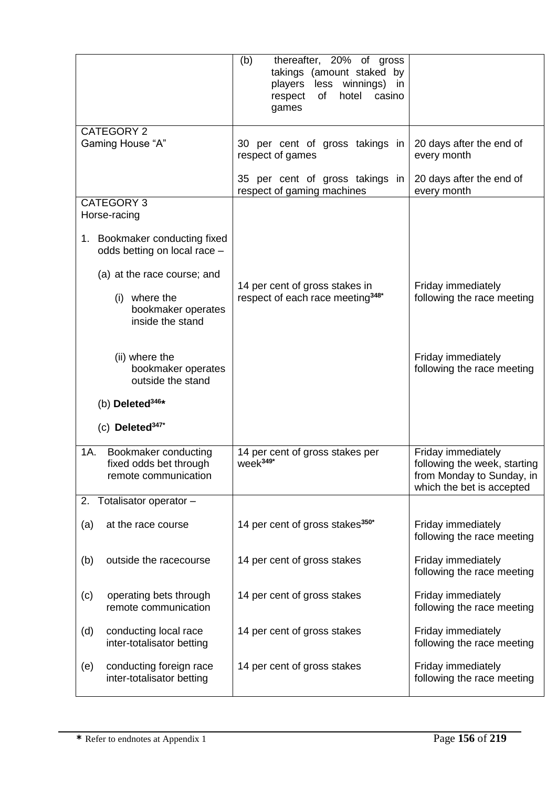| thereafter, 20% of gross<br>(b)<br>takings (amount staked by<br>players<br>less winnings) in<br>of<br>hotel<br>casino<br>respect<br>games |                                                                                                              |
|-------------------------------------------------------------------------------------------------------------------------------------------|--------------------------------------------------------------------------------------------------------------|
| 30 per cent of gross takings in<br>respect of games                                                                                       | 20 days after the end of<br>every month                                                                      |
| 35 per cent of gross takings in<br>respect of gaming machines                                                                             | 20 days after the end of<br>every month                                                                      |
|                                                                                                                                           |                                                                                                              |
|                                                                                                                                           |                                                                                                              |
| 14 per cent of gross stakes in<br>respect of each race meeting <sup>348*</sup>                                                            | Friday immediately<br>following the race meeting                                                             |
|                                                                                                                                           | Friday immediately<br>following the race meeting                                                             |
|                                                                                                                                           |                                                                                                              |
|                                                                                                                                           |                                                                                                              |
| 14 per cent of gross stakes per<br>week <sup>349*</sup>                                                                                   | Friday immediately<br>following the week, starting<br>from Monday to Sunday, in<br>which the bet is accepted |
|                                                                                                                                           |                                                                                                              |
| 14 per cent of gross stakes <sup>350*</sup>                                                                                               | Friday immediately<br>following the race meeting                                                             |
| 14 per cent of gross stakes                                                                                                               | Friday immediately<br>following the race meeting                                                             |
| 14 per cent of gross stakes                                                                                                               | Friday immediately<br>following the race meeting                                                             |
| 14 per cent of gross stakes                                                                                                               | Friday immediately<br>following the race meeting                                                             |
| 14 per cent of gross stakes                                                                                                               | Friday immediately<br>following the race meeting                                                             |
|                                                                                                                                           |                                                                                                              |

Ξ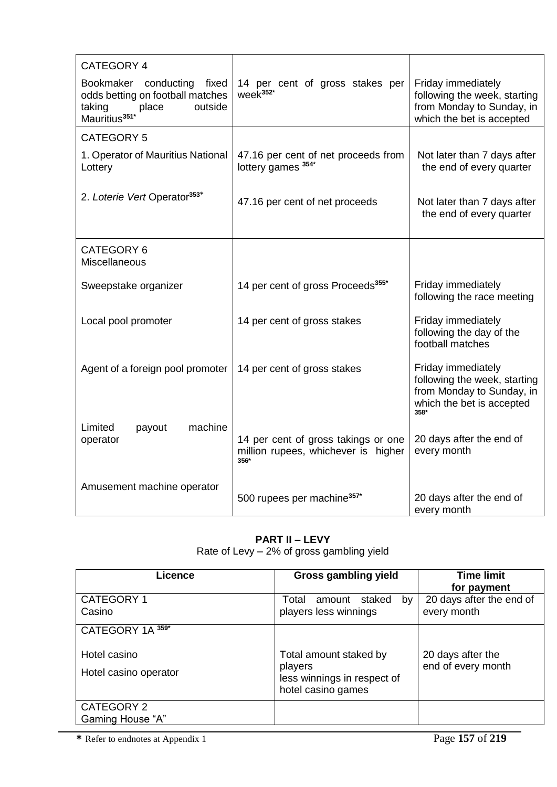| CATEGORY 4                                                                                                                      |                                                                                    |                                                                                                                      |
|---------------------------------------------------------------------------------------------------------------------------------|------------------------------------------------------------------------------------|----------------------------------------------------------------------------------------------------------------------|
| Bookmaker<br>conducting<br>fixed<br>odds betting on football matches<br>taking<br>outside<br>place<br>Mauritius <sup>351*</sup> | 14 per cent of gross stakes per<br>week <sup>352*</sup>                            | Friday immediately<br>following the week, starting<br>from Monday to Sunday, in<br>which the bet is accepted         |
| <b>CATEGORY 5</b>                                                                                                               |                                                                                    |                                                                                                                      |
| 1. Operator of Mauritius National<br>Lottery                                                                                    | 47.16 per cent of net proceeds from<br>lottery games 354*                          | Not later than 7 days after<br>the end of every quarter                                                              |
| 2. Loterie Vert Operator <sup>353*</sup>                                                                                        | 47.16 per cent of net proceeds                                                     | Not later than 7 days after<br>the end of every quarter                                                              |
| CATEGORY 6<br>Miscellaneous                                                                                                     |                                                                                    |                                                                                                                      |
| Sweepstake organizer                                                                                                            | 14 per cent of gross Proceeds <sup>355*</sup>                                      | Friday immediately<br>following the race meeting                                                                     |
| Local pool promoter                                                                                                             | 14 per cent of gross stakes                                                        | Friday immediately<br>following the day of the<br>football matches                                                   |
| Agent of a foreign pool promoter                                                                                                | 14 per cent of gross stakes                                                        | Friday immediately<br>following the week, starting<br>from Monday to Sunday, in<br>which the bet is accepted<br>358* |
| Limited<br>machine<br>payout<br>operator                                                                                        | 14 per cent of gross takings or one<br>million rupees, whichever is higher<br>356* | 20 days after the end of<br>every month                                                                              |
| Amusement machine operator                                                                                                      | 500 rupees per machine <sup>357*</sup>                                             | 20 days after the end of<br>every month                                                                              |

# **PART II – LEVY**

Rate of Levy – 2% of gross gambling yield

| Licence                               | <b>Gross gambling yield</b>                                                            | <b>Time limit</b><br>for payment        |
|---------------------------------------|----------------------------------------------------------------------------------------|-----------------------------------------|
| CATEGORY 1<br>Casino                  | Total<br>amount staked<br>by<br>players less winnings                                  | 20 days after the end of<br>every month |
| CATEGORY 1A 359*                      |                                                                                        |                                         |
| Hotel casino<br>Hotel casino operator | Total amount staked by<br>players<br>less winnings in respect of<br>hotel casino games | 20 days after the<br>end of every month |
| CATEGORY 2<br>Gaming House "A"        |                                                                                        |                                         |

**\*** Refer to endnotes at Appendix 1 Page **157** of **219**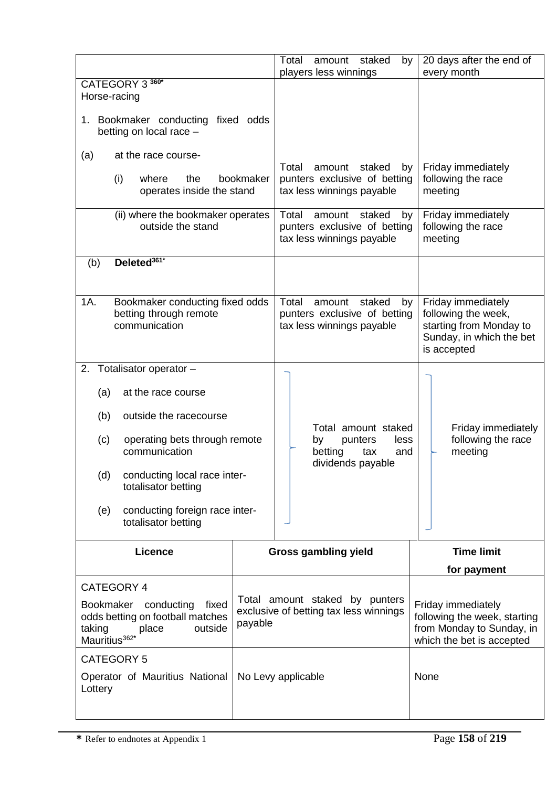|                                                                                                                                                          |  | amount staked<br>Total<br>by<br>players less winnings                                        | 20 days after the end of<br>every month                                                                         |
|----------------------------------------------------------------------------------------------------------------------------------------------------------|--|----------------------------------------------------------------------------------------------|-----------------------------------------------------------------------------------------------------------------|
| CATEGORY 3 360*<br>Horse-racing                                                                                                                          |  |                                                                                              |                                                                                                                 |
| 1. Bookmaker conducting fixed odds<br>betting on local race -                                                                                            |  |                                                                                              |                                                                                                                 |
| (a)<br>at the race course-                                                                                                                               |  |                                                                                              |                                                                                                                 |
| bookmaker<br>(i)<br>where<br>the<br>operates inside the stand                                                                                            |  | Total<br>amount<br>staked<br>by<br>punters exclusive of betting<br>tax less winnings payable | Friday immediately<br>following the race<br>meeting                                                             |
| (ii) where the bookmaker operates<br>outside the stand                                                                                                   |  | Total<br>amount<br>staked<br>by<br>punters exclusive of betting<br>tax less winnings payable | Friday immediately<br>following the race<br>meeting                                                             |
| Deleted <sup>361*</sup><br>(b)                                                                                                                           |  |                                                                                              |                                                                                                                 |
|                                                                                                                                                          |  |                                                                                              |                                                                                                                 |
| 1A.<br>Bookmaker conducting fixed odds<br>betting through remote<br>communication                                                                        |  | Total<br>amount<br>staked<br>by<br>punters exclusive of betting<br>tax less winnings payable | Friday immediately<br>following the week,<br>starting from Monday to<br>Sunday, in which the bet<br>is accepted |
| 2.<br>Totalisator operator -                                                                                                                             |  |                                                                                              |                                                                                                                 |
| at the race course<br>(a)                                                                                                                                |  |                                                                                              |                                                                                                                 |
| outside the racecourse<br>(b)                                                                                                                            |  |                                                                                              |                                                                                                                 |
| operating bets through remote<br>(c)<br>communication                                                                                                    |  | Total amount staked<br>punters<br>less<br>by<br>betting<br>tax<br>and<br>dividends payable   | Friday immediately<br>following the race<br>meeting                                                             |
| conducting local race inter-<br>(d)<br>totalisator betting                                                                                               |  |                                                                                              |                                                                                                                 |
| conducting foreign race inter-<br>(e)<br>totalisator betting                                                                                             |  |                                                                                              |                                                                                                                 |
| <b>Licence</b>                                                                                                                                           |  | <b>Gross gambling yield</b>                                                                  | <b>Time limit</b>                                                                                               |
|                                                                                                                                                          |  |                                                                                              | for payment                                                                                                     |
| CATEGORY 4<br>Bookmaker<br>conducting<br>fixed<br>odds betting on football matches<br>payable<br>taking<br>place<br>outside<br>Mauritius <sup>362*</sup> |  | Total amount staked by punters<br>exclusive of betting tax less winnings                     | Friday immediately<br>following the week, starting<br>from Monday to Sunday, in<br>which the bet is accepted    |
| <b>CATEGORY 5</b>                                                                                                                                        |  |                                                                                              |                                                                                                                 |
| Operator of Mauritius National<br>Lottery                                                                                                                |  | No Levy applicable                                                                           | None                                                                                                            |

Ξ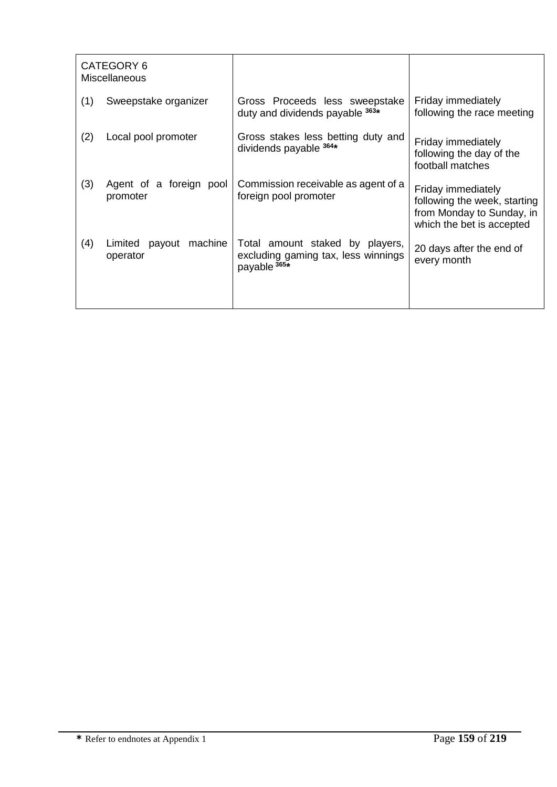|     | CATEGORY 6<br><b>Miscellaneous</b>       |                                                                                                   |                                                                                                              |
|-----|------------------------------------------|---------------------------------------------------------------------------------------------------|--------------------------------------------------------------------------------------------------------------|
| (1) | Sweepstake organizer                     | Gross Proceeds less sweepstake<br>duty and dividends payable 363*                                 | Friday immediately<br>following the race meeting                                                             |
| (2) | Local pool promoter                      | Gross stakes less betting duty and<br>dividends payable 364*                                      | Friday immediately<br>following the day of the<br>football matches                                           |
| (3) | Agent of a foreign pool<br>promoter      | Commission receivable as agent of a<br>foreign pool promoter                                      | Friday immediately<br>following the week, starting<br>from Monday to Sunday, in<br>which the bet is accepted |
| (4) | machine<br>payout<br>Limited<br>operator | Total amount staked by players,<br>excluding gaming tax, less winnings<br>payable <sup>365*</sup> | 20 days after the end of<br>every month                                                                      |
|     |                                          |                                                                                                   |                                                                                                              |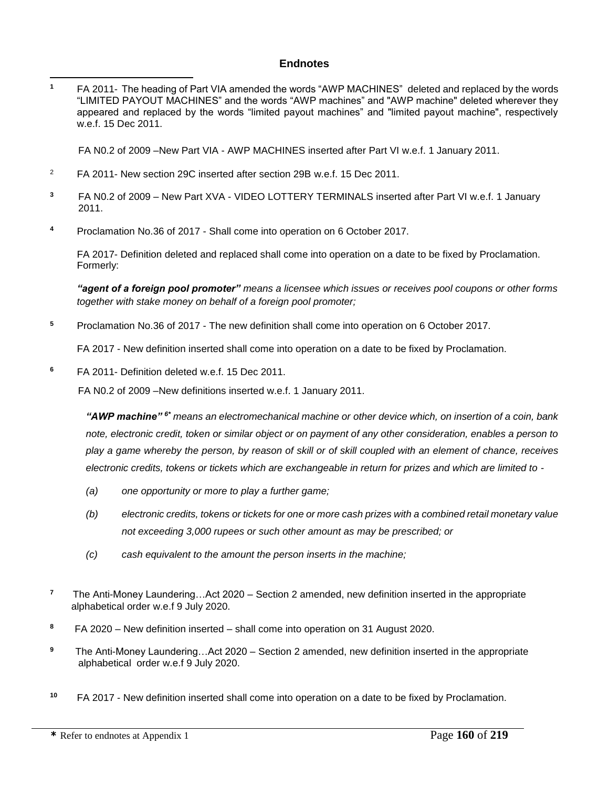## **Endnotes**

**<sup>1</sup>** FA 2011- The heading of Part VIA amended the words "AWP MACHINES" deleted and replaced by the words "LIMITED PAYOUT MACHINES" and the words "AWP machines" and "AWP machine" deleted wherever they appeared and replaced by the words "limited payout machines" and "limited payout machine", respectively w.e.f. 15 Dec 2011.  $\overline{a}$ 

FA N0.2 of 2009 –New Part VIA - AWP MACHINES inserted after Part VI w.e.f. 1 January 2011.

- <sup>2</sup> FA 2011- New section 29C inserted after section 29B w.e.f. 15 Dec 2011.
- <sup>3</sup> FA N0.2 of 2009 New Part XVA VIDEO LOTTERY TERMINALS inserted after Part VI w.e.f. 1 January 2011.
- **<sup>4</sup>** Proclamation No.36 of 2017 Shall come into operation on 6 October 2017.

FA 2017- Definition deleted and replaced shall come into operation on a date to be fixed by Proclamation. Formerly:

*"agent of a foreign pool promoter" means a licensee which issues or receives pool coupons or other forms together with stake money on behalf of a foreign pool promoter;*

**<sup>5</sup>** Proclamation No.36 of 2017 - The new definition shall come into operation on 6 October 2017.

FA 2017 - New definition inserted shall come into operation on a date to be fixed by Proclamation.

**<sup>6</sup>** FA 2011- Definition deleted w.e.f. 15 Dec 2011.

FA N0.2 of 2009 –New definitions inserted w.e.f. 1 January 2011.

*"AWP machine" 6\* means an electromechanical machine or other device which, on insertion of a coin, bank note, electronic credit, token or similar object or on payment of any other consideration, enables a person to play a game whereby the person, by reason of skill or of skill coupled with an element of chance, receives electronic credits, tokens or tickets which are exchangeable in return for prizes and which are limited to -*

- *(a) one opportunity or more to play a further game;*
- *(b) electronic credits, tokens or tickets for one or more cash prizes with a combined retail monetary value not exceeding 3,000 rupees or such other amount as may be prescribed; or*
- *(c) cash equivalent to the amount the person inserts in the machine;*
- **7** The Anti-Money Laundering…Act 2020 – Section 2 amended, new definition inserted in the appropriate alphabetical order w.e.f 9 July 2020.
- **8** FA 2020 – New definition inserted – shall come into operation on 31 August 2020.
- **9** The Anti-Money Laundering…Act 2020 – Section 2 amended, new definition inserted in the appropriate alphabetical order w.e.f 9 July 2020.
- **<sup>10</sup>** FA 2017 New definition inserted shall come into operation on a date to be fixed by Proclamation.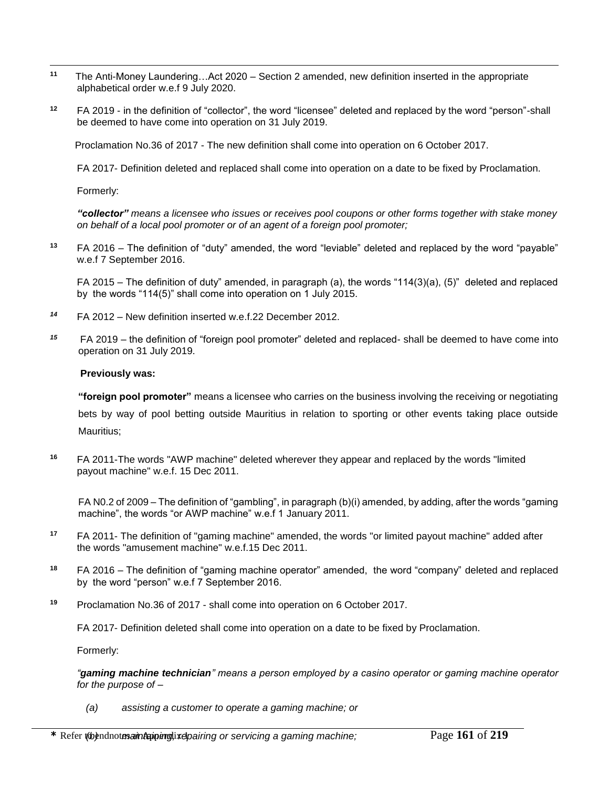- $\overline{a}$ **11** The Anti-Money Laundering…Act 2020 – Section 2 amended, new definition inserted in the appropriate alphabetical order w.e.f 9 July 2020.
- **<sup>12</sup>** FA 2019 in the definition of "collector", the word "licensee" deleted and replaced by the word "person"-shall be deemed to have come into operation on 31 July 2019.

Proclamation No.36 of 2017 - The new definition shall come into operation on 6 October 2017.

FA 2017- Definition deleted and replaced shall come into operation on a date to be fixed by Proclamation.

Formerly:

*"collector" means a licensee who issues or receives pool coupons or other forms together with stake money on behalf of a local pool promoter or of an agent of a foreign pool promoter;*

**<sup>13</sup>** FA 2016 – The definition of "duty" amended, the word "leviable" deleted and replaced by the word "payable" w.e.f 7 September 2016.

FA 2015 – The definition of duty" amended, in paragraph (a), the words "114(3)(a), (5)" deleted and replaced by the words "114(5)" shall come into operation on 1 July 2015.

- *<sup>14</sup>* FA 2012 New definition inserted w.e.f.22 December 2012.
- *15* FA 2019 – the definition of "foreign pool promoter" deleted and replaced- shall be deemed to have come into operation on 31 July 2019.

#### **Previously was:**

**"foreign pool promoter"** means a licensee who carries on the business involving the receiving or negotiating bets by way of pool betting outside Mauritius in relation to sporting or other events taking place outside Mauritius;

**<sup>16</sup>** FA 2011-The words "AWP machine" deleted wherever they appear and replaced by the words "limited payout machine" w.e.f. 15 Dec 2011.

FA N0.2 of 2009 – The definition of "gambling", in paragraph (b)(i) amended, by adding, after the words "gaming machine", the words "or AWP machine" w.e.f 1 January 2011.

- **<sup>17</sup>** FA 2011- The definition of "gaming machine" amended, the words "or limited payout machine" added after the words "amusement machine" w.e.f.15 Dec 2011.
- **<sup>18</sup>** FA 2016 The definition of "gaming machine operator" amended, the word "company" deleted and replaced by the word "person" w.e.f 7 September 2016.
- **<sup>19</sup>** Proclamation No.36 of 2017 shall come into operation on 6 October 2017.

FA 2017- Definition deleted shall come into operation on a date to be fixed by Proclamation.

Formerly:

*"gaming machine technician" means a person employed by a casino operator or gaming machine operator for the purpose of* –

*(a) assisting a customer to operate a gaming machine; or*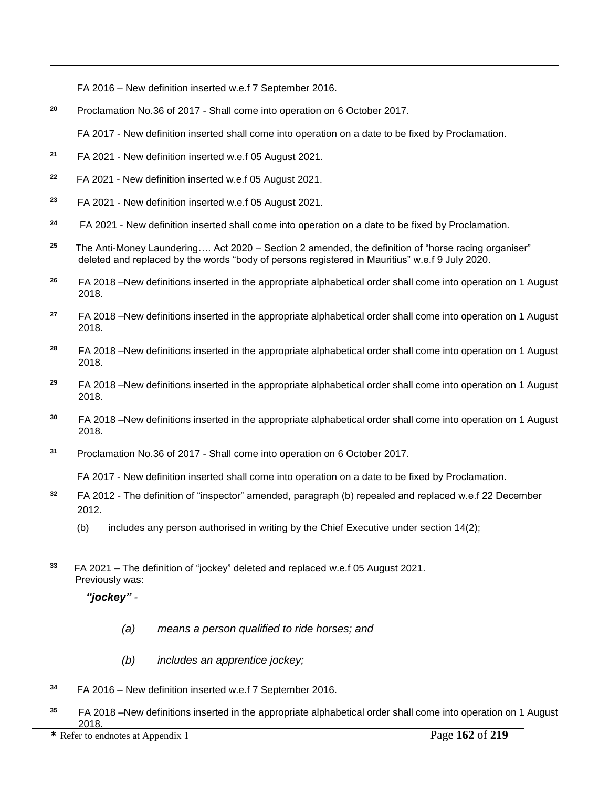FA 2016 – New definition inserted w.e.f 7 September 2016.

**<sup>20</sup>** Proclamation No.36 of 2017 - Shall come into operation on 6 October 2017.

FA 2017 - New definition inserted shall come into operation on a date to be fixed by Proclamation.

**21** FA 2021 - New definition inserted w.e.f 05 August 2021.

 $\overline{a}$ 

- **22** FA 2021 - New definition inserted w.e.f 05 August 2021.
- **23** FA 2021 - New definition inserted w.e.f 05 August 2021.
- **24** FA 2021 - New definition inserted shall come into operation on a date to be fixed by Proclamation.
- **25** The Anti-Money Laundering…. Act 2020 – Section 2 amended, the definition of "horse racing organiser" deleted and replaced by the words "body of persons registered in Mauritius" w.e.f 9 July 2020.
- **<sup>26</sup>** FA 2018 –New definitions inserted in the appropriate alphabetical order shall come into operation on 1 August 2018.
- **<sup>27</sup>** FA 2018 –New definitions inserted in the appropriate alphabetical order shall come into operation on 1 August 2018.
- **<sup>28</sup>** FA 2018 –New definitions inserted in the appropriate alphabetical order shall come into operation on 1 August 2018.
- **<sup>29</sup>** FA 2018 –New definitions inserted in the appropriate alphabetical order shall come into operation on 1 August 2018.
- **<sup>30</sup>** FA 2018 –New definitions inserted in the appropriate alphabetical order shall come into operation on 1 August 2018.
- **<sup>31</sup>** Proclamation No.36 of 2017 Shall come into operation on 6 October 2017.

FA 2017 - New definition inserted shall come into operation on a date to be fixed by Proclamation.

- **<sup>32</sup>** FA 2012 The definition of "inspector" amended, paragraph (b) repealed and replaced w.e.f 22 December 2012.
	- (b) includes any person authorised in writing by the Chief Executive under section 14(2);
- **33** FA 2021 **–** The definition of "jockey" deleted and replaced w.e.f 05 August 2021. Previously was:

## *"jockey" -*

- *(a) means a person qualified to ride horses; and*
- *(b) includes an apprentice jockey;*
- **<sup>34</sup>** FA 2016 New definition inserted w.e.f 7 September 2016.
- **<sup>35</sup>** FA 2018 –New definitions inserted in the appropriate alphabetical order shall come into operation on 1 August 2018.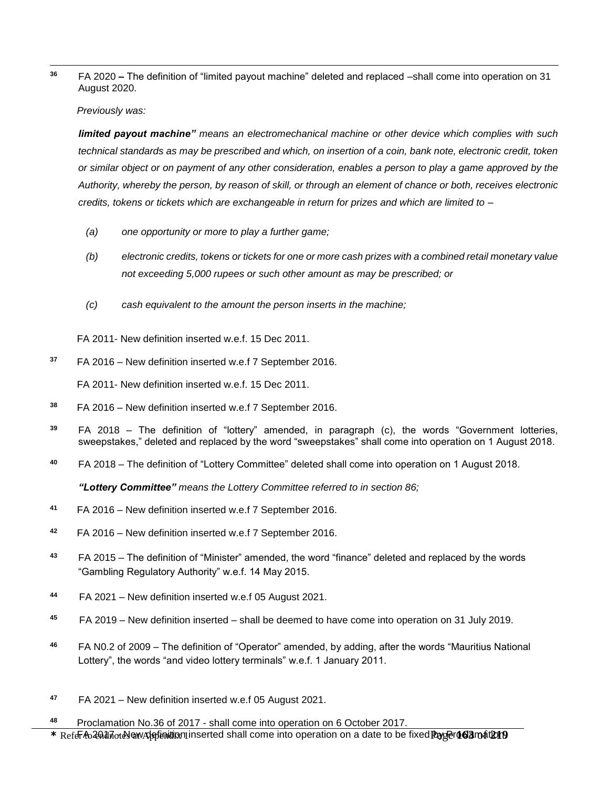$\overline{a}$ **<sup>36</sup>** FA 2020 **–** The definition of "limited payout machine" deleted and replaced –shall come into operation on 31 August 2020.

*Previously was:*

*limited payout machine" means an electromechanical machine or other device which complies with such technical standards as may be prescribed and which, on insertion of a coin, bank note, electronic credit, token or similar object or on payment of any other consideration, enables a person to play a game approved by the Authority, whereby the person, by reason of skill, or through an element of chance or both, receives electronic credits, tokens or tickets which are exchangeable in return for prizes and which are limited to -*

- *(a) one opportunity or more to play a further game;*
- *(b) electronic credits, tokens or tickets for one or more cash prizes with a combined retail monetary value not exceeding 5,000 rupees or such other amount as may be prescribed; or*
- *(c) cash equivalent to the amount the person inserts in the machine;*

FA 2011- New definition inserted w.e.f. 15 Dec 2011.

**<sup>37</sup>** FA 2016 – New definition inserted w.e.f 7 September 2016.

FA 2011- New definition inserted w.e.f. 15 Dec 2011.

- **<sup>38</sup>** FA 2016 New definition inserted w.e.f 7 September 2016.
- **<sup>39</sup>** FA 2018 The definition of "lottery" amended, in paragraph (c), the words "Government lotteries, sweepstakes," deleted and replaced by the word "sweepstakes" shall come into operation on 1 August 2018.
- **<sup>40</sup>** FA 2018 The definition of "Lottery Committee" deleted shall come into operation on 1 August 2018.

*"Lottery Committee" means the Lottery Committee referred to in section 86;*

- **<sup>41</sup>** FA 2016 New definition inserted w.e.f 7 September 2016.
- **<sup>42</sup>** FA 2016 New definition inserted w.e.f 7 September 2016.
- **<sup>43</sup>** FA 2015 The definition of "Minister" amended, the word "finance" deleted and replaced by the words "Gambling Regulatory Authority" w.e.f. 14 May 2015.
- **44** FA 2021 – New definition inserted w.e.f 05 August 2021.
- **45** FA 2019 – New definition inserted – shall be deemed to have come into operation on 31 July 2019.
- **<sup>46</sup>** FA N0.2 of 2009 The definition of "Operator" amended, by adding, after the words "Mauritius National Lottery", the words "and video lottery terminals" w.e.f. 1 January 2011.
- **47**  FA 2021 – New definition inserted w.e.f 05 August 2021.
- \* Refer to 2017 To ew Applinition inserted shall come into operation on a date to be fixed **Payser 163 mat D19 <sup>48</sup>** Proclamation No.36 of 2017 - shall come into operation on 6 October 2017.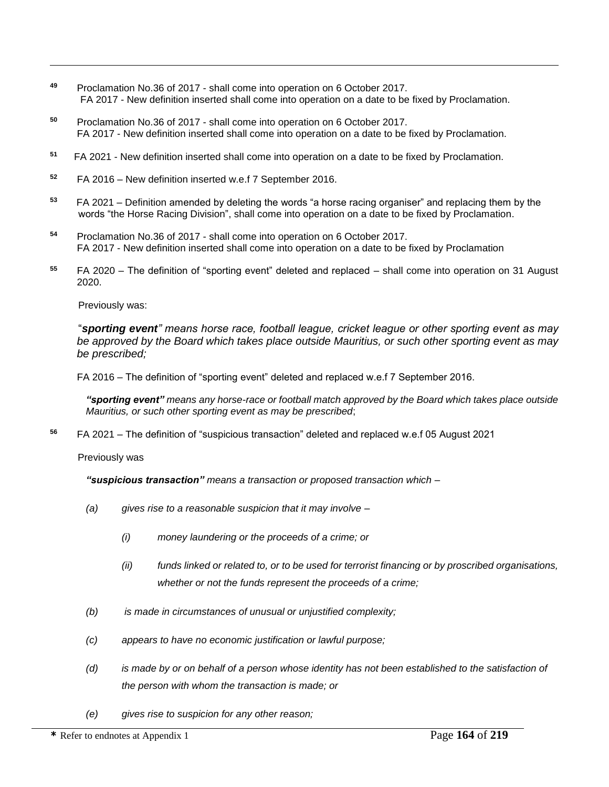- **<sup>49</sup>** Proclamation No.36 of 2017 shall come into operation on 6 October 2017. FA 2017 - New definition inserted shall come into operation on a date to be fixed by Proclamation.
- **<sup>50</sup>** Proclamation No.36 of 2017 shall come into operation on 6 October 2017. FA 2017 - New definition inserted shall come into operation on a date to be fixed by Proclamation.
- **51** FA 2021 - New definition inserted shall come into operation on a date to be fixed by Proclamation.
- **<sup>52</sup>** FA 2016 New definition inserted w.e.f 7 September 2016.
- **53** FA 2021 – Definition amended by deleting the words "a horse racing organiser" and replacing them by the words "the Horse Racing Division", shall come into operation on a date to be fixed by Proclamation.
- **<sup>54</sup>** Proclamation No.36 of 2017 shall come into operation on 6 October 2017. FA 2017 - New definition inserted shall come into operation on a date to be fixed by Proclamation
- **<sup>55</sup>** FA 2020 The definition of "sporting event" deleted and replaced shall come into operation on 31 August 2020.

Previously was:

 $\overline{a}$ 

"*sporting event" means horse race, football league, cricket league or other sporting event as may be approved by the Board which takes place outside Mauritius, or such other sporting event as may be prescribed;*

FA 2016 – The definition of "sporting event" deleted and replaced w.e.f 7 September 2016.

*"sporting event" means any horse-race or football match approved by the Board which takes place outside Mauritius, or such other sporting event as may be prescribed*;

**<sup>56</sup>** FA 2021 – The definition of "suspicious transaction" deleted and replaced w.e.f 05 August 2021

Previously was

*"suspicious transaction" means a transaction or proposed transaction which –*

- *(a) gives rise to a reasonable suspicion that it may involve –*
	- *(i) money laundering or the proceeds of a crime; or*
	- *(ii) funds linked or related to, or to be used for terrorist financing or by proscribed organisations, whether or not the funds represent the proceeds of a crime;*
- *(b) is made in circumstances of unusual or unjustified complexity;*
- *(c) appears to have no economic justification or lawful purpose;*
- *(d) is made by or on behalf of a person whose identity has not been established to the satisfaction of the person with whom the transaction is made; or*
- *(e) gives rise to suspicion for any other reason;*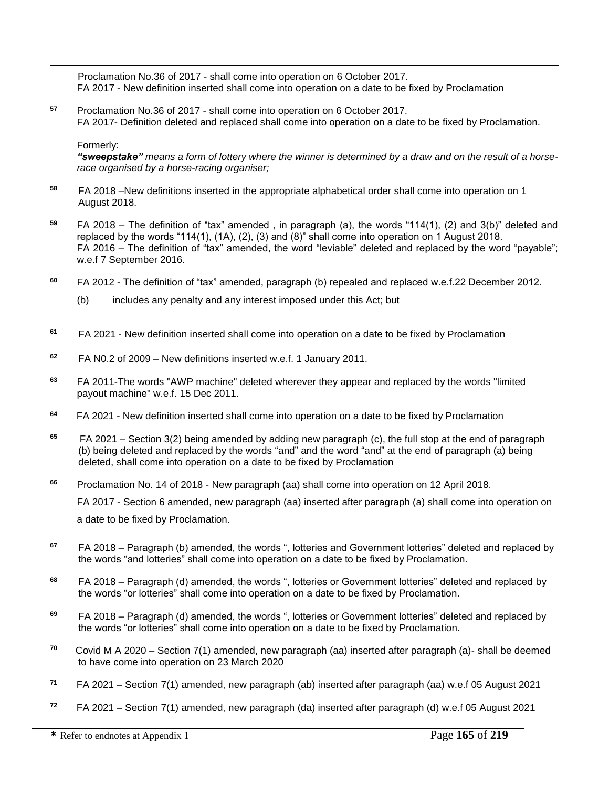Proclamation No.36 of 2017 - shall come into operation on 6 October 2017. FA 2017 - New definition inserted shall come into operation on a date to be fixed by Proclamation

**<sup>57</sup>** Proclamation No.36 of 2017 - shall come into operation on 6 October 2017. FA 2017- Definition deleted and replaced shall come into operation on a date to be fixed by Proclamation.

### Formerly:

 $\overline{a}$ 

*"sweepstake" means a form of lottery where the winner is determined by a draw and on the result of a horserace organised by a horse-racing organiser;*

- **<sup>58</sup>** FA 2018 –New definitions inserted in the appropriate alphabetical order shall come into operation on 1 August 2018.
- **<sup>59</sup>** FA 2018 The definition of "tax" amended , in paragraph (a), the words "114(1), (2) and 3(b)" deleted and replaced by the words "114(1), (1A), (2), (3) and (8)" shall come into operation on 1 August 2018. FA 2016 – The definition of "tax" amended, the word "leviable" deleted and replaced by the word "payable"; w.e.f 7 September 2016.
- **<sup>60</sup>** FA 2012 The definition of "tax" amended, paragraph (b) repealed and replaced w.e.f.22 December 2012.
	- (b) includes any penalty and any interest imposed under this Act; but
- **61**  FA 2021 - New definition inserted shall come into operation on a date to be fixed by Proclamation
- **<sup>62</sup>** FA N0.2 of 2009 New definitions inserted w.e.f. 1 January 2011.
- **<sup>63</sup>** FA 2011-The words "AWP machine" deleted wherever they appear and replaced by the words "limited payout machine" w.e.f. 15 Dec 2011.
- **64** FA 2021 - New definition inserted shall come into operation on a date to be fixed by Proclamation
- **65** FA 2021 – Section 3(2) being amended by adding new paragraph (c), the full stop at the end of paragraph (b) being deleted and replaced by the words "and" and the word "and" at the end of paragraph (a) being deleted, shall come into operation on a date to be fixed by Proclamation
- **<sup>66</sup>** Proclamation No. 14 of 2018 New paragraph (aa) shall come into operation on 12 April 2018. FA 2017 - Section 6 amended, new paragraph (aa) inserted after paragraph (a) shall come into operation on a date to be fixed by Proclamation.
- **<sup>67</sup>** FA 2018 Paragraph (b) amended, the words ", lotteries and Government lotteries" deleted and replaced by the words "and lotteries" shall come into operation on a date to be fixed by Proclamation.
- **<sup>68</sup>** FA 2018 Paragraph (d) amended, the words ", lotteries or Government lotteries" deleted and replaced by the words "or lotteries" shall come into operation on a date to be fixed by Proclamation.
- **<sup>69</sup>** FA 2018 Paragraph (d) amended, the words ", lotteries or Government lotteries" deleted and replaced by the words "or lotteries" shall come into operation on a date to be fixed by Proclamation.
- **70** Covid M A 2020 – Section 7(1) amended, new paragraph (aa) inserted after paragraph (a)- shall be deemed to have come into operation on 23 March 2020
- **71** FA 2021 – Section 7(1) amended, new paragraph (ab) inserted after paragraph (aa) w.e.f 05 August 2021
- **72** FA 2021 – Section 7(1) amended, new paragraph (da) inserted after paragraph (d) w.e.f 05 August 2021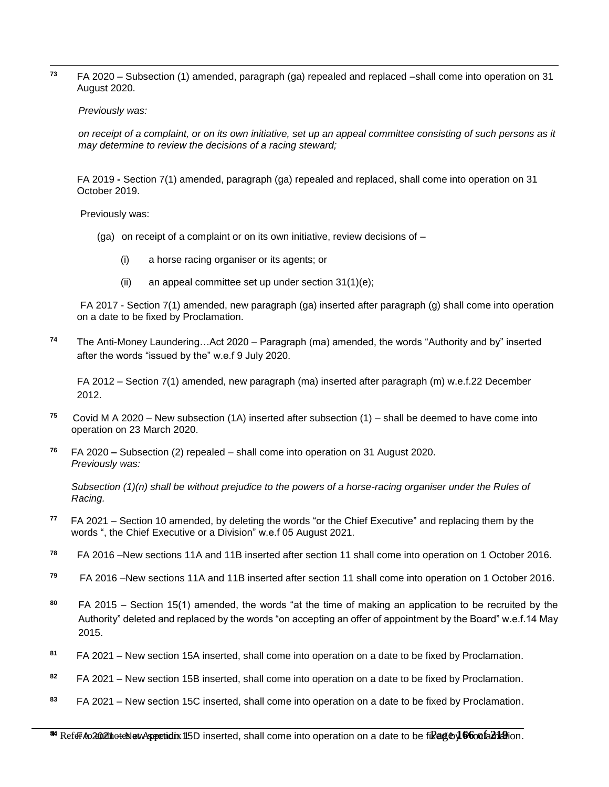$\overline{a}$ **<sup>73</sup>** FA 2020 – Subsection (1) amended, paragraph (ga) repealed and replaced –shall come into operation on 31 August 2020.

#### *Previously was:*

*on receipt of a complaint, or on its own initiative, set up an appeal committee consisting of such persons as it may determine to review the decisions of a racing steward;*

FA 2019 **-** Section 7(1) amended, paragraph (ga) repealed and replaced, shall come into operation on 31 October 2019.

Previously was:

- (ga) on receipt of a complaint or on its own initiative, review decisions of  $-$ 
	- (i) a horse racing organiser or its agents; or
	- (ii) an appeal committee set up under section  $31(1)(e)$ ;

FA 2017 - Section 7(1) amended, new paragraph (ga) inserted after paragraph (g) shall come into operation on a date to be fixed by Proclamation.

**<sup>74</sup>** The Anti-Money Laundering…Act 2020 – Paragraph (ma) amended, the words "Authority and by" inserted after the words "issued by the" w.e.f 9 July 2020.

FA 2012 – Section 7(1) amended, new paragraph (ma) inserted after paragraph (m) w.e.f.22 December 2012.

- **75** Covid M A 2020 – New subsection (1A) inserted after subsection (1) – shall be deemed to have come into operation on 23 March 2020.
- **76** FA 2020 **–** Subsection (2) repealed – shall come into operation on 31 August 2020. *Previously was:*

*Subsection (1)(n) shall be without prejudice to the powers of a horse-racing organiser under the Rules of Racing.*

- **77**  FA 2021 – Section 10 amended, by deleting the words "or the Chief Executive" and replacing them by the words ", the Chief Executive or a Division" w.e.f 05 August 2021.
- **<sup>78</sup>** FA 2016 –New sections 11A and 11B inserted after section 11 shall come into operation on 1 October 2016.
- **<sup>79</sup>** FA 2016 –New sections 11A and 11B inserted after section 11 shall come into operation on 1 October 2016.
- **<sup>80</sup>** FA 2015 Section 15(1) amended, the words "at the time of making an application to be recruited by the Authority" deleted and replaced by the words "on accepting an offer of appointment by the Board" w.e.f.14 May 2015.
- **81** FA 2021 – New section 15A inserted, shall come into operation on a date to be fixed by Proclamation.
- **82** FA 2021 – New section 15B inserted, shall come into operation on a date to be fixed by Proclamation.
- **83** FA 2021 – New section 15C inserted, shall come into operation on a date to be fixed by Proclamation.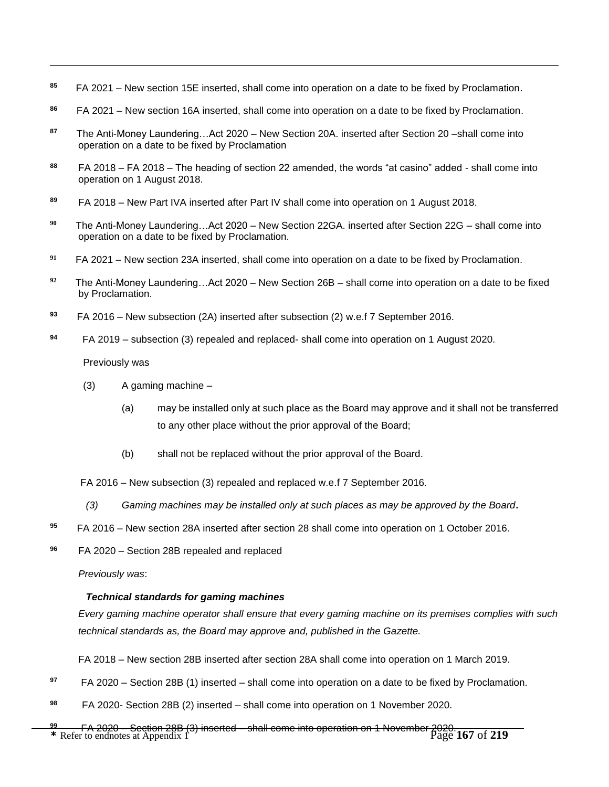- **85**  FA 2021 – New section 15E inserted, shall come into operation on a date to be fixed by Proclamation.
- **86** FA 2021 – New section 16A inserted, shall come into operation on a date to be fixed by Proclamation.
- **87** The Anti-Money Laundering…Act 2020 – New Section 20A. inserted after Section 20 –shall come into operation on a date to be fixed by Proclamation
- **<sup>88</sup>** FA 2018 FA 2018 The heading of section 22 amended, the words "at casino" added shall come into operation on 1 August 2018.
- **<sup>89</sup>** FA 2018 New Part IVA inserted after Part IV shall come into operation on 1 August 2018.
- **90** The Anti-Money Laundering…Act 2020 – New Section 22GA. inserted after Section 22G – shall come into operation on a date to be fixed by Proclamation.
- **91** FA 2021 – New section 23A inserted, shall come into operation on a date to be fixed by Proclamation.
- **92** The Anti-Money Laundering…Act 2020 – New Section 26B – shall come into operation on a date to be fixed by Proclamation.
- **<sup>93</sup>** FA 2016 New subsection (2A) inserted after subsection (2) w.e.f 7 September 2016.
- **94** FA 2019 – subsection (3) repealed and replaced- shall come into operation on 1 August 2020.

Previously was

 $\overline{a}$ 

- $(3)$  A gaming machine
	- (a) may be installed only at such place as the Board may approve and it shall not be transferred to any other place without the prior approval of the Board;
	- (b) shall not be replaced without the prior approval of the Board.

FA 2016 – New subsection (3) repealed and replaced w.e.f 7 September 2016.

- *(3) Gaming machines may be installed only at such places as may be approved by the Board***.**
- **<sup>95</sup>** FA 2016 New section 28A inserted after section 28 shall come into operation on 1 October 2016.
- **<sup>96</sup>** FA 2020 Section 28B repealed and replaced

*Previously was*:

## *Technical standards for gaming machines*

*Every gaming machine operator shall ensure that every gaming machine on its premises complies with such technical standards as, the Board may approve and, published in the Gazette.*

FA 2018 – New section 28B inserted after section 28A shall come into operation on 1 March 2019.

- **97** FA 2020 – Section 28B (1) inserted – shall come into operation on a date to be fixed by Proclamation.
- **98** FA 2020- Section 28B (2) inserted – shall come into operation on 1 November 2020.
- **\*** Refer to endnotes at Appendix 1 Page **167** of **219** FA 2020 Section 28B (3) inserted shall come into operation on 1 November 2020.**99**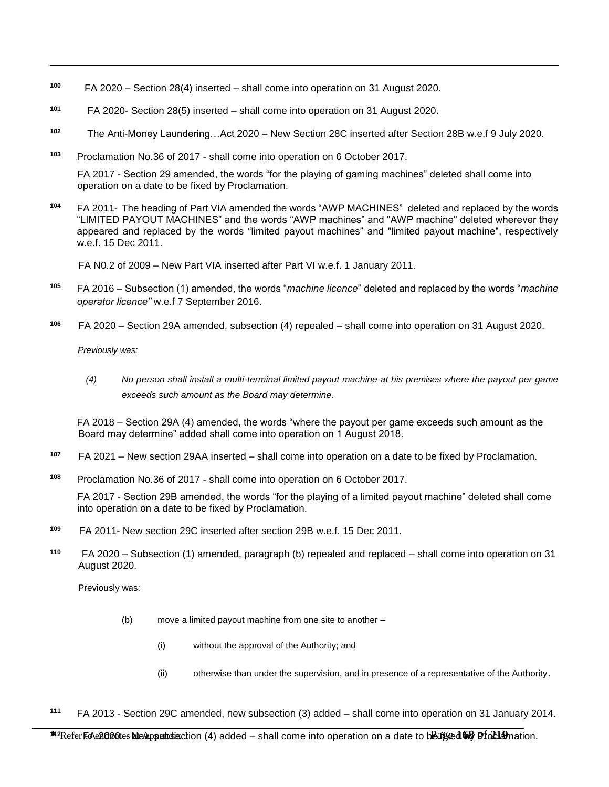- **100** FA 2020 – Section 28(4) inserted – shall come into operation on 31 August 2020.
- **101** FA 2020- Section 28(5) inserted – shall come into operation on 31 August 2020.
- **102** The Anti-Money Laundering…Act 2020 – New Section 28C inserted after Section 28B w.e.f 9 July 2020.
- **<sup>103</sup>** Proclamation No.36 of 2017 shall come into operation on 6 October 2017.

FA 2017 - Section 29 amended, the words "for the playing of gaming machines" deleted shall come into operation on a date to be fixed by Proclamation.

**<sup>104</sup>** FA 2011- The heading of Part VIA amended the words "AWP MACHINES" deleted and replaced by the words "LIMITED PAYOUT MACHINES" and the words "AWP machines" and "AWP machine" deleted wherever they appeared and replaced by the words "limited payout machines" and "limited payout machine", respectively w.e.f. 15 Dec 2011.

FA N0.2 of 2009 – New Part VIA inserted after Part VI w.e.f. 1 January 2011.

- **<sup>105</sup>** FA 2016 Subsection (1) amended, the words "*machine licence*" deleted and replaced by the words "*machine operator licence"* w.e.f 7 September 2016.
- **<sup>106</sup>** FA 2020 Section 29A amended, subsection (4) repealed shall come into operation on 31 August 2020.

 *Previously was:*

 $\overline{a}$ 

*(4) No person shall install a multi-terminal limited payout machine at his premises where the payout per game exceeds such amount as the Board may determine.*

FA 2018 – Section 29A (4) amended, the words "where the payout per game exceeds such amount as the Board may determine" added shall come into operation on 1 August 2018.

- **107** FA 2021 – New section 29AA inserted – shall come into operation on a date to be fixed by Proclamation.
- **<sup>108</sup>** Proclamation No.36 of 2017 shall come into operation on 6 October 2017.

FA 2017 - Section 29B amended, the words "for the playing of a limited payout machine" deleted shall come into operation on a date to be fixed by Proclamation.

- **109** FA 2011- New section 29C inserted after section 29B w.e.f. 15 Dec 2011.
- **110** FA 2020 – Subsection (1) amended, paragraph (b) repealed and replaced – shall come into operation on 31 August 2020.

Previously was:

- (b) move a limited payout machine from one site to another
	- (i) without the approval of the Authority; and
	- (ii) otherwise than under the supervision, and in presence of a representative of the Authority.
- **<sup>111</sup>** FA 2013 Section 29C amended, new subsection (3) added shall come into operation on 31 January 2014.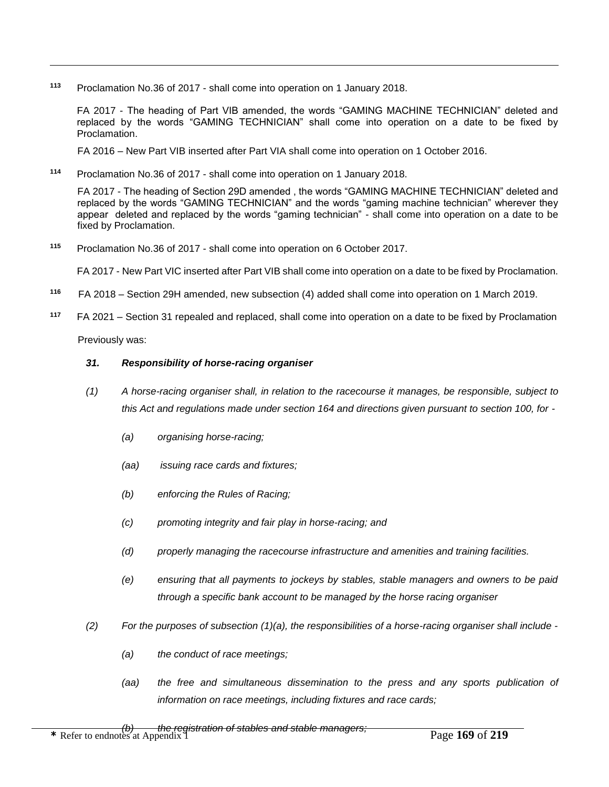**<sup>113</sup>** Proclamation No.36 of 2017 - shall come into operation on 1 January 2018.

FA 2017 - The heading of Part VIB amended, the words "GAMING MACHINE TECHNICIAN" deleted and replaced by the words "GAMING TECHNICIAN" shall come into operation on a date to be fixed by Proclamation.

FA 2016 – New Part VIB inserted after Part VIA shall come into operation on 1 October 2016.

**<sup>114</sup>** Proclamation No.36 of 2017 - shall come into operation on 1 January 2018.

FA 2017 - The heading of Section 29D amended , the words "GAMING MACHINE TECHNICIAN" deleted and replaced by the words "GAMING TECHNICIAN" and the words "gaming machine technician" wherever they appear deleted and replaced by the words "gaming technician" - shall come into operation on a date to be fixed by Proclamation.

**<sup>115</sup>** Proclamation No.36 of 2017 - shall come into operation on 6 October 2017.

FA 2017 - New Part VIC inserted after Part VIB shall come into operation on a date to be fixed by Proclamation.

- **<sup>116</sup>** FA 2018 Section 29H amended, new subsection (4) added shall come into operation on 1 March 2019.
- **117**  FA 2021 – Section 31 repealed and replaced, shall come into operation on a date to be fixed by Proclamation

Previously was:

 $\overline{a}$ 

## *31. Responsibility of horse-racing organiser*

- *(1) A horse-racing organiser shall, in relation to the racecourse it manages, be responsible, subject to this Act and regulations made under section 164 and directions given pursuant to section 100, for -*
	- *(a) organising horse-racing;*
	- *(aa) issuing race cards and fixtures;*
	- *(b) enforcing the Rules of Racing;*
	- *(c) promoting integrity and fair play in horse-racing; and*
	- *(d) properly managing the racecourse infrastructure and amenities and training facilities.*
	- *(e) ensuring that all payments to jockeys by stables, stable managers and owners to be paid through a specific bank account to be managed by the horse racing organiser*
- *(2) For the purposes of subsection (1)(a), the responsibilities of a horse-racing organiser shall include -*
	- *(a) the conduct of race meetings;*
	- *(aa) the free and simultaneous dissemination to the press and any sports publication of information on race meetings, including fixtures and race cards;*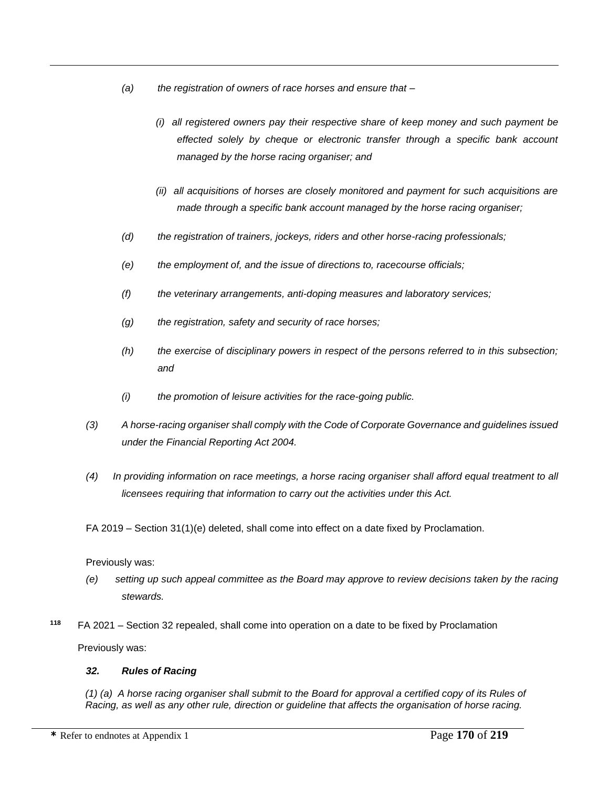- *(a) the registration of owners of race horses and ensure that –*
	- *(i) all registered owners pay their respective share of keep money and such payment be effected solely by cheque or electronic transfer through a specific bank account managed by the horse racing organiser; and*
	- *(ii) all acquisitions of horses are closely monitored and payment for such acquisitions are made through a specific bank account managed by the horse racing organiser;*
- *(d) the registration of trainers, jockeys, riders and other horse-racing professionals;*
- *(e) the employment of, and the issue of directions to, racecourse officials;*
- *(f) the veterinary arrangements, anti-doping measures and laboratory services;*
- *(g) the registration, safety and security of race horses;*
- *(h) the exercise of disciplinary powers in respect of the persons referred to in this subsection; and*
- *(i) the promotion of leisure activities for the race-going public.*
- *(3) A horse-racing organiser shall comply with the Code of Corporate Governance and guidelines issued under the Financial Reporting Act 2004.*
- *(4) In providing information on race meetings, a horse racing organiser shall afford equal treatment to all licensees requiring that information to carry out the activities under this Act.*

FA 2019 – Section 31(1)(e) deleted, shall come into effect on a date fixed by Proclamation.

## Previously was:

 $\overline{a}$ 

- *(e) setting up such appeal committee as the Board may approve to review decisions taken by the racing stewards.*
- **118** FA 2021 – Section 32 repealed, shall come into operation on a date to be fixed by Proclamation Previously was:

## *32. Rules of Racing*

*(1) (a) A horse racing organiser shall submit to the Board for approval a certified copy of its Rules of Racing, as well as any other rule, direction or guideline that affects the organisation of horse racing.*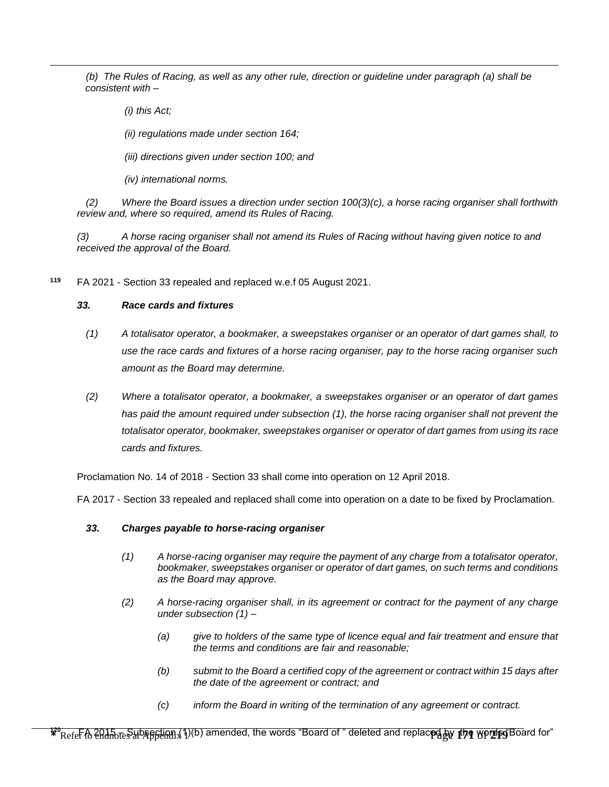*(b) The Rules of Racing, as well as any other rule, direction or guideline under paragraph (a) shall be consistent with –*

 *(i) this Act;* 

 $\overline{a}$ 

 *(ii) regulations made under section 164;* 

 *(iii) directions given under section 100; and* 

 *(iv) international norms.*

*(2) Where the Board issues a direction under section 100(3)(c), a horse racing organiser shall forthwith review and, where so required, amend its Rules of Racing.*

*(3) A horse racing organiser shall not amend its Rules of Racing without having given notice to and received the approval of the Board.*

**<sup>119</sup>** FA 2021 - Section 33 repealed and replaced w.e.f 05 August 2021.

#### *33. Race cards and fixtures*

- *(1) A totalisator operator, a bookmaker, a sweepstakes organiser or an operator of dart games shall, to use the race cards and fixtures of a horse racing organiser, pay to the horse racing organiser such amount as the Board may determine.*
- *(2) Where a totalisator operator, a bookmaker, a sweepstakes organiser or an operator of dart games has paid the amount required under subsection (1), the horse racing organiser shall not prevent the totalisator operator, bookmaker, sweepstakes organiser or operator of dart games from using its race cards and fixtures.*

Proclamation No. 14 of 2018 - Section 33 shall come into operation on 12 April 2018.

FA 2017 - Section 33 repealed and replaced shall come into operation on a date to be fixed by Proclamation.

#### *33. Charges payable to horse-racing organiser*

- *(1) A horse-racing organiser may require the payment of any charge from a totalisator operator, bookmaker, sweepstakes organiser or operator of dart games, on such terms and conditions as the Board may approve.*
- *(2) A horse-racing organiser shall, in its agreement or contract for the payment of any charge under subsection (1) –*
	- *(a) give to holders of the same type of licence equal and fair treatment and ensure that the terms and conditions are fair and reasonable;*
	- *(b) submit to the Board a certified copy of the agreement or contract within 15 days after the date of the agreement or contract; and*
	- *(c) inform the Board in writing of the termination of any agreement or contract.*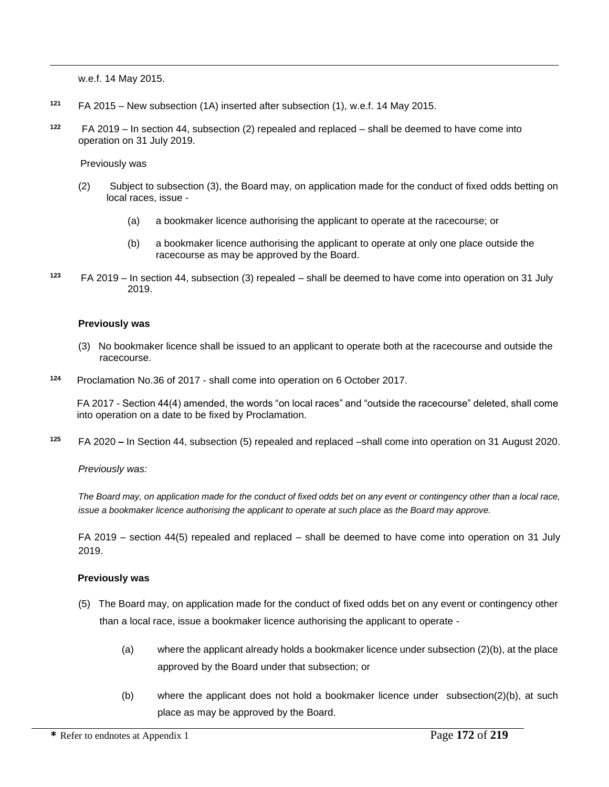w.e.f. 14 May 2015.

 $\overline{a}$ 

- **<sup>121</sup>** FA 2015 New subsection (1A) inserted after subsection (1), w.e.f. 14 May 2015.
- **122** FA 2019 – In section 44, subsection (2) repealed and replaced – shall be deemed to have come into operation on 31 July 2019.

Previously was

- (2) Subject to subsection (3), the Board may, on application made for the conduct of fixed odds betting on local races, issue -
	- (a) a bookmaker licence authorising the applicant to operate at the racecourse; or
	- (b) a bookmaker licence authorising the applicant to operate at only one place outside the racecourse as may be approved by the Board.
- **123**  FA 2019 – In section 44, subsection (3) repealed – shall be deemed to have come into operation on 31 July 2019.

#### **Previously was**

- (3) No bookmaker licence shall be issued to an applicant to operate both at the racecourse and outside the racecourse.
- **<sup>124</sup>** Proclamation No.36 of 2017 shall come into operation on 6 October 2017.

FA 2017 - Section 44(4) amended, the words "on local races" and "outside the racecourse" deleted, shall come into operation on a date to be fixed by Proclamation.

**<sup>125</sup>** FA 2020 **–** In Section 44, subsection (5) repealed and replaced –shall come into operation on 31 August 2020.

*Previously was:*

*The Board may, on application made for the conduct of fixed odds bet on any event or contingency other than a local race, issue a bookmaker licence authorising the applicant to operate at such place as the Board may approve.*

FA 2019 – section 44(5) repealed and replaced – shall be deemed to have come into operation on 31 July 2019.

#### **Previously was**

- (5) The Board may, on application made for the conduct of fixed odds bet on any event or contingency other than a local race, issue a bookmaker licence authorising the applicant to operate -
	- (a) where the applicant already holds a bookmaker licence under subsection (2)(b), at the place approved by the Board under that subsection; or
	- (b) where the applicant does not hold a bookmaker licence under subsection(2)(b), at such place as may be approved by the Board.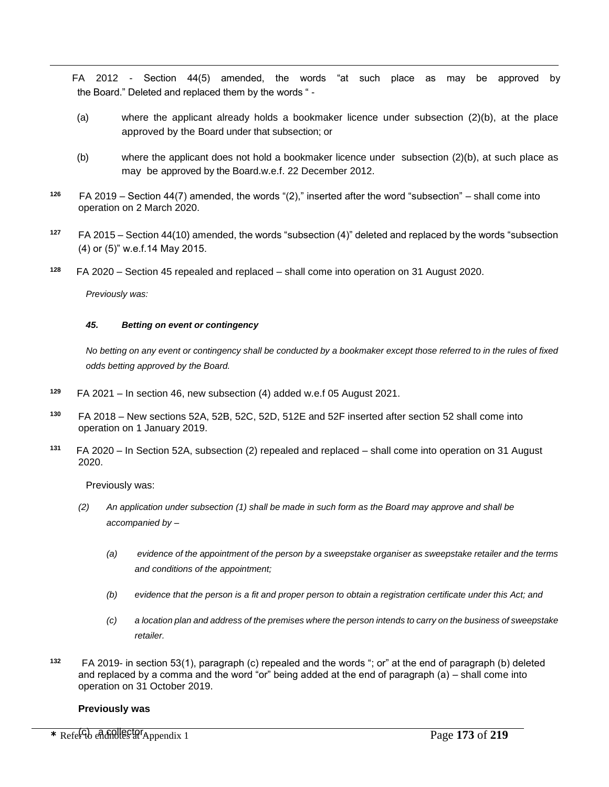FA 2012 - Section 44(5) amended, the words "at such place as may be approved by the Board." Deleted and replaced them by the words " -

- (a) where the applicant already holds a bookmaker licence under subsection (2)(b), at the place approved by the Board under that subsection; or
- (b) where the applicant does not hold a bookmaker licence under subsection (2)(b), at such place as may be approved by the Board.w.e.f. 22 December 2012.
- **126** FA 2019 – Section 44(7) amended, the words "(2)," inserted after the word "subsection" – shall come into operation on 2 March 2020.
- **<sup>127</sup>** FA 2015 Section 44(10) amended, the words "subsection (4)" deleted and replaced by the words "subsection (4) or (5)" w.e.f.14 May 2015.
- **128** FA 2020 – Section 45 repealed and replaced – shall come into operation on 31 August 2020.

*Previously was:*

 $\overline{a}$ 

#### *45. Betting on event or contingency*

*No betting on any event or contingency shall be conducted by a bookmaker except those referred to in the rules of fixed odds betting approved by the Board.*

- **129**  FA 2021 – In section 46, new subsection (4) added w.e.f 05 August 2021.
- **<sup>130</sup>** FA 2018 New sections 52A, 52B, 52C, 52D, 512E and 52F inserted after section 52 shall come into operation on 1 January 2019.
- **131** FA 2020 – In Section 52A, subsection (2) repealed and replaced – shall come into operation on 31 August 2020.

Previously was:

- *(2) An application under subsection (1) shall be made in such form as the Board may approve and shall be accompanied by –*
	- *(a) evidence of the appointment of the person by a sweepstake organiser as sweepstake retailer and the terms and conditions of the appointment;*
	- *(b) evidence that the person is a fit and proper person to obtain a registration certificate under this Act; and*
	- *(c) a location plan and address of the premises where the person intends to carry on the business of sweepstake retailer.*
- **132** FA 2019- in section 53(1), paragraph (c) repealed and the words "; or" at the end of paragraph (b) deleted and replaced by a comma and the word "or" being added at the end of paragraph (a) – shall come into operation on 31 October 2019.

#### **Previously was**

\* Refer<sup>(c</sup>) additive at Appendix 1 Page 173 of 219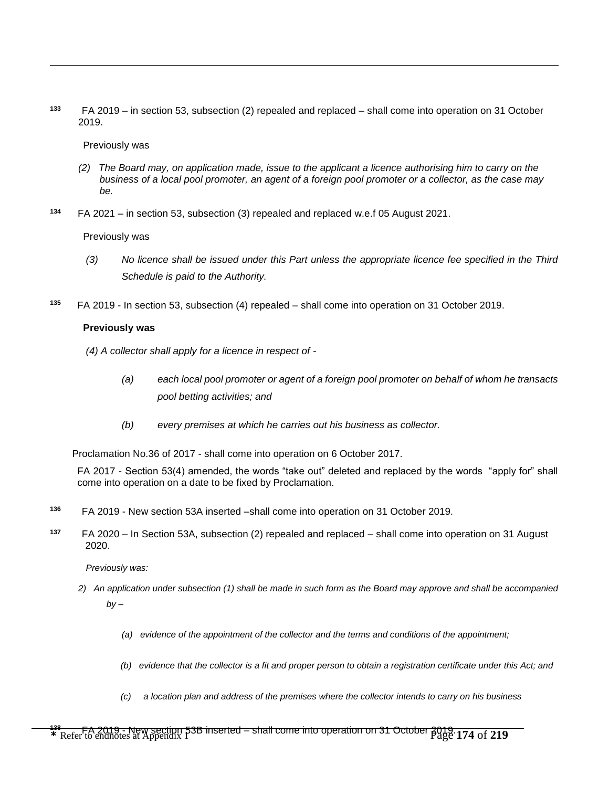**133** FA 2019 – in section 53, subsection (2) repealed and replaced – shall come into operation on 31 October 2019.

#### Previously was

 $\overline{a}$ 

- *(2) The Board may, on application made, issue to the applicant a licence authorising him to carry on the business of a local pool promoter, an agent of a foreign pool promoter or a collector, as the case may be.*
- **134** FA 2021 – in section 53, subsection (3) repealed and replaced w.e.f 05 August 2021.

#### Previously was

- *(3) No licence shall be issued under this Part unless the appropriate licence fee specified in the Third Schedule is paid to the Authority.*
- **135** FA 2019 - In section 53, subsection (4) repealed – shall come into operation on 31 October 2019.

## **Previously was**

- *(4) A collector shall apply for a licence in respect of -*
	- *(a) each local pool promoter or agent of a foreign pool promoter on behalf of whom he transacts pool betting activities; and*
	- *(b) every premises at which he carries out his business as collector.*

Proclamation No.36 of 2017 - shall come into operation on 6 October 2017.

FA 2017 - Section 53(4) amended, the words "take out" deleted and replaced by the words "apply for" shall come into operation on a date to be fixed by Proclamation.

- **136** FA 2019 - New section 53A inserted –shall come into operation on 31 October 2019.
- **137** FA 2020 – In Section 53A, subsection (2) repealed and replaced – shall come into operation on 31 August 2020.

*Previously was:*

- *2) An application under subsection (1) shall be made in such form as the Board may approve and shall be accompanied by –*
	- *(a) evidence of the appointment of the collector and the terms and conditions of the appointment;*
	- *(b) evidence that the collector is a fit and proper person to obtain a registration certificate under this Act; and*
	- *(c) a location plan and address of the premises where the collector intends to carry on his business*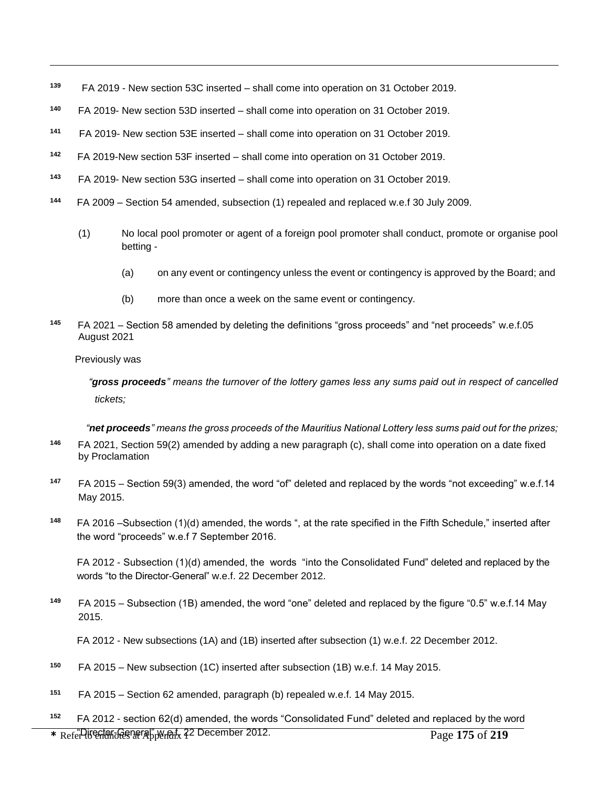- **139** FA 2019 - New section 53C inserted – shall come into operation on 31 October 2019.
- **140**  FA 2019- New section 53D inserted – shall come into operation on 31 October 2019.
- **141** FA 2019- New section 53E inserted – shall come into operation on 31 October 2019.
- **142** FA 2019-New section 53F inserted – shall come into operation on 31 October 2019.
- **143**  FA 2019- New section 53G inserted – shall come into operation on 31 October 2019.
- **<sup>144</sup>** FA 2009 Section 54 amended, subsection (1) repealed and replaced w.e.f 30 July 2009.
	- (1) No local pool promoter or agent of a foreign pool promoter shall conduct, promote or organise pool betting -
		- (a) on any event or contingency unless the event or contingency is approved by the Board; and
		- (b) more than once a week on the same event or contingency.
- **145** FA 2021 – Section 58 amended by deleting the definitions "gross proceeds" and "net proceeds" w.e.f.05 August 2021

Previously was

 $\overline{a}$ 

*"gross proceeds" means the turnover of the lottery games less any sums paid out in respect of cancelled tickets;*

*"net proceeds" means the gross proceeds of the Mauritius National Lottery less sums paid out for the prizes;*

- **146** FA 2021, Section 59(2) amended by adding a new paragraph (c), shall come into operation on a date fixed by Proclamation
- **<sup>147</sup>** FA 2015 Section 59(3) amended, the word "of" deleted and replaced by the words "not exceeding" w.e.f.14 May 2015.
- **<sup>148</sup>** FA 2016 –Subsection (1)(d) amended, the words ", at the rate specified in the Fifth Schedule," inserted after the word "proceeds" w.e.f 7 September 2016.

FA 2012 - Subsection (1)(d) amended, the words "into the Consolidated Fund" deleted and replaced by the words "to the Director-General" w.e.f. 22 December 2012.

**<sup>149</sup>** FA 2015 – Subsection (1B) amended, the word "one" deleted and replaced by the figure "0.5" w.e.f.14 May 2015.

FA 2012 - New subsections (1A) and (1B) inserted after subsection (1) w.e.f. 22 December 2012.

- **<sup>150</sup>** FA 2015 New subsection (1C) inserted after subsection (1B) w.e.f. 14 May 2015.
- **<sup>151</sup>** FA 2015 Section 62 amended, paragraph (b) repealed w.e.f. 14 May 2015.
- \* Refer Utertan-General" w.m.f. 22 December 2012. **<sup>152</sup>** FA 2012 - section 62(d) amended, the words "Consolidated Fund" deleted and replaced by the word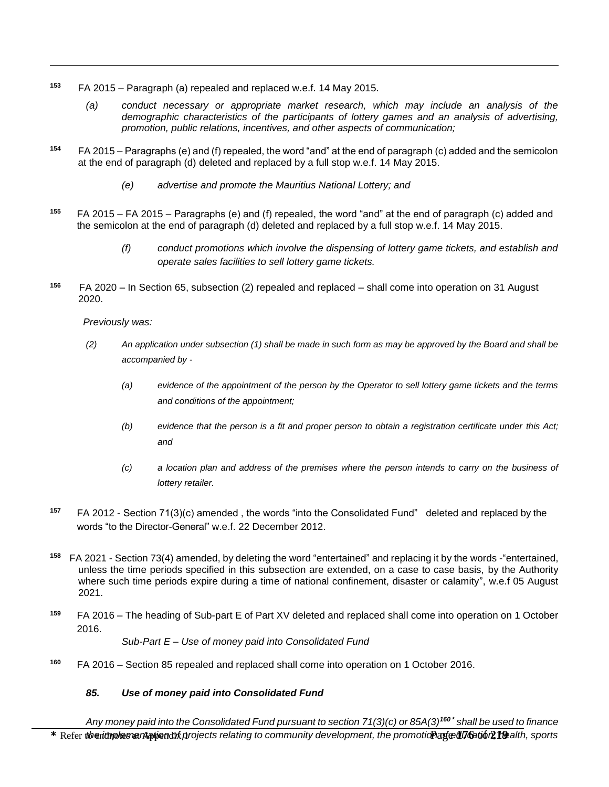- **<sup>153</sup>** FA 2015 Paragraph (a) repealed and replaced w.e.f. 14 May 2015.
	- *(a) conduct necessary or appropriate market research, which may include an analysis of the demographic characteristics of the participants of lottery games and an analysis of advertising, promotion, public relations, incentives, and other aspects of communication;*
- **<sup>154</sup>** FA 2015 Paragraphs (e) and (f) repealed, the word "and" at the end of paragraph (c) added and the semicolon at the end of paragraph (d) deleted and replaced by a full stop w.e.f. 14 May 2015.
	- *(e) advertise and promote the Mauritius National Lottery; and*
- **<sup>155</sup>** FA 2015 FA 2015 Paragraphs (e) and (f) repealed, the word "and" at the end of paragraph (c) added and the semicolon at the end of paragraph (d) deleted and replaced by a full stop w.e.f. 14 May 2015.
	- *(f) conduct promotions which involve the dispensing of lottery game tickets, and establish and operate sales facilities to sell lottery game tickets.*
- **156** FA 2020 – In Section 65, subsection (2) repealed and replaced – shall come into operation on 31 August 2020.

 *Previously was:* 

 $\overline{a}$ 

- *(2) An application under subsection (1) shall be made in such form as may be approved by the Board and shall be accompanied by -*
	- *(a) evidence of the appointment of the person by the Operator to sell lottery game tickets and the terms and conditions of the appointment;*
	- *(b) evidence that the person is a fit and proper person to obtain a registration certificate under this Act; and*
	- *(c) a location plan and address of the premises where the person intends to carry on the business of lottery retailer.*
- **<sup>157</sup>** FA 2012 Section 71(3)(c) amended , the words "into the Consolidated Fund" deleted and replaced by the words "to the Director-General" w.e.f. 22 December 2012.
- **158** FA 2021 - Section 73(4) amended, by deleting the word "entertained" and replacing it by the words -"entertained, unless the time periods specified in this subsection are extended, on a case to case basis, by the Authority where such time periods expire during a time of national confinement, disaster or calamity", w.e.f 05 August 2021.
- **<sup>159</sup>** FA 2016 The heading of Sub-part E of Part XV deleted and replaced shall come into operation on 1 October 2016.

*Sub-Part E – Use of money paid into Consolidated Fund*

**<sup>160</sup>** FA 2016 – Section 85 repealed and replaced shall come into operation on 1 October 2016.

## *85. Use of money paid into Consolidated Fund*

\* Refer the implementation of projects relating to community development, the promotion afeed **16** at 60 path, sports *Any money paid into the Consolidated Fund pursuant to section 71(3)(c) or 85A(3)<sup>160</sup> \* shall be used to finance*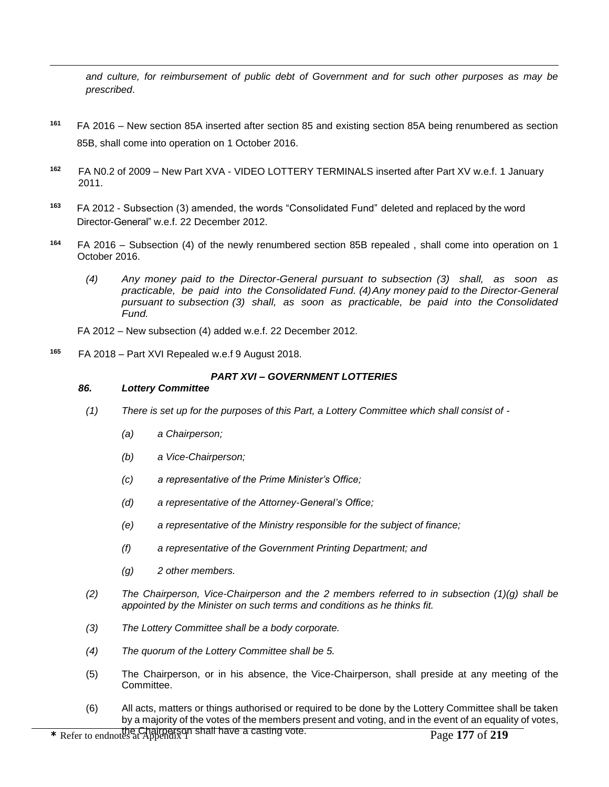*and culture, for reimbursement of public debt of Government and for such other purposes as may be prescribed*.

- **<sup>161</sup>** FA 2016 New section 85A inserted after section 85 and existing section 85A being renumbered as section 85B, shall come into operation on 1 October 2016.
- **<sup>162</sup>** FA N0.2 of 2009 New Part XVA VIDEO LOTTERY TERMINALS inserted after Part XV w.e.f. 1 January 2011.
- **<sup>163</sup>** FA 2012 Subsection (3) amended, the words "Consolidated Fund" deleted and replaced by the word Director-General" w.e.f. 22 December 2012.
- **<sup>164</sup>** FA 2016 Subsection (4) of the newly renumbered section 85B repealed , shall come into operation on 1 October 2016.
	- *(4) Any money paid to the Director-General pursuant to subsection (3) shall, as soon as practicable, be paid into the Consolidated Fund. (4)Any money paid to the Director-General pursuant to subsection (3) shall, as soon as practicable, be paid into the Consolidated Fund.*
	- FA 2012 New subsection (4) added w.e.f. 22 December 2012.
- **<sup>165</sup>** FA 2018 Part XVI Repealed w.e.f 9 August 2018.

### *PART XVI – GOVERNMENT LOTTERIES*

#### *86. Lottery Committee*

 $\overline{a}$ 

- *(1) There is set up for the purposes of this Part, a Lottery Committee which shall consist of -*
	- *(a) a Chairperson;*
	- *(b) a Vice-Chairperson;*
	- *(c) a representative of the Prime Minister's Office;*
	- *(d) a representative of the Attorney-General's Office;*
	- *(e) a representative of the Ministry responsible for the subject of finance;*
	- *(f) a representative of the Government Printing Department; and*
	- *(g) 2 other members.*
- *(2) The Chairperson, Vice-Chairperson and the 2 members referred to in subsection (1)(g) shall be appointed by the Minister on such terms and conditions as he thinks fit.*
- *(3) The Lottery Committee shall be a body corporate.*
- *(4) The quorum of the Lottery Committee shall be 5.*
- (5) The Chairperson, or in his absence, the Vice-Chairperson, shall preside at any meeting of the Committee.
- (6) All acts, matters or things authorised or required to be done by the Lottery Committee shall be taken by a majority of the votes of the members present and voting, and in the event of an equality of votes,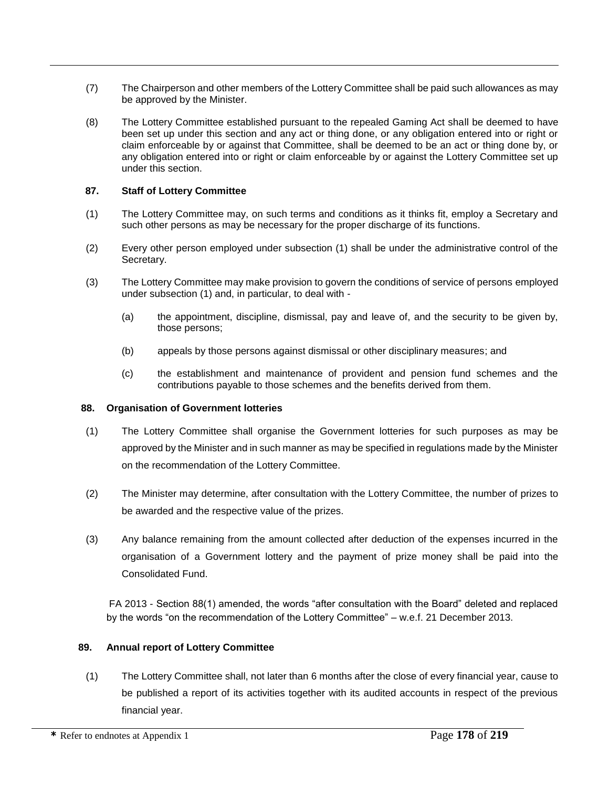- (7) The Chairperson and other members of the Lottery Committee shall be paid such allowances as may be approved by the Minister.
- (8) The Lottery Committee established pursuant to the repealed Gaming Act shall be deemed to have been set up under this section and any act or thing done, or any obligation entered into or right or claim enforceable by or against that Committee, shall be deemed to be an act or thing done by, or any obligation entered into or right or claim enforceable by or against the Lottery Committee set up under this section.

## **87. Staff of Lottery Committee**

 $\overline{a}$ 

- (1) The Lottery Committee may, on such terms and conditions as it thinks fit, employ a Secretary and such other persons as may be necessary for the proper discharge of its functions.
- (2) Every other person employed under subsection (1) shall be under the administrative control of the Secretary.
- (3) The Lottery Committee may make provision to govern the conditions of service of persons employed under subsection (1) and, in particular, to deal with -
	- (a) the appointment, discipline, dismissal, pay and leave of, and the security to be given by, those persons;
	- (b) appeals by those persons against dismissal or other disciplinary measures; and
	- (c) the establishment and maintenance of provident and pension fund schemes and the contributions payable to those schemes and the benefits derived from them.

## **88. Organisation of Government lotteries**

- (1) The Lottery Committee shall organise the Government lotteries for such purposes as may be approved by the Minister and in such manner as may be specified in regulations made by the Minister on the recommendation of the Lottery Committee.
- (2) The Minister may determine, after consultation with the Lottery Committee, the number of prizes to be awarded and the respective value of the prizes.
- (3) Any balance remaining from the amount collected after deduction of the expenses incurred in the organisation of a Government lottery and the payment of prize money shall be paid into the Consolidated Fund.

FA 2013 - Section 88(1) amended, the words "after consultation with the Board" deleted and replaced by the words "on the recommendation of the Lottery Committee" – w.e.f. 21 December 2013.

## **89. Annual report of Lottery Committee**

(1) The Lottery Committee shall, not later than 6 months after the close of every financial year, cause to be published a report of its activities together with its audited accounts in respect of the previous financial year.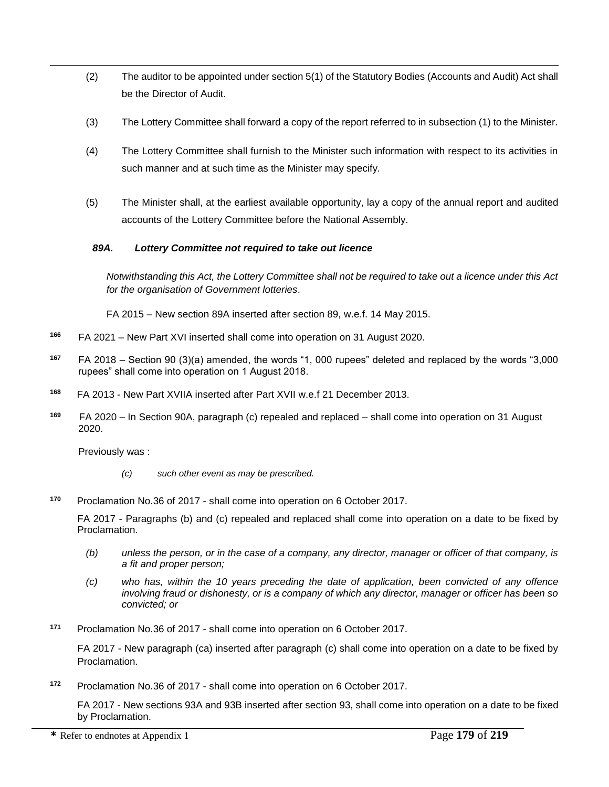- (2) The auditor to be appointed under section 5(1) of the Statutory Bodies (Accounts and Audit) Act shall be the Director of Audit.
- (3) The Lottery Committee shall forward a copy of the report referred to in subsection (1) to the Minister.
- (4) The Lottery Committee shall furnish to the Minister such information with respect to its activities in such manner and at such time as the Minister may specify.
- (5) The Minister shall, at the earliest available opportunity, lay a copy of the annual report and audited accounts of the Lottery Committee before the National Assembly.

## *89A. Lottery Committee not required to take out licence*

*Notwithstanding this Act, the Lottery Committee shall not be required to take out a licence under this Act for the organisation of Government lotteries*.

FA 2015 – New section 89A inserted after section 89, w.e.f. 14 May 2015.

- **166** FA 2021 – New Part XVI inserted shall come into operation on 31 August 2020.
- **<sup>167</sup>** FA 2018 Section 90 (3)(a) amended, the words "1, 000 rupees" deleted and replaced by the words "3,000 rupees" shall come into operation on 1 August 2018.
- **<sup>168</sup>** FA 2013 New Part XVIIA inserted after Part XVII w.e.f 21 December 2013.
- **169** FA 2020 – In Section 90A, paragraph (c) repealed and replaced – shall come into operation on 31 August 2020.

Previously was :

 $\overline{a}$ 

- *(c) such other event as may be prescribed.*
- **<sup>170</sup>** Proclamation No.36 of 2017 shall come into operation on 6 October 2017.

FA 2017 - Paragraphs (b) and (c) repealed and replaced shall come into operation on a date to be fixed by Proclamation.

- *(b) unless the person, or in the case of a company, any director, manager or officer of that company, is a fit and proper person;*
- *(c) who has, within the 10 years preceding the date of application, been convicted of any offence involving fraud or dishonesty, or is a company of which any director, manager or officer has been so convicted; or*
- **<sup>171</sup>** Proclamation No.36 of 2017 shall come into operation on 6 October 2017.

FA 2017 - New paragraph (ca) inserted after paragraph (c) shall come into operation on a date to be fixed by Proclamation.

**<sup>172</sup>** Proclamation No.36 of 2017 - shall come into operation on 6 October 2017.

FA 2017 - New sections 93A and 93B inserted after section 93, shall come into operation on a date to be fixed by Proclamation.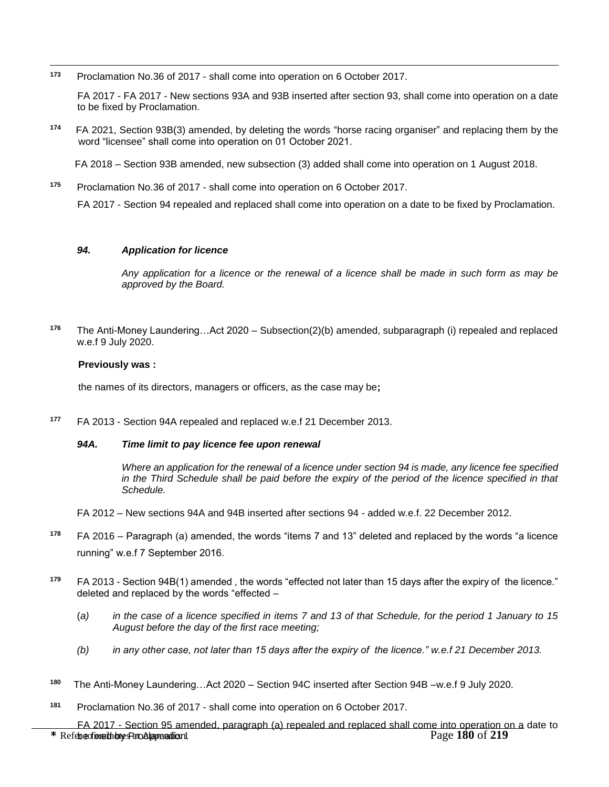$\overline{a}$ **<sup>173</sup>** Proclamation No.36 of 2017 - shall come into operation on 6 October 2017.

FA 2017 - FA 2017 - New sections 93A and 93B inserted after section 93, shall come into operation on a date to be fixed by Proclamation.

**174** FA 2021, Section 93B(3) amended, by deleting the words "horse racing organiser" and replacing them by the word "licensee" shall come into operation on 01 October 2021.

FA 2018 – Section 93B amended, new subsection (3) added shall come into operation on 1 August 2018.

**<sup>175</sup>** Proclamation No.36 of 2017 - shall come into operation on 6 October 2017.

FA 2017 - Section 94 repealed and replaced shall come into operation on a date to be fixed by Proclamation.

#### *94. Application for licence*

*Any application for a licence or the renewal of a licence shall be made in such form as may be approved by the Board.*

**<sup>176</sup>**The Anti-Money Laundering…Act 2020 – Subsection(2)(b) amended, subparagraph (i) repealed and replaced w.e.f 9 July 2020.

#### **Previously was :**

the names of its directors, managers or officers, as the case may be**;**

**<sup>177</sup>** FA 2013 - Section 94A repealed and replaced w.e.f 21 December 2013.

#### *94A. Time limit to pay licence fee upon renewal*

*Where an application for the renewal of a licence under section 94 is made, any licence fee specified in the Third Schedule shall be paid before the expiry of the period of the licence specified in that Schedule.*

- FA 2012 New sections 94A and 94B inserted after sections 94 added w.e.f. 22 December 2012.
- **<sup>178</sup>** FA 2016 Paragraph (a) amended, the words "items 7 and 13" deleted and replaced by the words "a licence running" w.e.f 7 September 2016.
- **<sup>179</sup>** FA 2013 Section 94B(1) amended , the words "effected not later than 15 days after the expiry of the licence." deleted and replaced by the words "effected –
	- (*a) in the case of a licence specified in items 7 and 13 of that Schedule, for the period 1 January to 15 August before the day of the first race meeting;*
	- *(b) in any other case, not later than 15 days after the expiry of the licence." w.e.f 21 December 2013.*
- **180** The Anti-Money Laundering…Act 2020 – Section 94C inserted after Section 94B –w.e.f 9 July 2020.
- **<sup>181</sup>** Proclamation No.36 of 2017 shall come into operation on 6 October 2017.

**\*** Refer to end to the Refer of the Refer of the Refer of the Range 180 of 219 FA 2017 - Section 95 amended, paragraph (a) repealed and replaced shall come into operation on a date to be to<br>be time those page 180 of 219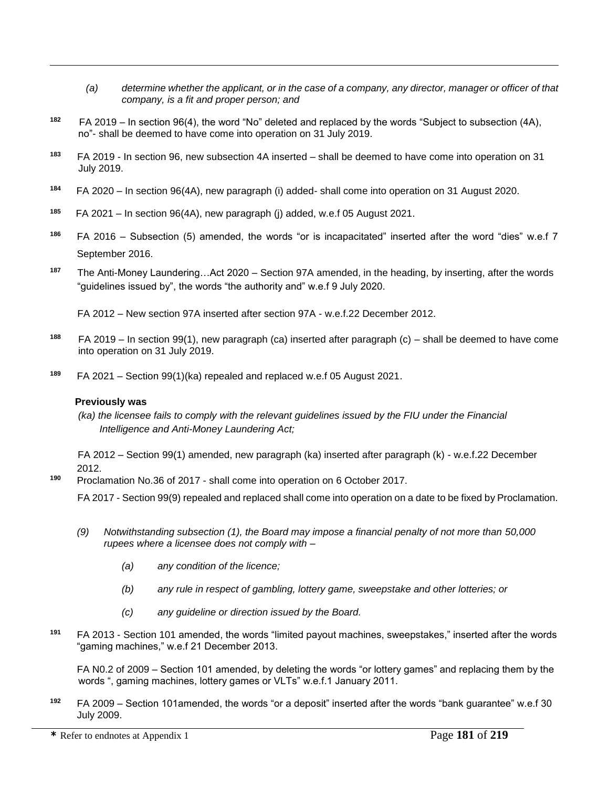- *(a) determine whether the applicant, or in the case of a company, any director, manager or officer of that company, is a fit and proper person; and*
- **182** FA 2019 – In section 96(4), the word "No" deleted and replaced by the words "Subject to subsection (4A), no"- shall be deemed to have come into operation on 31 July 2019.
- **183**  FA 2019 - In section 96, new subsection 4A inserted – shall be deemed to have come into operation on 31 July 2019.
- **184** FA 2020 – In section 96(4A), new paragraph (i) added- shall come into operation on 31 August 2020.
- **185** FA 2021 – In section 96(4A), new paragraph (j) added, w.e.f 05 August 2021.
- **<sup>186</sup>** FA 2016 Subsection (5) amended, the words "or is incapacitated" inserted after the word "dies" w.e.f 7 September 2016.
- **<sup>187</sup>** The Anti-Money Laundering…Act 2020 Section 97A amended, in the heading, by inserting, after the words "guidelines issued by", the words "the authority and" w.e.f 9 July 2020.

FA 2012 – New section 97A inserted after section 97A - w.e.f.22 December 2012.

- **188**  FA 2019 – In section 99(1), new paragraph (ca) inserted after paragraph (c) – shall be deemed to have come into operation on 31 July 2019.
- **<sup>189</sup>** FA 2021 Section 99(1)(ka) repealed and replaced w.e.f 05 August 2021.

#### **Previously was**

 $\overline{a}$ 

*(ka)* the licensee fails to comply with the relevant guidelines issued by the FIU under the Financial *Intelligence and Anti-Money Laundering Act;*

 FA 2012 – Section 99(1) amended, new paragraph (ka) inserted after paragraph (k) - w.e.f.22 December 2012.

**<sup>190</sup>** Proclamation No.36 of 2017 - shall come into operation on 6 October 2017.

FA 2017 - Section 99(9) repealed and replaced shall come into operation on a date to be fixed by Proclamation.

- *(9) Notwithstanding subsection (1), the Board may impose a financial penalty of not more than 50,000 rupees where a licensee does not comply with –*
	- *(a) any condition of the licence;*
	- *(b) any rule in respect of gambling, lottery game, sweepstake and other lotteries; or*
	- *(c) any guideline or direction issued by the Board.*
- **<sup>191</sup>** FA 2013 Section 101 amended, the words "limited payout machines, sweepstakes," inserted after the words "gaming machines," w.e.f 21 December 2013.

FA N0.2 of 2009 – Section 101 amended, by deleting the words "or lottery games" and replacing them by the words ", gaming machines, lottery games or VLTs" w.e.f.1 January 2011.

**<sup>192</sup>** FA 2009 – Section 101amended, the words "or a deposit" inserted after the words "bank guarantee" w.e.f 30 July 2009.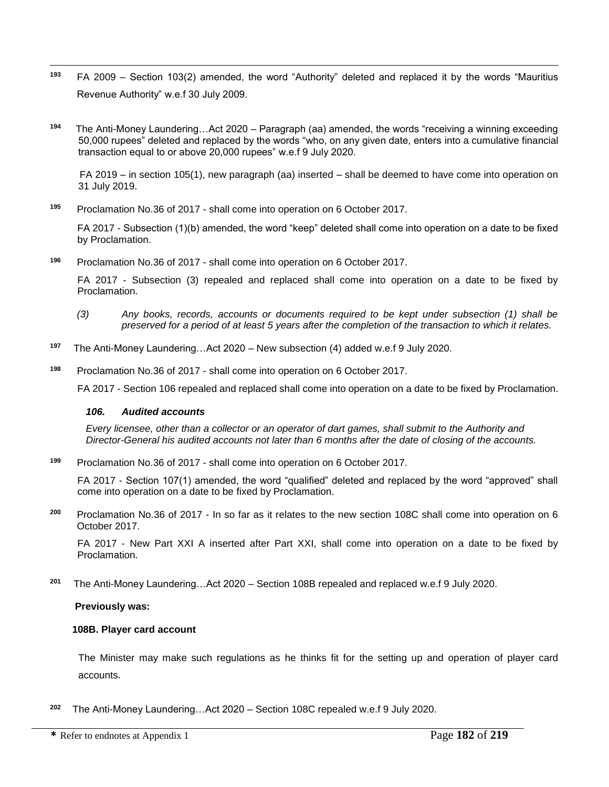- **<sup>193</sup>** FA 2009 Section 103(2) amended, the word "Authority" deleted and replaced it by the words "Mauritius Revenue Authority" w.e.f 30 July 2009.
- **194**  The Anti-Money Laundering…Act 2020 – Paragraph (aa) amended, the words "receiving a winning exceeding 50,000 rupees" deleted and replaced by the words "who, on any given date, enters into a cumulative financial transaction equal to or above 20,000 rupees" w.e.f 9 July 2020.

FA 2019 – in section 105(1), new paragraph (aa) inserted – shall be deemed to have come into operation on 31 July 2019.

**<sup>195</sup>** Proclamation No.36 of 2017 - shall come into operation on 6 October 2017.

FA 2017 - Subsection (1)(b) amended, the word "keep" deleted shall come into operation on a date to be fixed by Proclamation.

**<sup>196</sup>** Proclamation No.36 of 2017 - shall come into operation on 6 October 2017.

FA 2017 - Subsection (3) repealed and replaced shall come into operation on a date to be fixed by Proclamation.

- *(3) Any books, records, accounts or documents required to be kept under subsection (1) shall be preserved for a period of at least 5 years after the completion of the transaction to which it relates.*
- **197** The Anti-Money Laundering…Act 2020 – New subsection (4) added w.e.f 9 July 2020.

**<sup>198</sup>** Proclamation No.36 of 2017 - shall come into operation on 6 October 2017.

FA 2017 - Section 106 repealed and replaced shall come into operation on a date to be fixed by Proclamation.

#### *106. Audited accounts*

 $\overline{a}$ 

*Every licensee, other than a collector or an operator of dart games, shall submit to the Authority and Director-General his audited accounts not later than 6 months after the date of closing of the accounts.*

**<sup>199</sup>** Proclamation No.36 of 2017 - shall come into operation on 6 October 2017.

FA 2017 - Section 107(1) amended, the word "qualified" deleted and replaced by the word "approved" shall come into operation on a date to be fixed by Proclamation.

**<sup>200</sup>** Proclamation No.36 of 2017 - In so far as it relates to the new section 108C shall come into operation on 6 October 2017.

FA 2017 - New Part XXI A inserted after Part XXI, shall come into operation on a date to be fixed by Proclamation.

**201** The Anti-Money Laundering…Act 2020 – Section 108B repealed and replaced w.e.f 9 July 2020.

**Previously was:**

## **108B. Player card account**

The Minister may make such regulations as he thinks fit for the setting up and operation of player card accounts.

**202** The Anti-Money Laundering…Act 2020 – Section 108C repealed w.e.f 9 July 2020.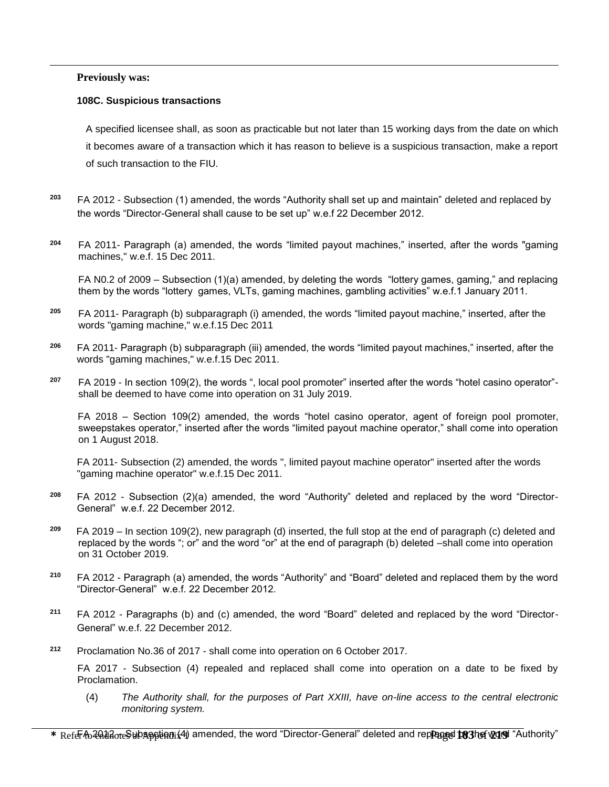#### **Previously was:**

 $\overline{a}$ 

#### **108C. Suspicious transactions**

A specified licensee shall, as soon as practicable but not later than 15 working days from the date on which it becomes aware of a transaction which it has reason to believe is a suspicious transaction, make a report of such transaction to the FIU.

- **<sup>203</sup>** FA 2012 Subsection (1) amended, the words "Authority shall set up and maintain" deleted and replaced by the words "Director-General shall cause to be set up" w.e.f 22 December 2012.
- **<sup>204</sup>** FA 2011- Paragraph (a) amended, the words "limited payout machines," inserted, after the words "gaming machines," w.e.f. 15 Dec 2011.

FA N0.2 of 2009 – Subsection (1)(a) amended, by deleting the words "lottery games, gaming," and replacing them by the words "lottery games, VLTs, gaming machines, gambling activities" w.e.f.1 January 2011.

- **<sup>205</sup>** FA 2011- Paragraph (b) subparagraph (i) amended, the words "limited payout machine," inserted, after the words "gaming machine," w.e.f.15 Dec 2011
- **<sup>206</sup>** FA 2011- Paragraph (b) subparagraph (iii) amended, the words "limited payout machines," inserted, after the words "gaming machines," w.e.f.15 Dec 2011.
- **<sup>207</sup>** FA 2019 In section 109(2), the words ", local pool promoter" inserted after the words "hotel casino operator" shall be deemed to have come into operation on 31 July 2019.

 FA 2018 – Section 109(2) amended, the words "hotel casino operator, agent of foreign pool promoter, sweepstakes operator," inserted after the words "limited payout machine operator," shall come into operation on 1 August 2018.

FA 2011- Subsection (2) amended, the words ", limited payout machine operator" inserted after the words "gaming machine operator" w.e.f.15 Dec 2011.

- **<sup>208</sup>** FA 2012 Subsection (2)(a) amended, the word "Authority" deleted and replaced by the word "Director-General" w.e.f. 22 December 2012.
- **209** FA 2019 – In section 109(2), new paragraph (d) inserted, the full stop at the end of paragraph (c) deleted and replaced by the words "; or" and the word "or" at the end of paragraph (b) deleted –shall come into operation on 31 October 2019.
- **<sup>210</sup>** FA 2012 Paragraph (a) amended, the words "Authority" and "Board" deleted and replaced them by the word "Director-General" w.e.f. 22 December 2012.
- **<sup>211</sup>** FA 2012 Paragraphs (b) and (c) amended, the word "Board" deleted and replaced by the word "Director-General" w.e.f. 22 December 2012.
- **<sup>212</sup>** Proclamation No.36 of 2017 shall come into operation on 6 October 2017.

FA 2017 - Subsection (4) repealed and replaced shall come into operation on a date to be fixed by Proclamation.

(4) *The Authority shall, for the purposes of Part XXIII, have on-line access to the central electronic monitoring system.*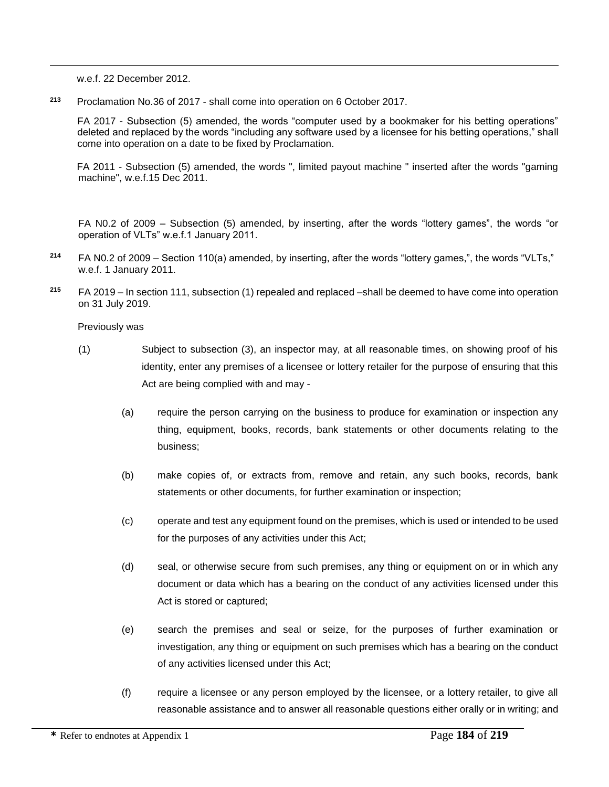w.e.f. 22 December 2012.

 $\overline{a}$ 

**<sup>213</sup>** Proclamation No.36 of 2017 - shall come into operation on 6 October 2017.

FA 2017 - Subsection (5) amended, the words "computer used by a bookmaker for his betting operations" deleted and replaced by the words "including any software used by a licensee for his betting operations," shall come into operation on a date to be fixed by Proclamation.

FA 2011 - Subsection (5) amended, the words ", limited payout machine " inserted after the words "gaming machine", w.e.f.15 Dec 2011.

FA N0.2 of 2009 – Subsection (5) amended, by inserting, after the words "lottery games", the words "or operation of VLTs" w.e.f.1 January 2011.

- **<sup>214</sup>** FA N0.2 of 2009 Section 110(a) amended, by inserting, after the words "lottery games,", the words "VLTs," w.e.f. 1 January 2011.
- **<sup>215</sup>** FA 2019 In section 111, subsection (1) repealed and replaced –shall be deemed to have come into operation on 31 July 2019.

Previously was

- (1) Subject to subsection (3), an inspector may, at all reasonable times, on showing proof of his identity, enter any premises of a licensee or lottery retailer for the purpose of ensuring that this Act are being complied with and may -
	- (a) require the person carrying on the business to produce for examination or inspection any thing, equipment, books, records, bank statements or other documents relating to the business;
	- (b) make copies of, or extracts from, remove and retain, any such books, records, bank statements or other documents, for further examination or inspection;
	- (c) operate and test any equipment found on the premises, which is used or intended to be used for the purposes of any activities under this Act;
	- (d) seal, or otherwise secure from such premises, any thing or equipment on or in which any document or data which has a bearing on the conduct of any activities licensed under this Act is stored or captured;
	- (e) search the premises and seal or seize, for the purposes of further examination or investigation, any thing or equipment on such premises which has a bearing on the conduct of any activities licensed under this Act;
	- (f) require a licensee or any person employed by the licensee, or a lottery retailer, to give all reasonable assistance and to answer all reasonable questions either orally or in writing; and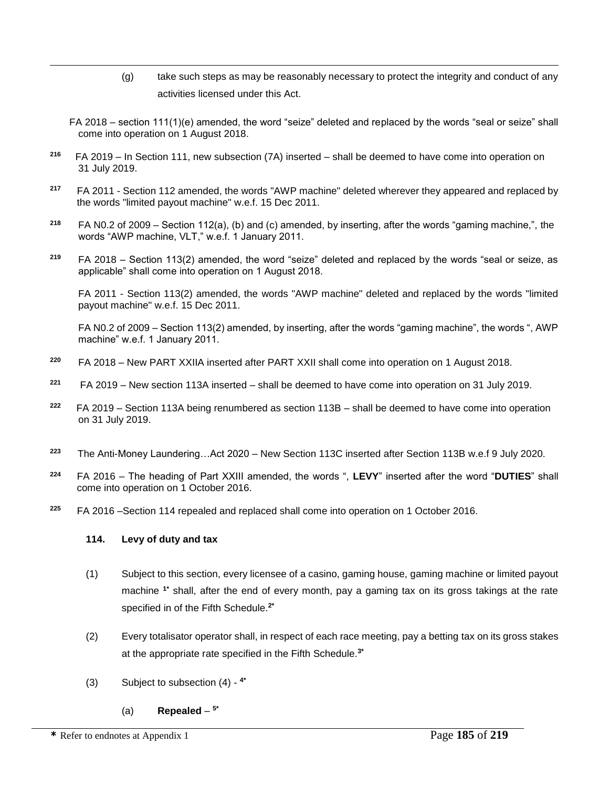- (g) take such steps as may be reasonably necessary to protect the integrity and conduct of any activities licensed under this Act.
- FA 2018 section 111(1)(e) amended, the word "seize" deleted and replaced by the words "seal or seize" shall come into operation on 1 August 2018.
- **216**  FA 2019 – In Section 111, new subsection (7A) inserted – shall be deemed to have come into operation on 31 July 2019.
- **<sup>217</sup>** FA 2011 Section 112 amended, the words "AWP machine" deleted wherever they appeared and replaced by the words "limited payout machine" w.e.f. 15 Dec 2011.
- **<sup>218</sup>** FA N0.2 of 2009 Section 112(a), (b) and (c) amended, by inserting, after the words "gaming machine,", the words "AWP machine, VLT," w.e.f. 1 January 2011.
- **<sup>219</sup>** FA 2018 Section 113(2) amended, the word "seize" deleted and replaced by the words "seal or seize, as applicable" shall come into operation on 1 August 2018.

FA 2011 - Section 113(2) amended, the words "AWP machine" deleted and replaced by the words "limited payout machine" w.e.f. 15 Dec 2011.

FA N0.2 of 2009 – Section 113(2) amended, by inserting, after the words "gaming machine", the words ", AWP machine" w.e.f. 1 January 2011.

- **<sup>220</sup>** FA 2018 New PART XXIIA inserted after PART XXII shall come into operation on 1 August 2018.
- **221** FA 2019 – New section 113A inserted – shall be deemed to have come into operation on 31 July 2019.
- **222** FA 2019 – Section 113A being renumbered as section 113B – shall be deemed to have come into operation on 31 July 2019.
- **223** The Anti-Money Laundering…Act 2020 – New Section 113C inserted after Section 113B w.e.f 9 July 2020.
- **<sup>224</sup>** FA 2016 The heading of Part XXIII amended, the words ", **LEVY**" inserted after the word "**DUTIES**" shall come into operation on 1 October 2016.
- **<sup>225</sup>** FA 2016 –Section 114 repealed and replaced shall come into operation on 1 October 2016.

## **114. Levy of duty and tax**

- (1) Subject to this section, every licensee of a casino, gaming house, gaming machine or limited payout machine **1\*** shall, after the end of every month, pay a gaming tax on its gross takings at the rate specified in of the Fifth Schedule.**2\***
- (2) Every totalisator operator shall, in respect of each race meeting, pay a betting tax on its gross stakes at the appropriate rate specified in the Fifth Schedule.**3\***
- (3) Subject to subsection (4) **4\***
	- (a) **Repealed 5\***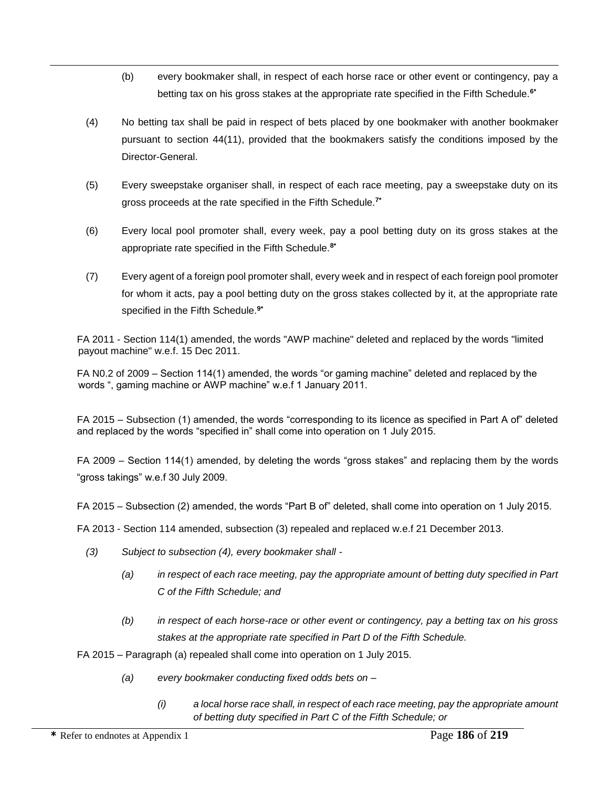- (b) every bookmaker shall, in respect of each horse race or other event or contingency, pay a betting tax on his gross stakes at the appropriate rate specified in the Fifth Schedule.**6\***
- (4) No betting tax shall be paid in respect of bets placed by one bookmaker with another bookmaker pursuant to section 44(11), provided that the bookmakers satisfy the conditions imposed by the Director-General.
- (5) Every sweepstake organiser shall, in respect of each race meeting, pay a sweepstake duty on its gross proceeds at the rate specified in the Fifth Schedule.**7\***
- (6) Every local pool promoter shall, every week, pay a pool betting duty on its gross stakes at the appropriate rate specified in the Fifth Schedule.**8\***
- (7) Every agent of a foreign pool promoter shall, every week and in respect of each foreign pool promoter for whom it acts, pay a pool betting duty on the gross stakes collected by it, at the appropriate rate specified in the Fifth Schedule.**9\***

FA 2011 - Section 114(1) amended, the words "AWP machine" deleted and replaced by the words "limited payout machine" w.e.f. 15 Dec 2011.

FA N0.2 of 2009 – Section 114(1) amended, the words "or gaming machine" deleted and replaced by the words ", gaming machine or AWP machine" w.e.f 1 January 2011.

FA 2015 – Subsection (1) amended, the words "corresponding to its licence as specified in Part A of" deleted and replaced by the words "specified in" shall come into operation on 1 July 2015.

FA 2009 – Section 114(1) amended, by deleting the words "gross stakes" and replacing them by the words "gross takings" w.e.f 30 July 2009.

FA 2015 – Subsection (2) amended, the words "Part B of" deleted, shall come into operation on 1 July 2015.

FA 2013 - Section 114 amended, subsection (3) repealed and replaced w.e.f 21 December 2013.

- *(3) Subject to subsection (4), every bookmaker shall -*
	- *(a) in respect of each race meeting, pay the appropriate amount of betting duty specified in Part C of the Fifth Schedule; and*
	- *(b) in respect of each horse-race or other event or contingency, pay a betting tax on his gross stakes at the appropriate rate specified in Part D of the Fifth Schedule.*

FA 2015 – Paragraph (a) repealed shall come into operation on 1 July 2015.

- *(a) every bookmaker conducting fixed odds bets on –*
	- *(i) a local horse race shall, in respect of each race meeting, pay the appropriate amount of betting duty specified in Part C of the Fifth Schedule; or*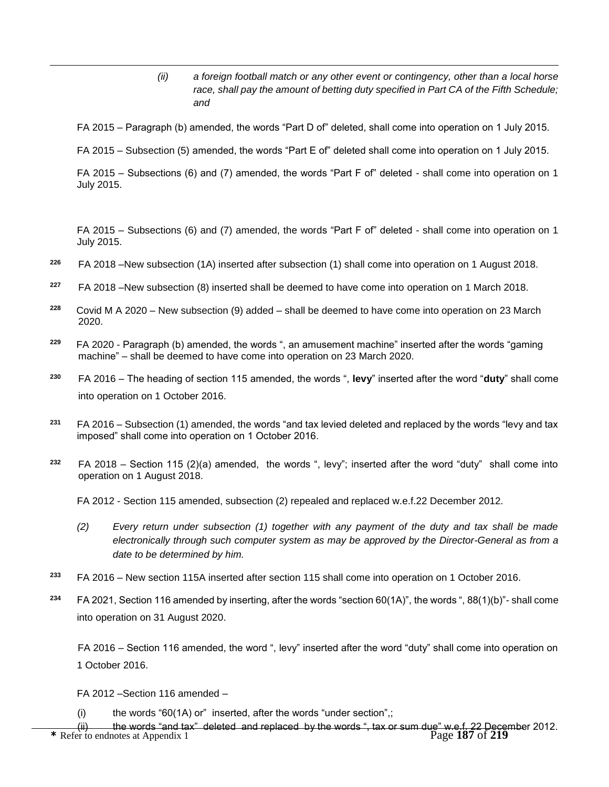*(ii) a foreign football match or any other event or contingency, other than a local horse race, shall pay the amount of betting duty specified in Part CA of the Fifth Schedule; and*

FA 2015 – Paragraph (b) amended, the words "Part D of" deleted, shall come into operation on 1 July 2015.

FA 2015 – Subsection (5) amended, the words "Part E of" deleted shall come into operation on 1 July 2015.

FA 2015 – Subsections (6) and (7) amended, the words "Part F of" deleted - shall come into operation on 1 July 2015.

FA 2015 – Subsections (6) and (7) amended, the words "Part F of" deleted - shall come into operation on 1 July 2015.

- **<sup>226</sup>** FA 2018 –New subsection (1A) inserted after subsection (1) shall come into operation on 1 August 2018.
- **<sup>227</sup>** FA 2018 –New subsection (8) inserted shall be deemed to have come into operation on 1 March 2018.
- **228** Covid M A 2020 – New subsection (9) added – shall be deemed to have come into operation on 23 March 2020.
- **229** FA 2020 - Paragraph (b) amended, the words ", an amusement machine" inserted after the words "gaming machine" – shall be deemed to have come into operation on 23 March 2020.
- **<sup>230</sup>** FA 2016 The heading of section 115 amended, the words ", **levy**" inserted after the word "**duty**" shall come into operation on 1 October 2016.
- **<sup>231</sup>** FA 2016 Subsection (1) amended, the words "and tax levied deleted and replaced by the words "levy and tax imposed" shall come into operation on 1 October 2016.
- **<sup>232</sup>** FA 2018 Section 115 (2)(a) amended, the words ", levy"; inserted after the word "duty" shall come into operation on 1 August 2018.

FA 2012 - Section 115 amended, subsection (2) repealed and replaced w.e.f.22 December 2012.

- *(2) Every return under subsection (1) together with any payment of the duty and tax shall be made electronically through such computer system as may be approved by the Director-General as from a date to be determined by him.*
- **<sup>233</sup>** FA 2016 New section 115A inserted after section 115 shall come into operation on 1 October 2016.
- **<sup>234</sup>** FA 2021, Section 116 amended by inserting, after the words "section 60(1A)", the words ", 88(1)(b)"- shall come into operation on 31 August 2020.

FA 2016 – Section 116 amended, the word ", levy" inserted after the word "duty" shall come into operation on 1 October 2016.

FA 2012 –Section 116 amended –

 $\overline{a}$ 

(i) the words " $60(1A)$  or" inserted, after the words "under section",;

(ii) the words "and tax" deleted and replaced by the words ", tax or sum due" w.e.f. 22 Decer<br>**\*** Refer to endnotes at Appendix 1 Page 187 of 219 the words "and tax" deleted and replaced by the words ", tax or sum due" w.e.f. 22 December 2012.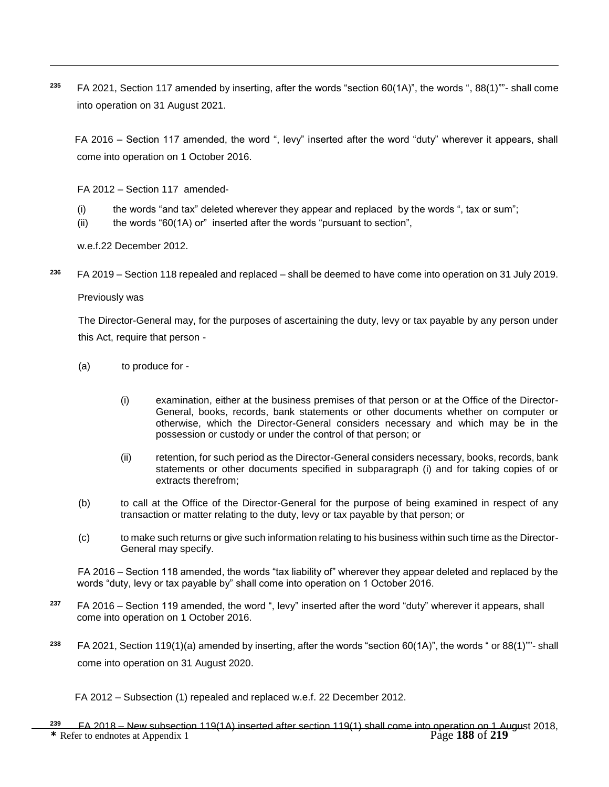**<sup>235</sup>** FA 2021, Section 117 amended by inserting, after the words "section 60(1A)", the words ", 88(1)""- shall come into operation on 31 August 2021.

FA 2016 – Section 117 amended, the word ", levy" inserted after the word "duty" wherever it appears, shall come into operation on 1 October 2016.

FA 2012 – Section 117 amended-

- (i) the words "and tax" deleted wherever they appear and replaced by the words ", tax or sum";
- (ii) the words " $60(1A)$  or" inserted after the words "pursuant to section",

w.e.f.22 December 2012.

**<sup>236</sup>** FA 2019 – Section 118 repealed and replaced – shall be deemed to have come into operation on 31 July 2019.

Previously was

 $\overline{a}$ 

The Director-General may, for the purposes of ascertaining the duty, levy or tax payable by any person under this Act, require that person -

- (a) to produce for
	- (i) examination, either at the business premises of that person or at the Office of the Director-General, books, records, bank statements or other documents whether on computer or otherwise, which the Director-General considers necessary and which may be in the possession or custody or under the control of that person; or
	- (ii) retention, for such period as the Director-General considers necessary, books, records, bank statements or other documents specified in subparagraph (i) and for taking copies of or extracts therefrom;
- (b) to call at the Office of the Director-General for the purpose of being examined in respect of any transaction or matter relating to the duty, levy or tax payable by that person; or
- (c) to make such returns or give such information relating to his business within such time as the Director-General may specify.

 FA 2016 – Section 118 amended, the words "tax liability of" wherever they appear deleted and replaced by the words "duty, levy or tax payable by" shall come into operation on 1 October 2016.

- **<sup>237</sup>** FA 2016 Section 119 amended, the word ", levy" inserted after the word "duty" wherever it appears, shall come into operation on 1 October 2016.
- **<sup>238</sup>** FA 2021, Section 119(1)(a) amended by inserting, after the words "section 60(1A)", the words " or 88(1)""- shall come into operation on 31 August 2020.

FA 2012 – Subsection (1) repealed and replaced w.e.f. 22 December 2012.

**\*** Refer to endnotes at Appendix 1 Page **188** of **219 <sup>239</sup>** FA 2018 – New subsection 119(1A) inserted after section 119(1) shall come into operation on 1 August 2018,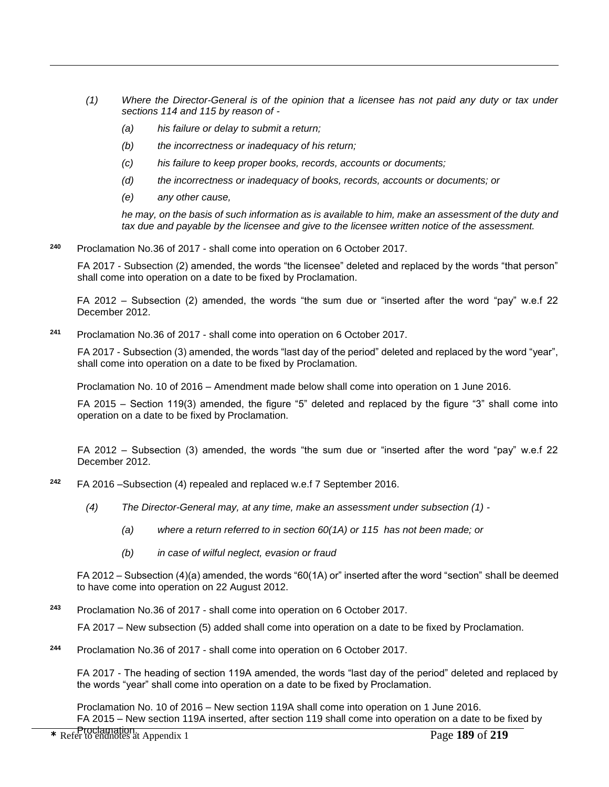- *(1) Where the Director-General is of the opinion that a licensee has not paid any duty or tax under sections 114 and 115 by reason of -*
	- *(a) his failure or delay to submit a return;*
	- *(b) the incorrectness or inadequacy of his return;*
	- *(c) his failure to keep proper books, records, accounts or documents;*
	- *(d) the incorrectness or inadequacy of books, records, accounts or documents; or*
	- *(e) any other cause,*

 $\overline{a}$ 

*he may, on the basis of such information as is available to him, make an assessment of the duty and tax due and payable by the licensee and give to the licensee written notice of the assessment.*

**<sup>240</sup>** Proclamation No.36 of 2017 - shall come into operation on 6 October 2017.

FA 2017 - Subsection (2) amended, the words "the licensee" deleted and replaced by the words "that person" shall come into operation on a date to be fixed by Proclamation.

FA 2012 – Subsection (2) amended, the words "the sum due or "inserted after the word "pay" w.e.f 22 December 2012.

**<sup>241</sup>** Proclamation No.36 of 2017 - shall come into operation on 6 October 2017.

FA 2017 - Subsection (3) amended, the words "last day of the period" deleted and replaced by the word "year", shall come into operation on a date to be fixed by Proclamation.

Proclamation No. 10 of 2016 – Amendment made below shall come into operation on 1 June 2016.

FA 2015 – Section 119(3) amended, the figure "5" deleted and replaced by the figure "3" shall come into operation on a date to be fixed by Proclamation.

FA 2012 – Subsection (3) amended, the words "the sum due or "inserted after the word "pay" w.e.f 22 December 2012.

- **<sup>242</sup>** FA 2016 –Subsection (4) repealed and replaced w.e.f 7 September 2016.
	- *(4) The Director-General may, at any time, make an assessment under subsection (1) -*
		- *(a) where a return referred to in section 60(1A) or 115 has not been made; or*
		- *(b) in case of wilful neglect, evasion or fraud*

FA 2012 – Subsection (4)(a) amended, the words "60(1A) or" inserted after the word "section" shall be deemed to have come into operation on 22 August 2012.

**<sup>243</sup>** Proclamation No.36 of 2017 - shall come into operation on 6 October 2017.

FA 2017 – New subsection (5) added shall come into operation on a date to be fixed by Proclamation.

**<sup>244</sup>** Proclamation No.36 of 2017 - shall come into operation on 6 October 2017.

FA 2017 - The heading of section 119A amended, the words "last day of the period" deleted and replaced by the words "year" shall come into operation on a date to be fixed by Proclamation.

Proclamation No. 10 of 2016 – New section 119A shall come into operation on 1 June 2016. FA 2015 – New section 119A inserted, after section 119 shall come into operation on a date to be fixed by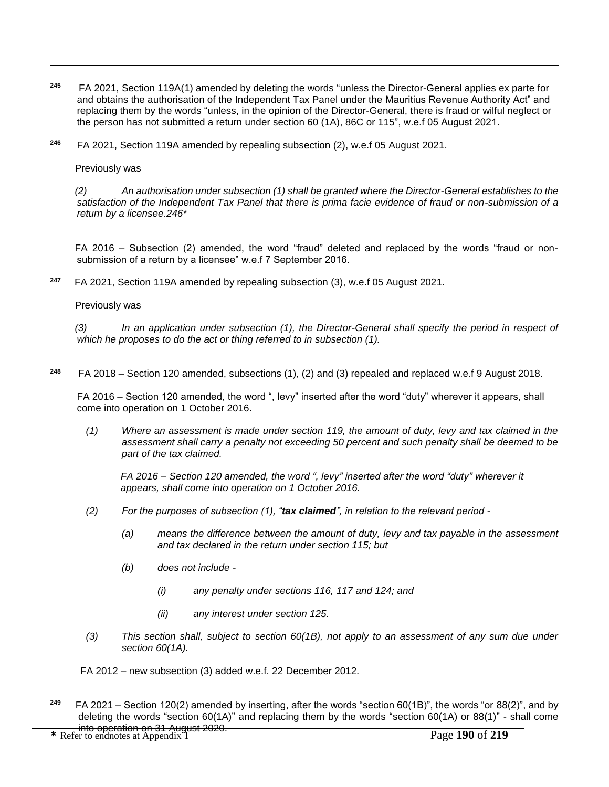- **245** FA 2021, Section 119A(1) amended by deleting the words "unless the Director-General applies ex parte for and obtains the authorisation of the Independent Tax Panel under the Mauritius Revenue Authority Act" and replacing them by the words "unless, in the opinion of the Director-General, there is fraud or wilful neglect or the person has not submitted a return under section 60 (1A), 86C or 115", w.e.f 05 August 2021.
- **<sup>246</sup>** FA 2021, Section 119A amended by repealing subsection (2), w.e.f 05 August 2021.

Previously was

 $\overline{a}$ 

 *(2) An authorisation under subsection (1) shall be granted where the Director-General establishes to the satisfaction of the Independent Tax Panel that there is prima facie evidence of fraud or non-submission of a return by a licensee.246\**

FA 2016 – Subsection (2) amended, the word "fraud" deleted and replaced by the words "fraud or nonsubmission of a return by a licensee" w.e.f 7 September 2016.

**247** FA 2021, Section 119A amended by repealing subsection (3), w.e.f 05 August 2021.

Previously was

 *(3) In an application under subsection (1), the Director-General shall specify the period in respect of which he proposes to do the act or thing referred to in subsection (1).*

**<sup>248</sup>** FA 2018 – Section 120 amended, subsections (1), (2) and (3) repealed and replaced w.e.f 9 August 2018.

FA 2016 – Section 120 amended, the word ", levy" inserted after the word "duty" wherever it appears, shall come into operation on 1 October 2016.

*(1) Where an assessment is made under section 119, the amount of duty, levy and tax claimed in the assessment shall carry a penalty not exceeding 50 percent and such penalty shall be deemed to be part of the tax claimed.*

*FA 2016 – Section 120 amended, the word ", levy" inserted after the word "duty" wherever it appears, shall come into operation on 1 October 2016.*

- *(2) For the purposes of subsection (1), "tax claimed", in relation to the relevant period -*
	- *(a) means the difference between the amount of duty, levy and tax payable in the assessment and tax declared in the return under section 115; but*
	- *(b) does not include -*
		- *(i) any penalty under sections 116, 117 and 124; and*
		- *(ii) any interest under section 125.*
- *(3) This section shall, subject to section 60(1B), not apply to an assessment of any sum due under section 60(1A).*

FA 2012 – new subsection (3) added w.e.f. 22 December 2012.

**249** FA 2021 – Section 120(2) amended by inserting, after the words "section 60(1B)", the words "or 88(2)", and by deleting the words "section 60(1A)" and replacing them by the words "section 60(1A) or 88(1)" - shall come into operation on 31 August 2020.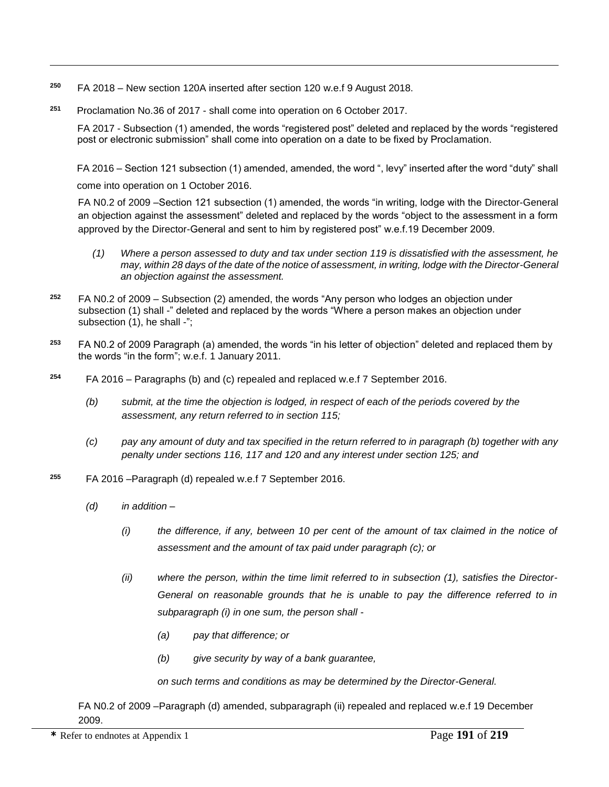- **250** FA 2018 – New section 120A inserted after section 120 w.e.f 9 August 2018.
- **<sup>251</sup>** Proclamation No.36 of 2017 shall come into operation on 6 October 2017.

FA 2017 - Subsection (1) amended, the words "registered post" deleted and replaced by the words "registered post or electronic submission" shall come into operation on a date to be fixed by Proclamation.

FA 2016 – Section 121 subsection (1) amended, amended, the word ", levy" inserted after the word "duty" shall come into operation on 1 October 2016.

FA N0.2 of 2009 –Section 121 subsection (1) amended, the words "in writing, lodge with the Director-General an objection against the assessment" deleted and replaced by the words "object to the assessment in a form approved by the Director-General and sent to him by registered post" w.e.f.19 December 2009.

- *(1) Where a person assessed to duty and tax under section 119 is dissatisfied with the assessment, he may, within 28 days of the date of the notice of assessment, in writing, lodge with the Director-General an objection against the assessment.*
- **<sup>252</sup>** FA N0.2 of 2009 Subsection (2) amended, the words "Any person who lodges an objection under subsection (1) shall -" deleted and replaced by the words "Where a person makes an objection under subsection (1), he shall -";
- **<sup>253</sup>** FA N0.2 of 2009 Paragraph (a) amended, the words "in his letter of objection" deleted and replaced them by the words "in the form"; w.e.f. 1 January 2011.
- **<sup>254</sup>** FA 2016 Paragraphs (b) and (c) repealed and replaced w.e.f 7 September 2016.
	- *(b) submit, at the time the objection is lodged, in respect of each of the periods covered by the assessment, any return referred to in section 115;*
	- *(c) pay any amount of duty and tax specified in the return referred to in paragraph (b) together with any penalty under sections 116, 117 and 120 and any interest under section 125; and*
- **<sup>255</sup>** FA 2016 –Paragraph (d) repealed w.e.f 7 September 2016.
	- *(d) in addition –*

 $\overline{a}$ 

- *(i) the difference, if any, between 10 per cent of the amount of tax claimed in the notice of assessment and the amount of tax paid under paragraph (c); or*
- *(ii) where the person, within the time limit referred to in subsection (1), satisfies the Director-*General on reasonable grounds that he is unable to pay the difference referred to in *subparagraph (i) in one sum, the person shall -*
	- *(a) pay that difference; or*
	- *(b) give security by way of a bank guarantee,*

*on such terms and conditions as may be determined by the Director-General.* 

FA N0.2 of 2009 –Paragraph (d) amended, subparagraph (ii) repealed and replaced w.e.f 19 December 2009.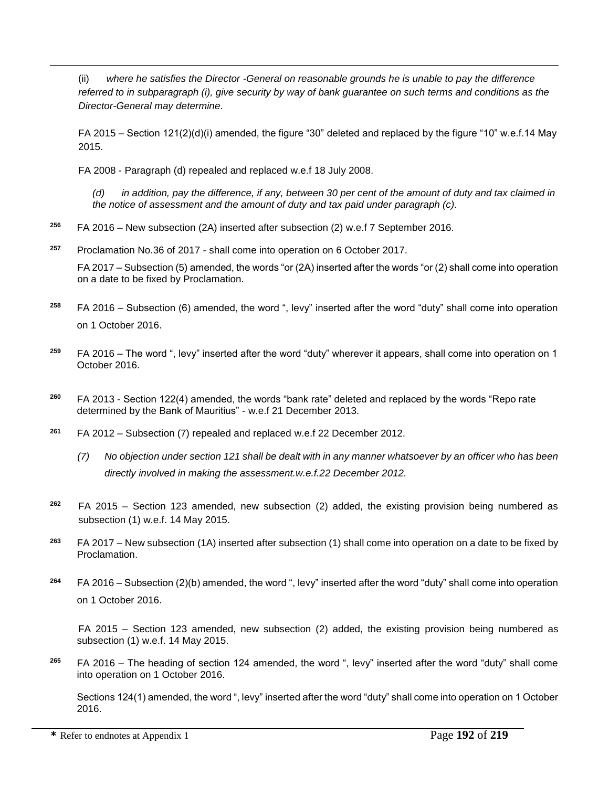(ii) *where he satisfies the Director -General on reasonable grounds he is unable to pay the difference referred to in subparagraph (i), give security by way of bank guarantee on such terms and conditions as the Director-General may determine*.

FA 2015 – Section 121(2)(d)(i) amended, the figure "30" deleted and replaced by the figure "10" w.e.f.14 May 2015.

FA 2008 - Paragraph (d) repealed and replaced w.e.f 18 July 2008.

 $\overline{a}$ 

*(d) in addition, pay the difference, if any, between 30 per cent of the amount of duty and tax claimed in the notice of assessment and the amount of duty and tax paid under paragraph (c).*

**<sup>256</sup>** FA 2016 – New subsection (2A) inserted after subsection (2) w.e.f 7 September 2016.

**<sup>257</sup>** Proclamation No.36 of 2017 - shall come into operation on 6 October 2017.

FA 2017 – Subsection (5) amended, the words "or (2A) inserted after the words "or (2) shall come into operation on a date to be fixed by Proclamation.

- **<sup>258</sup>** FA 2016 Subsection (6) amended, the word ", levy" inserted after the word "duty" shall come into operation on 1 October 2016.
- **<sup>259</sup>** FA 2016 The word ", levy" inserted after the word "duty" wherever it appears, shall come into operation on 1 October 2016.
- **<sup>260</sup>** FA 2013 Section 122(4) amended, the words "bank rate" deleted and replaced by the words "Repo rate determined by the Bank of Mauritius" - w.e.f 21 December 2013.
- **<sup>261</sup>** FA 2012 Subsection (7) repealed and replaced w.e.f 22 December 2012.
	- *(7) No objection under section 121 shall be dealt with in any manner whatsoever by an officer who has been directly involved in making the assessment.w.e.f.22 December 2012.*
- **<sup>262</sup>** FA 2015 Section 123 amended, new subsection (2) added, the existing provision being numbered as subsection (1) w.e.f. 14 May 2015.
- **<sup>263</sup>** FA 2017 New subsection (1A) inserted after subsection (1) shall come into operation on a date to be fixed by Proclamation.
- **<sup>264</sup>** FA 2016 Subsection (2)(b) amended, the word ", levy" inserted after the word "duty" shall come into operation on 1 October 2016.

FA 2015 – Section 123 amended, new subsection (2) added, the existing provision being numbered as subsection (1) w.e.f. 14 May 2015.

**<sup>265</sup>** FA 2016 – The heading of section 124 amended, the word ", levy" inserted after the word "duty" shall come into operation on 1 October 2016.

Sections 124(1) amended, the word ", levy" inserted after the word "duty" shall come into operation on 1 October 2016.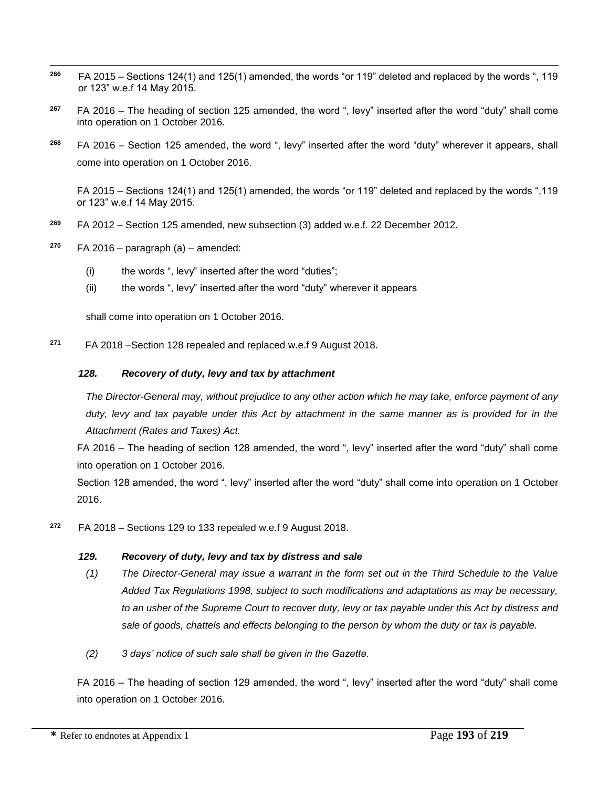- $\overline{a}$ **<sup>266</sup>** FA 2015 – Sections 124(1) and 125(1) amended, the words "or 119" deleted and replaced by the words ", 119 or 123" w.e.f 14 May 2015.
- **<sup>267</sup>** FA 2016 The heading of section 125 amended, the word ", levy" inserted after the word "duty" shall come into operation on 1 October 2016.
- **<sup>268</sup>** FA 2016 Section 125 amended, the word ", levy" inserted after the word "duty" wherever it appears, shall come into operation on 1 October 2016.

FA 2015 – Sections 124(1) and 125(1) amended, the words "or 119" deleted and replaced by the words ",119 or 123" w.e.f 14 May 2015.

- **<sup>269</sup>** FA 2012 Section 125 amended, new subsection (3) added w.e.f. 22 December 2012.
- **<sup>270</sup>** FA 2016 paragraph (a) amended:
	- (i) the words ", levy" inserted after the word "duties";
	- (ii) the words ", levy" inserted after the word "duty" wherever it appears

shall come into operation on 1 October 2016.

**<sup>271</sup>** FA 2018 –Section 128 repealed and replaced w.e.f 9 August 2018.

#### *128. Recovery of duty, levy and tax by attachment*

*The Director-General may, without prejudice to any other action which he may take, enforce payment of any duty, levy and tax payable under this Act by attachment in the same manner as is provided for in the Attachment (Rates and Taxes) Act.*

FA 2016 – The heading of section 128 amended, the word ", levy" inserted after the word "duty" shall come into operation on 1 October 2016.

Section 128 amended, the word ", levy" inserted after the word "duty" shall come into operation on 1 October 2016.

**<sup>272</sup>** FA 2018 – Sections 129 to 133 repealed w.e.f 9 August 2018.

## *129. Recovery of duty, levy and tax by distress and sale*

- *(1) The Director-General may issue a warrant in the form set out in the Third Schedule to the Value Added Tax Regulations 1998, subject to such modifications and adaptations as may be necessary, to an usher of the Supreme Court to recover duty, levy or tax payable under this Act by distress and sale of goods, chattels and effects belonging to the person by whom the duty or tax is payable.*
- *(2) 3 days' notice of such sale shall be given in the Gazette.*

FA 2016 – The heading of section 129 amended, the word ", levy" inserted after the word "duty" shall come into operation on 1 October 2016.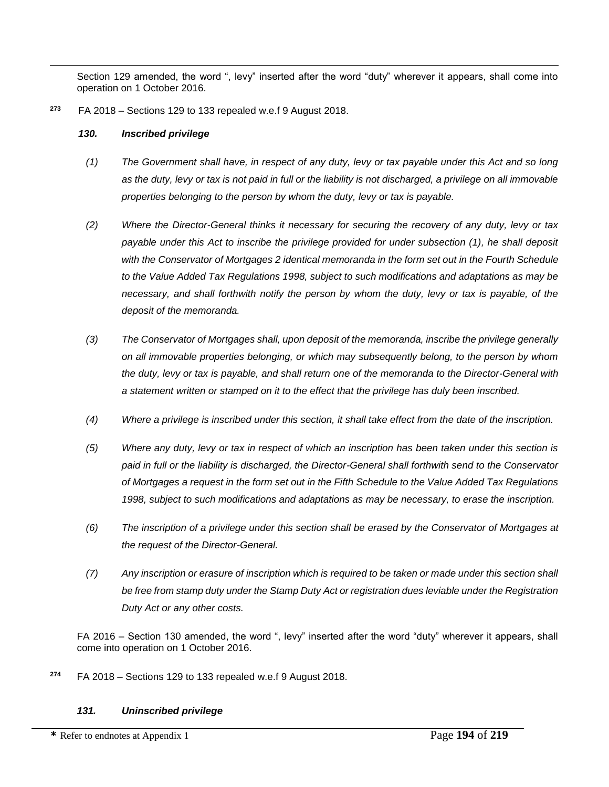Section 129 amended, the word ", levy" inserted after the word "duty" wherever it appears, shall come into operation on 1 October 2016.

**<sup>273</sup>** FA 2018 – Sections 129 to 133 repealed w.e.f 9 August 2018.

#### *130. Inscribed privilege*

 $\overline{a}$ 

- *(1) The Government shall have, in respect of any duty, levy or tax payable under this Act and so long as the duty, levy or tax is not paid in full or the liability is not discharged, a privilege on all immovable properties belonging to the person by whom the duty, levy or tax is payable.*
- *(2) Where the Director-General thinks it necessary for securing the recovery of any duty, levy or tax payable under this Act to inscribe the privilege provided for under subsection (1), he shall deposit with the Conservator of Mortgages 2 identical memoranda in the form set out in the Fourth Schedule to the Value Added Tax Regulations 1998, subject to such modifications and adaptations as may be necessary, and shall forthwith notify the person by whom the duty, levy or tax is payable, of the deposit of the memoranda.*
- *(3) The Conservator of Mortgages shall, upon deposit of the memoranda, inscribe the privilege generally on all immovable properties belonging, or which may subsequently belong, to the person by whom the duty, levy or tax is payable, and shall return one of the memoranda to the Director-General with a statement written or stamped on it to the effect that the privilege has duly been inscribed.*
- *(4) Where a privilege is inscribed under this section, it shall take effect from the date of the inscription.*
- *(5) Where any duty, levy or tax in respect of which an inscription has been taken under this section is paid in full or the liability is discharged, the Director-General shall forthwith send to the Conservator of Mortgages a request in the form set out in the Fifth Schedule to the Value Added Tax Regulations 1998, subject to such modifications and adaptations as may be necessary, to erase the inscription.*
- *(6) The inscription of a privilege under this section shall be erased by the Conservator of Mortgages at the request of the Director-General.*
- *(7) Any inscription or erasure of inscription which is required to be taken or made under this section shall be free from stamp duty under the Stamp Duty Act or registration dues leviable under the Registration Duty Act or any other costs.*

FA 2016 – Section 130 amended, the word ", levy" inserted after the word "duty" wherever it appears, shall come into operation on 1 October 2016.

**<sup>274</sup>** FA 2018 – Sections 129 to 133 repealed w.e.f 9 August 2018.

## *131. Uninscribed privilege*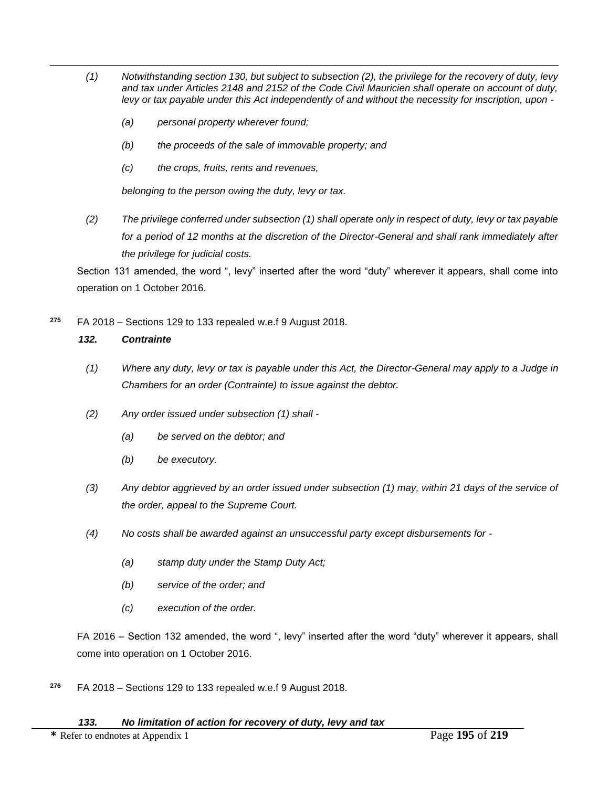- *(1) Notwithstanding section 130, but subject to subsection (2), the privilege for the recovery of duty, levy and tax under Articles 2148 and 2152 of the Code Civil Mauricien shall operate on account of duty, levy or tax payable under this Act independently of and without the necessity for inscription, upon -*
	- *(a) personal property wherever found;*
	- *(b) the proceeds of the sale of immovable property; and*
	- *(c) the crops, fruits, rents and revenues,*

*belonging to the person owing the duty, levy or tax.*

*(2) The privilege conferred under subsection (1) shall operate only in respect of duty, levy or tax payable for a period of 12 months at the discretion of the Director-General and shall rank immediately after the privilege for judicial costs.*

Section 131 amended, the word ", levy" inserted after the word "duty" wherever it appears, shall come into operation on 1 October 2016.

**<sup>275</sup>** FA 2018 – Sections 129 to 133 repealed w.e.f 9 August 2018.

## *132. Contrainte*

 $\overline{a}$ 

- *(1) Where any duty, levy or tax is payable under this Act, the Director-General may apply to a Judge in Chambers for an order (Contrainte) to issue against the debtor.*
- *(2) Any order issued under subsection (1) shall -*
	- *(a) be served on the debtor; and*
	- *(b) be executory.*
- *(3) Any debtor aggrieved by an order issued under subsection (1) may, within 21 days of the service of the order, appeal to the Supreme Court.*
- *(4) No costs shall be awarded against an unsuccessful party except disbursements for -*
	- *(a) stamp duty under the Stamp Duty Act;*
	- *(b) service of the order; and*
	- *(c) execution of the order.*

FA 2016 – Section 132 amended, the word ", levy" inserted after the word "duty" wherever it appears, shall come into operation on 1 October 2016.

**<sup>276</sup>** FA 2018 – Sections 129 to 133 repealed w.e.f 9 August 2018.

**\*** Refer to endnotes at Appendix 1 Page **195** of **219**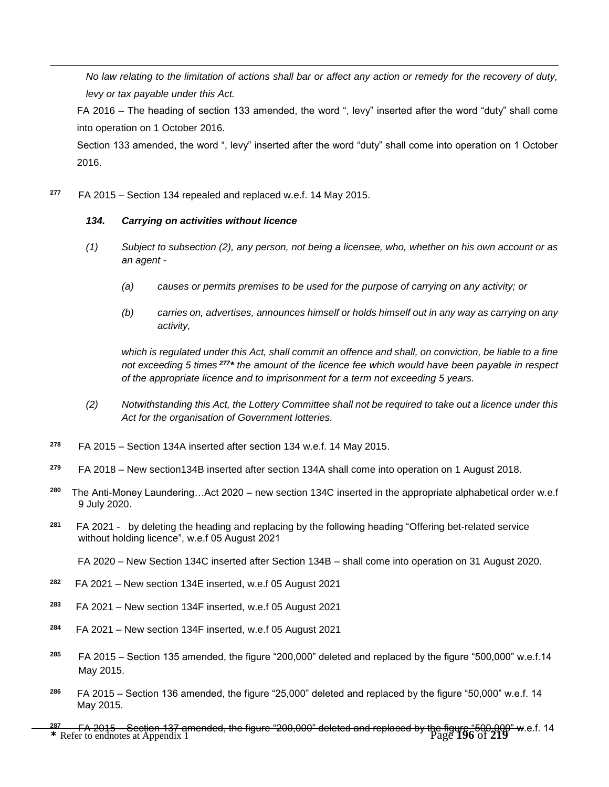*No law relating to the limitation of actions shall bar or affect any action or remedy for the recovery of duty, levy or tax payable under this Act.*

FA 2016 – The heading of section 133 amended, the word ", levy" inserted after the word "duty" shall come into operation on 1 October 2016.

Section 133 amended, the word ", levy" inserted after the word "duty" shall come into operation on 1 October 2016.

**<sup>277</sup>** FA 2015 – Section 134 repealed and replaced w.e.f. 14 May 2015.

#### *134. Carrying on activities without licence*

 $\overline{a}$ 

- *(1) Subject to subsection (2), any person, not being a licensee, who, whether on his own account or as an agent -*
	- *(a) causes or permits premises to be used for the purpose of carrying on any activity; or*
	- *(b) carries on, advertises, announces himself or holds himself out in any way as carrying on any activity,*

*which is regulated under this Act, shall commit an offence and shall, on conviction, be liable to a fine not exceeding 5 times <sup>277</sup> \* the amount of the licence fee which would have been payable in respect of the appropriate licence and to imprisonment for a term not exceeding 5 years.*

- *(2) Notwithstanding this Act, the Lottery Committee shall not be required to take out a licence under this Act for the organisation of Government lotteries.*
- **<sup>278</sup>** FA 2015 Section 134A inserted after section 134 w.e.f. 14 May 2015.
- **<sup>279</sup>** FA 2018 New section134B inserted after section 134A shall come into operation on 1 August 2018.
- **280** The Anti-Money Laundering…Act 2020 – new section 134C inserted in the appropriate alphabetical order w.e.f 9 July 2020.
- **281** FA 2021 - by deleting the heading and replacing by the following heading "Offering bet-related service without holding licence", w.e.f 05 August 2021

FA 2020 – New Section 134C inserted after Section 134B – shall come into operation on 31 August 2020.

- **282** FA 2021 – New section 134E inserted, w.e.f 05 August 2021
- **283** FA 2021 – New section 134F inserted, w.e.f 05 August 2021
- **284** FA 2021 – New section 134F inserted, w.e.f 05 August 2021
- **<sup>285</sup>** FA 2015 Section 135 amended, the figure "200,000" deleted and replaced by the figure "500,000" w.e.f.14 May 2015.
- **<sup>286</sup>** FA 2015 Section 136 amended, the figure "25,000" deleted and replaced by the figure "50,000" w.e.f. 14 May 2015.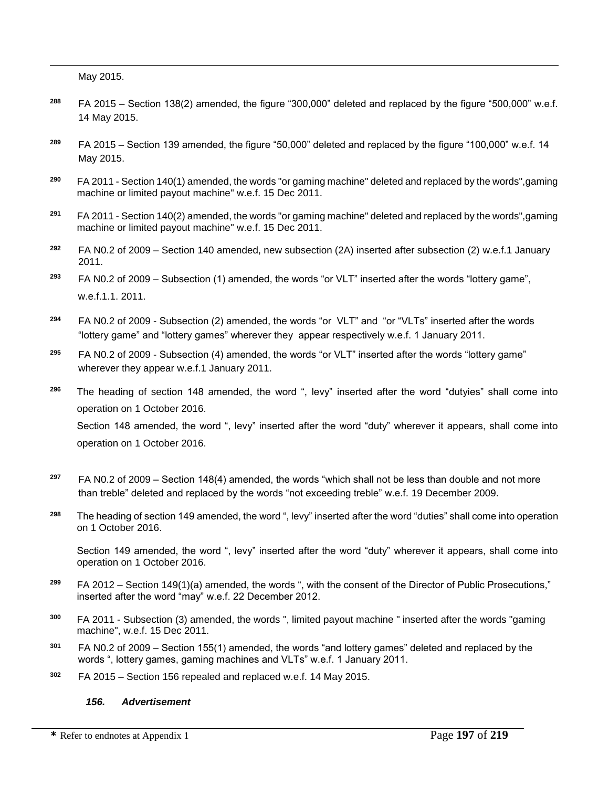May 2015.

 $\overline{a}$ 

- **<sup>288</sup>** FA 2015 Section 138(2) amended, the figure "300,000" deleted and replaced by the figure "500,000" w.e.f. 14 May 2015.
- **<sup>289</sup>** FA 2015 Section 139 amended, the figure "50,000" deleted and replaced by the figure "100,000" w.e.f. 14 May 2015.
- **<sup>290</sup>** FA 2011 Section 140(1) amended, the words "or gaming machine" deleted and replaced by the words",gaming machine or limited payout machine" w.e.f. 15 Dec 2011.
- **<sup>291</sup>** FA 2011 Section 140(2) amended, the words "or gaming machine" deleted and replaced by the words",gaming machine or limited payout machine" w.e.f. 15 Dec 2011.
- **<sup>292</sup>** FA N0.2 of 2009 Section 140 amended, new subsection (2A) inserted after subsection (2) w.e.f.1 January 2011.
- **<sup>293</sup>** FA N0.2 of 2009 Subsection (1) amended, the words "or VLT" inserted after the words "lottery game", w.e.f.1.1. 2011.
- **<sup>294</sup>** FA N0.2 of 2009 Subsection (2) amended, the words "or VLT" and "or "VLTs" inserted after the words "lottery game" and "lottery games" wherever they appear respectively w.e.f. 1 January 2011.
- **<sup>295</sup>** FA N0.2 of 2009 Subsection (4) amended, the words "or VLT" inserted after the words "lottery game" wherever they appear w.e.f.1 January 2011.
- **<sup>296</sup>** The heading of section 148 amended, the word ", levy" inserted after the word "dutyies" shall come into operation on 1 October 2016.

Section 148 amended, the word ", levy" inserted after the word "duty" wherever it appears, shall come into operation on 1 October 2016.

- **<sup>297</sup>** FA N0.2 of 2009 Section 148(4) amended, the words "which shall not be less than double and not more than treble" deleted and replaced by the words "not exceeding treble" w.e.f. 19 December 2009.
- **<sup>298</sup>** The heading of section 149 amended, the word ", levy" inserted after the word "duties" shall come into operation on 1 October 2016.

Section 149 amended, the word ", levy" inserted after the word "duty" wherever it appears, shall come into operation on 1 October 2016.

- **<sup>299</sup>** FA 2012 Section 149(1)(a) amended, the words ", with the consent of the Director of Public Prosecutions," inserted after the word "may" w.e.f. 22 December 2012.
- **<sup>300</sup>** FA 2011 Subsection (3) amended, the words ", limited payout machine " inserted after the words "gaming machine", w.e.f. 15 Dec 2011.
- **<sup>301</sup>** FA N0.2 of 2009 Section 155(1) amended, the words "and lottery games" deleted and replaced by the words ", lottery games, gaming machines and VLTs" w.e.f. 1 January 2011.
- **<sup>302</sup>** FA 2015 Section 156 repealed and replaced w.e.f. 14 May 2015.

#### *156. Advertisement*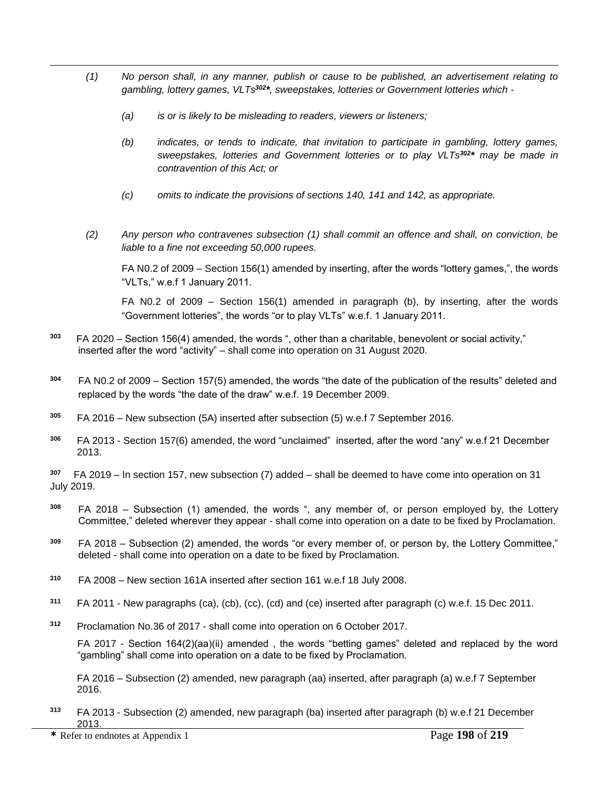- *(1) No person shall, in any manner, publish or cause to be published, an advertisement relating to gambling, lottery games, VLTs<sup>302</sup> \*, sweepstakes, lotteries or Government lotteries which -*
	- *(a) is or is likely to be misleading to readers, viewers or listeners;*
	- *(b) indicates, or tends to indicate, that invitation to participate in gambling, lottery games, sweepstakes, lotteries and Government lotteries or to play VLTs<sup>302</sup> \* may be made in contravention of this Act; or*
	- *(c) omits to indicate the provisions of sections 140, 141 and 142, as appropriate.*
- *(2) Any person who contravenes subsection (1) shall commit an offence and shall, on conviction, be liable to a fine not exceeding 50,000 rupees.*

FA N0.2 of 2009 – Section 156(1) amended by inserting, after the words "lottery games,", the words "VLTs," w.e.f 1 January 2011.

FA N0.2 of 2009 – Section 156(1) amended in paragraph (b), by inserting, after the words "Government lotteries", the words "or to play VLTs" w.e.f. 1 January 2011.

- **303** FA 2020 – Section 156(4) amended, the words ", other than a charitable, benevolent or social activity," inserted after the word "activity" – shall come into operation on 31 August 2020.
- **<sup>304</sup>** FA N0.2 of 2009 Section 157(5) amended, the words "the date of the publication of the results" deleted and replaced by the words "the date of the draw" w.e.f. 19 December 2009.
- **<sup>305</sup>** FA 2016 New subsection (5A) inserted after subsection (5) w.e.f 7 September 2016.
- **<sup>306</sup>** FA 2013 Section 157(6) amended, the word "unclaimed" inserted, after the word "any" w.e.f 21 December 2013.

**307** FA 2019 – In section 157, new subsection (7) added – shall be deemed to have come into operation on 31 July 2019.

- **<sup>308</sup>** FA 2018 Subsection (1) amended, the words ", any member of, or person employed by, the Lottery Committee," deleted wherever they appear - shall come into operation on a date to be fixed by Proclamation.
- **<sup>309</sup>** FA 2018 Subsection (2) amended, the words "or every member of, or person by, the Lottery Committee," deleted - shall come into operation on a date to be fixed by Proclamation.
- **<sup>310</sup>** FA 2008 New section 161A inserted after section 161 w.e.f 18 July 2008.
- **<sup>311</sup>** FA 2011 New paragraphs (ca), (cb), (cc), (cd) and (ce) inserted after paragraph (c) w.e.f. 15 Dec 2011.
- **<sup>312</sup>** Proclamation No.36 of 2017 shall come into operation on 6 October 2017.

FA 2017 - Section 164(2)(aa)(ii) amended , the words "betting games" deleted and replaced by the word "gambling" shall come into operation on a date to be fixed by Proclamation.

FA 2016 – Subsection (2) amended, new paragraph (aa) inserted, after paragraph (a) w.e.f 7 September 2016.

**<sup>313</sup>** FA 2013 - Subsection (2) amended, new paragraph (ba) inserted after paragraph (b) w.e.f 21 December 2013.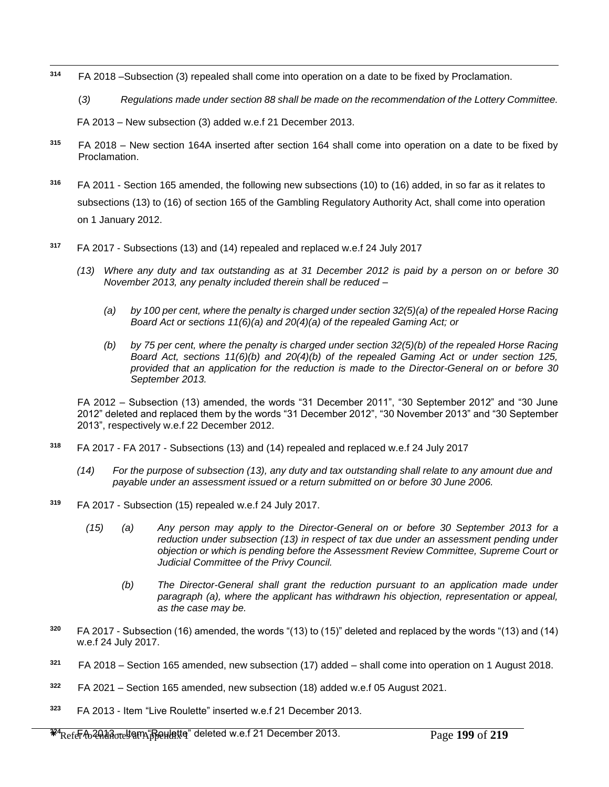- $\overline{a}$ **<sup>314</sup>** FA 2018 –Subsection (3) repealed shall come into operation on a date to be fixed by Proclamation.
	- (*3) Regulations made under section 88 shall be made on the recommendation of the Lottery Committee.*

FA 2013 – New subsection (3) added w.e.f 21 December 2013.

- **<sup>315</sup>** FA 2018 New section 164A inserted after section 164 shall come into operation on a date to be fixed by Proclamation.
- **<sup>316</sup>** FA 2011 Section 165 amended, the following new subsections (10) to (16) added, in so far as it relates to subsections (13) to (16) of section 165 of the Gambling Regulatory Authority Act, shall come into operation on 1 January 2012.
- **<sup>317</sup>** FA 2017 Subsections (13) and (14) repealed and replaced w.e.f 24 July 2017
	- *(13) Where any duty and tax outstanding as at 31 December 2012 is paid by a person on or before 30 November 2013, any penalty included therein shall be reduced –*
		- *(a) by 100 per cent, where the penalty is charged under section 32(5)(a) of the repealed Horse Racing Board Act or sections 11(6)(a) and 20(4)(a) of the repealed Gaming Act; or*
		- *(b) by 75 per cent, where the penalty is charged under section 32(5)(b) of the repealed Horse Racing Board Act, sections 11(6)(b) and 20(4)(b) of the repealed Gaming Act or under section 125, provided that an application for the reduction is made to the Director-General on or before 30 September 2013.*

FA 2012 – Subsection (13) amended, the words "31 December 2011", "30 September 2012" and "30 June 2012" deleted and replaced them by the words "31 December 2012", "30 November 2013" and "30 September 2013", respectively w.e.f 22 December 2012.

- **<sup>318</sup>** FA 2017 FA 2017 Subsections (13) and (14) repealed and replaced w.e.f 24 July 2017
	- *(14) For the purpose of subsection (13), any duty and tax outstanding shall relate to any amount due and payable under an assessment issued or a return submitted on or before 30 June 2006.*
- **<sup>319</sup>** FA 2017 Subsection (15) repealed w.e.f 24 July 2017.
	- *(15) (a) Any person may apply to the Director-General on or before 30 September 2013 for a reduction under subsection (13) in respect of tax due under an assessment pending under objection or which is pending before the Assessment Review Committee, Supreme Court or Judicial Committee of the Privy Council.* 
		- *(b) The Director-General shall grant the reduction pursuant to an application made under paragraph (a), where the applicant has withdrawn his objection, representation or appeal, as the case may be.*
- **<sup>320</sup>** FA 2017 Subsection (16) amended, the words "(13) to (15)" deleted and replaced by the words "(13) and (14) w.e.f 24 July 2017.
- **<sup>321</sup>** FA 2018 Section 165 amended, new subsection (17) added shall come into operation on 1 August 2018.
- **322** FA 2021 – Section 165 amended, new subsection (18) added w.e.f 05 August 2021.
- **<sup>323</sup>** FA 2013 Item "Live Roulette" inserted w.e.f 21 December 2013.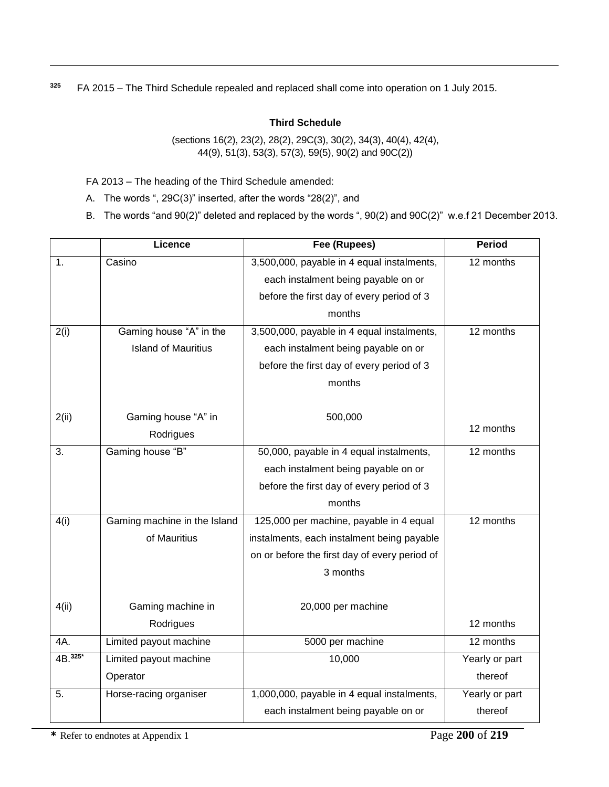**<sup>325</sup>** FA 2015 – The Third Schedule repealed and replaced shall come into operation on 1 July 2015.

## **Third Schedule**

(sections 16(2), 23(2), 28(2), 29C(3), 30(2), 34(3), 40(4), 42(4), 44(9), 51(3), 53(3), 57(3), 59(5), 90(2) and 90C(2))

FA 2013 – The heading of the Third Schedule amended:

 $\overline{a}$ 

A. The words ", 29C(3)" inserted, after the words "28(2)", and

B. The words "and 90(2)" deleted and replaced by the words ", 90(2) and 90C(2)" w.e.f 21 December 2013.

|          | Licence                      | Fee (Rupees)                                  | <b>Period</b>  |
|----------|------------------------------|-----------------------------------------------|----------------|
| 1.       | Casino                       | 3,500,000, payable in 4 equal instalments,    | 12 months      |
|          |                              | each instalment being payable on or           |                |
|          |                              | before the first day of every period of 3     |                |
|          |                              | months                                        |                |
| 2(i)     | Gaming house "A" in the      | 3,500,000, payable in 4 equal instalments,    | 12 months      |
|          | <b>Island of Mauritius</b>   | each instalment being payable on or           |                |
|          |                              | before the first day of every period of 3     |                |
|          |                              | months                                        |                |
|          |                              |                                               |                |
| 2(ii)    | Gaming house "A" in          | 500,000                                       |                |
|          | Rodrigues                    |                                               | 12 months      |
| 3.       | Gaming house "B"             | 50,000, payable in 4 equal instalments,       | 12 months      |
|          |                              | each instalment being payable on or           |                |
|          |                              | before the first day of every period of 3     |                |
|          |                              | months                                        |                |
| 4(i)     | Gaming machine in the Island | 125,000 per machine, payable in 4 equal       | 12 months      |
|          | of Mauritius                 | instalments, each instalment being payable    |                |
|          |                              | on or before the first day of every period of |                |
|          |                              | 3 months                                      |                |
|          |                              |                                               |                |
| 4(ii)    | Gaming machine in            | 20,000 per machine                            |                |
|          | Rodrigues                    |                                               | 12 months      |
| 4A.      | Limited payout machine       | 5000 per machine                              | 12 months      |
| 4B. 325* | Limited payout machine       | 10,000                                        | Yearly or part |
|          | Operator                     |                                               | thereof        |
| 5.       | Horse-racing organiser       | 1,000,000, payable in 4 equal instalments,    | Yearly or part |
|          |                              | each instalment being payable on or           | thereof        |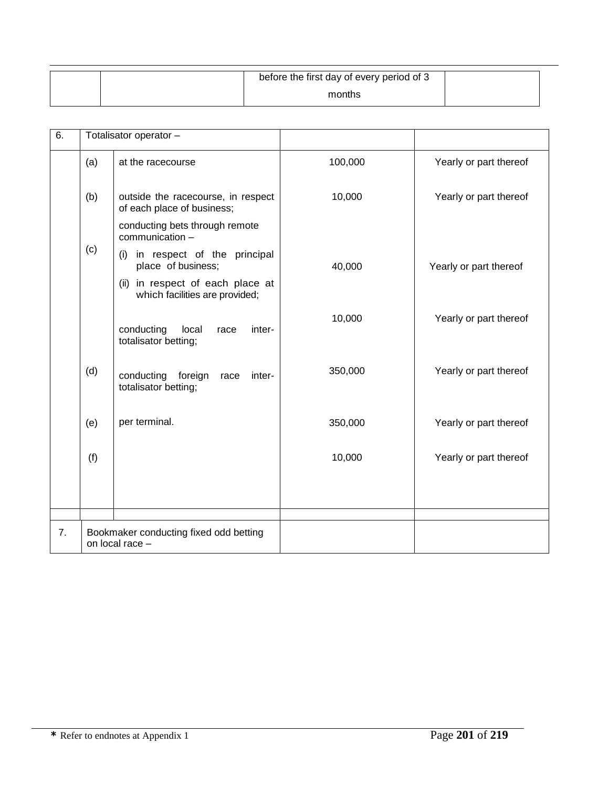| before the first day of every period of 3 |  |
|-------------------------------------------|--|
| months                                    |  |

| 6. | Totalisator operator -                                    |                                                                       |         |                        |
|----|-----------------------------------------------------------|-----------------------------------------------------------------------|---------|------------------------|
|    | (a)                                                       | at the racecourse                                                     | 100,000 | Yearly or part thereof |
|    | (b)                                                       | outside the racecourse, in respect<br>of each place of business;      | 10,000  | Yearly or part thereof |
|    |                                                           | conducting bets through remote<br>communication -                     |         |                        |
|    | (c)                                                       | in respect of the principal<br>(i)<br>place of business;              | 40,000  | Yearly or part thereof |
|    |                                                           | in respect of each place at<br>(ii)<br>which facilities are provided; |         |                        |
|    |                                                           | conducting<br>local<br>inter-<br>race<br>totalisator betting;         | 10,000  | Yearly or part thereof |
|    | (d)                                                       | conducting foreign<br>inter-<br>race<br>totalisator betting;          | 350,000 | Yearly or part thereof |
|    | (e)                                                       | per terminal.                                                         | 350,000 | Yearly or part thereof |
|    | (f)                                                       |                                                                       | 10,000  | Yearly or part thereof |
|    |                                                           |                                                                       |         |                        |
|    |                                                           |                                                                       |         |                        |
| 7. | Bookmaker conducting fixed odd betting<br>on local race - |                                                                       |         |                        |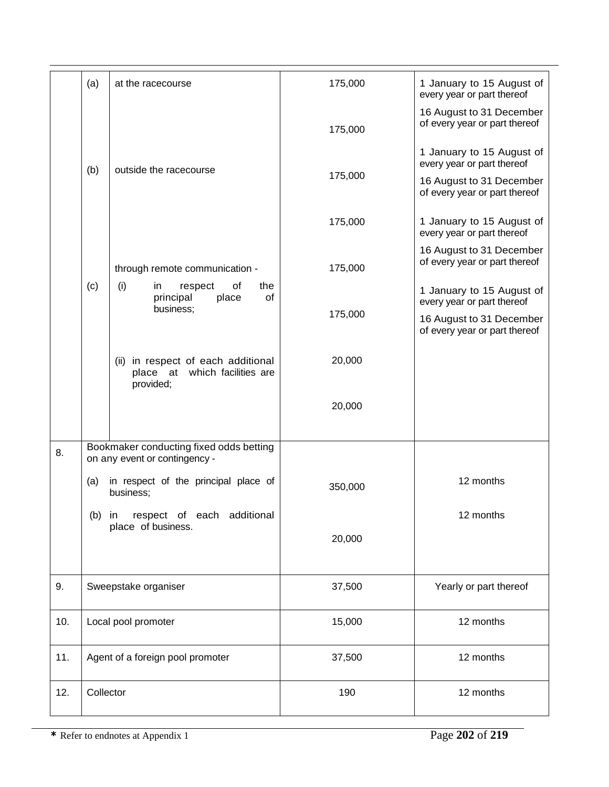|     | (a)                 | at the racecourse                                                                | 175,000 | 1 January to 15 August of<br>every year or part thereof   |
|-----|---------------------|----------------------------------------------------------------------------------|---------|-----------------------------------------------------------|
|     |                     |                                                                                  | 175,000 | 16 August to 31 December<br>of every year or part thereof |
|     | (b)                 | outside the racecourse                                                           |         | 1 January to 15 August of<br>every year or part thereof   |
|     |                     |                                                                                  | 175,000 | 16 August to 31 December<br>of every year or part thereof |
|     |                     |                                                                                  | 175,000 | 1 January to 15 August of<br>every year or part thereof   |
|     |                     | through remote communication -                                                   | 175,000 | 16 August to 31 December<br>of every year or part thereof |
|     | (c)                 | (i)<br>of<br>respect<br>the<br>in<br>of<br>principal<br>place<br>business;       |         | 1 January to 15 August of<br>every year or part thereof   |
|     |                     |                                                                                  | 175,000 | 16 August to 31 December<br>of every year or part thereof |
|     |                     | (ii) in respect of each additional<br>place at which facilities are<br>provided; | 20,000  |                                                           |
|     |                     |                                                                                  | 20,000  |                                                           |
| 8.  |                     | Bookmaker conducting fixed odds betting<br>on any event or contingency -         |         |                                                           |
|     | (a)                 | in respect of the principal place of<br>business;                                | 350,000 | 12 months                                                 |
|     | (b)                 | respect of each additional<br>in<br>place of business.                           |         | 12 months                                                 |
|     |                     |                                                                                  | 20,000  |                                                           |
| 9.  |                     | Sweepstake organiser                                                             | 37,500  | Yearly or part thereof                                    |
| 10. | Local pool promoter |                                                                                  | 15,000  | 12 months                                                 |
| 11. |                     | Agent of a foreign pool promoter                                                 | 37,500  | 12 months                                                 |
| 12. | Collector           |                                                                                  | 190     | 12 months                                                 |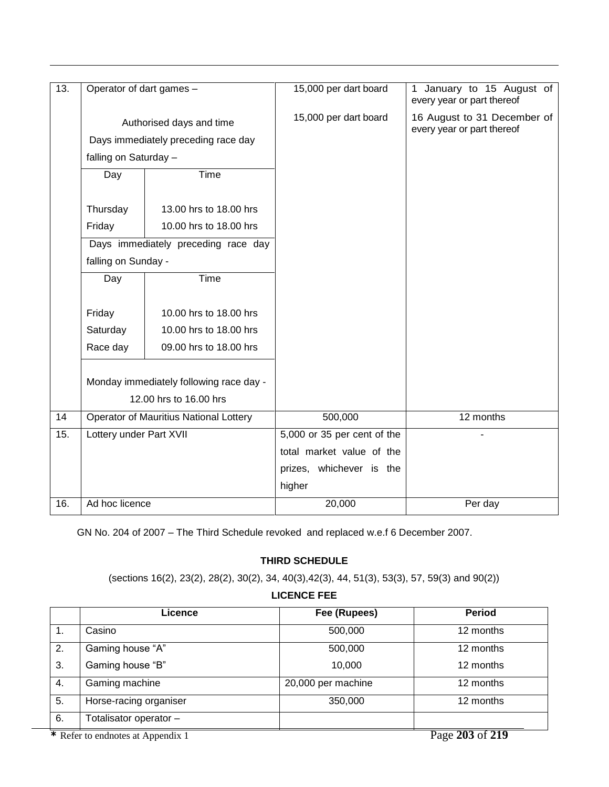| 13. | Operator of dart games - |                                               | 15,000 per dart board       | January to 15 August of<br>1<br>every year or part thereof |
|-----|--------------------------|-----------------------------------------------|-----------------------------|------------------------------------------------------------|
|     | Authorised days and time |                                               | 15,000 per dart board       | 16 August to 31 December of<br>every year or part thereof  |
|     |                          | Days immediately preceding race day           |                             |                                                            |
|     | falling on Saturday -    |                                               |                             |                                                            |
|     | Day                      | Time                                          |                             |                                                            |
|     | Thursday                 | 13.00 hrs to 18.00 hrs                        |                             |                                                            |
|     | Friday                   | 10.00 hrs to 18.00 hrs                        |                             |                                                            |
|     |                          | Days immediately preceding race day           |                             |                                                            |
|     | falling on Sunday -      |                                               |                             |                                                            |
|     | Day                      | Time                                          |                             |                                                            |
|     |                          |                                               |                             |                                                            |
|     | Friday                   | 10.00 hrs to 18.00 hrs                        |                             |                                                            |
|     | Saturday                 | 10.00 hrs to 18.00 hrs                        |                             |                                                            |
|     | Race day                 | 09.00 hrs to 18.00 hrs                        |                             |                                                            |
|     |                          |                                               |                             |                                                            |
|     |                          | Monday immediately following race day -       |                             |                                                            |
|     |                          | 12.00 hrs to 16.00 hrs                        |                             |                                                            |
| 14  |                          | <b>Operator of Mauritius National Lottery</b> | 500,000                     | 12 months                                                  |
| 15. | Lottery under Part XVII  |                                               | 5,000 or 35 per cent of the |                                                            |
|     |                          |                                               | total market value of the   |                                                            |
|     |                          |                                               | prizes, whichever is the    |                                                            |
|     |                          |                                               | higher                      |                                                            |
| 16. | Ad hoc licence           |                                               | 20,000                      | Per day                                                    |

GN No. 204 of 2007 – The Third Schedule revoked and replaced w.e.f 6 December 2007.

## **THIRD SCHEDULE**

(sections 16(2), 23(2), 28(2), 30(2), 34, 40(3),42(3), 44, 51(3), 53(3), 57, 59(3) and 90(2))

## **LICENCE FEE**

|    | Licence                           | Fee (Rupees)       | <b>Period</b>   |
|----|-----------------------------------|--------------------|-----------------|
| 1. | Casino                            | 500,000            | 12 months       |
| 2. | Gaming house "A"                  | 500,000            | 12 months       |
| 3. | Gaming house "B"                  | 10,000             | 12 months       |
| 4. | Gaming machine                    | 20,000 per machine | 12 months       |
| 5. | Horse-racing organiser            | 350,000            | 12 months       |
| 6. | Totalisator operator -            |                    |                 |
|    | * Refer to endnotes at Appendix 1 |                    | Page 203 of 219 |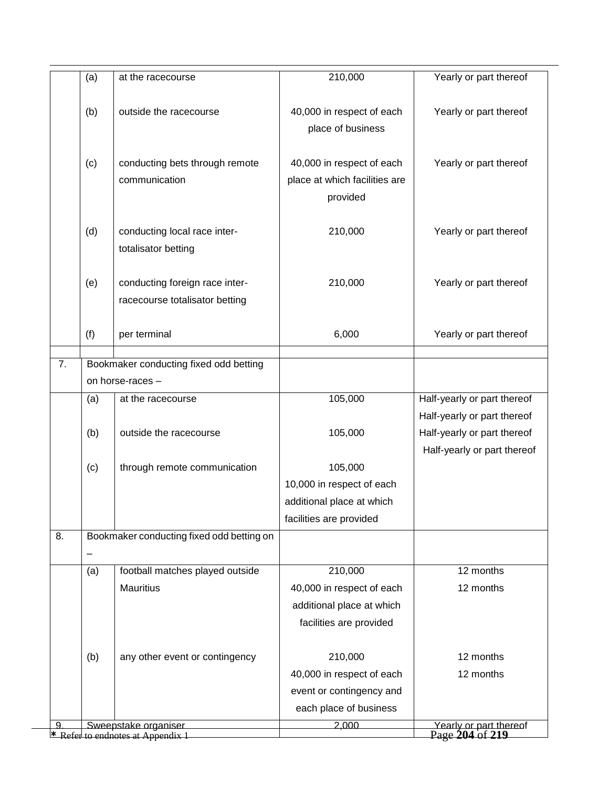|    | (a) | at the racecourse                                         | 210,000                       | Yearly or part thereof                    |
|----|-----|-----------------------------------------------------------|-------------------------------|-------------------------------------------|
|    |     |                                                           |                               |                                           |
|    | (b) | outside the racecourse                                    | 40,000 in respect of each     | Yearly or part thereof                    |
|    |     |                                                           | place of business             |                                           |
|    |     |                                                           |                               |                                           |
|    | (c) | conducting bets through remote                            | 40,000 in respect of each     | Yearly or part thereof                    |
|    |     | communication                                             | place at which facilities are |                                           |
|    |     |                                                           | provided                      |                                           |
|    |     |                                                           |                               |                                           |
|    | (d) | conducting local race inter-<br>totalisator betting       | 210,000                       | Yearly or part thereof                    |
|    |     |                                                           |                               |                                           |
|    | (e) | conducting foreign race inter-                            | 210,000                       | Yearly or part thereof                    |
|    |     | racecourse totalisator betting                            |                               |                                           |
|    |     |                                                           |                               |                                           |
|    | (f) | per terminal                                              | 6,000                         | Yearly or part thereof                    |
| 7. |     | Bookmaker conducting fixed odd betting                    |                               |                                           |
|    |     | on horse-races -                                          |                               |                                           |
|    | (a) | at the racecourse                                         | 105,000                       | Half-yearly or part thereof               |
|    |     |                                                           |                               | Half-yearly or part thereof               |
|    | (b) | outside the racecourse                                    | 105,000                       | Half-yearly or part thereof               |
|    |     |                                                           |                               | Half-yearly or part thereof               |
|    | (c) | through remote communication                              | 105,000                       |                                           |
|    |     |                                                           | 10,000 in respect of each     |                                           |
|    |     |                                                           | additional place at which     |                                           |
|    |     |                                                           | facilities are provided       |                                           |
| 8. |     | Bookmaker conducting fixed odd betting on                 |                               |                                           |
|    | (a) | football matches played outside                           | 210,000                       | 12 months                                 |
|    |     | <b>Mauritius</b>                                          | 40,000 in respect of each     | 12 months                                 |
|    |     |                                                           | additional place at which     |                                           |
|    |     |                                                           | facilities are provided       |                                           |
|    |     |                                                           |                               |                                           |
|    | (b) | any other event or contingency                            | 210,000                       | 12 months                                 |
|    |     |                                                           | 40,000 in respect of each     | 12 months                                 |
|    |     |                                                           | event or contingency and      |                                           |
|    |     |                                                           | each place of business        |                                           |
| g  |     | Sweepstake organiser<br>* Refer to endnotes at Appendix 1 | 2,000                         | Yearly or part thereof<br>Page 204 of 219 |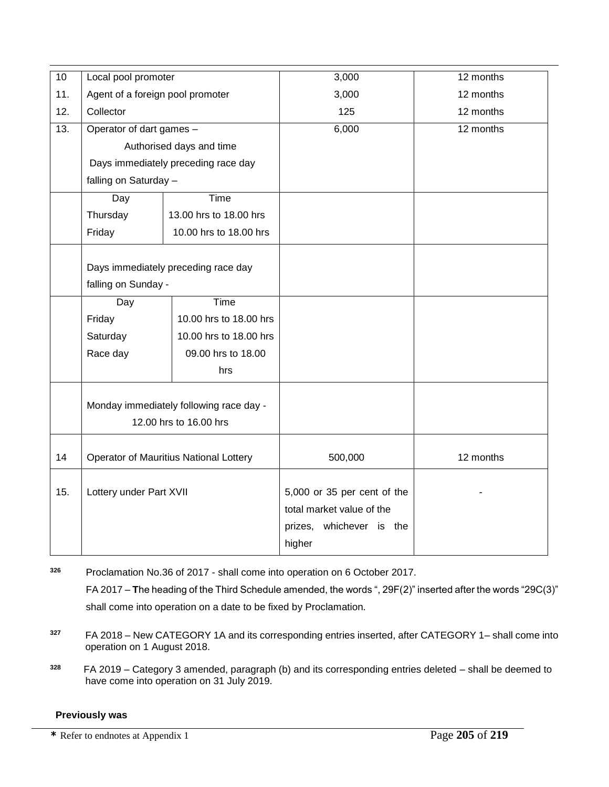| $\overline{10}$ | Local pool promoter                 |                                                                   | 3,000                                                                                             | 12 months |
|-----------------|-------------------------------------|-------------------------------------------------------------------|---------------------------------------------------------------------------------------------------|-----------|
| 11.             | Agent of a foreign pool promoter    |                                                                   | 3,000                                                                                             | 12 months |
| 12.             | Collector                           |                                                                   | 125                                                                                               | 12 months |
| 13.             | Operator of dart games -            |                                                                   | 6,000                                                                                             | 12 months |
|                 |                                     | Authorised days and time                                          |                                                                                                   |           |
|                 | Days immediately preceding race day |                                                                   |                                                                                                   |           |
|                 | falling on Saturday -               |                                                                   |                                                                                                   |           |
|                 | Day                                 | Time                                                              |                                                                                                   |           |
|                 | Thursday                            | 13.00 hrs to 18.00 hrs                                            |                                                                                                   |           |
|                 | Friday                              | 10.00 hrs to 18.00 hrs                                            |                                                                                                   |           |
|                 | falling on Sunday -                 | Days immediately preceding race day                               |                                                                                                   |           |
|                 | Day                                 | Time                                                              |                                                                                                   |           |
|                 | Friday                              | 10.00 hrs to 18.00 hrs                                            |                                                                                                   |           |
|                 | Saturday                            | 10.00 hrs to 18.00 hrs                                            |                                                                                                   |           |
|                 | Race day                            | 09.00 hrs to 18.00                                                |                                                                                                   |           |
|                 |                                     | hrs                                                               |                                                                                                   |           |
|                 |                                     | Monday immediately following race day -<br>12.00 hrs to 16.00 hrs |                                                                                                   |           |
| 14              |                                     | Operator of Mauritius National Lottery                            | 500,000                                                                                           | 12 months |
| 15.             | Lottery under Part XVII             |                                                                   | 5,000 or 35 per cent of the<br>total market value of the<br>whichever is the<br>prizes,<br>higher |           |

**<sup>326</sup>** Proclamation No.36 of 2017 - shall come into operation on 6 October 2017.

FA 2017 – **T**he heading of the Third Schedule amended, the words ", 29F(2)" inserted after the words "29C(3)" shall come into operation on a date to be fixed by Proclamation.

- **<sup>327</sup>** FA 2018 New CATEGORY 1A and its corresponding entries inserted, after CATEGORY 1– shall come into operation on 1 August 2018.
- **328**  FA 2019 – Category 3 amended, paragraph (b) and its corresponding entries deleted – shall be deemed to have come into operation on 31 July 2019.

## **Previously was**

**\*** Refer to endnotes at Appendix 1 Page **205** of **219**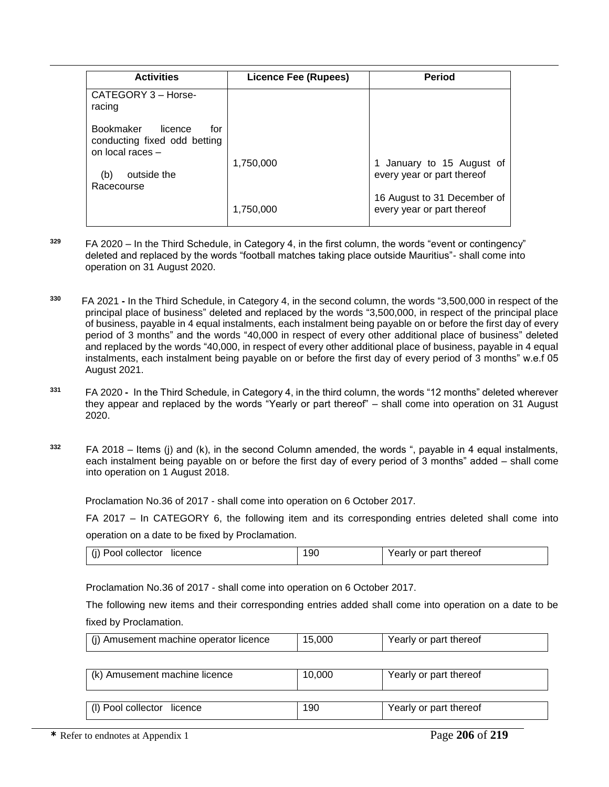| <b>Activities</b>                                                                      | Licence Fee (Rupees) | <b>Period</b>                                             |
|----------------------------------------------------------------------------------------|----------------------|-----------------------------------------------------------|
| CATEGORY 3 - Horse-<br>racing                                                          |                      |                                                           |
| <b>Bookmaker</b><br>licence<br>for<br>conducting fixed odd betting<br>on local races - |                      |                                                           |
| outside the<br>(b)<br>Racecourse                                                       | 1,750,000            | 1 January to 15 August of<br>every year or part thereof   |
|                                                                                        | 1,750,000            | 16 August to 31 December of<br>every year or part thereof |

- **<sup>329</sup>** FA 2020 In the Third Schedule, in Category 4, in the first column, the words "event or contingency" deleted and replaced by the words "football matches taking place outside Mauritius"- shall come into operation on 31 August 2020.
- **330**  FA 2021 **-** In the Third Schedule, in Category 4, in the second column, the words "3,500,000 in respect of the principal place of business" deleted and replaced by the words "3,500,000, in respect of the principal place of business, payable in 4 equal instalments, each instalment being payable on or before the first day of every period of 3 months" and the words "40,000 in respect of every other additional place of business" deleted and replaced by the words "40,000, in respect of every other additional place of business, payable in 4 equal instalments, each instalment being payable on or before the first day of every period of 3 months" w.e.f 05 August 2021.
- **<sup>331</sup>**FA 2020 In the Third Schedule, in Category 4, in the third column, the words "12 months" deleted wherever they appear and replaced by the words "Yearly or part thereof" – shall come into operation on 31 August 2020.
- **<sup>332</sup>** FA 2018 Items (j) and (k), in the second Column amended, the words ", payable in 4 equal instalments, each instalment being payable on or before the first day of every period of 3 months" added – shall come into operation on 1 August 2018.

Proclamation No.36 of 2017 - shall come into operation on 6 October 2017.

FA 2017 – In CATEGORY 6, the following item and its corresponding entries deleted shall come into operation on a date to be fixed by Proclamation.

|  | (j) Pool collector<br>licence | 90 | Yearly or part thereof |
|--|-------------------------------|----|------------------------|
|--|-------------------------------|----|------------------------|

Proclamation No.36 of 2017 - shall come into operation on 6 October 2017.

The following new items and their corresponding entries added shall come into operation on a date to be fixed by Proclamation.

| (i) Amusement machine operator licence | 15.000 | Yearly or part thereof |
|----------------------------------------|--------|------------------------|
|                                        |        |                        |

| (k) Amusement machine licence | 10.000 | Yearly or part thereof |
|-------------------------------|--------|------------------------|
| (I) Pool collector licence    | 190    | Yearly or part thereof |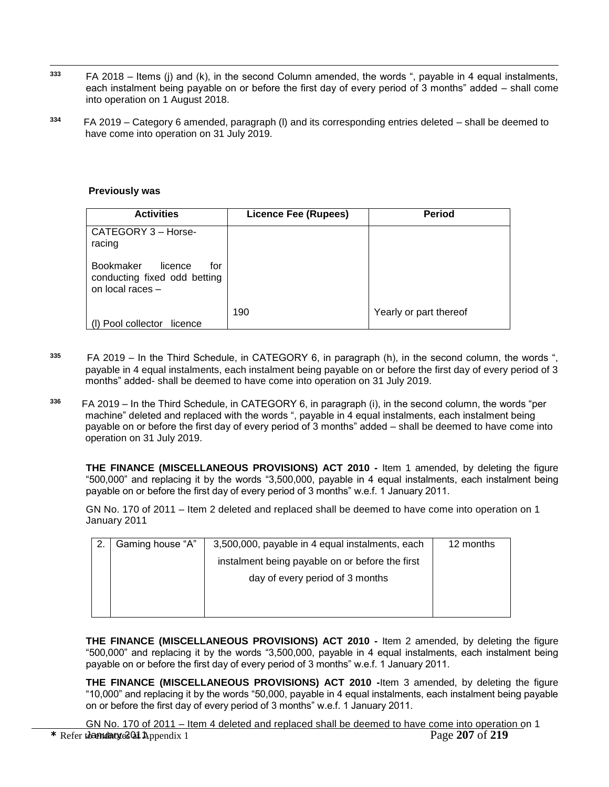- $\overline{a}$ **<sup>333</sup>** FA 2018 – Items (j) and (k), in the second Column amended, the words ", payable in 4 equal instalments, each instalment being payable on or before the first day of every period of 3 months" added – shall come into operation on 1 August 2018.
- **334**  FA 2019 – Category 6 amended, paragraph (l) and its corresponding entries deleted – shall be deemed to have come into operation on 31 July 2019.

#### **Previously was**

| <b>Activities</b>                                                                      | <b>Licence Fee (Rupees)</b> | <b>Period</b>          |
|----------------------------------------------------------------------------------------|-----------------------------|------------------------|
| CATEGORY 3 - Horse-<br>racing                                                          |                             |                        |
| <b>Bookmaker</b><br>licence<br>for<br>conducting fixed odd betting<br>on local races - |                             |                        |
| (I) Pool collector<br>licence                                                          | 190                         | Yearly or part thereof |

- **335**  FA 2019 – In the Third Schedule, in CATEGORY 6, in paragraph (h), in the second column, the words ", payable in 4 equal instalments, each instalment being payable on or before the first day of every period of 3 months" added- shall be deemed to have come into operation on 31 July 2019.
- **336** FA 2019 – In the Third Schedule, in CATEGORY 6, in paragraph (i), in the second column, the words "per machine" deleted and replaced with the words ", payable in 4 equal instalments, each instalment being payable on or before the first day of every period of 3 months" added – shall be deemed to have come into operation on 31 July 2019.

**THE FINANCE (MISCELLANEOUS PROVISIONS) ACT 2010 -** Item 1 amended, by deleting the figure "500,000" and replacing it by the words "3,500,000, payable in 4 equal instalments, each instalment being payable on or before the first day of every period of 3 months" w.e.f. 1 January 2011.

GN No. 170 of 2011 – Item 2 deleted and replaced shall be deemed to have come into operation on 1 January 2011

| Gaming house "A" | 3,500,000, payable in 4 equal instalments, each | 12 months |
|------------------|-------------------------------------------------|-----------|
|                  | instalment being payable on or before the first |           |
|                  | day of every period of 3 months                 |           |
|                  |                                                 |           |
|                  |                                                 |           |

**THE FINANCE (MISCELLANEOUS PROVISIONS) ACT 2010 -** Item 2 amended, by deleting the figure "500,000" and replacing it by the words "3,500,000, payable in 4 equal instalments, each instalment being payable on or before the first day of every period of 3 months" w.e.f. 1 January 2011.

**THE FINANCE (MISCELLANEOUS PROVISIONS) ACT 2010 -**Item 3 amended, by deleting the figure "10,000" and replacing it by the words "50,000, payable in 4 equal instalments, each instalment being payable on or before the first day of every period of 3 months" w.e.f. 1 January 2011.

\* Refer to and any a 2011 Appendix 1 Page 207 of 219 GN No. 170 of 2011 – Item 4 deleted and replaced shall be deemed to have come into operation on 1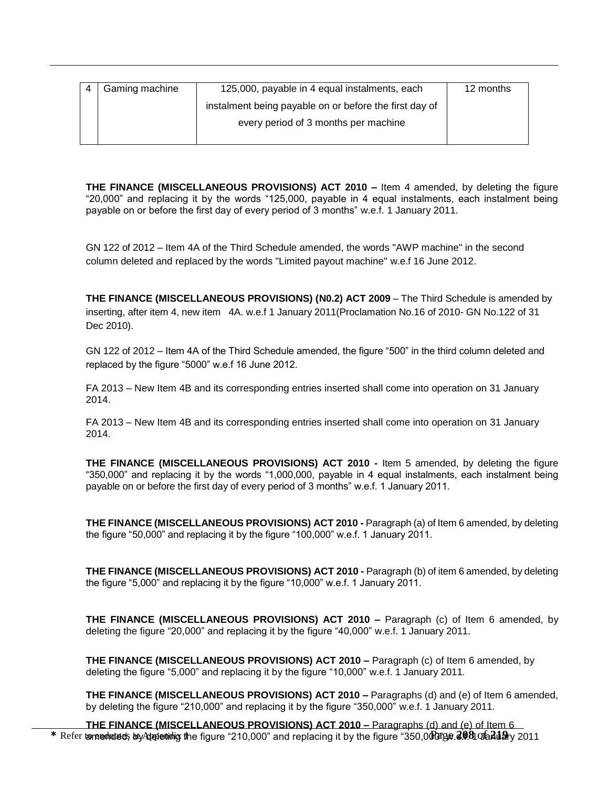| Gaming machine | 125,000, payable in 4 equal instalments, each          | 12 months |
|----------------|--------------------------------------------------------|-----------|
|                | instalment being payable on or before the first day of |           |
|                | every period of 3 months per machine                   |           |
|                |                                                        |           |

 $\overline{a}$ 

**THE FINANCE (MISCELLANEOUS PROVISIONS) ACT 2010 – Item 4 amended, by deleting the figure** "20,000" and replacing it by the words "125,000, payable in 4 equal instalments, each instalment being payable on or before the first day of every period of 3 months" w.e.f. 1 January 2011.

GN 122 of 2012 – Item 4A of the Third Schedule amended, the words "AWP machine" in the second column deleted and replaced by the words "Limited payout machine" w.e.f 16 June 2012.

**THE FINANCE (MISCELLANEOUS PROVISIONS) (N0.2) ACT 2009** – The Third Schedule is amended by inserting, after item 4, new item 4A. w.e.f 1 January 2011(Proclamation No.16 of 2010- GN No.122 of 31 Dec 2010).

GN 122 of 2012 – Item 4A of the Third Schedule amended, the figure "500" in the third column deleted and replaced by the figure "5000" w.e.f 16 June 2012.

FA 2013 – New Item 4B and its corresponding entries inserted shall come into operation on 31 January 2014.

FA 2013 – New Item 4B and its corresponding entries inserted shall come into operation on 31 January 2014.

**THE FINANCE (MISCELLANEOUS PROVISIONS) ACT 2010 -** Item 5 amended, by deleting the figure "350,000" and replacing it by the words "1,000,000, payable in 4 equal instalments, each instalment being payable on or before the first day of every period of 3 months" w.e.f. 1 January 2011.

**THE FINANCE (MISCELLANEOUS PROVISIONS) ACT 2010 -** Paragraph (a) of Item 6 amended, by deleting the figure "50,000" and replacing it by the figure "100,000" w.e.f. 1 January 2011.

**THE FINANCE (MISCELLANEOUS PROVISIONS) ACT 2010 -** Paragraph (b) of item 6 amended, by deleting the figure "5,000" and replacing it by the figure "10,000" w.e.f. 1 January 2011.

**THE FINANCE (MISCELLANEOUS PROVISIONS) ACT 2010 –** Paragraph (c) of Item 6 amended, by deleting the figure "20,000" and replacing it by the figure "40,000" w.e.f. 1 January 2011.

**THE FINANCE (MISCELLANEOUS PROVISIONS) ACT 2010 –** Paragraph (c) of Item 6 amended, by deleting the figure "5,000" and replacing it by the figure "10,000" w.e.f. 1 January 2011.

**THE FINANCE (MISCELLANEOUS PROVISIONS) ACT 2010 –** Paragraphs (d) and (e) of Item 6 amended, by deleting the figure "210,000" and replacing it by the figure "350,000" w.e.f. 1 January 2011.

\* Refer to man endnoteds by Adpendiciting the figure "210,000" and replacing it by the figure "350,000 the 2008 and 2011 **THE FINANCE (MISCELLANEOUS PROVISIONS) ACT 2010 – Paragraphs (d) and (e) of Item 6**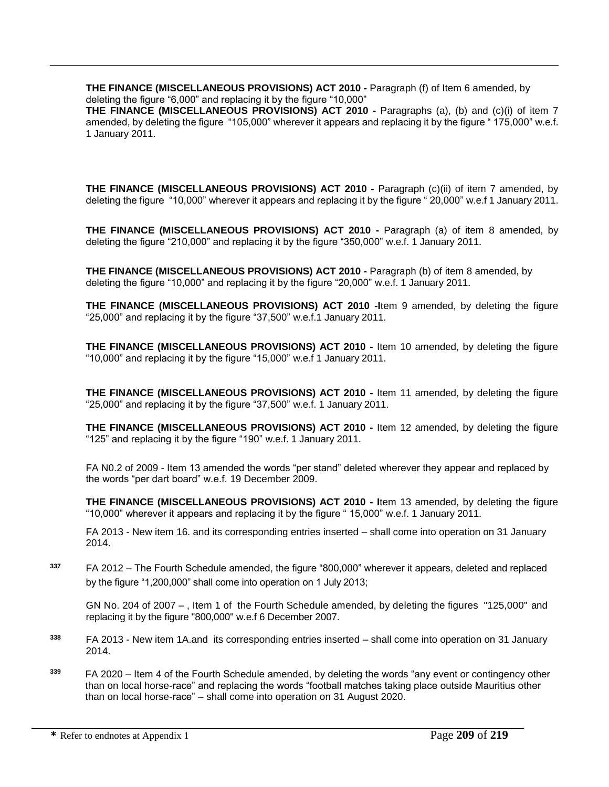**THE FINANCE (MISCELLANEOUS PROVISIONS) ACT 2010 -** Paragraph (f) of Item 6 amended, by deleting the figure "6,000" and replacing it by the figure "10,000"

**THE FINANCE (MISCELLANEOUS PROVISIONS) ACT 2010 -** Paragraphs (a), (b) and (c)(i) of item 7 amended, by deleting the figure "105,000" wherever it appears and replacing it by the figure " 175,000" w.e.f. 1 January 2011.

**THE FINANCE (MISCELLANEOUS PROVISIONS) ACT 2010 -** Paragraph (c)(ii) of item 7 amended, by deleting the figure "10,000" wherever it appears and replacing it by the figure " 20,000" w.e.f 1 January 2011.

**THE FINANCE (MISCELLANEOUS PROVISIONS) ACT 2010 -** Paragraph (a) of item 8 amended, by deleting the figure "210,000" and replacing it by the figure "350,000" w.e.f. 1 January 2011.

**THE FINANCE (MISCELLANEOUS PROVISIONS) ACT 2010 -** Paragraph (b) of item 8 amended, by deleting the figure "10,000" and replacing it by the figure "20,000" w.e.f. 1 January 2011.

**THE FINANCE (MISCELLANEOUS PROVISIONS) ACT 2010 -I**tem 9 amended, by deleting the figure "25,000" and replacing it by the figure "37,500" w.e.f.1 January 2011.

**THE FINANCE (MISCELLANEOUS PROVISIONS) ACT 2010 -** Item 10 amended, by deleting the figure "10,000" and replacing it by the figure "15,000" w.e.f 1 January 2011.

**THE FINANCE (MISCELLANEOUS PROVISIONS) ACT 2010 -** Item 11 amended, by deleting the figure "25,000" and replacing it by the figure "37,500" w.e.f. 1 January 2011.

**THE FINANCE (MISCELLANEOUS PROVISIONS) ACT 2010 -** Item 12 amended, by deleting the figure "125" and replacing it by the figure "190" w.e.f. 1 January 2011.

FA N0.2 of 2009 - Item 13 amended the words "per stand" deleted wherever they appear and replaced by the words "per dart board" w.e.f. 19 December 2009.

**THE FINANCE (MISCELLANEOUS PROVISIONS) ACT 2010 - I**tem 13 amended, by deleting the figure "10,000" wherever it appears and replacing it by the figure " 15,000" w.e.f. 1 January 2011.

FA 2013 - New item 16. and its corresponding entries inserted – shall come into operation on 31 January 2014.

**<sup>337</sup>** FA 2012 – The Fourth Schedule amended, the figure "800,000" wherever it appears, deleted and replaced by the figure "1,200,000" shall come into operation on 1 July 2013;

GN No. 204 of 2007 – , Item 1 of the Fourth Schedule amended, by deleting the figures "125,000" and replacing it by the figure "800,000" w.e.f 6 December 2007.

- **<sup>338</sup>** FA 2013 New item 1A.and its corresponding entries inserted shall come into operation on 31 January 2014.
- **<sup>339</sup>** FA 2020 Item 4 of the Fourth Schedule amended, by deleting the words "any event or contingency other than on local horse-race" and replacing the words "football matches taking place outside Mauritius other than on local horse-race" – shall come into operation on 31 August 2020.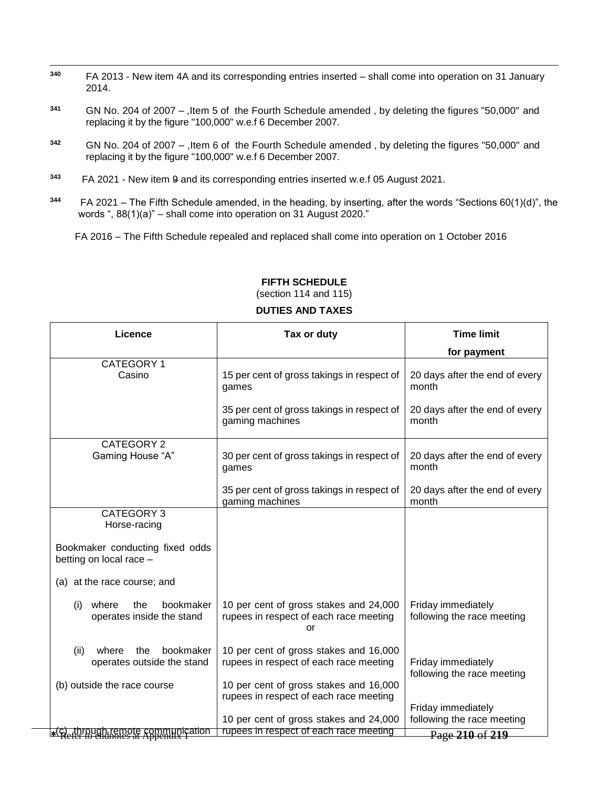- $\overline{a}$ **<sup>340</sup>** FA 2013 - New item 4A and its corresponding entries inserted – shall come into operation on 31 January 2014.
- **<sup>341</sup>** GN No. 204 of 2007 ,Item 5 of the Fourth Schedule amended , by deleting the figures "50,000" and replacing it by the figure "100,000" w.e.f 6 December 2007.
- **<sup>342</sup>** GN No. 204 of 2007 ,Item 6 of the Fourth Schedule amended , by deleting the figures "50,000" and replacing it by the figure "100,000" w.e.f 6 December 2007.
- **343**  FA 2021 - New item 9 and its corresponding entries inserted w.e.f 05 August 2021.
- **344** FA 2021 – The Fifth Schedule amended, in the heading, by inserting, after the words "Sections 60(1)(d)", the words ", 88(1)(a)" – shall come into operation on 31 August 2020."

FA 2016 – The Fifth Schedule repealed and replaced shall come into operation on 1 October 2016

| Licence                                                         | Tax or duty                                                                            | <b>Time limit</b>                                |
|-----------------------------------------------------------------|----------------------------------------------------------------------------------------|--------------------------------------------------|
|                                                                 |                                                                                        | for payment                                      |
| CATEGORY 1<br>Casino                                            | 15 per cent of gross takings in respect of<br>games                                    | 20 days after the end of every<br>month          |
|                                                                 | 35 per cent of gross takings in respect of<br>gaming machines                          | 20 days after the end of every<br>month          |
| CATEGORY 2                                                      |                                                                                        |                                                  |
| Gaming House "A"                                                | 30 per cent of gross takings in respect of<br>games                                    | 20 days after the end of every<br>month          |
|                                                                 | 35 per cent of gross takings in respect of<br>gaming machines                          | 20 days after the end of every<br>month          |
| CATEGORY 3                                                      |                                                                                        |                                                  |
| Horse-racing                                                    |                                                                                        |                                                  |
| Bookmaker conducting fixed odds<br>betting on local race -      |                                                                                        |                                                  |
| (a) at the race course; and                                     |                                                                                        |                                                  |
| bookmaker<br>where<br>the<br>(i)<br>operates inside the stand   | 10 per cent of gross stakes and 24,000<br>rupees in respect of each race meeting<br>or | Friday immediately<br>following the race meeting |
| bookmaker<br>(ii)<br>where<br>the<br>operates outside the stand | 10 per cent of gross stakes and 16,000<br>rupees in respect of each race meeting       | Friday immediately<br>following the race meeting |
| (b) outside the race course                                     | 10 per cent of gross stakes and 16,000                                                 |                                                  |
|                                                                 | rupees in respect of each race meeting                                                 |                                                  |
|                                                                 |                                                                                        | Friday immediately                               |
|                                                                 | 10 per cent of gross stakes and 24,000                                                 | following the race meeting                       |
| <b>*(c)</b> through remote communication                        | rupees in respect of each race meeting                                                 | Page 210 of 219                                  |

#### **FIFTH SCHEDULE** (section 114 and 115)

## **DUTIES AND TAXES**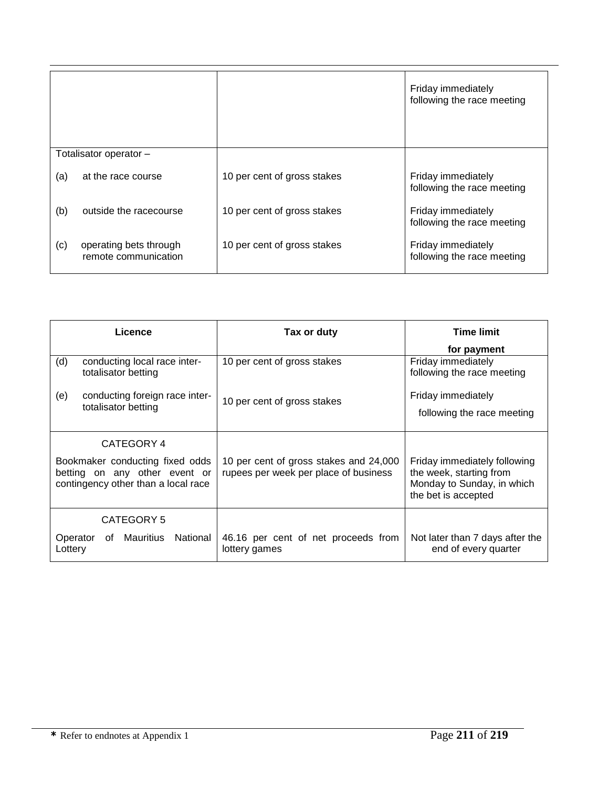|                        |                                                |                             | Friday immediately<br>following the race meeting |
|------------------------|------------------------------------------------|-----------------------------|--------------------------------------------------|
| Totalisator operator - |                                                |                             |                                                  |
| (a)                    | at the race course                             | 10 per cent of gross stakes | Friday immediately<br>following the race meeting |
| (b)                    | outside the racecourse                         | 10 per cent of gross stakes | Friday immediately<br>following the race meeting |
| (c)                    | operating bets through<br>remote communication | 10 per cent of gross stakes | Friday immediately<br>following the race meeting |

| Licence                                                                                                 |                                                     | Tax or duty                                                                     | <b>Time limit</b>                                                                                            |  |
|---------------------------------------------------------------------------------------------------------|-----------------------------------------------------|---------------------------------------------------------------------------------|--------------------------------------------------------------------------------------------------------------|--|
|                                                                                                         |                                                     |                                                                                 | for payment                                                                                                  |  |
| (d)                                                                                                     | conducting local race inter-<br>totalisator betting | 10 per cent of gross stakes                                                     | Friday immediately<br>following the race meeting                                                             |  |
| (e)                                                                                                     | conducting foreign race inter-                      | 10 per cent of gross stakes                                                     | Friday immediately                                                                                           |  |
|                                                                                                         | totalisator betting                                 |                                                                                 | following the race meeting                                                                                   |  |
| CATEGORY 4                                                                                              |                                                     |                                                                                 |                                                                                                              |  |
| Bookmaker conducting fixed odds<br>betting on any other event or<br>contingency other than a local race |                                                     | 10 per cent of gross stakes and 24,000<br>rupees per week per place of business | Friday immediately following<br>the week, starting from<br>Monday to Sunday, in which<br>the bet is accepted |  |
| CATEGORY 5                                                                                              |                                                     |                                                                                 |                                                                                                              |  |
| Operator<br>Lottery                                                                                     | Mauritius<br>National<br>of                         | 46.16 per cent of net proceeds from<br>lottery games                            | Not later than 7 days after the<br>end of every quarter                                                      |  |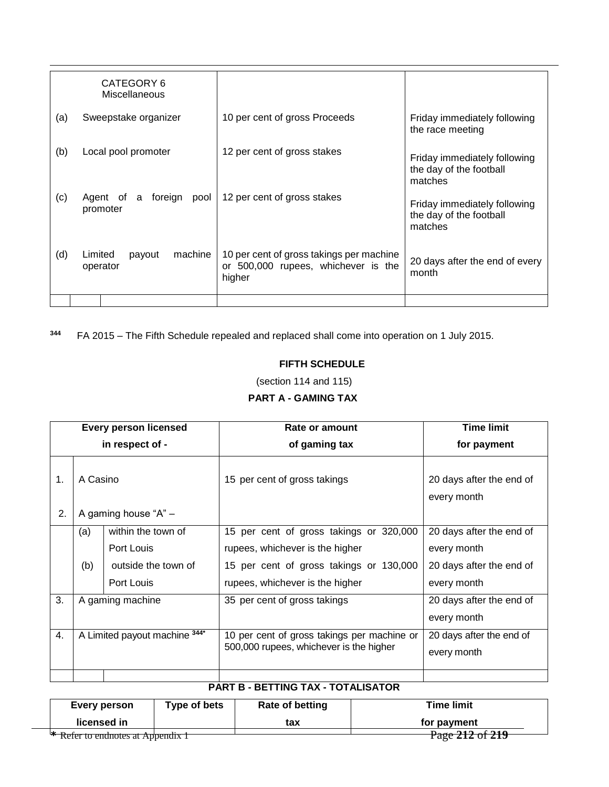|     | CATEGORY 6<br>Miscellaneous              |                                                                                           |                                                                    |
|-----|------------------------------------------|-------------------------------------------------------------------------------------------|--------------------------------------------------------------------|
| (a) | Sweepstake organizer                     | 10 per cent of gross Proceeds                                                             | Friday immediately following<br>the race meeting                   |
| (b) | Local pool promoter                      | 12 per cent of gross stakes                                                               | Friday immediately following<br>the day of the football<br>matches |
| (c) | Agent of a foreign<br>pool<br>promoter   | 12 per cent of gross stakes                                                               | Friday immediately following<br>the day of the football<br>matches |
| (d) | machine<br>Limited<br>payout<br>operator | 10 per cent of gross takings per machine<br>or 500,000 rupees, whichever is the<br>higher | 20 days after the end of every<br>month                            |
|     |                                          |                                                                                           |                                                                    |

**<sup>344</sup>** FA 2015 – The Fifth Schedule repealed and replaced shall come into operation on 1 July 2015.

## **FIFTH SCHEDULE**

(section 114 and 115)

**PART A - GAMING TAX**

|          | <b>Every person licensed</b>     |                                                                       | Rate or amount                                                                                                                                           | <b>Time limit</b>                                                                  |
|----------|----------------------------------|-----------------------------------------------------------------------|----------------------------------------------------------------------------------------------------------------------------------------------------------|------------------------------------------------------------------------------------|
|          | in respect of -                  |                                                                       | of gaming tax                                                                                                                                            | for payment                                                                        |
| 1.<br>2. | A Casino<br>A gaming house "A" - |                                                                       | 15 per cent of gross takings                                                                                                                             | 20 days after the end of<br>every month                                            |
|          | (a)<br>(b)                       | within the town of<br>Port Louis<br>outside the town of<br>Port Louis | 15 per cent of gross takings or 320,000<br>rupees, whichever is the higher<br>15 per cent of gross takings or 130,000<br>rupees, whichever is the higher | 20 days after the end of<br>every month<br>20 days after the end of<br>every month |
| 3.       | A gaming machine                 |                                                                       | 35 per cent of gross takings                                                                                                                             | 20 days after the end of<br>every month                                            |
| 4.       | A Limited payout machine 344*    |                                                                       | 10 per cent of gross takings per machine or<br>500,000 rupees, whichever is the higher                                                                   | 20 days after the end of<br>every month                                            |
|          |                                  |                                                                       |                                                                                                                                                          |                                                                                    |

#### **PART B - BETTING TAX - TOTALISATOR**

| Every person                      | Type of bets | <b>Rate of betting</b> | <b>Time limit</b>                                                                                                                                                                                                                                                                                       |
|-----------------------------------|--------------|------------------------|---------------------------------------------------------------------------------------------------------------------------------------------------------------------------------------------------------------------------------------------------------------------------------------------------------|
| licensed in                       |              | tax                    | for payment                                                                                                                                                                                                                                                                                             |
|                                   |              |                        | $A 1 A 1 A 2 A 3 A 4 A 3 A 4 A 3 A 4 A 4 A 3 A 4 A 3 A 4 A 3 A 4 A 3 A 4 A 3 A 4 A 3 A 4 A 3 A 4 A 3 A 4 A 3 A 4 A 3 A 4 A 3 A 4 A 3 A 4 A 3 A 4 A 3 A 4 A 3 A 4 A 3 A 4 A 3 A 4 A 3 A 4 A 3 A 4 A 3 A 4 A 3 A 4 A 3 A 4 A 3 A 4 A 3 A 4 A 3 A 4 A 3 A 4 A 3 A 4 A 4 A 3 A 4 A 4 A 3 A 4 A 4 A 4 A 4 A$ |
| * Refer to endnotes at Appendix 1 |              |                        | Page 212 01 219                                                                                                                                                                                                                                                                                         |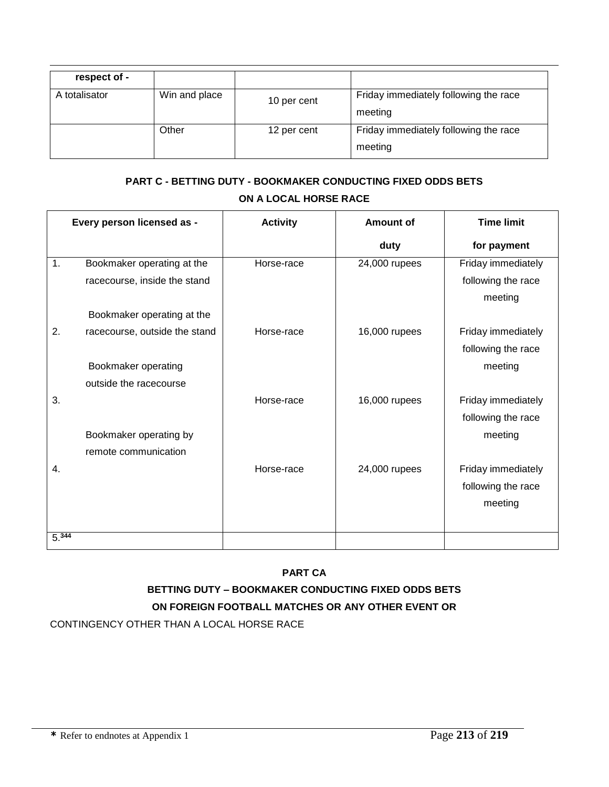| respect of -  |               |             |                                                  |
|---------------|---------------|-------------|--------------------------------------------------|
| A totalisator | Win and place | 10 per cent | Friday immediately following the race<br>meeting |
|               | Other         | 12 per cent | Friday immediately following the race<br>meeting |

# **PART C - BETTING DUTY - BOOKMAKER CONDUCTING FIXED ODDS BETS ON A LOCAL HORSE RACE**

|       | Every person licensed as -    | <b>Activity</b> | <b>Amount of</b> | <b>Time limit</b>  |
|-------|-------------------------------|-----------------|------------------|--------------------|
|       |                               |                 | duty             | for payment        |
| 1.    | Bookmaker operating at the    | Horse-race      | 24,000 rupees    | Friday immediately |
|       | racecourse, inside the stand  |                 |                  | following the race |
|       |                               |                 |                  | meeting            |
|       | Bookmaker operating at the    |                 |                  |                    |
| 2.    | racecourse, outside the stand | Horse-race      | 16,000 rupees    | Friday immediately |
|       |                               |                 |                  | following the race |
|       | Bookmaker operating           |                 |                  | meeting            |
|       | outside the racecourse        |                 |                  |                    |
| 3.    |                               | Horse-race      | 16,000 rupees    | Friday immediately |
|       |                               |                 |                  | following the race |
|       | Bookmaker operating by        |                 |                  | meeting            |
|       | remote communication          |                 |                  |                    |
| 4.    |                               | Horse-race      | 24,000 rupees    | Friday immediately |
|       |                               |                 |                  | following the race |
|       |                               |                 |                  | meeting            |
|       |                               |                 |                  |                    |
| 5.344 |                               |                 |                  |                    |

# **PART CA**

# **BETTING DUTY – BOOKMAKER CONDUCTING FIXED ODDS BETS ON FOREIGN FOOTBALL MATCHES OR ANY OTHER EVENT OR**

CONTINGENCY OTHER THAN A LOCAL HORSE RACE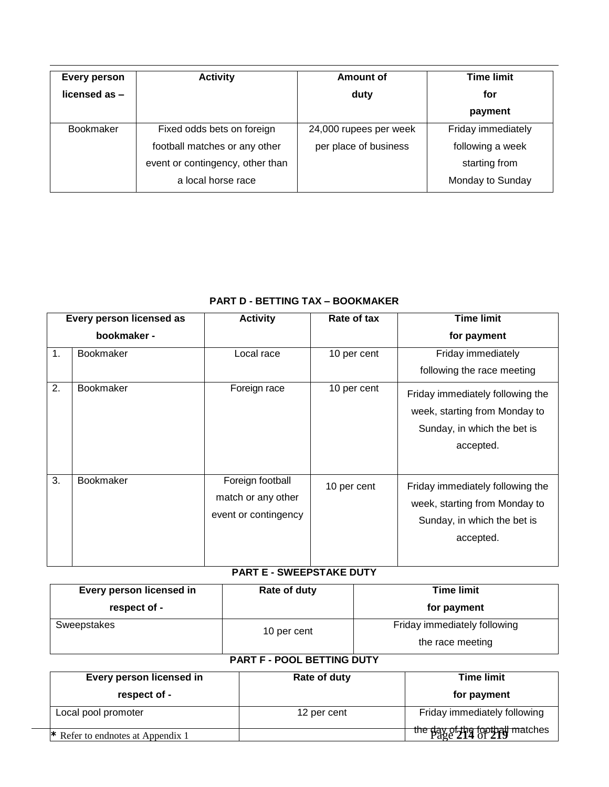| <b>Every person</b><br>licensed as $-$ | <b>Activity</b>                  | <b>Amount of</b><br>duty | <b>Time limit</b><br>for |
|----------------------------------------|----------------------------------|--------------------------|--------------------------|
|                                        |                                  |                          | payment                  |
| <b>Bookmaker</b>                       | Fixed odds bets on foreign       | 24,000 rupees per week   | Friday immediately       |
|                                        | football matches or any other    | per place of business    | following a week         |
|                                        | event or contingency, other than |                          | starting from            |
|                                        | a local horse race               |                          | Monday to Sunday         |

## **PART D - BETTING TAX – BOOKMAKER**

| Every person licensed as |                  | <b>Activity</b>                                                | Rate of tax | <b>Time limit</b>                                                                                             |
|--------------------------|------------------|----------------------------------------------------------------|-------------|---------------------------------------------------------------------------------------------------------------|
| bookmaker -              |                  |                                                                |             | for payment                                                                                                   |
| 1.                       | <b>Bookmaker</b> | Local race                                                     | 10 per cent | Friday immediately<br>following the race meeting                                                              |
| 2.                       | <b>Bookmaker</b> | Foreign race                                                   | 10 per cent | Friday immediately following the<br>week, starting from Monday to<br>Sunday, in which the bet is<br>accepted. |
| 3.                       | <b>Bookmaker</b> | Foreign football<br>match or any other<br>event or contingency | 10 per cent | Friday immediately following the<br>week, starting from Monday to<br>Sunday, in which the bet is<br>accepted. |

# **PART E - SWEEPSTAKE DUTY**

| Every person licensed in | Rate of duty                      | <b>Time limit</b>                                |  |
|--------------------------|-----------------------------------|--------------------------------------------------|--|
| respect of -             |                                   | for payment                                      |  |
| Sweepstakes              | 10 per cent                       | Friday immediately following<br>the race meeting |  |
|                          | <b>PART F - POOL BETTING DUTY</b> |                                                  |  |
| Every person licensed in | Rate of duty                      | <b>Time limit</b>                                |  |
| respect of -             |                                   | for payment                                      |  |
| Local pool promoter      | 12 per cent                       | Friday immediately following                     |  |

the day of the football matches

**\*** Refer to endnotes at Appendix 1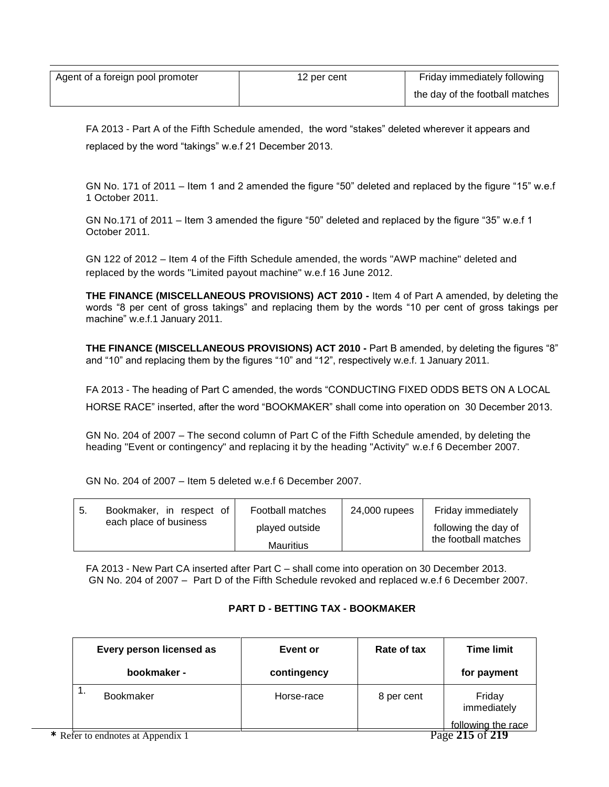|                                  | 12 per cent | Friday immediately following    |
|----------------------------------|-------------|---------------------------------|
| Agent of a foreign pool promoter |             |                                 |
|                                  |             | the day of the football matches |

FA 2013 - Part A of the Fifth Schedule amended, the word "stakes" deleted wherever it appears and replaced by the word "takings" w.e.f 21 December 2013.

GN No. 171 of 2011 – Item 1 and 2 amended the figure "50" deleted and replaced by the figure "15" w.e.f 1 October 2011.

GN No.171 of 2011 – Item 3 amended the figure "50" deleted and replaced by the figure "35" w.e.f 1 October 2011.

GN 122 of 2012 – Item 4 of the Fifth Schedule amended, the words "AWP machine" deleted and replaced by the words "Limited payout machine" w.e.f 16 June 2012.

**THE FINANCE (MISCELLANEOUS PROVISIONS) ACT 2010 -** Item 4 of Part A amended, by deleting the words "8 per cent of gross takings" and replacing them by the words "10 per cent of gross takings per machine" w.e.f.1 January 2011.

**THE FINANCE (MISCELLANEOUS PROVISIONS) ACT 2010 -** Part B amended, by deleting the figures "8" and "10" and replacing them by the figures "10" and "12", respectively w.e.f. 1 January 2011.

FA 2013 - The heading of Part C amended, the words "CONDUCTING FIXED ODDS BETS ON A LOCAL HORSE RACE" inserted, after the word "BOOKMAKER" shall come into operation on 30 December 2013.

GN No. 204 of 2007 – The second column of Part C of the Fifth Schedule amended, by deleting the heading "Event or contingency" and replacing it by the heading "Activity" w.e.f 6 December 2007.

GN No. 204 of 2007 – Item 5 deleted w.e.f 6 December 2007.

| 5.                     | Bookmaker, in respect of | Football matches | 24,000 rupees        | Friday immediately   |
|------------------------|--------------------------|------------------|----------------------|----------------------|
| each place of business | played outside           |                  | following the day of |                      |
|                        |                          | <b>Mauritius</b> |                      | the football matches |

FA 2013 - New Part CA inserted after Part C – shall come into operation on 30 December 2013. GN No. 204 of 2007 – Part D of the Fifth Schedule revoked and replaced w.e.f 6 December 2007.

## **PART D - BETTING TAX - BOOKMAKER**

| Every person licensed as | Event or    | Rate of tax | <b>Time limit</b>     |
|--------------------------|-------------|-------------|-----------------------|
| bookmaker -              | contingency |             | for payment           |
| . .<br><b>Bookmaker</b>  | Horse-race  | 8 per cent  | Friday<br>immediately |
|                          |             |             | following the race    |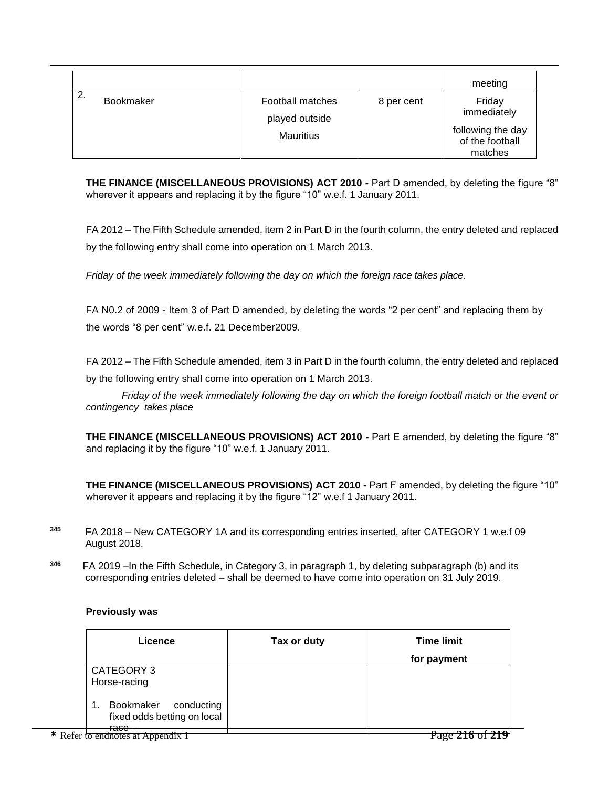|    |                  |                                                        |            | meeting                                    |
|----|------------------|--------------------------------------------------------|------------|--------------------------------------------|
| 2. | <b>Bookmaker</b> | Football matches<br>played outside<br><b>Mauritius</b> | 8 per cent | Friday<br>immediately<br>following the day |
|    |                  |                                                        |            | of the football<br>matches                 |

**THE FINANCE (MISCELLANEOUS PROVISIONS) ACT 2010 -** Part D amended, by deleting the figure "8" wherever it appears and replacing it by the figure "10" w.e.f. 1 January 2011.

FA 2012 – The Fifth Schedule amended, item 2 in Part D in the fourth column, the entry deleted and replaced by the following entry shall come into operation on 1 March 2013.

*Friday of the week immediately following the day on which the foreign race takes place.*

FA N0.2 of 2009 - Item 3 of Part D amended, by deleting the words "2 per cent" and replacing them by the words "8 per cent" w.e.f. 21 December2009.

FA 2012 – The Fifth Schedule amended, item 3 in Part D in the fourth column, the entry deleted and replaced by the following entry shall come into operation on 1 March 2013.

*Friday of the week immediately following the day on which the foreign football match or the event or contingency takes place*

**THE FINANCE (MISCELLANEOUS PROVISIONS) ACT 2010 -** Part E amended, by deleting the figure "8" and replacing it by the figure "10" w.e.f. 1 January 2011.

**THE FINANCE (MISCELLANEOUS PROVISIONS) ACT 2010 -** Part F amended, by deleting the figure "10" wherever it appears and replacing it by the figure "12" w.e.f 1 January 2011.

- **<sup>345</sup>** FA 2018 New CATEGORY 1A and its corresponding entries inserted, after CATEGORY 1 w.e.f 09 August 2018.
- **346**  FA 2019 –In the Fifth Schedule, in Category 3, in paragraph 1, by deleting subparagraph (b) and its corresponding entries deleted – shall be deemed to have come into operation on 31 July 2019.

## **Previously was**

| Licence                                                | Tax or duty | <b>Time limit</b>             |
|--------------------------------------------------------|-------------|-------------------------------|
|                                                        |             | for payment                   |
| CATEGORY 3<br>Horse-racing                             |             |                               |
| Bookmaker<br>conducting<br>fixed odds betting on local |             |                               |
| <del>race</del><br>* Refer to endnotes at Appendix 1   |             | f 219 <sup>-1</sup><br>$\sim$ |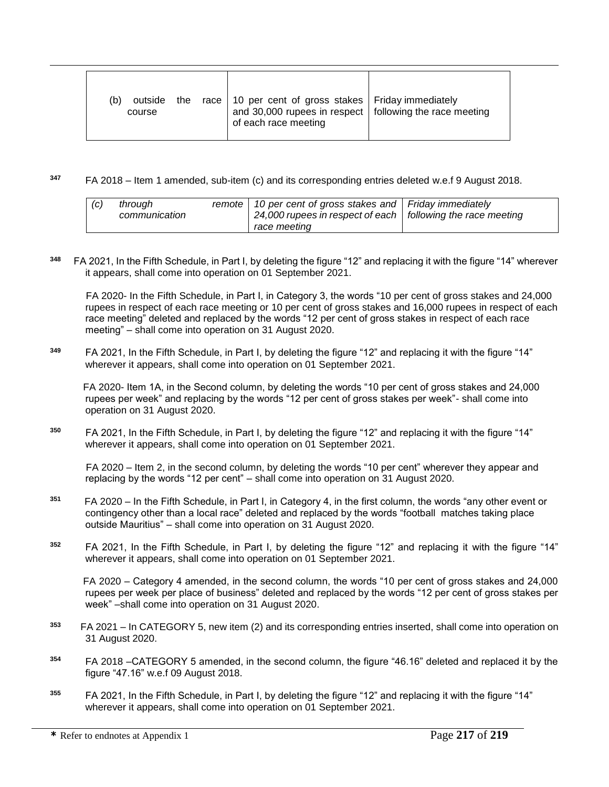| (b)<br>outside<br>course | the race $\vert$ 10 per cent of gross stakes $\vert$ Friday immediately<br>and 30,000 rupees in respect   following the race meeting<br>of each race meeting |  |
|--------------------------|--------------------------------------------------------------------------------------------------------------------------------------------------------------|--|
|--------------------------|--------------------------------------------------------------------------------------------------------------------------------------------------------------|--|

**<sup>347</sup>** FA 2018 – Item 1 amended, sub-item (c) and its corresponding entries deleted w.e.f 9 August 2018.

| (c) | throuah<br>communication |  | remote   10 per cent of gross stakes and   Friday immediately<br>24,000 rupees in respect of each   following the race meeting<br>race meeting |  |
|-----|--------------------------|--|------------------------------------------------------------------------------------------------------------------------------------------------|--|
|-----|--------------------------|--|------------------------------------------------------------------------------------------------------------------------------------------------|--|

**348** FA 2021, In the Fifth Schedule, in Part I, by deleting the figure "12" and replacing it with the figure "14" wherever it appears, shall come into operation on 01 September 2021.

FA 2020- In the Fifth Schedule, in Part I, in Category 3, the words "10 per cent of gross stakes and 24,000 rupees in respect of each race meeting or 10 per cent of gross stakes and 16,000 rupees in respect of each race meeting" deleted and replaced by the words "12 per cent of gross stakes in respect of each race meeting" – shall come into operation on 31 August 2020.

**<sup>349</sup>** FA 2021, In the Fifth Schedule, in Part I, by deleting the figure "12" and replacing it with the figure "14" wherever it appears, shall come into operation on 01 September 2021.

FA 2020- Item 1A, in the Second column, by deleting the words "10 per cent of gross stakes and 24,000 rupees per week" and replacing by the words "12 per cent of gross stakes per week"- shall come into operation on 31 August 2020.

**350**  FA 2021, In the Fifth Schedule, in Part I, by deleting the figure "12" and replacing it with the figure "14" wherever it appears, shall come into operation on 01 September 2021.

 FA 2020 – Item 2, in the second column, by deleting the words "10 per cent" wherever they appear and replacing by the words "12 per cent" – shall come into operation on 31 August 2020.

- **351** FA 2020 – In the Fifth Schedule, in Part I, in Category 4, in the first column, the words "any other event or contingency other than a local race" deleted and replaced by the words "football matches taking place outside Mauritius" – shall come into operation on 31 August 2020.
- **<sup>352</sup>** FA 2021, In the Fifth Schedule, in Part I, by deleting the figure "12" and replacing it with the figure "14" wherever it appears, shall come into operation on 01 September 2021.

FA 2020 – Category 4 amended, in the second column, the words "10 per cent of gross stakes and 24,000 rupees per week per place of business" deleted and replaced by the words "12 per cent of gross stakes per week" –shall come into operation on 31 August 2020.

- **353**  FA 2021 – In CATEGORY 5, new item (2) and its corresponding entries inserted, shall come into operation on 31 August 2020.
- **<sup>354</sup>** FA 2018 –CATEGORY 5 amended, in the second column, the figure "46.16" deleted and replaced it by the figure "47.16" w.e.f 09 August 2018.
- **<sup>355</sup>** FA 2021, In the Fifth Schedule, in Part I, by deleting the figure "12" and replacing it with the figure "14" wherever it appears, shall come into operation on 01 September 2021.

 $\overline{a}$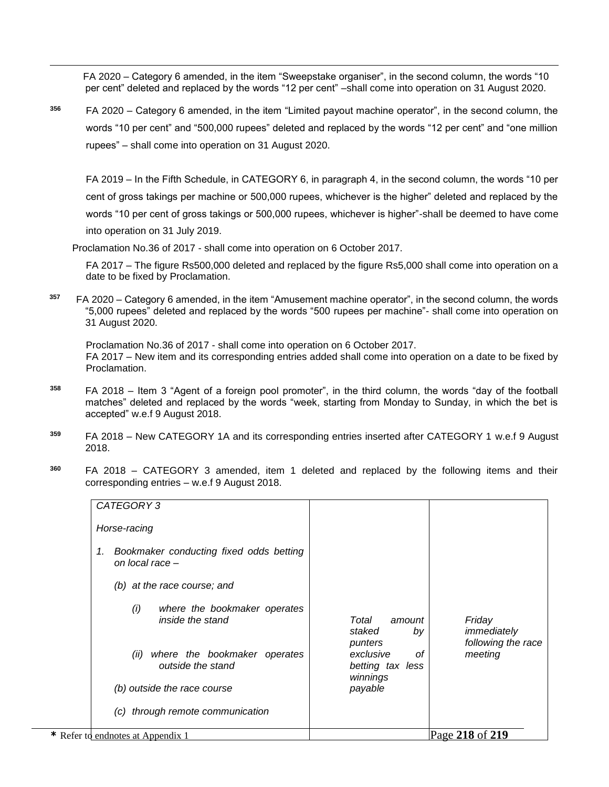FA 2020 – Category 6 amended, in the item "Sweepstake organiser", in the second column, the words "10 per cent" deleted and replaced by the words "12 per cent" –shall come into operation on 31 August 2020.

**<sup>356</sup>** FA 2020 – Category 6 amended, in the item "Limited payout machine operator", in the second column, the words "10 per cent" and "500,000 rupees" deleted and replaced by the words "12 per cent" and "one million rupees" – shall come into operation on 31 August 2020.

FA 2019 – In the Fifth Schedule, in CATEGORY 6, in paragraph 4, in the second column, the words "10 per cent of gross takings per machine or 500,000 rupees, whichever is the higher" deleted and replaced by the words "10 per cent of gross takings or 500,000 rupees, whichever is higher"-shall be deemed to have come into operation on 31 July 2019.

Proclamation No.36 of 2017 - shall come into operation on 6 October 2017.

 $\overline{a}$ 

FA 2017 – The figure Rs500,000 deleted and replaced by the figure Rs5,000 shall come into operation on a date to be fixed by Proclamation.

**357** FA 2020 – Category 6 amended, in the item "Amusement machine operator", in the second column, the words "5,000 rupees" deleted and replaced by the words "500 rupees per machine"- shall come into operation on 31 August 2020.

Proclamation No.36 of 2017 - shall come into operation on 6 October 2017. FA 2017 – New item and its corresponding entries added shall come into operation on a date to be fixed by Proclamation.

- **<sup>358</sup>** FA 2018 Item 3 "Agent of a foreign pool promoter", in the third column, the words "day of the football matches" deleted and replaced by the words "week, starting from Monday to Sunday, in which the bet is accepted" w.e.f 9 August 2018.
- **<sup>359</sup>** FA 2018 New CATEGORY 1A and its corresponding entries inserted after CATEGORY 1 w.e.f 9 August 2018.
- **<sup>360</sup>** FA 2018 CATEGORY 3 amended, item 1 deleted and replaced by the following items and their corresponding entries – w.e.f 9 August 2018.

| CATEGORY 3                                                       |                                                 |                                             |
|------------------------------------------------------------------|-------------------------------------------------|---------------------------------------------|
| Horse-racing                                                     |                                                 |                                             |
| Bookmaker conducting fixed odds betting<br>1.<br>on local race - |                                                 |                                             |
| (b) at the race course; and                                      |                                                 |                                             |
| where the bookmaker operates<br>(i)<br>inside the stand          | Total<br>amount<br>staked<br>by<br>punters      | Friday<br>immediately<br>following the race |
| where the bookmaker operates<br>(ii)<br>outside the stand        | exclusive<br>οf<br>betting tax less<br>winnings | meeting                                     |
| (b) outside the race course                                      | payable                                         |                                             |
| (c) through remote communication                                 |                                                 |                                             |
| * Refer to endnotes at Appendix 1                                |                                                 | Page 218 of 219                             |